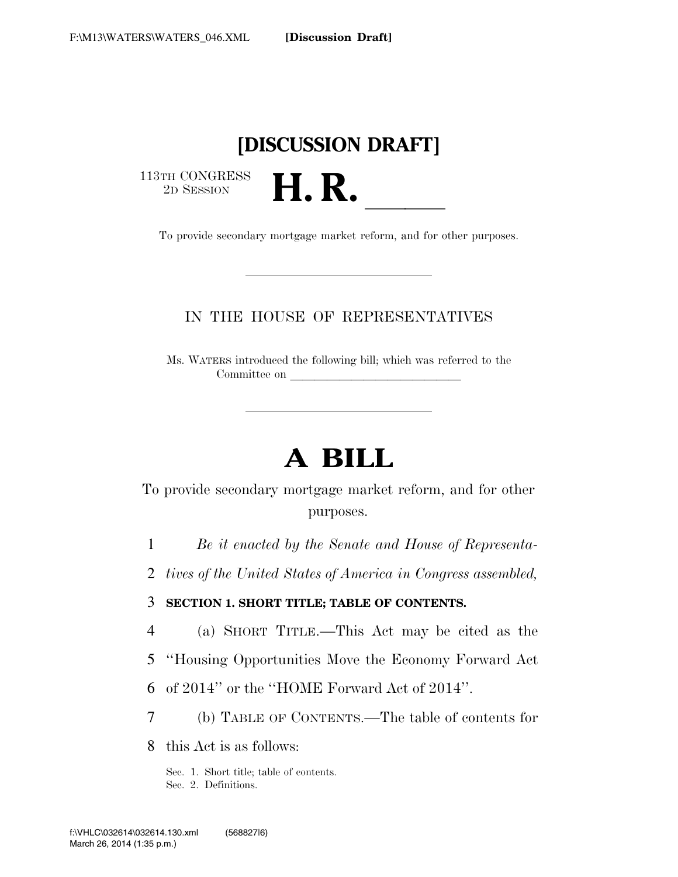## **[DISCUSSION DRAFT]**

113TH CONGRESS<br>2D SESSION

2D SESSION **H. R.** ll To provide secondary mortgage market reform, and for other purposes.

## IN THE HOUSE OF REPRESENTATIVES

Ms. WATERS introduced the following bill; which was referred to the Committee on

# **A BILL**

To provide secondary mortgage market reform, and for other purposes.

1 *Be it enacted by the Senate and House of Representa-*

2 *tives of the United States of America in Congress assembled,* 

3 **SECTION 1. SHORT TITLE; TABLE OF CONTENTS.** 

- 4 (a) SHORT TITLE.—This Act may be cited as the
- 5 ''Housing Opportunities Move the Economy Forward Act

6 of 2014'' or the ''HOME Forward Act of 2014''.

7 (b) TABLE OF CONTENTS.—The table of contents for

8 this Act is as follows:

Sec. 1. Short title; table of contents. Sec. 2. Definitions.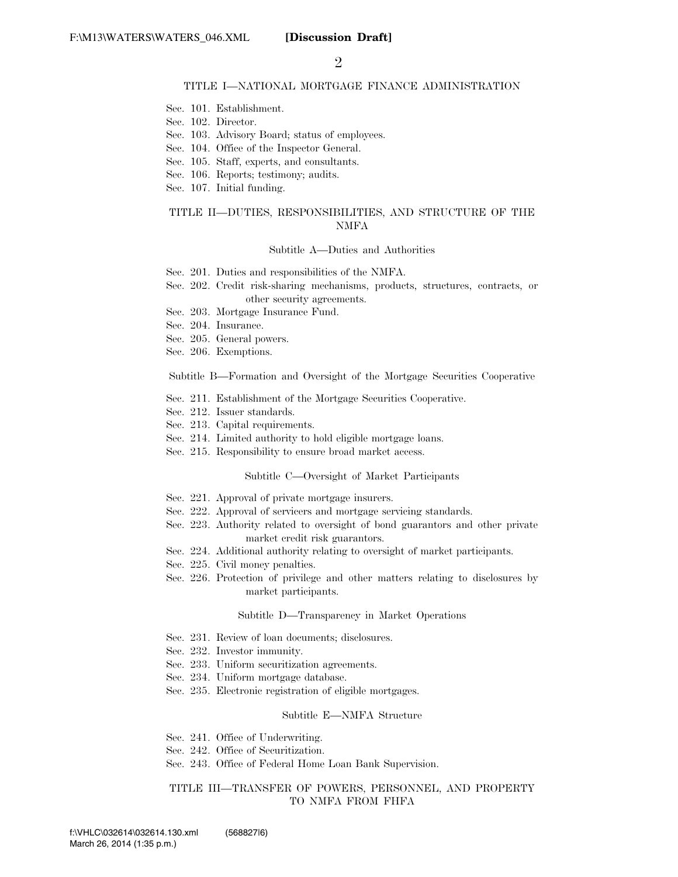#### TITLE I—NATIONAL MORTGAGE FINANCE ADMINISTRATION

- Sec. 101. Establishment.
- Sec. 102. Director.
- Sec. 103. Advisory Board; status of employees.
- Sec. 104. Office of the Inspector General.
- Sec. 105. Staff, experts, and consultants.
- Sec. 106. Reports; testimony; audits.
- Sec. 107. Initial funding.

#### TITLE II—DUTIES, RESPONSIBILITIES, AND STRUCTURE OF THE NMFA

#### Subtitle A—Duties and Authorities

- Sec. 201. Duties and responsibilities of the NMFA.
- Sec. 202. Credit risk-sharing mechanisms, products, structures, contracts, or other security agreements.
- Sec. 203. Mortgage Insurance Fund.
- Sec. 204. Insurance.
- Sec. 205. General powers.
- Sec. 206. Exemptions.

Subtitle B—Formation and Oversight of the Mortgage Securities Cooperative

- Sec. 211. Establishment of the Mortgage Securities Cooperative.
- Sec. 212. Issuer standards.
- Sec. 213. Capital requirements.
- Sec. 214. Limited authority to hold eligible mortgage loans.
- Sec. 215. Responsibility to ensure broad market access.

#### Subtitle C—Oversight of Market Participants

- Sec. 221. Approval of private mortgage insurers.
- Sec. 222. Approval of servicers and mortgage servicing standards.
- Sec. 223. Authority related to oversight of bond guarantors and other private market credit risk guarantors.
- Sec. 224. Additional authority relating to oversight of market participants.
- Sec. 225. Civil money penalties.
- Sec. 226. Protection of privilege and other matters relating to disclosures by market participants.

#### Subtitle D—Transparency in Market Operations

- Sec. 231. Review of loan documents; disclosures.
- Sec. 232. Investor immunity.
- Sec. 233. Uniform securitization agreements.
- Sec. 234. Uniform mortgage database.
- Sec. 235. Electronic registration of eligible mortgages.

#### Subtitle E—NMFA Structure

- Sec. 241. Office of Underwriting.
- Sec. 242. Office of Securitization.
- Sec. 243. Office of Federal Home Loan Bank Supervision.

#### TITLE III—TRANSFER OF POWERS, PERSONNEL, AND PROPERTY TO NMFA FROM FHFA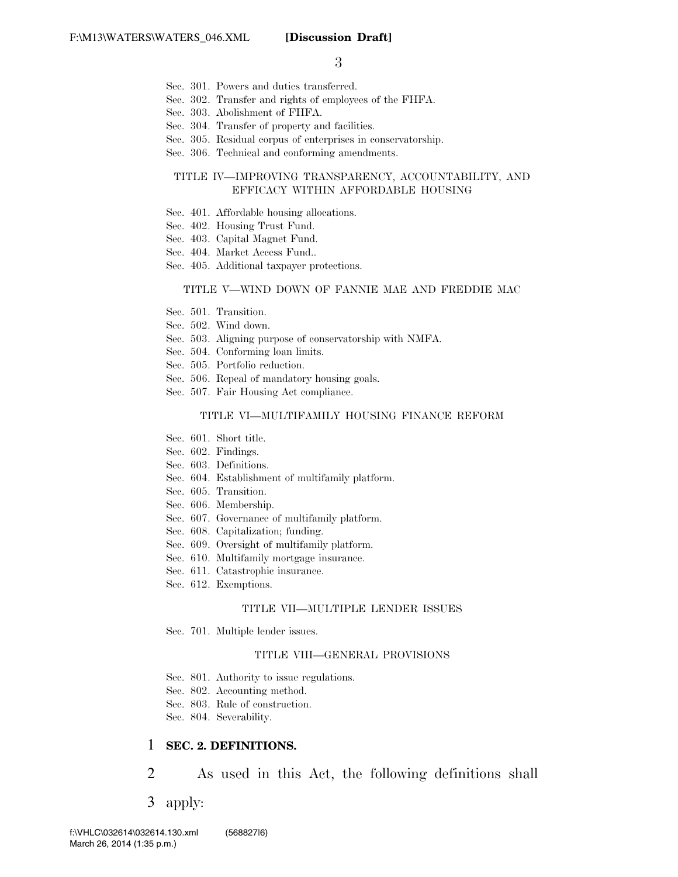- Sec. 301. Powers and duties transferred.
- Sec. 302. Transfer and rights of employees of the FHFA.
- Sec. 303. Abolishment of FHFA.
- Sec. 304. Transfer of property and facilities.
- Sec. 305. Residual corpus of enterprises in conservatorship.
- Sec. 306. Technical and conforming amendments.

#### TITLE IV—IMPROVING TRANSPARENCY, ACCOUNTABILITY, AND EFFICACY WITHIN AFFORDABLE HOUSING

- Sec. 401. Affordable housing allocations.
- Sec. 402. Housing Trust Fund.
- Sec. 403. Capital Magnet Fund.
- Sec. 404. Market Access Fund..
- Sec. 405. Additional taxpayer protections.

#### TITLE V—WIND DOWN OF FANNIE MAE AND FREDDIE MAC

- Sec. 501. Transition.
- Sec. 502. Wind down.
- Sec. 503. Aligning purpose of conservatorship with NMFA.
- Sec. 504. Conforming loan limits.
- Sec. 505. Portfolio reduction.
- Sec. 506. Repeal of mandatory housing goals.
- Sec. 507. Fair Housing Act compliance.

#### TITLE VI—MULTIFAMILY HOUSING FINANCE REFORM

- Sec. 601. Short title.
- Sec. 602. Findings.
- Sec. 603. Definitions.
- Sec. 604. Establishment of multifamily platform.
- Sec. 605. Transition.
- Sec. 606. Membership.
- Sec. 607. Governance of multifamily platform.
- Sec. 608. Capitalization; funding.
- Sec. 609. Oversight of multifamily platform.
- Sec. 610. Multifamily mortgage insurance.
- Sec. 611. Catastrophic insurance.
- Sec. 612. Exemptions.

#### TITLE VII—MULTIPLE LENDER ISSUES

Sec. 701. Multiple lender issues.

#### TITLE VIII—GENERAL PROVISIONS

- Sec. 801. Authority to issue regulations.
- Sec. 802. Accounting method.
- Sec. 803. Rule of construction.
- Sec. 804. Severability.

#### 1 **SEC. 2. DEFINITIONS.**

2 As used in this Act, the following definitions shall

3 apply: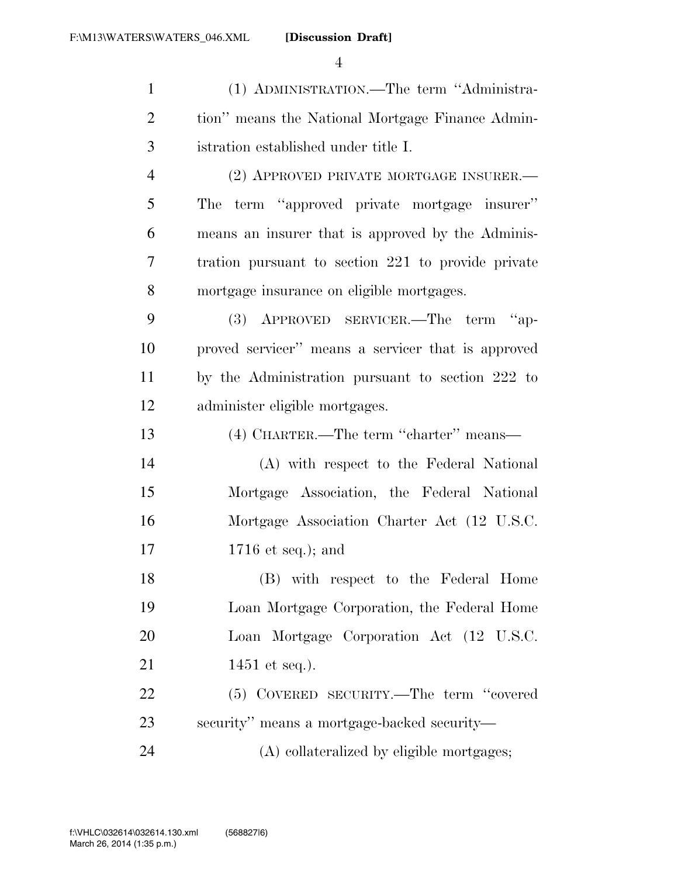| $\mathbf{1}$   | (1) ADMINISTRATION.—The term "Administra-          |
|----------------|----------------------------------------------------|
| $\overline{2}$ | tion" means the National Mortgage Finance Admin-   |
| 3              | istration established under title I.               |
| $\overline{4}$ | (2) APPROVED PRIVATE MORTGAGE INSURER.—            |
| 5              | The term "approved private mortgage insurer"       |
| 6              | means an insurer that is approved by the Adminis-  |
| 7              | tration pursuant to section 221 to provide private |
| 8              | mortgage insurance on eligible mortgages.          |
| 9              | (3) APPROVED SERVICER.—The term "ap-               |
| 10             | proved servicer" means a servicer that is approved |
| 11             | by the Administration pursuant to section 222 to   |
| 12             | administer eligible mortgages.                     |
| 13             | (4) CHARTER.—The term "charter" means—             |
| 14             | (A) with respect to the Federal National           |
| 15             | Mortgage Association, the Federal National         |
| 16             | Mortgage Association Charter Act (12 U.S.C.        |
| 17             | $1716$ et seq.); and                               |
| 18             | (B) with respect to the Federal Home               |
| 19             | Loan Mortgage Corporation, the Federal Home        |
| 20             | Loan Mortgage Corporation Act (12 U.S.C.           |
| 21             | 1451 et seq.).                                     |
| 22             | (5) COVERED SECURITY.—The term "covered            |
| 23             | security" means a mortgage-backed security—        |
| 24             | (A) collateralized by eligible mortgages;          |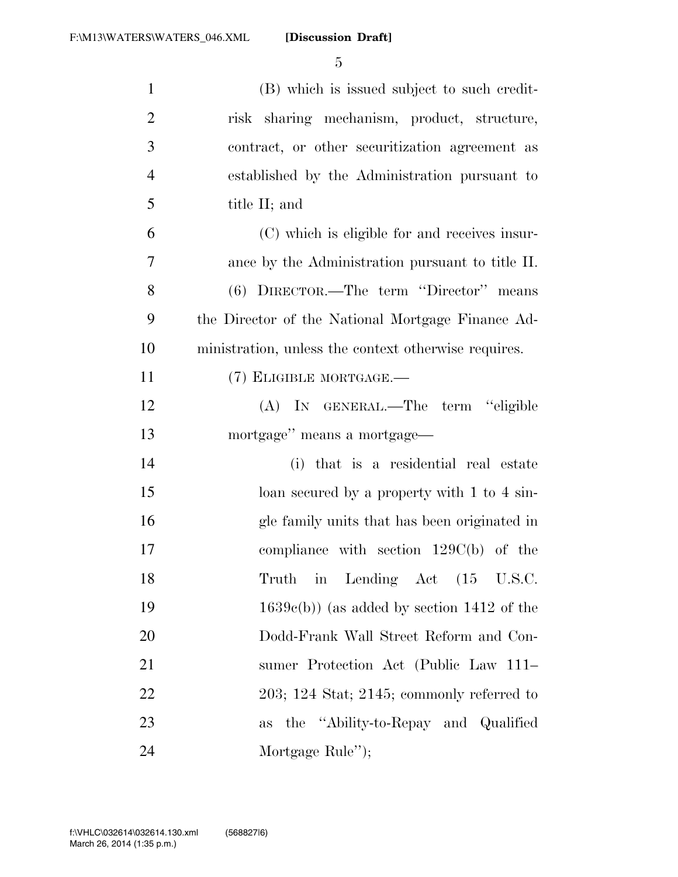| $\mathbf{1}$   | (B) which is issued subject to such credit-          |
|----------------|------------------------------------------------------|
| $\overline{2}$ | risk sharing mechanism, product, structure,          |
| 3              | contract, or other securitization agreement as       |
| $\overline{4}$ | established by the Administration pursuant to        |
| 5              | title II; and                                        |
| 6              | (C) which is eligible for and receives insur-        |
| 7              | ance by the Administration pursuant to title II.     |
| 8              | (6) DIRECTOR.—The term "Director" means              |
| 9              | the Director of the National Mortgage Finance Ad-    |
| 10             | ministration, unless the context otherwise requires. |
| 11             | (7) ELIGIBLE MORTGAGE.-                              |
| 12             | (A) IN GENERAL.—The term "eligible                   |
| 13             | mortgage" means a mortgage—                          |
| 14             | (i) that is a residential real estate                |
| 15             | loan secured by a property with 1 to 4 sin-          |
| 16             | gle family units that has been originated in         |
| 17             | compliance with section $129C(b)$ of the             |
| 18             | Truth in Lending Act (15 U.S.C.                      |
| 19             | $1639c(b)$ (as added by section 1412 of the          |
| 20             | Dodd-Frank Wall Street Reform and Con-               |
| 21             | sumer Protection Act (Public Law 111–                |
| 22             | $203$ ; 124 Stat; 2145; commonly referred to         |
| 23             | the "Ability-to-Repay and Qualified"<br>as           |
| 24             | Mortgage Rule");                                     |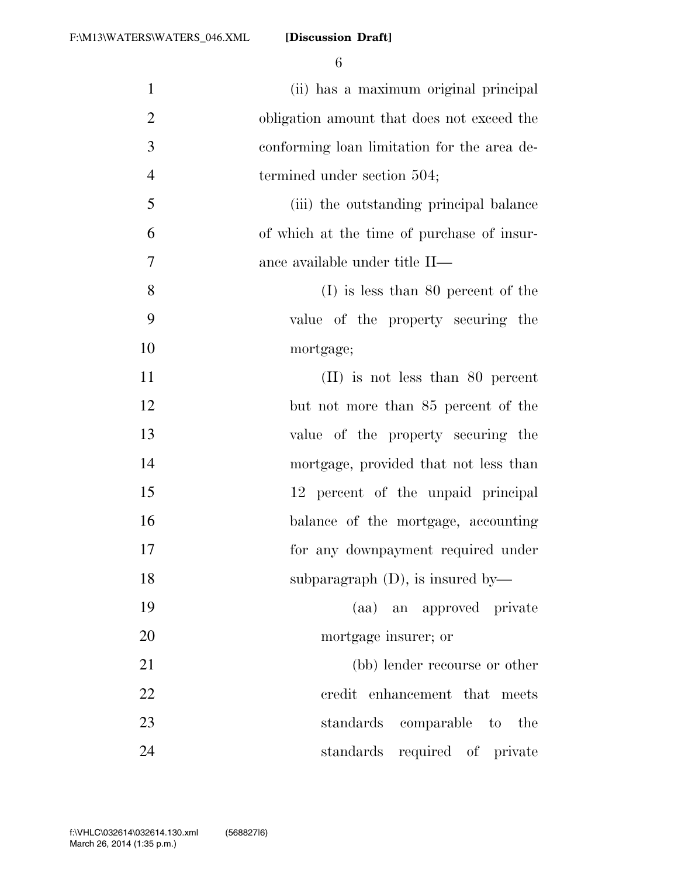| $\mathbf{1}$   | (ii) has a maximum original principal       |
|----------------|---------------------------------------------|
| $\overline{2}$ | obligation amount that does not exceed the  |
| 3              | conforming loan limitation for the area de- |
| $\overline{4}$ | termined under section 504;                 |
| 5              | (iii) the outstanding principal balance     |
| 6              | of which at the time of purchase of insur-  |
| 7              | ance available under title II—              |
| 8              | $(I)$ is less than 80 percent of the        |
| 9              | value of the property securing the          |
| 10             | mortgage;                                   |
| 11             | $(II)$ is not less than 80 percent          |
| 12             | but not more than 85 percent of the         |
| 13             | value of the property securing the          |
| 14             | mortgage, provided that not less than       |
| 15             | 12 percent of the unpaid principal          |
| 16             | balance of the mortgage, accounting         |
| 17             | for any downpayment required under          |
| 18             | subparagraph $(D)$ , is insured by—         |
| 19             | (aa) an approved private                    |
| 20             | mortgage insurer; or                        |
| 21             | (bb) lender recourse or other               |
| 22             | credit enhancement that meets               |
| 23             | comparable to the<br>standards              |
| 24             | standards required of private               |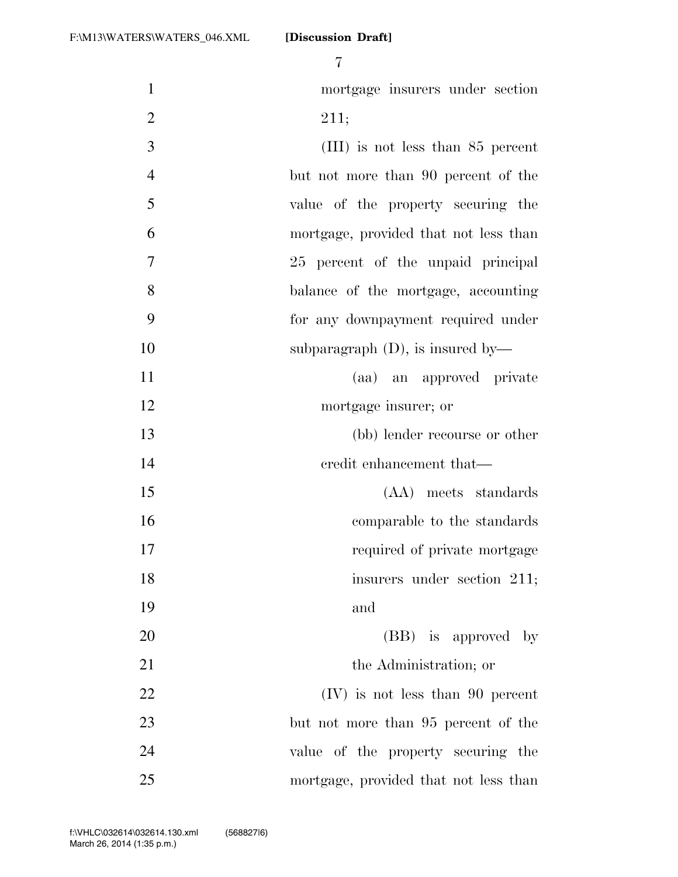| $\mathbf{1}$   | mortgage insurers under section       |
|----------------|---------------------------------------|
| $\overline{2}$ | 211;                                  |
| 3              | $(III)$ is not less than 85 percent   |
| $\overline{4}$ | but not more than 90 percent of the   |
| 5              | value of the property securing the    |
| 6              | mortgage, provided that not less than |
| 7              | 25 percent of the unpaid principal    |
| 8              | balance of the mortgage, accounting   |
| 9              | for any downpayment required under    |
| 10             | subparagraph $(D)$ , is insured by—   |
| 11             | (aa) an approved private              |
| 12             | mortgage insurer; or                  |
| 13             | (bb) lender recourse or other         |
| 14             | credit enhancement that—              |
| 15             | (AA) meets standards                  |
| 16             | comparable to the standards           |
| 17             | required of private mortgage          |
| 18             | insurers under section 211;           |
| 19             | and                                   |
| 20             | (BB) is approved by                   |
| 21             | the Administration; or                |
| 22             | $(IV)$ is not less than 90 percent    |
| 23             | but not more than 95 percent of the   |
| 24             | value of the property securing the    |
| 25             | mortgage, provided that not less than |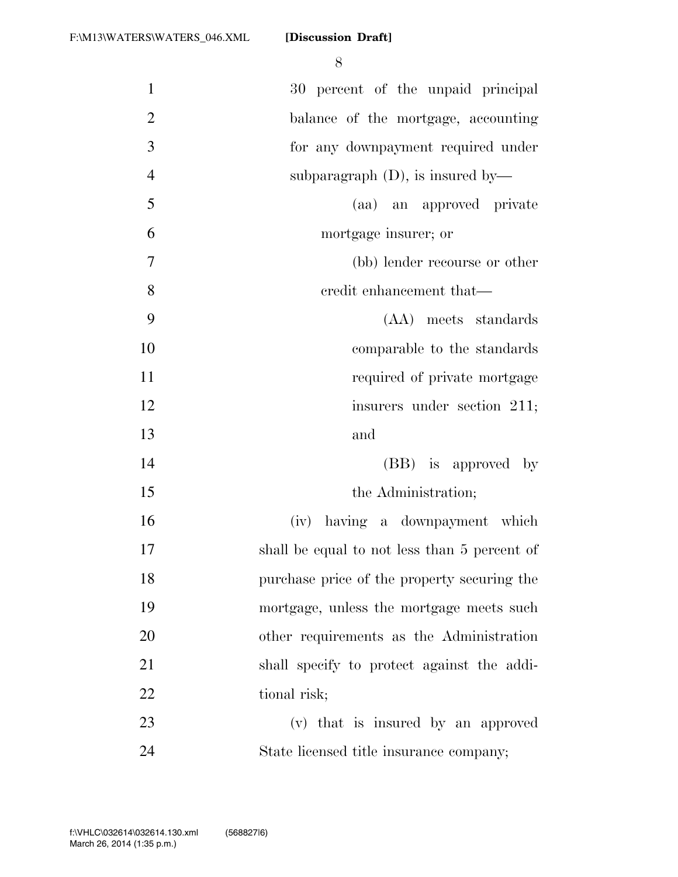| $\mathbf{1}$   | 30 percent of the unpaid principal           |
|----------------|----------------------------------------------|
| $\overline{2}$ | balance of the mortgage, accounting          |
| 3              | for any downpayment required under           |
| $\overline{4}$ | subparagraph $(D)$ , is insured by—          |
| 5              | (aa) an approved private                     |
| 6              | mortgage insurer; or                         |
| $\overline{7}$ | (bb) lender recourse or other                |
| 8              | credit enhancement that—                     |
| 9              | (AA) meets standards                         |
| 10             | comparable to the standards                  |
| 11             | required of private mortgage                 |
| 12             | insurers under section 211;                  |
| 13             | and                                          |
| 14             | (BB) is approved by                          |
| 15             | the Administration;                          |
| 16             | (iv) having a downpayment which              |
| 17             | shall be equal to not less than 5 percent of |
| 18             | purchase price of the property securing the  |
| 19             | mortgage, unless the mortgage meets such     |
| 20             | other requirements as the Administration     |
| 21             | shall specify to protect against the addi-   |
| 22             | tional risk;                                 |
| 23             | (v) that is insured by an approved           |
| 24             | State licensed title insurance company;      |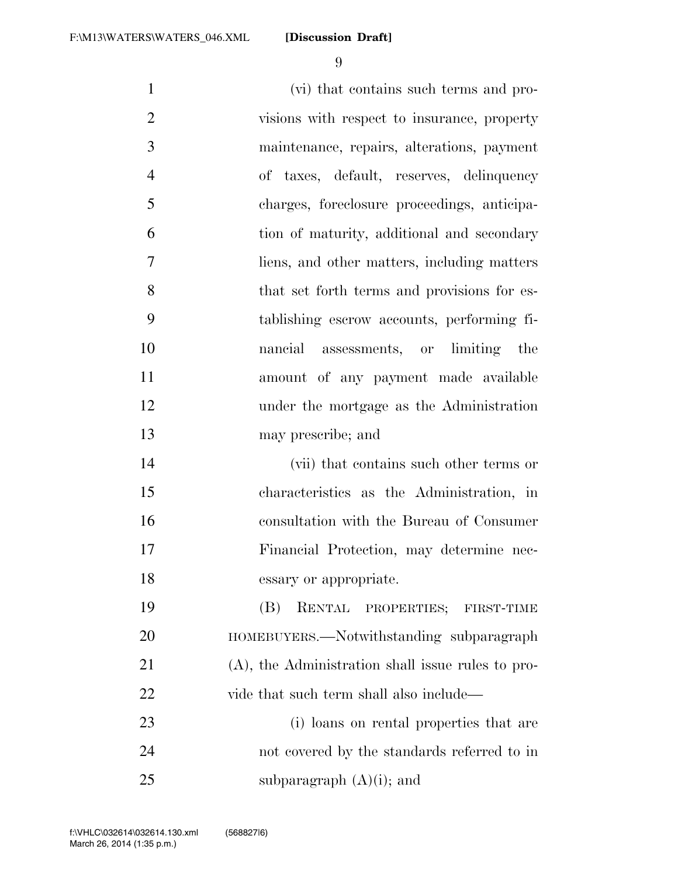(vi) that contains such terms and pro- visions with respect to insurance, property maintenance, repairs, alterations, payment of taxes, default, reserves, delinquency charges, foreclosure proceedings, anticipa- tion of maturity, additional and secondary liens, and other matters, including matters 8 that set forth terms and provisions for es- tablishing escrow accounts, performing fi- nancial assessments, or limiting the amount of any payment made available under the mortgage as the Administration may prescribe; and (vii) that contains such other terms or characteristics as the Administration, in consultation with the Bureau of Consumer Financial Protection, may determine nec- essary or appropriate. (B) RENTAL PROPERTIES; FIRST-TIME HOMEBUYERS.—Notwithstanding subparagraph (A), the Administration shall issue rules to pro-22 vide that such term shall also include— (i) loans on rental properties that are not covered by the standards referred to in

25 subparagraph  $(A)(i)$ ; and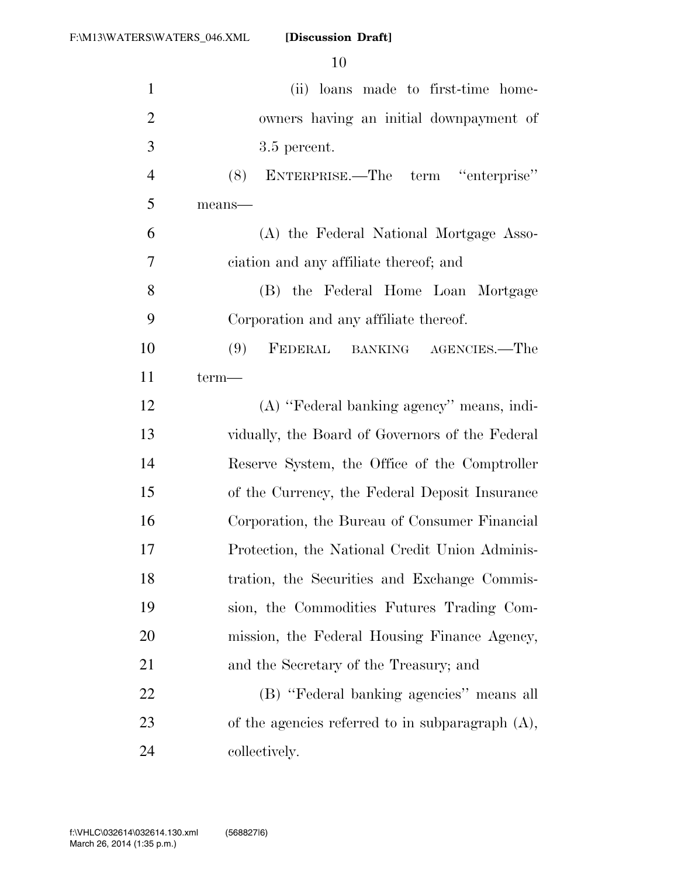| $\mathbf{1}$   | (ii) loans made to first-time home-                 |
|----------------|-----------------------------------------------------|
| $\overline{2}$ | owners having an initial downpayment of             |
| 3              | 3.5 percent.                                        |
| $\overline{4}$ | (8) ENTERPRISE.—The term "enterprise"               |
| 5              | means-                                              |
| 6              | (A) the Federal National Mortgage Asso-             |
| 7              | ciation and any affiliate thereof; and              |
| 8              | (B) the Federal Home Loan Mortgage                  |
| 9              | Corporation and any affiliate thereof.              |
| 10             | FEDERAL BANKING AGENCIES.—The<br>(9)                |
| 11             | term-                                               |
| 12             | (A) "Federal banking agency" means, indi-           |
| 13             | vidually, the Board of Governors of the Federal     |
| 14             | Reserve System, the Office of the Comptroller       |
| 15             | of the Currency, the Federal Deposit Insurance      |
| 16             | Corporation, the Bureau of Consumer Financial       |
| 17             | Protection, the National Credit Union Adminis-      |
| 18             | tration, the Securities and Exchange Commis-        |
| 19             | sion, the Commodities Futures Trading Com-          |
| 20             | mission, the Federal Housing Finance Agency,        |
| 21             | and the Secretary of the Treasury; and              |
| 22             | (B) "Federal banking agencies" means all            |
| 23             | of the agencies referred to in subparagraph $(A)$ , |
| 24             | collectively.                                       |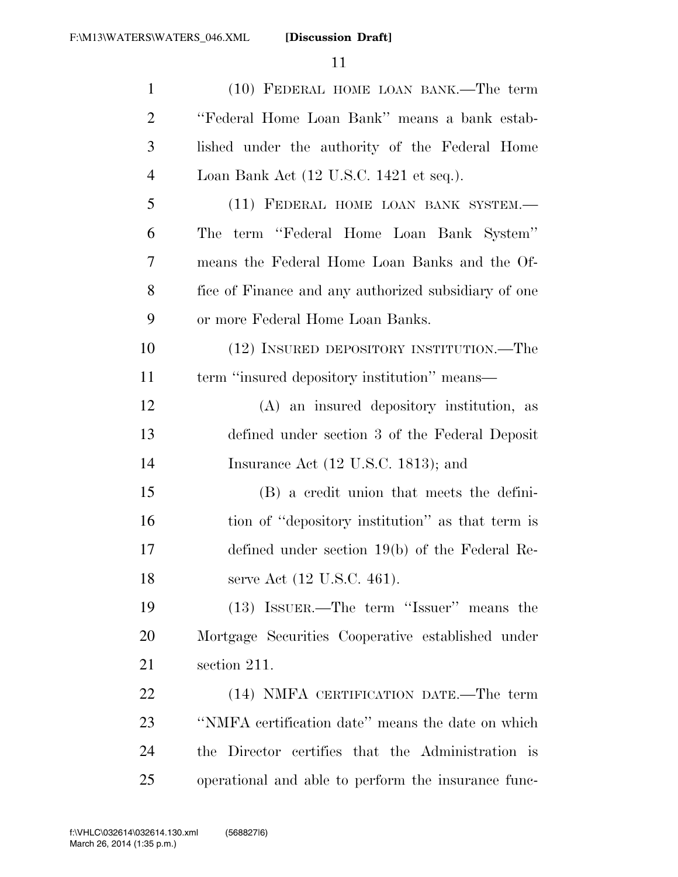| $\mathbf{1}$   | (10) FEDERAL HOME LOAN BANK.—The term                      |
|----------------|------------------------------------------------------------|
| $\overline{2}$ | "Federal Home Loan Bank" means a bank estab-               |
| 3              | lished under the authority of the Federal Home             |
| $\overline{4}$ | Loan Bank Act $(12 \text{ U.S.C. } 1421 \text{ et seq.}).$ |
| 5              | (11) FEDERAL HOME LOAN BANK SYSTEM.-                       |
| 6              | term "Federal Home Loan Bank System"<br>The                |
| 7              | means the Federal Home Loan Banks and the Of-              |
| 8              | fice of Finance and any authorized subsidiary of one       |
| 9              | or more Federal Home Loan Banks.                           |
| 10             | (12) INSURED DEPOSITORY INSTITUTION.—The                   |
| 11             | term "insured depository institution" means—               |
| 12             | (A) an insured depository institution, as                  |
| 13             | defined under section 3 of the Federal Deposit             |
| 14             | Insurance Act $(12 \text{ U.S.C. } 1813)$ ; and            |
| 15             | (B) a credit union that meets the defini-                  |
| 16             | tion of "depository institution" as that term is           |
| 17             | defined under section $19(b)$ of the Federal Re-           |
| 18             | serve Act (12 U.S.C. 461).                                 |
| 19             | (13) ISSUER.—The term "Issuer" means the                   |
| 20             | Mortgage Securities Cooperative established under          |
| 21             | section 211.                                               |
| 22             | (14) NMFA CERTIFICATION DATE.—The term                     |
| 23             | "NMFA certification date" means the date on which          |
| 24             | the Director certifies that the Administration is          |
| 25             | operational and able to perform the insurance func-        |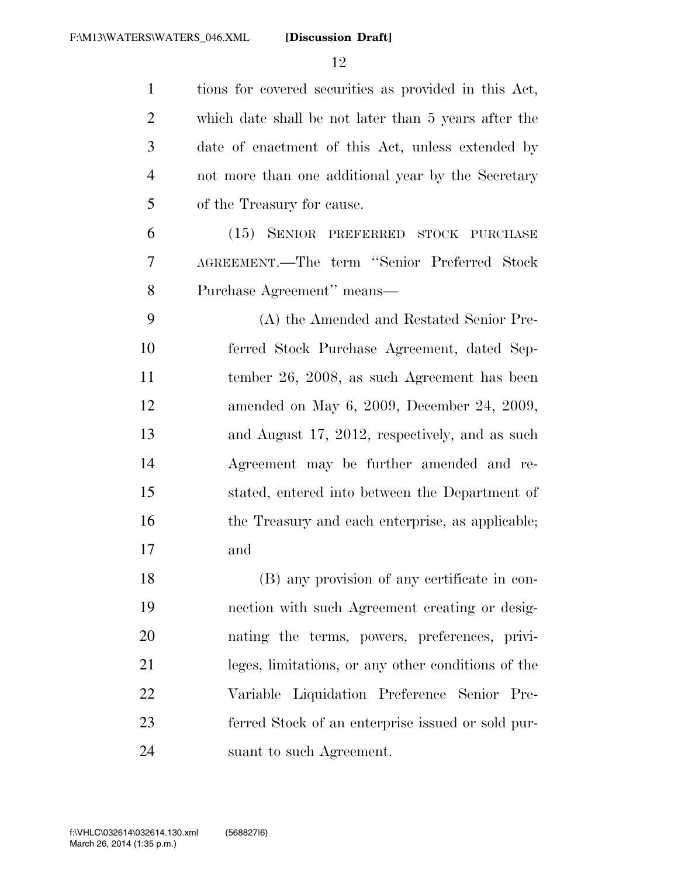tions for covered securities as provided in this Act, which date shall be not later than 5 years after the date of enactment of this Act, unless extended by not more than one additional year by the Secretary of the Treasury for cause. (15) SENIOR PREFERRED STOCK PURCHASE AGREEMENT.—The term ''Senior Preferred Stock Purchase Agreement'' means— (A) the Amended and Restated Senior Pre- ferred Stock Purchase Agreement, dated Sep- tember 26, 2008, as such Agreement has been amended on May 6, 2009, December 24, 2009, and August 17, 2012, respectively, and as such Agreement may be further amended and re- stated, entered into between the Department of the Treasury and each enterprise, as applicable; and (B) any provision of any certificate in con- nection with such Agreement creating or desig- nating the terms, powers, preferences, privi- leges, limitations, or any other conditions of the Variable Liquidation Preference Senior Pre- ferred Stock of an enterprise issued or sold pur-suant to such Agreement.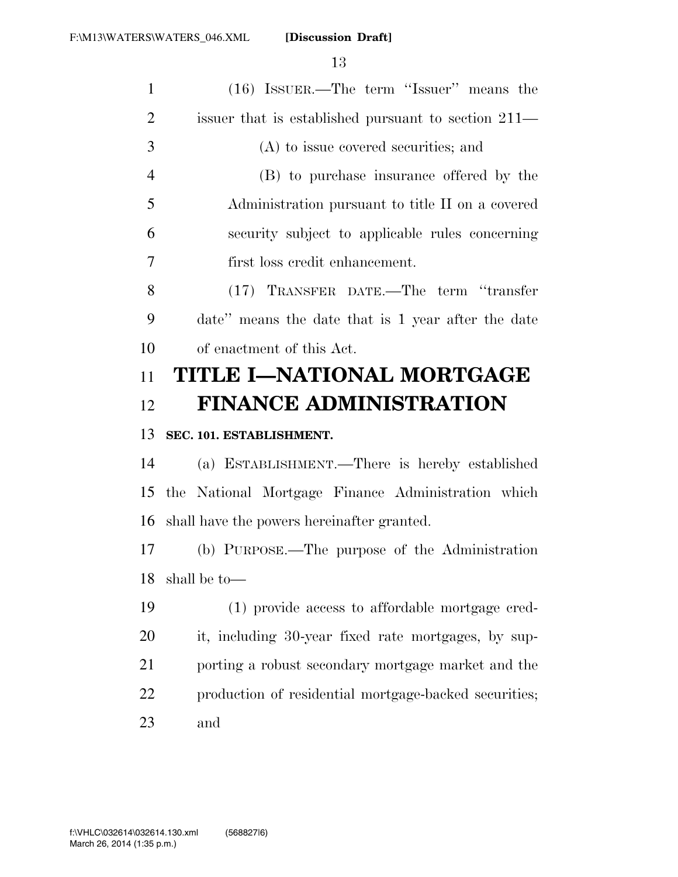| $\mathbf{1}$   | (16) ISSUER.—The term "Issuer" means the              |
|----------------|-------------------------------------------------------|
| $\overline{2}$ | issuer that is established pursuant to section 211—   |
| 3              | (A) to issue covered securities; and                  |
| $\overline{4}$ | (B) to purchase insurance offered by the              |
| 5              | Administration pursuant to title II on a covered      |
| 6              | security subject to applicable rules concerning       |
| 7              | first loss credit enhancement.                        |
| 8              | (17) TRANSFER DATE.—The term "transfer                |
| 9              | date" means the date that is 1 year after the date    |
| 10             | of enactment of this Act.                             |
| 11             | TITLE I—NATIONAL MORTGAGE                             |
|                | <b>FINANCE ADMINISTRATION</b>                         |
| 12             |                                                       |
| 13             | SEC. 101. ESTABLISHMENT.                              |
| 14             | (a) ESTABLISHMENT.—There is hereby established        |
| 15             | the National Mortgage Finance Administration which    |
| 16             | shall have the powers hereinafter granted.            |
| 17             | (b) PURPOSE.—The purpose of the Administration        |
| 18             | shall be to-                                          |
| 19             | (1) provide access to affordable mortgage cred-       |
| 20             | it, including 30-year fixed rate mortgages, by sup-   |
| 21             | porting a robust secondary mortgage market and the    |
| 22             | production of residential mortgage-backed securities; |
| 23             | and                                                   |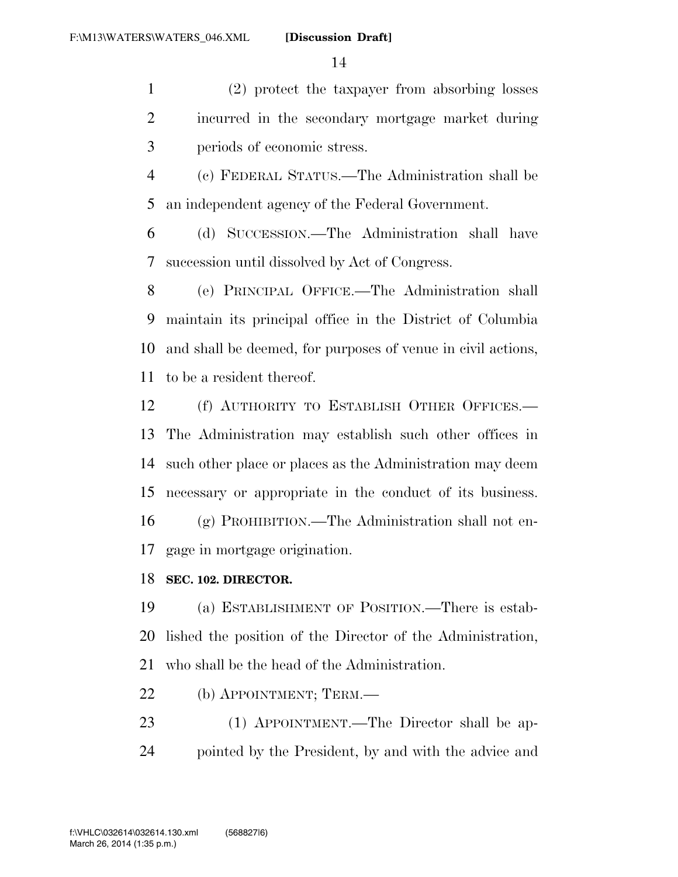(2) protect the taxpayer from absorbing losses incurred in the secondary mortgage market during periods of economic stress.

 (c) FEDERAL STATUS.—The Administration shall be an independent agency of the Federal Government.

 (d) SUCCESSION.—The Administration shall have succession until dissolved by Act of Congress.

 (e) PRINCIPAL OFFICE.—The Administration shall maintain its principal office in the District of Columbia and shall be deemed, for purposes of venue in civil actions, to be a resident thereof.

 (f) AUTHORITY TO ESTABLISH OTHER OFFICES.— The Administration may establish such other offices in such other place or places as the Administration may deem necessary or appropriate in the conduct of its business. (g) PROHIBITION.—The Administration shall not en-gage in mortgage origination.

## **SEC. 102. DIRECTOR.**

 (a) ESTABLISHMENT OF POSITION.—There is estab- lished the position of the Director of the Administration, who shall be the head of the Administration.

(b) APPOINTMENT; TERM.—

 (1) APPOINTMENT.—The Director shall be ap-pointed by the President, by and with the advice and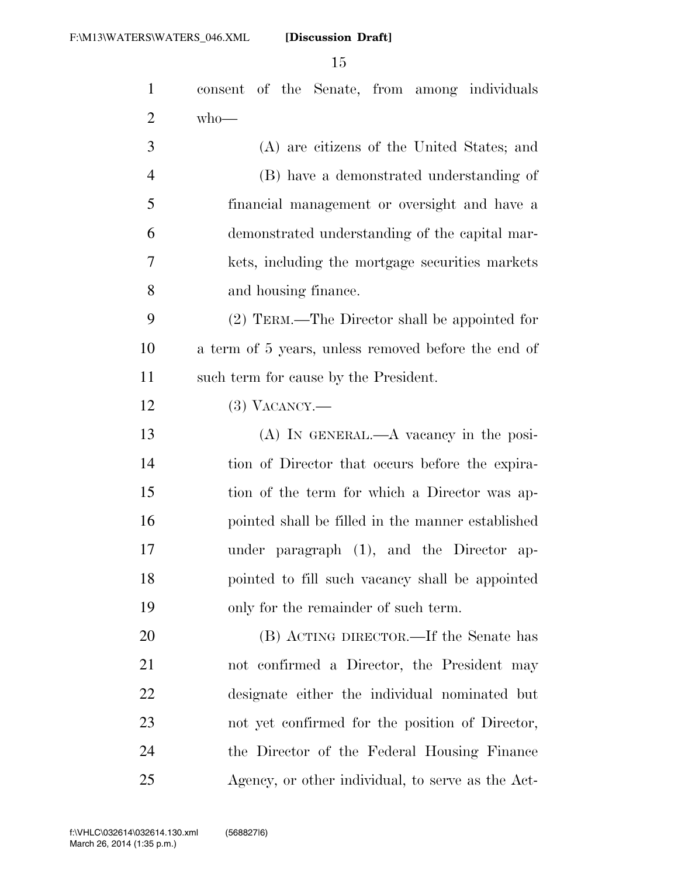| $\mathbf{1}$   | consent of the Senate, from among individuals       |
|----------------|-----------------------------------------------------|
| $\overline{2}$ | $who$ —                                             |
| 3              | (A) are citizens of the United States; and          |
| $\overline{4}$ | (B) have a demonstrated understanding of            |
| 5              | financial management or oversight and have a        |
| 6              | demonstrated understanding of the capital mar-      |
| 7              | kets, including the mortgage securities markets     |
| 8              | and housing finance.                                |
| 9              | (2) TERM.—The Director shall be appointed for       |
| 10             | a term of 5 years, unless removed before the end of |
| 11             | such term for cause by the President.               |
| 12             | $(3)$ VACANCY.—                                     |
| 13             | $(A)$ In GENERAL.— $A$ vacancy in the posi-         |
| 14             | tion of Director that occurs before the expira-     |
| 15             | tion of the term for which a Director was ap-       |
| 16             | pointed shall be filled in the manner established   |
| 17             | under paragraph (1), and the Director ap-           |
| 18             | pointed to fill such vacancy shall be appointed     |
| 19             | only for the remainder of such term.                |
| 20             | (B) ACTING DIRECTOR.—If the Senate has              |
| 21             | not confirmed a Director, the President may         |
| 22             | designate either the individual nominated but       |
| 23             | not yet confirmed for the position of Director,     |
| 24             | the Director of the Federal Housing Finance         |
| 25             | Agency, or other individual, to serve as the Act-   |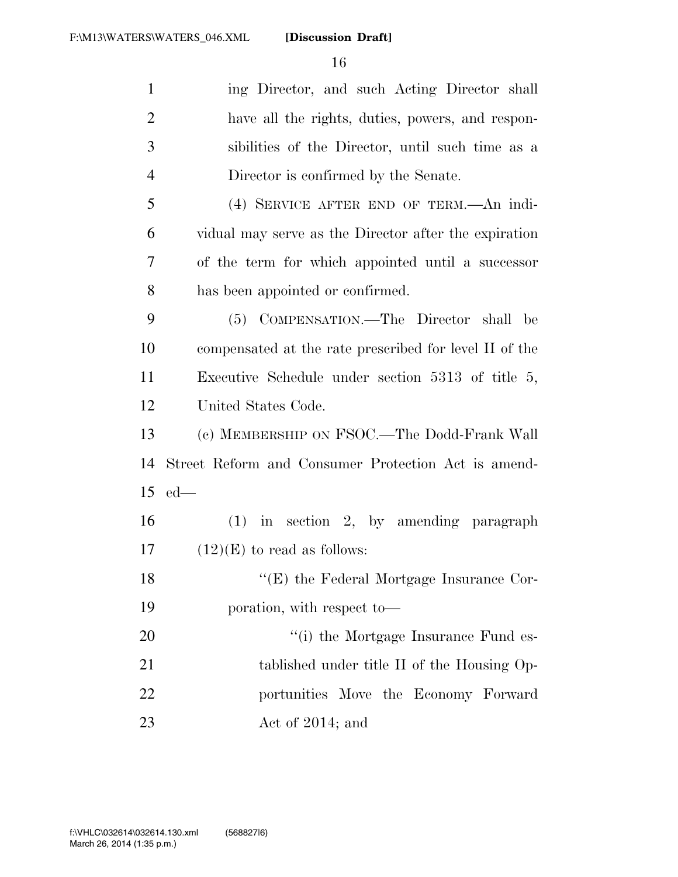| $\mathbf{1}$   | ing Director, and such Acting Director shall           |
|----------------|--------------------------------------------------------|
| $\overline{2}$ | have all the rights, duties, powers, and respon-       |
| 3              | sibilities of the Director, until such time as a       |
| $\overline{4}$ | Director is confirmed by the Senate.                   |
| 5              | (4) SERVICE AFTER END OF TERM.—An indi-                |
| 6              | vidual may serve as the Director after the expiration  |
| 7              | of the term for which appointed until a successor      |
| 8              | has been appointed or confirmed.                       |
| 9              | (5) COMPENSATION.—The Director shall be                |
| 10             | compensated at the rate prescribed for level II of the |
| 11             | Executive Schedule under section $5313$ of title $5$ , |
| 12             | United States Code.                                    |
| 13             | (c) MEMBERSHIP ON FSOC.—The Dodd-Frank Wall            |
| 14             | Street Reform and Consumer Protection Act is amend-    |
| 15             | $ed$ —                                                 |
| 16             | $(1)$ in section 2, by amending paragraph              |
| 17             | $(12)(E)$ to read as follows:                          |
| 18             | "(E) the Federal Mortgage Insurance Cor-               |
| 19             | poration, with respect to-                             |
| 20             | "(i) the Mortgage Insurance Fund es-                   |
| 21             | tablished under title II of the Housing Op-            |
| 22             | portunities Move the Economy Forward                   |
| 23             | Act of 2014; and                                       |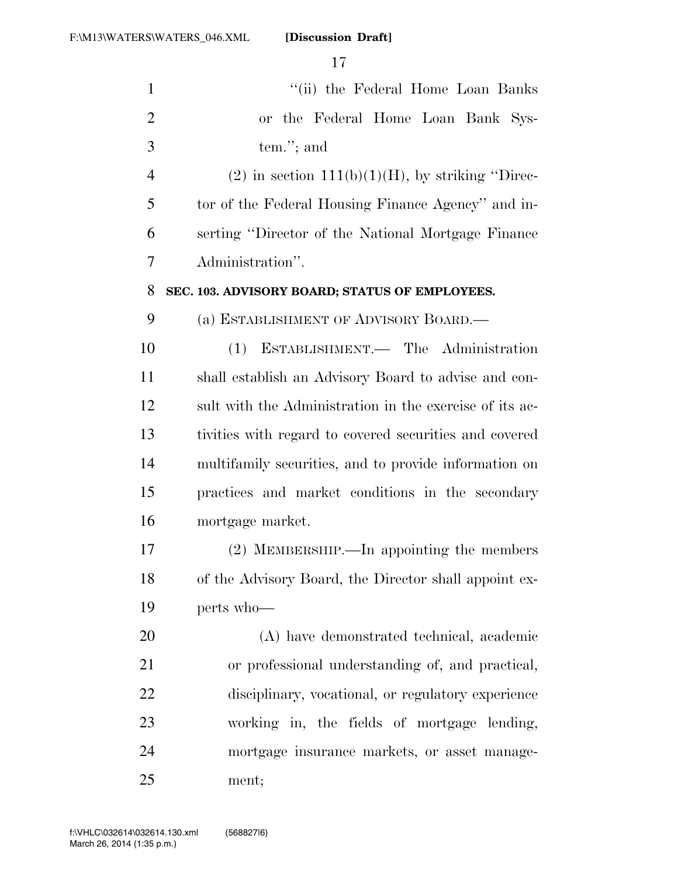| $\mathbf{1}$   | "(ii) the Federal Home Loan Banks                       |
|----------------|---------------------------------------------------------|
| $\overline{2}$ | or the Federal Home Loan Bank Sys-                      |
| 3              | tem."; and                                              |
| $\overline{4}$ | $(2)$ in section 111(b)(1)(H), by striking "Direc-      |
| 5              | tor of the Federal Housing Finance Agency" and in-      |
| 6              | serting "Director of the National Mortgage Finance      |
| 7              | Administration".                                        |
| 8              | SEC. 103. ADVISORY BOARD; STATUS OF EMPLOYEES.          |
| 9              | (a) ESTABLISHMENT OF ADVISORY BOARD.                    |
| 10             | (1) ESTABLISHMENT. The Administration                   |
| 11             | shall establish an Advisory Board to advise and con-    |
| 12             | sult with the Administration in the exercise of its ac- |
| 13             | tivities with regard to covered securities and covered  |
| 14             | multifamily securities, and to provide information on   |
| 15             | practices and market conditions in the secondary        |
| 16             | mortgage market.                                        |
| 17             | (2) MEMBERSHIP.—In appointing the members               |
| 18             | of the Advisory Board, the Director shall appoint ex-   |
| 19             | perts who-                                              |
| 20             | (A) have demonstrated technical, academic               |
| 21             | or professional understanding of, and practical,        |
| 22             | disciplinary, vocational, or regulatory experience      |
| 23             | working in, the fields of mortgage lending,             |
| 24             | mortgage insurance markets, or asset manage-            |
| 25             | ment;                                                   |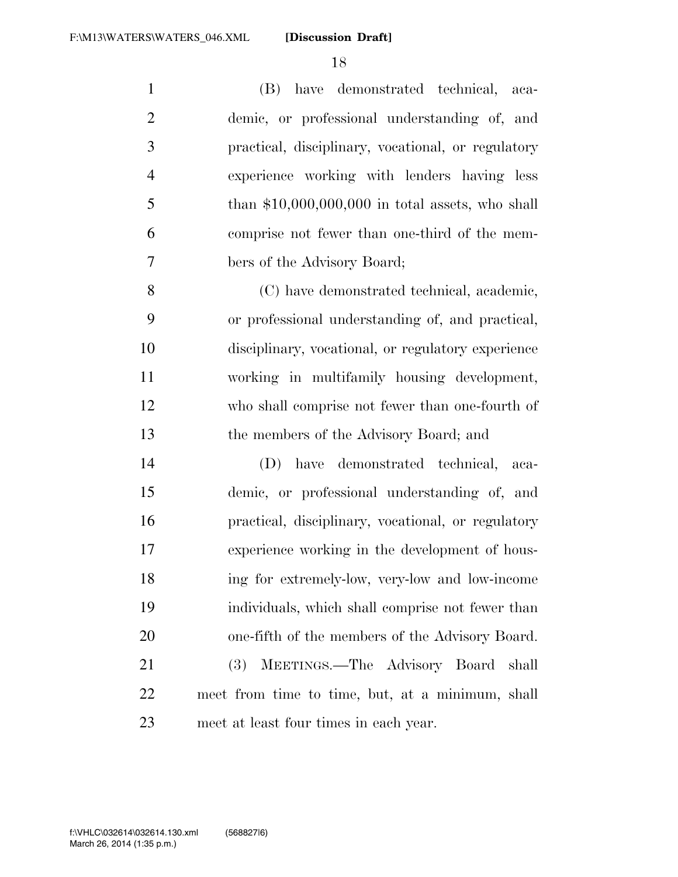(B) have demonstrated technical, aca- demic, or professional understanding of, and practical, disciplinary, vocational, or regulatory experience working with lenders having less than \$10,000,000,000 in total assets, who shall comprise not fewer than one-third of the mem-bers of the Advisory Board;

 (C) have demonstrated technical, academic, or professional understanding of, and practical, disciplinary, vocational, or regulatory experience working in multifamily housing development, who shall comprise not fewer than one-fourth of the members of the Advisory Board; and

 (D) have demonstrated technical, aca- demic, or professional understanding of, and practical, disciplinary, vocational, or regulatory experience working in the development of hous- ing for extremely-low, very-low and low-income individuals, which shall comprise not fewer than one-fifth of the members of the Advisory Board. (3) MEETINGS.—The Advisory Board shall meet from time to time, but, at a minimum, shall

meet at least four times in each year.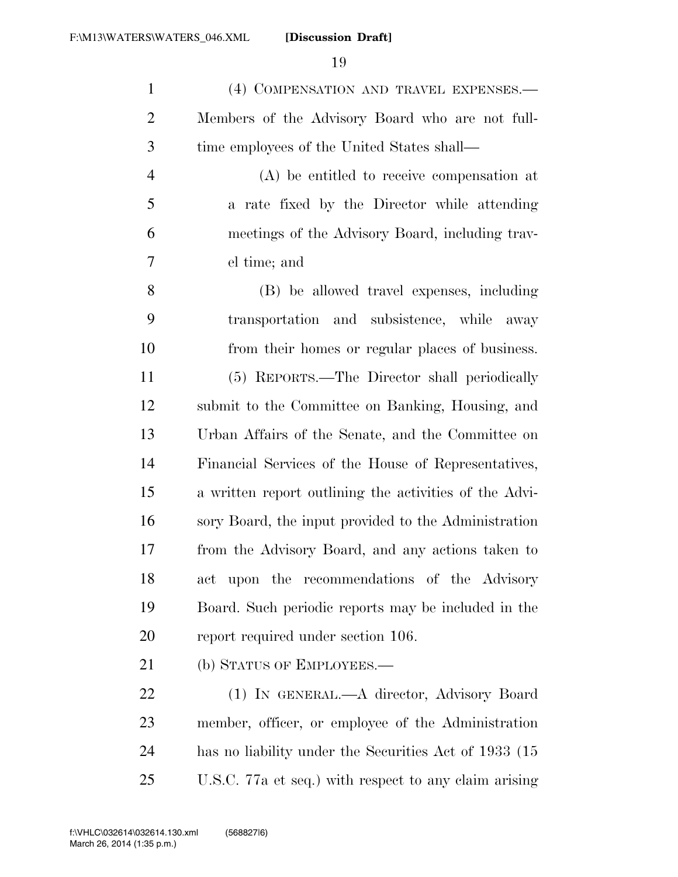(4) COMPENSATION AND TRAVEL EXPENSES.— Members of the Advisory Board who are not full-time employees of the United States shall—

 (A) be entitled to receive compensation at a rate fixed by the Director while attending meetings of the Advisory Board, including trav-el time; and

 (B) be allowed travel expenses, including transportation and subsistence, while away from their homes or regular places of business. (5) REPORTS.—The Director shall periodically submit to the Committee on Banking, Housing, and Urban Affairs of the Senate, and the Committee on Financial Services of the House of Representatives, a written report outlining the activities of the Advi- sory Board, the input provided to the Administration from the Advisory Board, and any actions taken to act upon the recommendations of the Advisory Board. Such periodic reports may be included in the report required under section 106.

21 (b) STATUS OF EMPLOYEES.—

 (1) IN GENERAL.—A director, Advisory Board member, officer, or employee of the Administration has no liability under the Securities Act of 1933 (15 U.S.C. 77a et seq.) with respect to any claim arising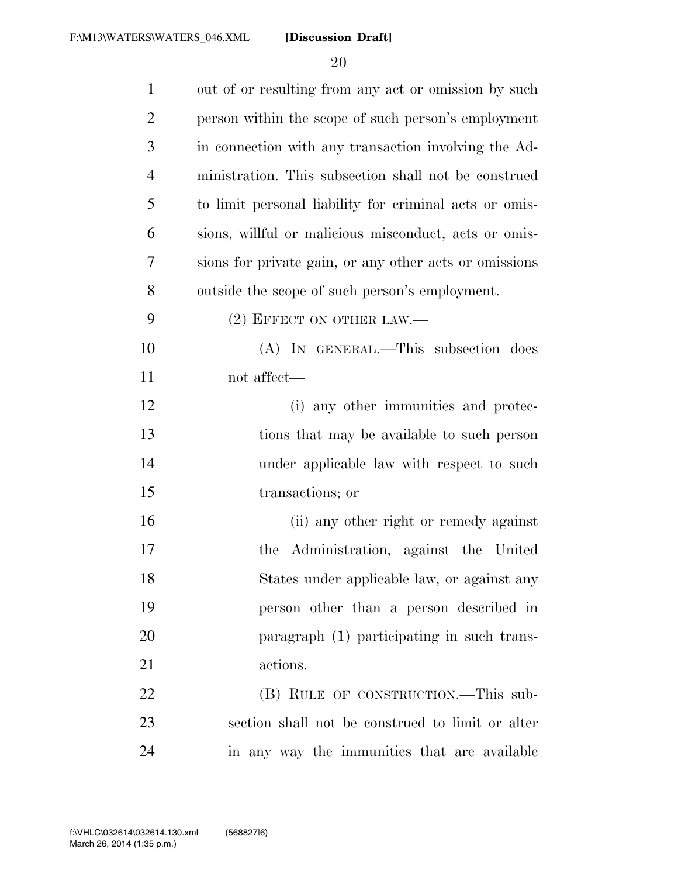| $\mathbf{1}$   | out of or resulting from any act or omission by such   |
|----------------|--------------------------------------------------------|
| $\overline{2}$ | person within the scope of such person's employment    |
| 3              | in connection with any transaction involving the Ad-   |
| $\overline{4}$ | ministration. This subsection shall not be construed   |
| 5              | to limit personal liability for criminal acts or omis- |
| 6              | sions, willful or malicious misconduct, acts or omis-  |
| 7              | sions for private gain, or any other acts or omissions |
| 8              | outside the scope of such person's employment.         |
| 9              | $(2)$ EFFECT ON OTHER LAW.—                            |
| 10             | (A) IN GENERAL.—This subsection does                   |
| 11             | not affect—                                            |
| 12             | (i) any other immunities and protec-                   |
| 13             | tions that may be available to such person             |
| 14             | under applicable law with respect to such              |
| 15             | transactions; or                                       |
| 16             | (ii) any other right or remedy against                 |
| 17             | Administration, against the United<br>the              |
| 18             | States under applicable law, or against any            |
| 19             | person other than a person described in                |
| 20             | paragraph (1) participating in such trans-             |
| 21             | actions.                                               |
| 22             | (B) RULE OF CONSTRUCTION.—This sub-                    |
| 23             | section shall not be construed to limit or alter       |
| 24             | in any way the immunities that are available           |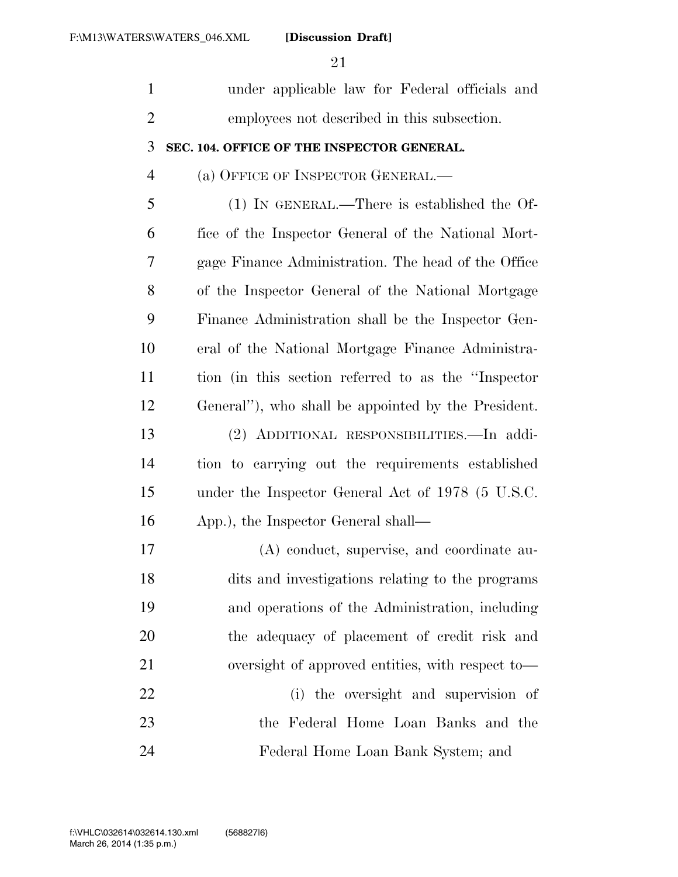| $\mathbf{1}$   | under applicable law for Federal officials and       |
|----------------|------------------------------------------------------|
| $\overline{2}$ | employees not described in this subsection.          |
| 3              | SEC. 104. OFFICE OF THE INSPECTOR GENERAL.           |
| $\overline{4}$ | (a) OFFICE OF INSPECTOR GENERAL.—                    |
| 5              | $(1)$ IN GENERAL.—There is established the Of-       |
| 6              | fice of the Inspector General of the National Mort-  |
| 7              | gage Finance Administration. The head of the Office  |
| 8              | of the Inspector General of the National Mortgage    |
| 9              | Finance Administration shall be the Inspector Gen-   |
| 10             | eral of the National Mortgage Finance Administra-    |
| 11             | tion (in this section referred to as the "Inspector" |
| 12             | General"), who shall be appointed by the President.  |
| 13             | (2) ADDITIONAL RESPONSIBILITIES.—In addi-            |
| 14             | tion to carrying out the requirements established    |
| 15             | under the Inspector General Act of 1978 (5 U.S.C.    |
| 16             | App.), the Inspector General shall—                  |
| 17             | (A) conduct, supervise, and coordinate au-           |
| 18             | dits and investigations relating to the programs     |
| 19             | and operations of the Administration, including      |
| 20             | the adequacy of placement of credit risk and         |
| 21             | oversight of approved entities, with respect to—     |
| <u>22</u>      | (i) the oversight and supervision of                 |
| 23             | the Federal Home Loan Banks and the                  |
| 24             | Federal Home Loan Bank System; and                   |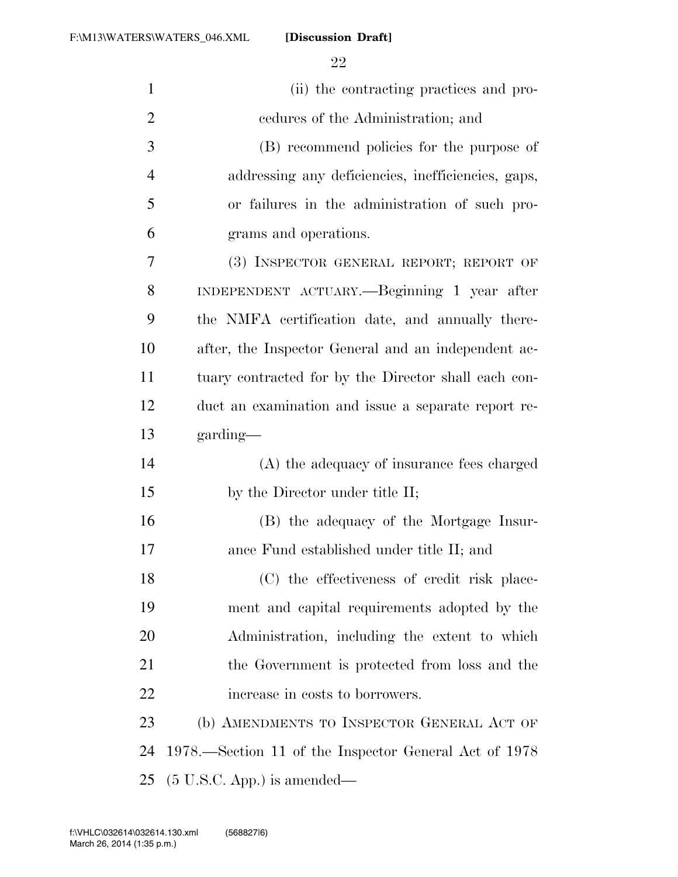| $\mathbf{1}$   | (ii) the contracting practices and pro-               |
|----------------|-------------------------------------------------------|
| $\overline{2}$ | eedures of the Administration; and                    |
| 3              | (B) recommend policies for the purpose of             |
| $\overline{4}$ | addressing any deficiencies, inefficiencies, gaps,    |
| 5              | or failures in the administration of such pro-        |
| 6              | grams and operations.                                 |
| 7              | (3) INSPECTOR GENERAL REPORT; REPORT OF               |
| 8              | INDEPENDENT ACTUARY.—Beginning 1 year after           |
| 9              | the NMFA certification date, and annually there-      |
| 10             | after, the Inspector General and an independent ac-   |
| 11             | tuary contracted for by the Director shall each con-  |
| 12             | duct an examination and issue a separate report re-   |
| 13             | garding—                                              |
| 14             | (A) the adequacy of insurance fees charged            |
| 15             | by the Director under title II;                       |
| 16             | (B) the adequacy of the Mortgage Insur-               |
| 17             | ance Fund established under title II; and             |
| 18             | (C) the effectiveness of credit risk place-           |
| 19             | ment and capital requirements adopted by the          |
| 20             | Administration, including the extent to which         |
| 21             | the Government is protected from loss and the         |
| 22             | increase in costs to borrowers.                       |
| 23             | (b) AMENDMENTS TO INSPECTOR GENERAL ACT OF            |
| 24             | 1978.—Section 11 of the Inspector General Act of 1978 |
| 25             | $(5 \text{ U.S.C. App.})$ is amended—                 |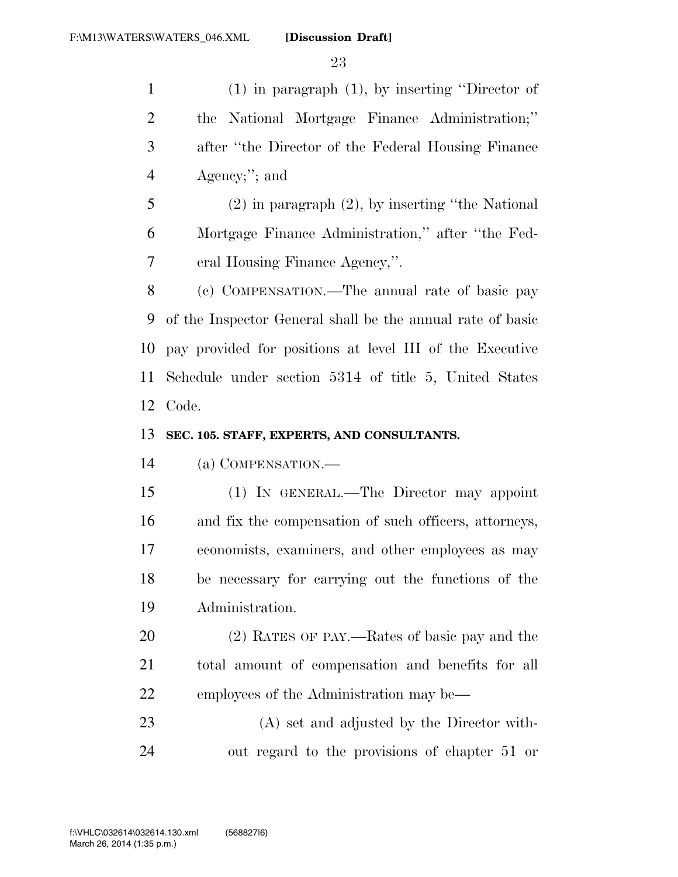(1) in paragraph (1), by inserting ''Director of the National Mortgage Finance Administration;'' after ''the Director of the Federal Housing Finance Agency;''; and (2) in paragraph (2), by inserting ''the National Mortgage Finance Administration,'' after ''the Fed- eral Housing Finance Agency,''. (c) COMPENSATION.—The annual rate of basic pay of the Inspector General shall be the annual rate of basic pay provided for positions at level III of the Executive Schedule under section 5314 of title 5, United States Code. **SEC. 105. STAFF, EXPERTS, AND CONSULTANTS.** 

(a) COMPENSATION.—

 (1) IN GENERAL.—The Director may appoint and fix the compensation of such officers, attorneys, economists, examiners, and other employees as may be necessary for carrying out the functions of the Administration.

 (2) RATES OF PAY.—Rates of basic pay and the total amount of compensation and benefits for all 22 employees of the Administration may be—

 (A) set and adjusted by the Director with-out regard to the provisions of chapter 51 or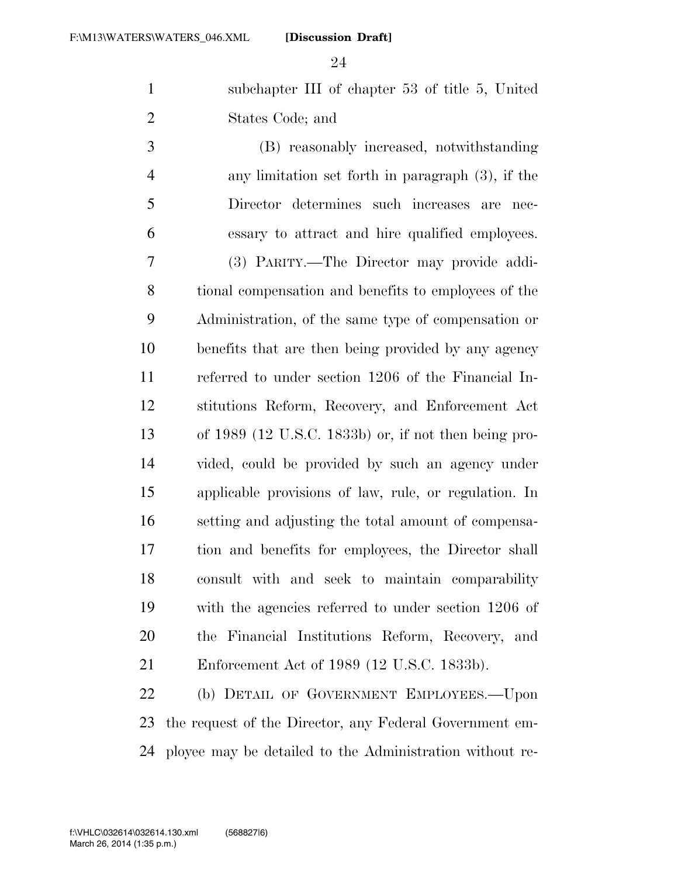subchapter III of chapter 53 of title 5, United States Code; and

 (B) reasonably increased, notwithstanding any limitation set forth in paragraph (3), if the Director determines such increases are nec- essary to attract and hire qualified employees. (3) PARITY.—The Director may provide addi- tional compensation and benefits to employees of the Administration, of the same type of compensation or benefits that are then being provided by any agency referred to under section 1206 of the Financial In- stitutions Reform, Recovery, and Enforcement Act of 1989 (12 U.S.C. 1833b) or, if not then being pro- vided, could be provided by such an agency under applicable provisions of law, rule, or regulation. In setting and adjusting the total amount of compensa- tion and benefits for employees, the Director shall consult with and seek to maintain comparability with the agencies referred to under section 1206 of the Financial Institutions Reform, Recovery, and Enforcement Act of 1989 (12 U.S.C. 1833b).

 (b) DETAIL OF GOVERNMENT EMPLOYEES.—Upon the request of the Director, any Federal Government em-ployee may be detailed to the Administration without re-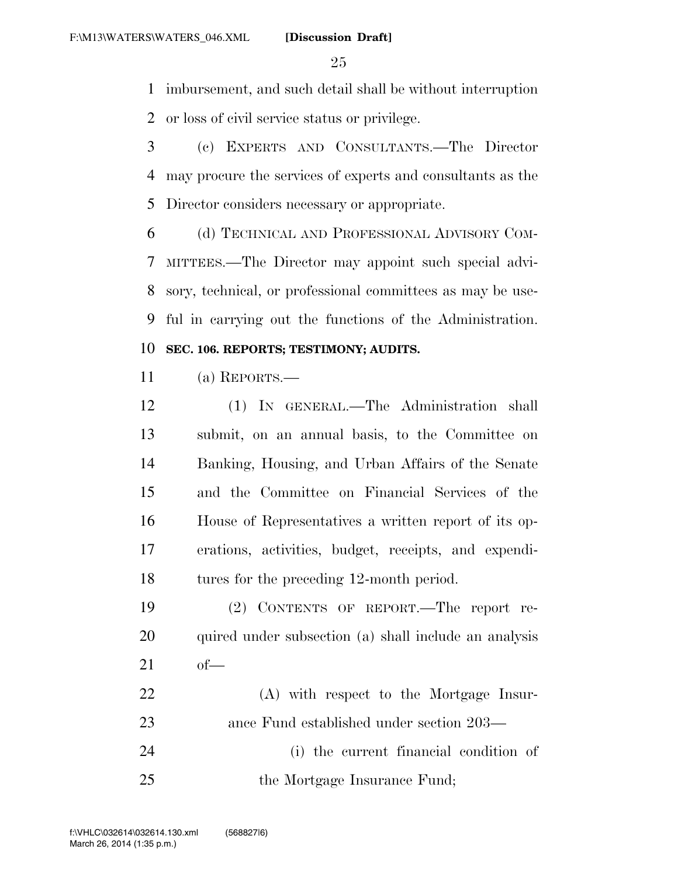imbursement, and such detail shall be without interruption or loss of civil service status or privilege.

 (c) EXPERTS AND CONSULTANTS.—The Director may procure the services of experts and consultants as the Director considers necessary or appropriate.

 (d) TECHNICAL AND PROFESSIONAL ADVISORY COM- MITTEES.—The Director may appoint such special advi- sory, technical, or professional committees as may be use-ful in carrying out the functions of the Administration.

## **SEC. 106. REPORTS; TESTIMONY; AUDITS.**

(a) REPORTS.—

 (1) IN GENERAL.—The Administration shall submit, on an annual basis, to the Committee on Banking, Housing, and Urban Affairs of the Senate and the Committee on Financial Services of the House of Representatives a written report of its op- erations, activities, budget, receipts, and expendi-tures for the preceding 12-month period.

 (2) CONTENTS OF REPORT.—The report re-20 quired under subsection (a) shall include an analysis of—

 (A) with respect to the Mortgage Insur- ance Fund established under section 203— (i) the current financial condition of 25 the Mortgage Insurance Fund;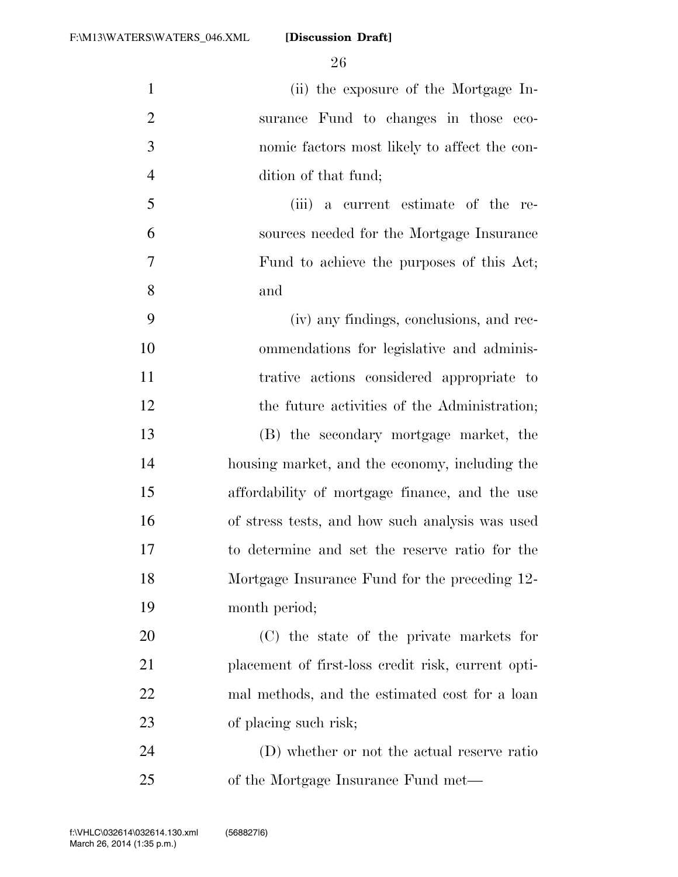(ii) the exposure of the Mortgage In- surance Fund to changes in those eco- nomic factors most likely to affect the con- dition of that fund; (iii) a current estimate of the re- sources needed for the Mortgage Insurance Fund to achieve the purposes of this Act; and (iv) any findings, conclusions, and rec- ommendations for legislative and adminis- trative actions considered appropriate to 12 the future activities of the Administration; (B) the secondary mortgage market, the housing market, and the economy, including the affordability of mortgage finance, and the use of stress tests, and how such analysis was used to determine and set the reserve ratio for the Mortgage Insurance Fund for the preceding 12- month period; (C) the state of the private markets for placement of first-loss credit risk, current opti-

23 of placing such risk;

 (D) whether or not the actual reserve ratio of the Mortgage Insurance Fund met—

mal methods, and the estimated cost for a loan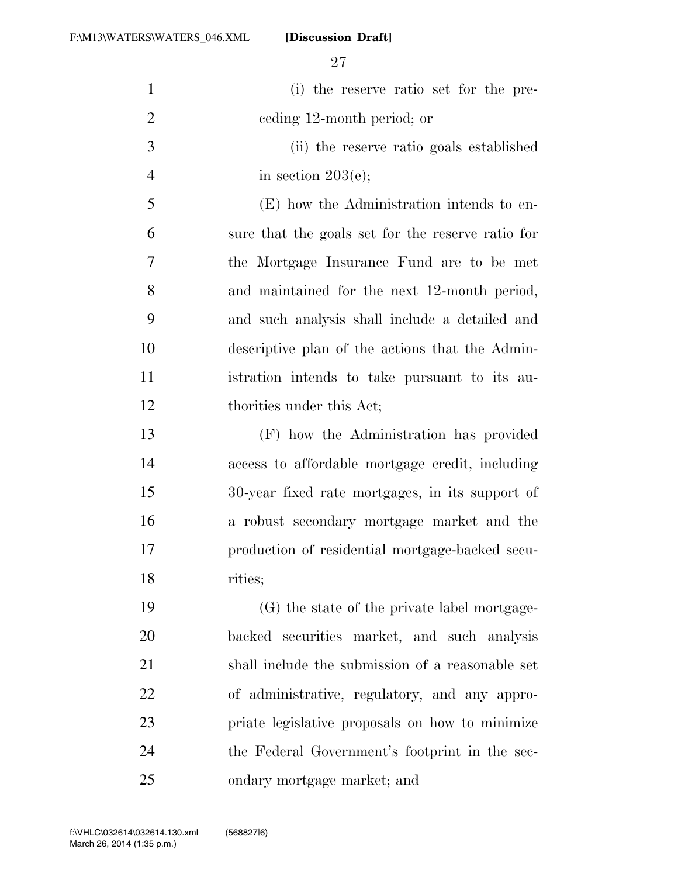| $\mathbf{1}$   | (i) the reserve ratio set for the pre-            |
|----------------|---------------------------------------------------|
| $\overline{2}$ | eeding 12-month period; or                        |
| 3              | (ii) the reserve ratio goals established          |
| $\overline{4}$ | in section $203(e)$ ;                             |
| 5              | (E) how the Administration intends to en-         |
| 6              | sure that the goals set for the reserve ratio for |
| 7              | the Mortgage Insurance Fund are to be met         |
| 8              | and maintained for the next 12-month period,      |
| 9              | and such analysis shall include a detailed and    |
| 10             | descriptive plan of the actions that the Admin-   |
| 11             | istration intends to take pursuant to its au-     |
| 12             | thorities under this Act;                         |
| 13             | (F) how the Administration has provided           |
| 14             | access to affordable mortgage credit, including   |
| 15             | 30-year fixed rate mortgages, in its support of   |
| 16             | a robust secondary mortgage market and the        |
| 17             | production of residential mortgage-backed secu-   |
| 18             | rities;                                           |
| 19             | (G) the state of the private label mortgage-      |
| 20             | backed securities market, and such analysis       |
| 21             | shall include the submission of a reasonable set  |
| 22             | of administrative, regulatory, and any appro-     |
| 23             | priate legislative proposals on how to minimize   |
| 24             | the Federal Government's footprint in the sec-    |
| 25             | ondary mortgage market; and                       |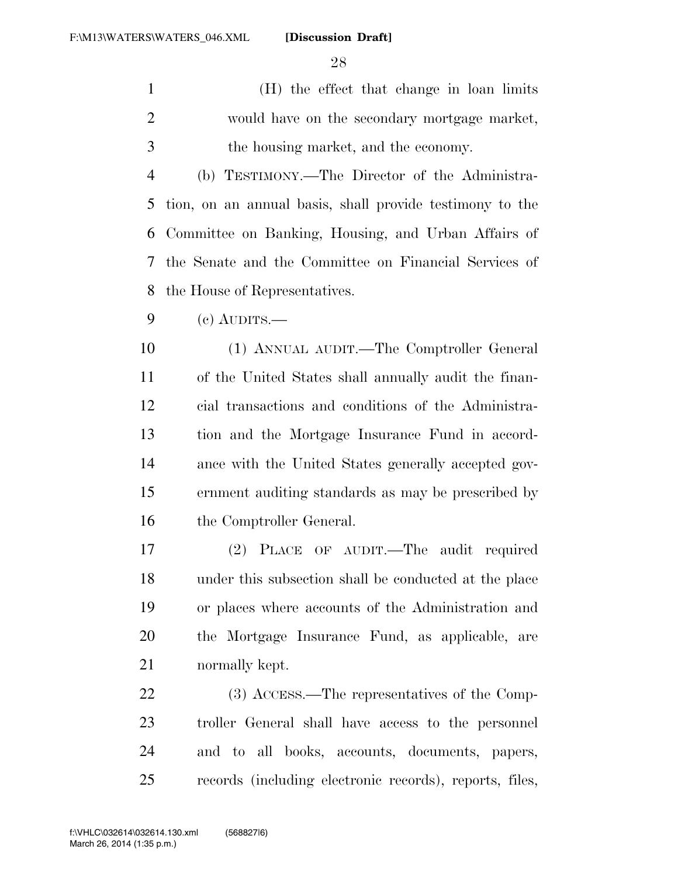(H) the effect that change in loan limits would have on the secondary mortgage market, the housing market, and the economy.

 (b) TESTIMONY.—The Director of the Administra- tion, on an annual basis, shall provide testimony to the Committee on Banking, Housing, and Urban Affairs of the Senate and the Committee on Financial Services of the House of Representatives.

(c) AUDITS.—

 (1) ANNUAL AUDIT.—The Comptroller General of the United States shall annually audit the finan- cial transactions and conditions of the Administra- tion and the Mortgage Insurance Fund in accord- ance with the United States generally accepted gov- ernment auditing standards as may be prescribed by 16 the Comptroller General.

 (2) PLACE OF AUDIT.—The audit required under this subsection shall be conducted at the place or places where accounts of the Administration and the Mortgage Insurance Fund, as applicable, are normally kept.

22 (3) ACCESS.—The representatives of the Comp- troller General shall have access to the personnel and to all books, accounts, documents, papers, records (including electronic records), reports, files,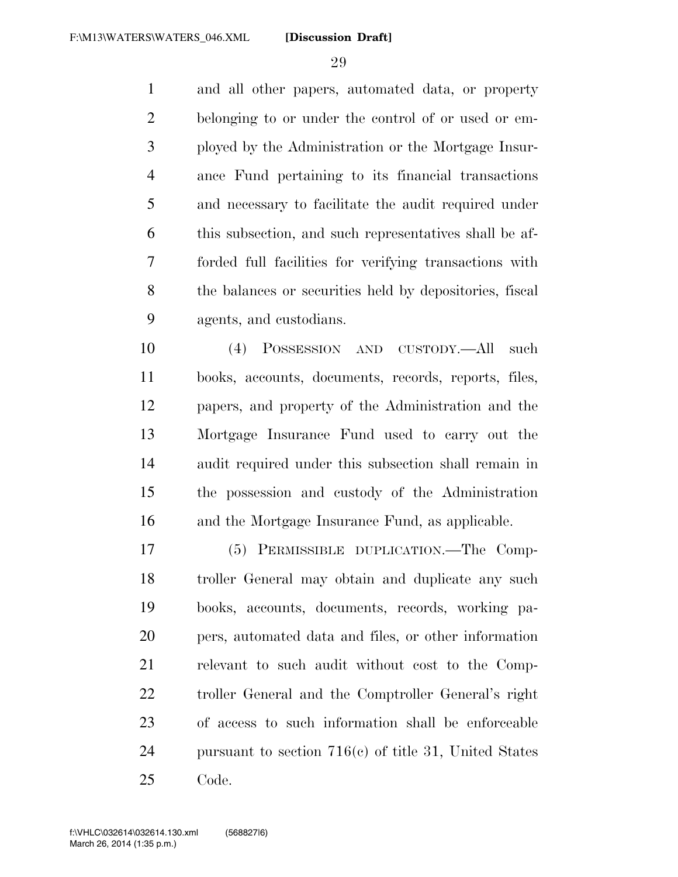and all other papers, automated data, or property belonging to or under the control of or used or em- ployed by the Administration or the Mortgage Insur- ance Fund pertaining to its financial transactions and necessary to facilitate the audit required under this subsection, and such representatives shall be af- forded full facilities for verifying transactions with the balances or securities held by depositories, fiscal agents, and custodians.

 (4) POSSESSION AND CUSTODY.—All such books, accounts, documents, records, reports, files, papers, and property of the Administration and the Mortgage Insurance Fund used to carry out the audit required under this subsection shall remain in the possession and custody of the Administration and the Mortgage Insurance Fund, as applicable.

 (5) PERMISSIBLE DUPLICATION.—The Comp- troller General may obtain and duplicate any such books, accounts, documents, records, working pa- pers, automated data and files, or other information relevant to such audit without cost to the Comp- troller General and the Comptroller General's right of access to such information shall be enforceable pursuant to section 716(c) of title 31, United States Code.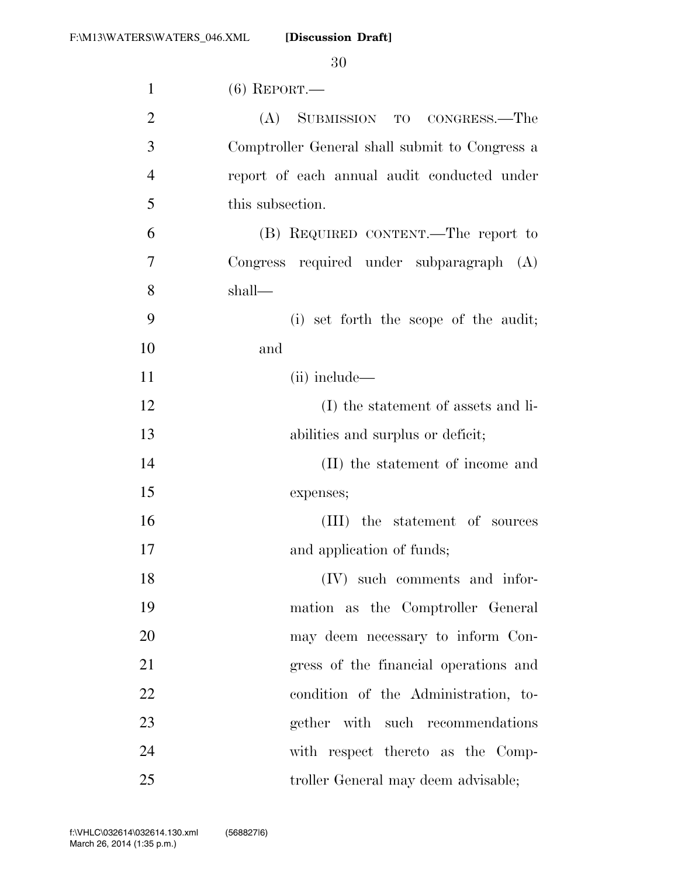| $\mathbf{1}$   | $(6)$ REPORT.—                                 |
|----------------|------------------------------------------------|
| $\overline{2}$ | (A) SUBMISSION TO CONGRESS.—The                |
| 3              | Comptroller General shall submit to Congress a |
| $\overline{4}$ | report of each annual audit conducted under    |
| 5              | this subsection.                               |
| 6              | (B) REQUIRED CONTENT.—The report to            |
| 7              | Congress required under subparagraph (A)       |
| 8              | shall—                                         |
| 9              | (i) set forth the scope of the audit;          |
| 10             | and                                            |
| 11             | (ii) include—                                  |
| 12             | (I) the statement of assets and li-            |
| 13             | abilities and surplus or deficit;              |
| 14             | (II) the statement of income and               |
| 15             | expenses;                                      |
| 16             | (III) the statement of sources                 |
| 17             | and application of funds;                      |
| 18             | (IV) such comments and infor-                  |
| 19             | mation as the Comptroller General              |
| 20             | may deem necessary to inform Con-              |
| 21             | gress of the financial operations and          |
| 22             | condition of the Administration, to-           |
| 23             | gether with such recommendations               |
| 24             | with respect thereto as the Comp-              |
| 25             | troller General may deem advisable;            |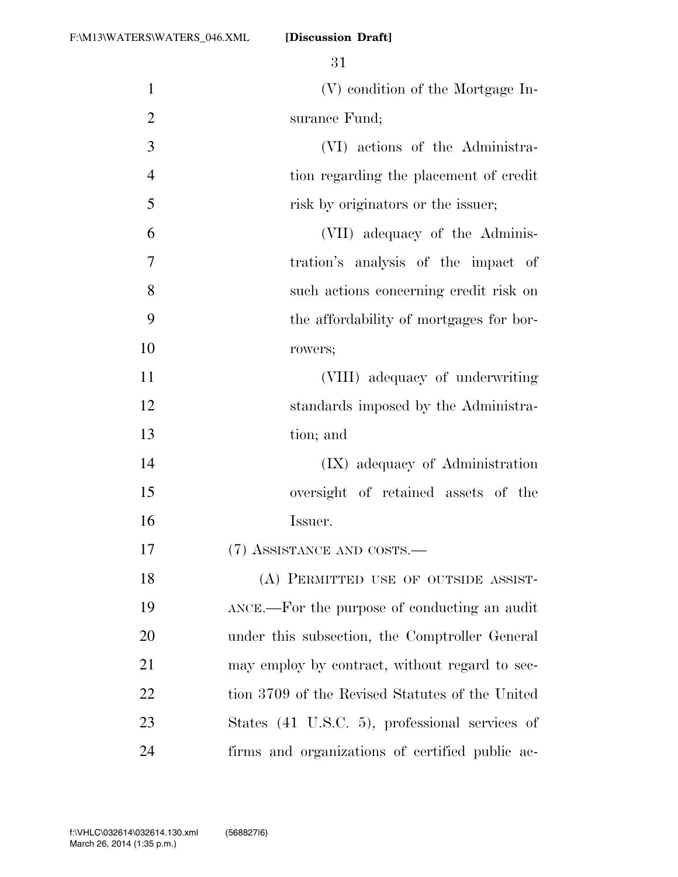| $\mathbf{1}$   | (V) condition of the Mortgage In-               |
|----------------|-------------------------------------------------|
| $\overline{2}$ | surance Fund;                                   |
| 3              | (VI) actions of the Administra-                 |
| $\overline{4}$ | tion regarding the placement of credit          |
| 5              | risk by originators or the issuer;              |
| 6              | (VII) adequacy of the Adminis-                  |
| 7              | tration's analysis of the impact of             |
| 8              | such actions concerning credit risk on          |
| 9              | the affordability of mortgages for bor-         |
| 10             | rowers;                                         |
| 11             | (VIII) adequacy of underwriting                 |
| 12             | standards imposed by the Administra-            |
| 13             | tion; and                                       |
| 14             | (IX) adequacy of Administration                 |
| 15             | oversight of retained assets of the             |
| 16             | Issuer.                                         |
| 17             | (7) ASSISTANCE AND COSTS.—                      |
| 18             | (A) PERMITTED USE OF OUTSIDE ASSIST-            |
| 19             | ANCE.—For the purpose of conducting an audit    |
| 20             | under this subsection, the Comptroller General  |
| 21             | may employ by contract, without regard to sec-  |
| 22             | tion 3709 of the Revised Statutes of the United |
| 23             | States (41 U.S.C. 5), professional services of  |
| 24             | firms and organizations of certified public ac- |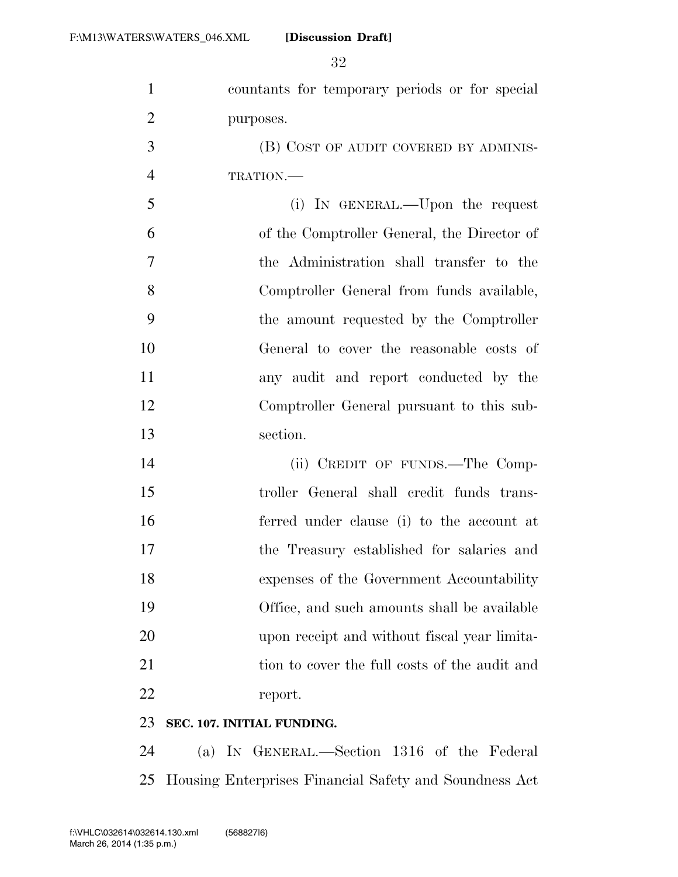| $\mathbf{1}$   | countants for temporary periods or for special |
|----------------|------------------------------------------------|
| $\overline{2}$ | purposes.                                      |
| 3              | (B) COST OF AUDIT COVERED BY ADMINIS-          |
| $\overline{4}$ | TRATION.                                       |
| 5              | (i) IN GENERAL.—Upon the request               |
| 6              | of the Comptroller General, the Director of    |
| $\overline{7}$ | the Administration shall transfer to the       |
| 8              | Comptroller General from funds available,      |
| 9              | the amount requested by the Comptroller        |
| 10             | General to cover the reasonable costs of       |
| 11             | any audit and report conducted by the          |
| 12             | Comptroller General pursuant to this sub-      |
| 13             | section.                                       |
| 14             | (ii) CREDIT OF FUNDS.—The Comp-                |
| 15             | troller General shall credit funds trans-      |
| 16             | ferred under clause (i) to the account at      |
| 17             | the Treasury established for salaries and      |
| 18             | expenses of the Government Accountability      |
| 19             | Office, and such amounts shall be available    |
| 20             | upon receipt and without fiscal year limita-   |
| 21             | tion to cover the full costs of the audit and  |
| 22             | report.                                        |
|                |                                                |

### **SEC. 107. INITIAL FUNDING.**

 (a) IN GENERAL.—Section 1316 of the Federal Housing Enterprises Financial Safety and Soundness Act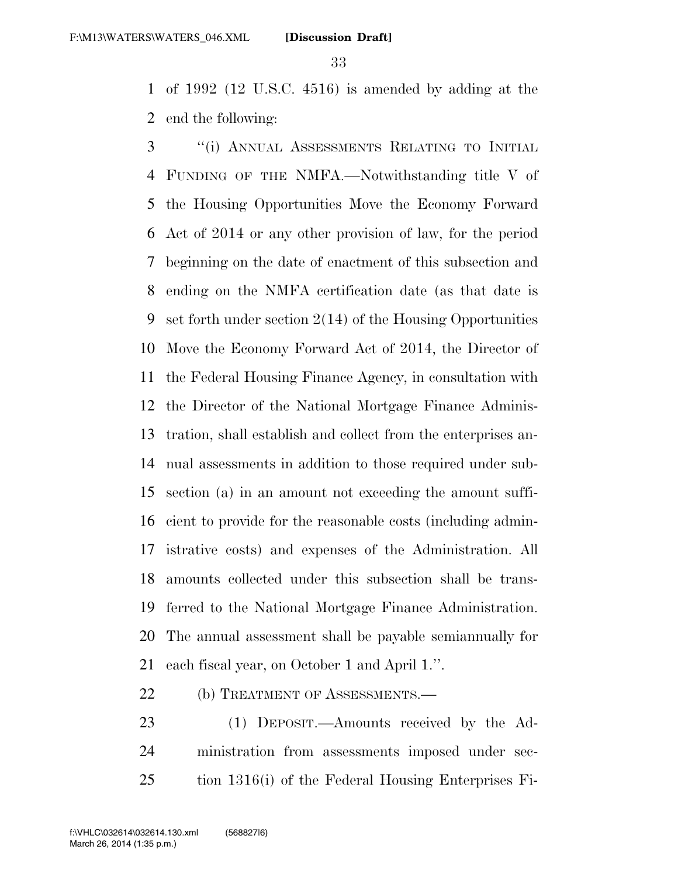of 1992 (12 U.S.C. 4516) is amended by adding at the end the following:

 ''(i) ANNUAL ASSESSMENTS RELATING TO INITIAL FUNDING OF THE NMFA.—Notwithstanding title V of the Housing Opportunities Move the Economy Forward Act of 2014 or any other provision of law, for the period beginning on the date of enactment of this subsection and ending on the NMFA certification date (as that date is set forth under section 2(14) of the Housing Opportunities Move the Economy Forward Act of 2014, the Director of the Federal Housing Finance Agency, in consultation with the Director of the National Mortgage Finance Adminis- tration, shall establish and collect from the enterprises an- nual assessments in addition to those required under sub- section (a) in an amount not exceeding the amount suffi- cient to provide for the reasonable costs (including admin- istrative costs) and expenses of the Administration. All amounts collected under this subsection shall be trans- ferred to the National Mortgage Finance Administration. The annual assessment shall be payable semiannually for each fiscal year, on October 1 and April 1.''.

22 (b) TREATMENT OF ASSESSMENTS.—

 (1) DEPOSIT.—Amounts received by the Ad- ministration from assessments imposed under sec-tion 1316(i) of the Federal Housing Enterprises Fi-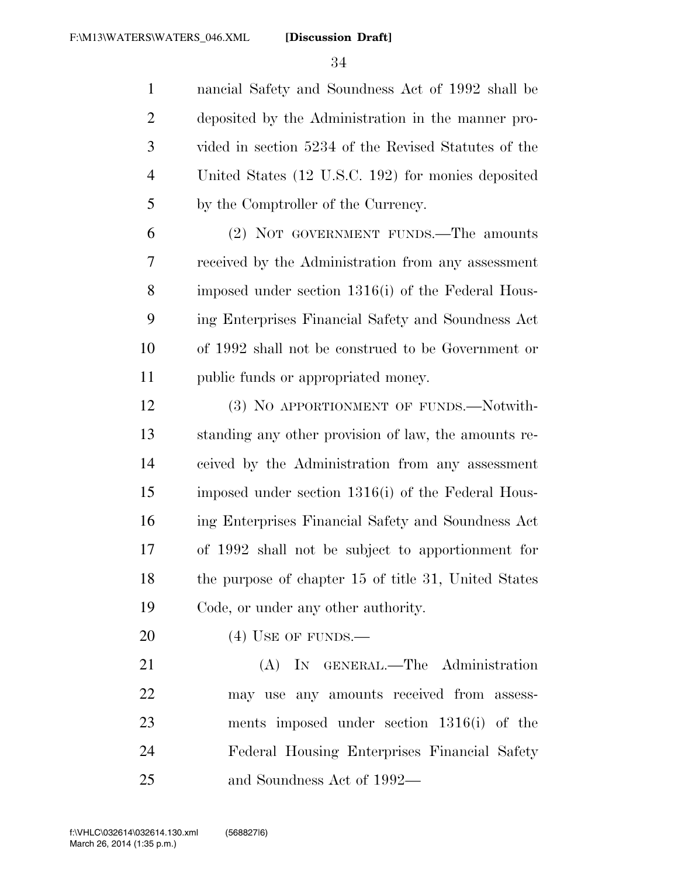nancial Safety and Soundness Act of 1992 shall be deposited by the Administration in the manner pro- vided in section 5234 of the Revised Statutes of the United States (12 U.S.C. 192) for monies deposited by the Comptroller of the Currency.

 (2) NOT GOVERNMENT FUNDS.—The amounts received by the Administration from any assessment imposed under section 1316(i) of the Federal Hous- ing Enterprises Financial Safety and Soundness Act of 1992 shall not be construed to be Government or public funds or appropriated money.

12 (3) No APPORTIONMENT OF FUNDS.—Notwith- standing any other provision of law, the amounts re- ceived by the Administration from any assessment imposed under section 1316(i) of the Federal Hous- ing Enterprises Financial Safety and Soundness Act of 1992 shall not be subject to apportionment for 18 the purpose of chapter 15 of title 31, United States Code, or under any other authority.

20 (4) USE OF FUNDS.—

21 (A) IN GENERAL.—The Administration may use any amounts received from assess- ments imposed under section 1316(i) of the Federal Housing Enterprises Financial Safety and Soundness Act of 1992—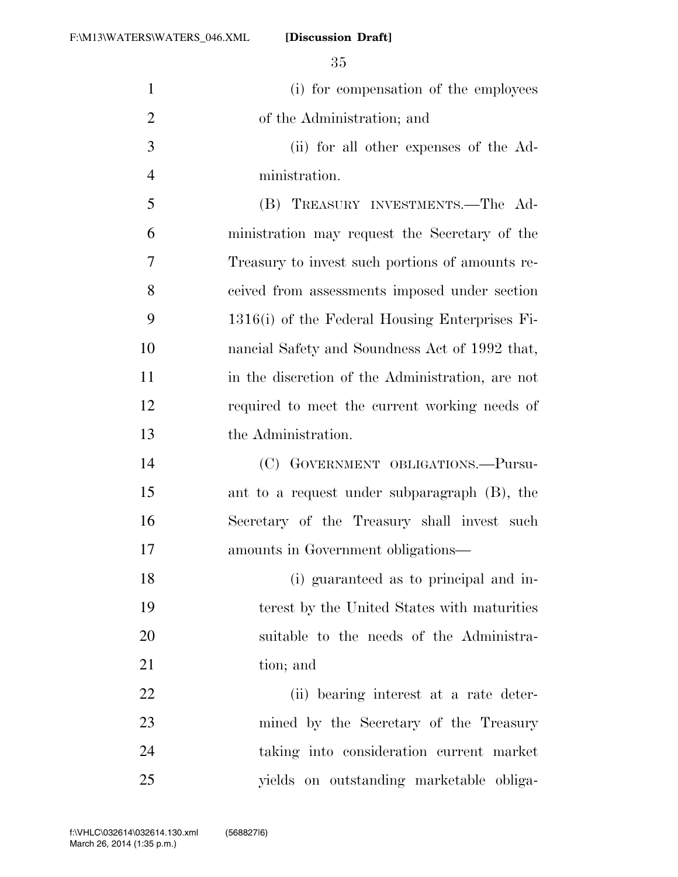| $\mathbf{1}$   | (i) for compensation of the employees            |
|----------------|--------------------------------------------------|
| $\overline{2}$ | of the Administration; and                       |
| 3              | (ii) for all other expenses of the Ad-           |
| $\overline{4}$ | ministration.                                    |
| 5              | (B) TREASURY INVESTMENTS.—The Ad-                |
| 6              | ministration may request the Secretary of the    |
| 7              | Treasury to invest such portions of amounts re-  |
| 8              | ceived from assessments imposed under section    |
| 9              | 1316(i) of the Federal Housing Enterprises Fi-   |
| 10             | nancial Safety and Soundness Act of 1992 that,   |
| 11             | in the discretion of the Administration, are not |
| 12             | required to meet the current working needs of    |
| 13             | the Administration.                              |
| 14             | (C) GOVERNMENT OBLIGATIONS.-Pursu-               |
| 15             | ant to a request under subparagraph (B), the     |
| 16             | Secretary of the Treasury shall invest such      |
| 17             | amounts in Government obligations—               |
| 18             | (i) guaranteed as to principal and in-           |
| 19             | terest by the United States with maturities      |
| 20             | suitable to the needs of the Administra-         |
| 21             | tion; and                                        |
| 22             | (ii) bearing interest at a rate deter-           |
| 23             | mined by the Secretary of the Treasury           |
| 24             | taking into consideration current market         |
| 25             | yields on outstanding marketable obliga-         |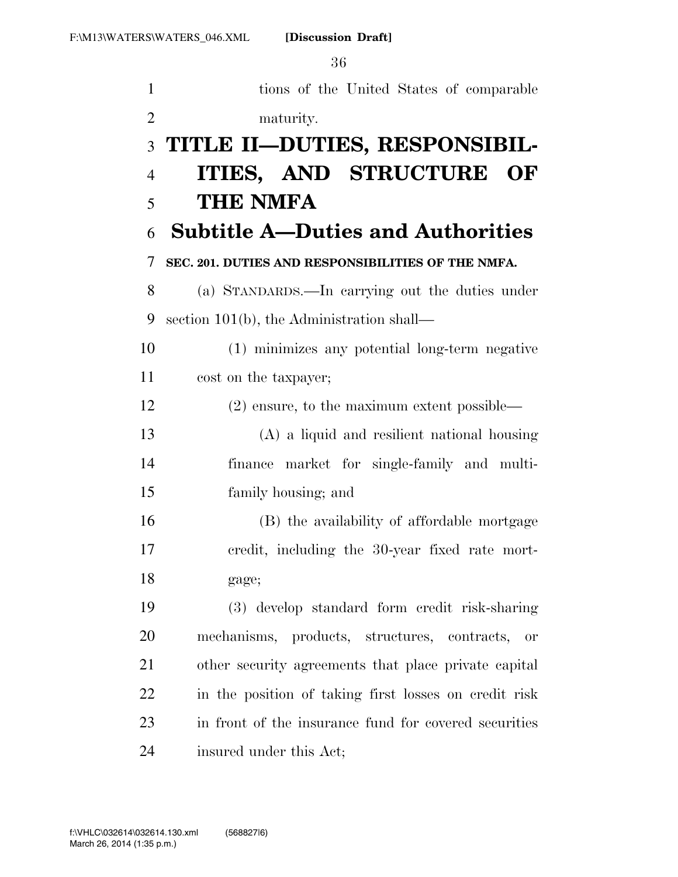| $\mathbf{1}$   | tions of the United States of comparable                  |
|----------------|-----------------------------------------------------------|
| $\mathfrak{2}$ | maturity.                                                 |
| 3              | TITLE II-DUTIES, RESPONSIBIL-                             |
| $\overline{4}$ | ITIES, AND STRUCTURE OF                                   |
| 5              | <b>THE NMFA</b>                                           |
| 6              | <b>Subtitle A-Duties and Authorities</b>                  |
| 7              | SEC. 201. DUTIES AND RESPONSIBILITIES OF THE NMFA.        |
| 8              | (a) STANDARDS.—In carrying out the duties under           |
| 9              | section $101(b)$ , the Administration shall—              |
| 10             | (1) minimizes any potential long-term negative            |
| 11             | cost on the taxpayer;                                     |
| 12             | $(2)$ ensure, to the maximum extent possible—             |
| 13             | (A) a liquid and resilient national housing               |
| 14             | finance market for single-family and multi-               |
| 15             | family housing; and                                       |
| 16             | (B) the availability of affordable mortgage               |
| 17             | credit, including the 30-year fixed rate mort-            |
| 18             | gage;                                                     |
| 19             | (3) develop standard form credit risk-sharing             |
| 20             | mechanisms, products, structures, contracts,<br><b>or</b> |
| 21             | other security agreements that place private capital      |
| 22             | in the position of taking first losses on credit risk     |
| 23             | in front of the insurance fund for covered securities     |
| 24             | insured under this Act;                                   |

March 26, 2014 (1:35 p.m.) f:\VHLC\032614\032614.130.xml (568827|6)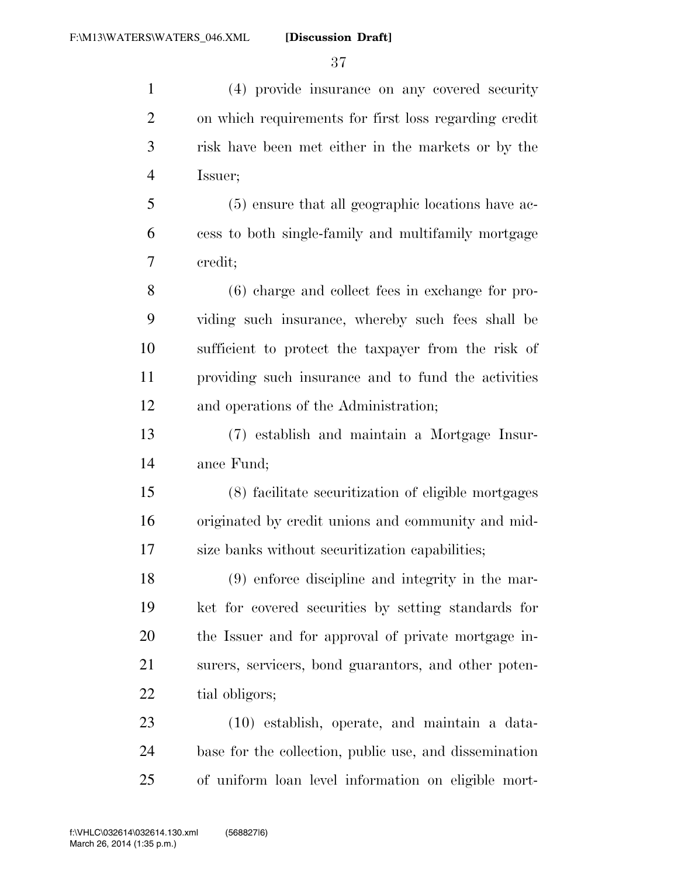(4) provide insurance on any covered security on which requirements for first loss regarding credit risk have been met either in the markets or by the Issuer; (5) ensure that all geographic locations have ac- cess to both single-family and multifamily mortgage credit; (6) charge and collect fees in exchange for pro- viding such insurance, whereby such fees shall be sufficient to protect the taxpayer from the risk of providing such insurance and to fund the activities and operations of the Administration; (7) establish and maintain a Mortgage Insur- ance Fund; (8) facilitate securitization of eligible mortgages originated by credit unions and community and mid- size banks without securitization capabilities; (9) enforce discipline and integrity in the mar- ket for covered securities by setting standards for the Issuer and for approval of private mortgage in- surers, servicers, bond guarantors, and other poten-22 tial obligors; (10) establish, operate, and maintain a data- base for the collection, public use, and dissemination of uniform loan level information on eligible mort-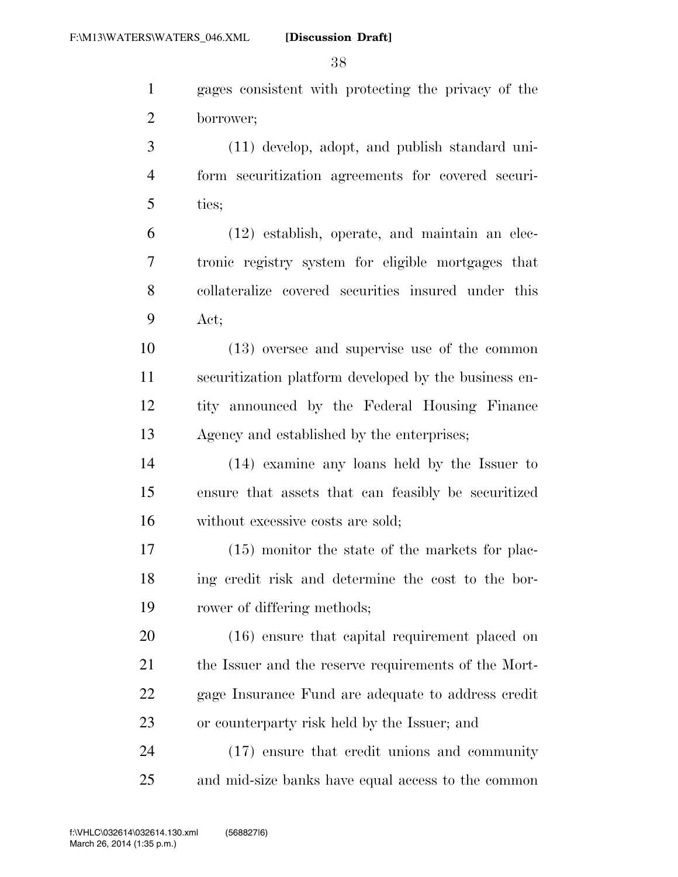gages consistent with protecting the privacy of the borrower;

 (11) develop, adopt, and publish standard uni- form securitization agreements for covered securi-ties;

 (12) establish, operate, and maintain an elec- tronic registry system for eligible mortgages that collateralize covered securities insured under this Act;

 (13) oversee and supervise use of the common securitization platform developed by the business en- tity announced by the Federal Housing Finance Agency and established by the enterprises;

 (14) examine any loans held by the Issuer to ensure that assets that can feasibly be securitized without excessive costs are sold;

 (15) monitor the state of the markets for plac- ing credit risk and determine the cost to the bor-rower of differing methods;

 (16) ensure that capital requirement placed on 21 the Issuer and the reserve requirements of the Mort- gage Insurance Fund are adequate to address credit or counterparty risk held by the Issuer; and

 (17) ensure that credit unions and community and mid-size banks have equal access to the common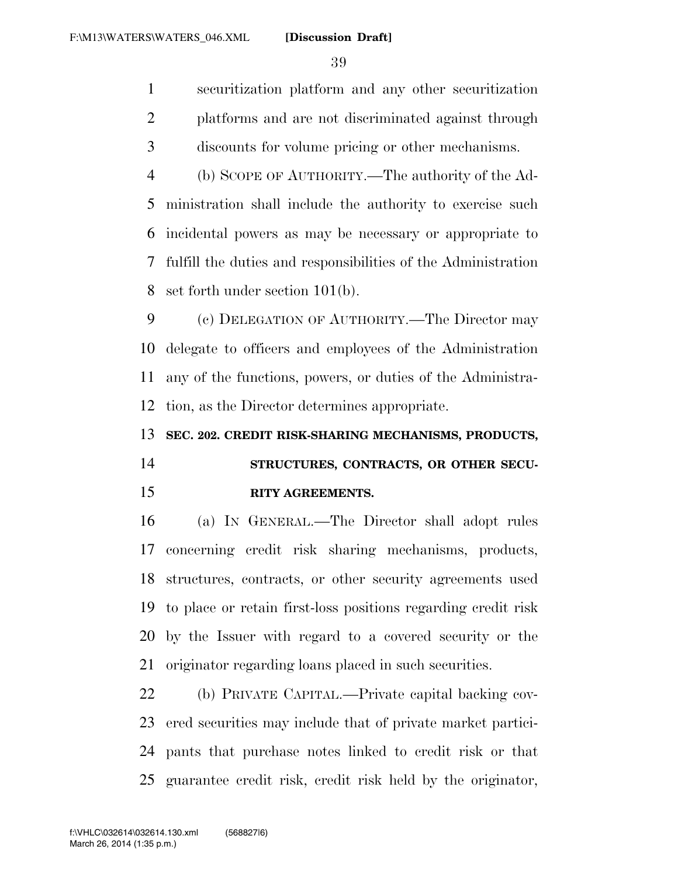securitization platform and any other securitization platforms and are not discriminated against through discounts for volume pricing or other mechanisms.

 (b) SCOPE OF AUTHORITY.—The authority of the Ad- ministration shall include the authority to exercise such incidental powers as may be necessary or appropriate to fulfill the duties and responsibilities of the Administration set forth under section 101(b).

 (c) DELEGATION OF AUTHORITY.—The Director may delegate to officers and employees of the Administration any of the functions, powers, or duties of the Administra-tion, as the Director determines appropriate.

**SEC. 202. CREDIT RISK-SHARING MECHANISMS, PRODUCTS,** 

# **STRUCTURES, CONTRACTS, OR OTHER SECU-RITY AGREEMENTS.**

 (a) IN GENERAL.—The Director shall adopt rules concerning credit risk sharing mechanisms, products, structures, contracts, or other security agreements used to place or retain first-loss positions regarding credit risk by the Issuer with regard to a covered security or the originator regarding loans placed in such securities.

 (b) PRIVATE CAPITAL.—Private capital backing cov- ered securities may include that of private market partici- pants that purchase notes linked to credit risk or that guarantee credit risk, credit risk held by the originator,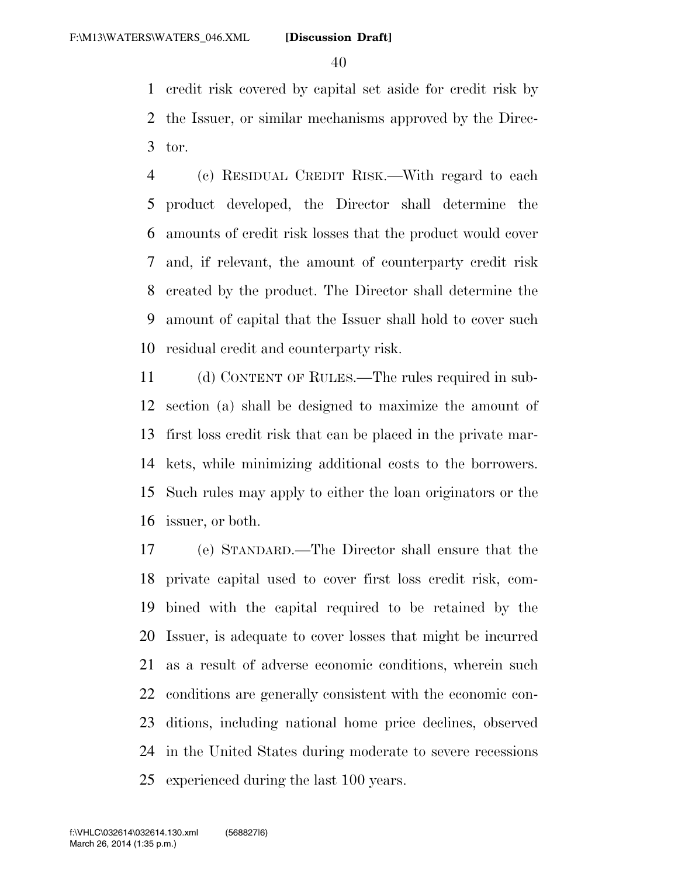credit risk covered by capital set aside for credit risk by the Issuer, or similar mechanisms approved by the Direc-tor.

 (c) RESIDUAL CREDIT RISK.—With regard to each product developed, the Director shall determine the amounts of credit risk losses that the product would cover and, if relevant, the amount of counterparty credit risk created by the product. The Director shall determine the amount of capital that the Issuer shall hold to cover such residual credit and counterparty risk.

 (d) CONTENT OF RULES.—The rules required in sub- section (a) shall be designed to maximize the amount of first loss credit risk that can be placed in the private mar- kets, while minimizing additional costs to the borrowers. Such rules may apply to either the loan originators or the issuer, or both.

 (e) STANDARD.—The Director shall ensure that the private capital used to cover first loss credit risk, com- bined with the capital required to be retained by the Issuer, is adequate to cover losses that might be incurred as a result of adverse economic conditions, wherein such conditions are generally consistent with the economic con- ditions, including national home price declines, observed in the United States during moderate to severe recessions experienced during the last 100 years.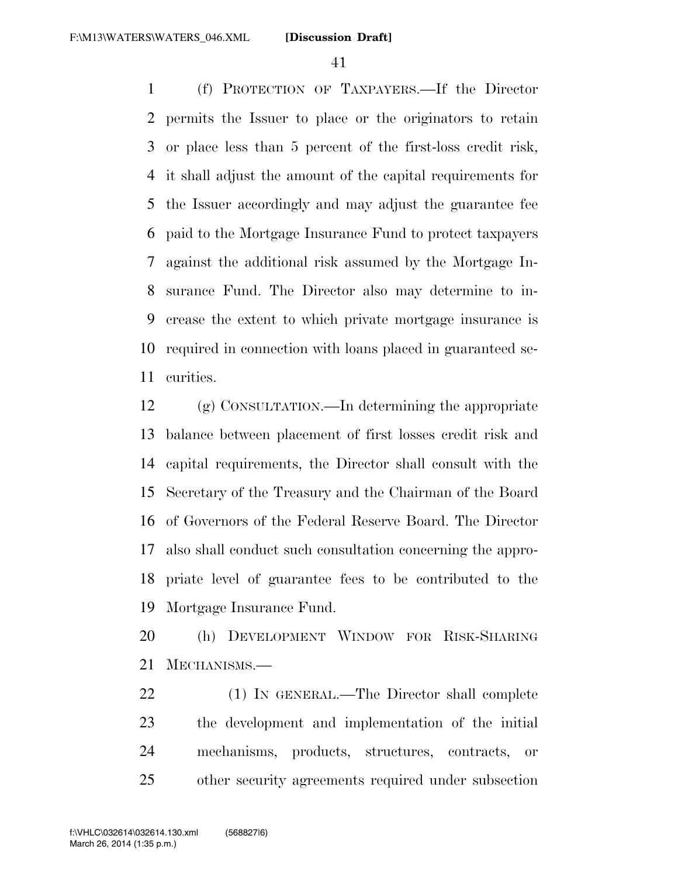(f) PROTECTION OF TAXPAYERS.—If the Director permits the Issuer to place or the originators to retain or place less than 5 percent of the first-loss credit risk, it shall adjust the amount of the capital requirements for the Issuer accordingly and may adjust the guarantee fee paid to the Mortgage Insurance Fund to protect taxpayers against the additional risk assumed by the Mortgage In- surance Fund. The Director also may determine to in- crease the extent to which private mortgage insurance is required in connection with loans placed in guaranteed se-curities.

 (g) CONSULTATION.—In determining the appropriate balance between placement of first losses credit risk and capital requirements, the Director shall consult with the Secretary of the Treasury and the Chairman of the Board of Governors of the Federal Reserve Board. The Director also shall conduct such consultation concerning the appro- priate level of guarantee fees to be contributed to the Mortgage Insurance Fund.

 (h) DEVELOPMENT WINDOW FOR RISK-SHARING MECHANISMS.—

 (1) IN GENERAL.—The Director shall complete the development and implementation of the initial mechanisms, products, structures, contracts, or other security agreements required under subsection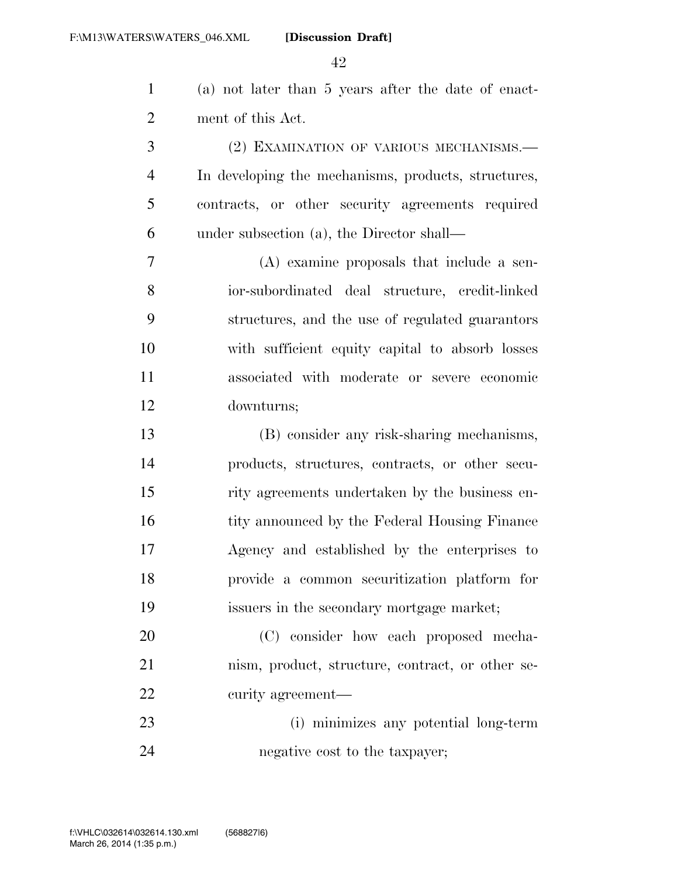(a) not later than 5 years after the date of enact-ment of this Act.

 (2) EXAMINATION OF VARIOUS MECHANISMS.— In developing the mechanisms, products, structures, contracts, or other security agreements required under subsection (a), the Director shall—

 (A) examine proposals that include a sen- ior-subordinated deal structure, credit-linked structures, and the use of regulated guarantors with sufficient equity capital to absorb losses associated with moderate or severe economic downturns;

 (B) consider any risk-sharing mechanisms, products, structures, contracts, or other secu- rity agreements undertaken by the business en-16 tity announced by the Federal Housing Finance Agency and established by the enterprises to provide a common securitization platform for issuers in the secondary mortgage market;

 (C) consider how each proposed mecha- nism, product, structure, contract, or other se-curity agreement—

 (i) minimizes any potential long-term negative cost to the taxpayer;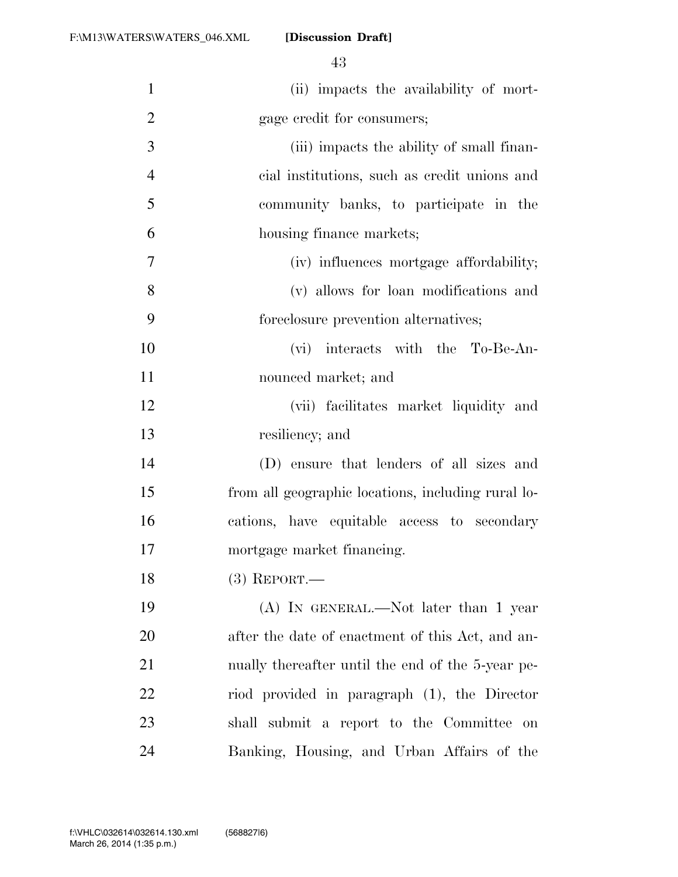(ii) impacts the availability of mort- gage credit for consumers; (iii) impacts the ability of small finan-

 cial institutions, such as credit unions and community banks, to participate in the housing finance markets;

 (iv) influences mortgage affordability; (v) allows for loan modifications and foreclosure prevention alternatives;

 (vi) interacts with the To-Be-An-nounced market; and

 (vii) facilitates market liquidity and resiliency; and

 (D) ensure that lenders of all sizes and from all geographic locations, including rural lo- cations, have equitable access to secondary mortgage market financing.

(3) REPORT.—

 (A) IN GENERAL.—Not later than 1 year after the date of enactment of this Act, and an- nually thereafter until the end of the 5-year pe- riod provided in paragraph (1), the Director shall submit a report to the Committee on Banking, Housing, and Urban Affairs of the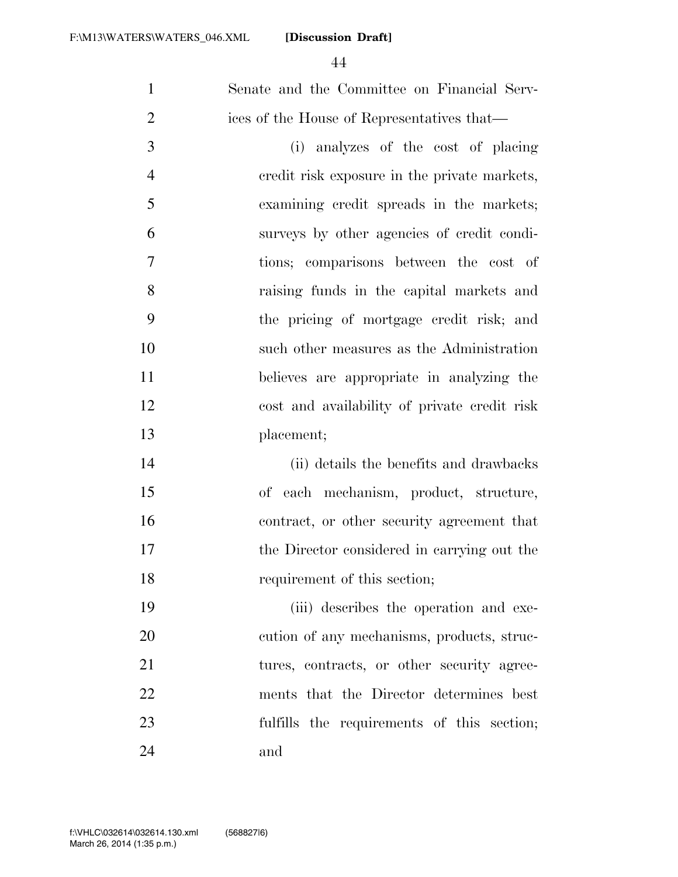| $\mathbf{1}$   | Senate and the Committee on Financial Serv-  |
|----------------|----------------------------------------------|
| $\overline{2}$ | ices of the House of Representatives that—   |
| 3              | (i) analyzes of the cost of placing          |
| $\overline{4}$ | eredit risk exposure in the private markets, |
| 5              | examining credit spreads in the markets;     |
| 6              | surveys by other agencies of credit condi-   |
| 7              | tions; comparisons between the cost of       |
| 8              | raising funds in the capital markets and     |
| 9              | the pricing of mortgage credit risk; and     |
| 10             | such other measures as the Administration    |
| 11             | believes are appropriate in analyzing the    |
| 12             | cost and availability of private credit risk |
| 13             | placement;                                   |
| 14             | (ii) details the benefits and drawbacks      |
| 15             | of each mechanism, product, structure,       |
| 16             | contract, or other security agreement that   |
| 17             | the Director considered in carrying out the  |
| 18             | requirement of this section;                 |
| 19             | (iii) describes the operation and exe-       |
| 20             | cution of any mechanisms, products, struc-   |
| 21             | tures, contracts, or other security agree-   |
| 22             | ments that the Director determines best      |
| 23             | fulfills the requirements of this section;   |
| 24             | and                                          |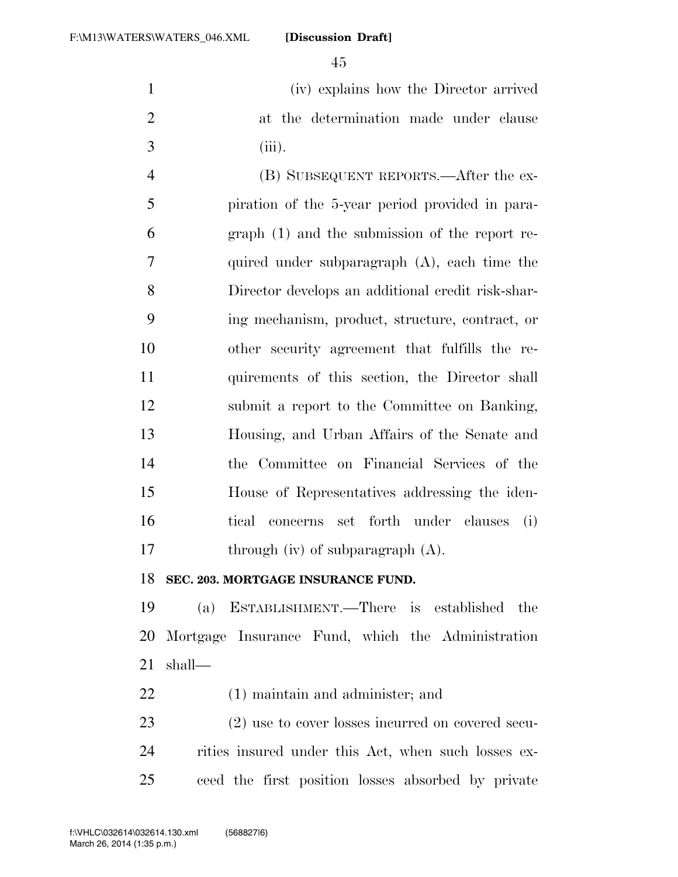(iv) explains how the Director arrived at the determination made under clause (iii).

 (B) SUBSEQUENT REPORTS.—After the ex- piration of the 5-year period provided in para- graph (1) and the submission of the report re- quired under subparagraph (A), each time the Director develops an additional credit risk-shar- ing mechanism, product, structure, contract, or other security agreement that fulfills the re- quirements of this section, the Director shall submit a report to the Committee on Banking, Housing, and Urban Affairs of the Senate and the Committee on Financial Services of the House of Representatives addressing the iden- tical concerns set forth under clauses (i) 17 through (iv) of subparagraph (A).

**SEC. 203. MORTGAGE INSURANCE FUND.** 

 (a) ESTABLISHMENT.—There is established the Mortgage Insurance Fund, which the Administration shall—

(1) maintain and administer; and

 (2) use to cover losses incurred on covered secu- rities insured under this Act, when such losses ex-ceed the first position losses absorbed by private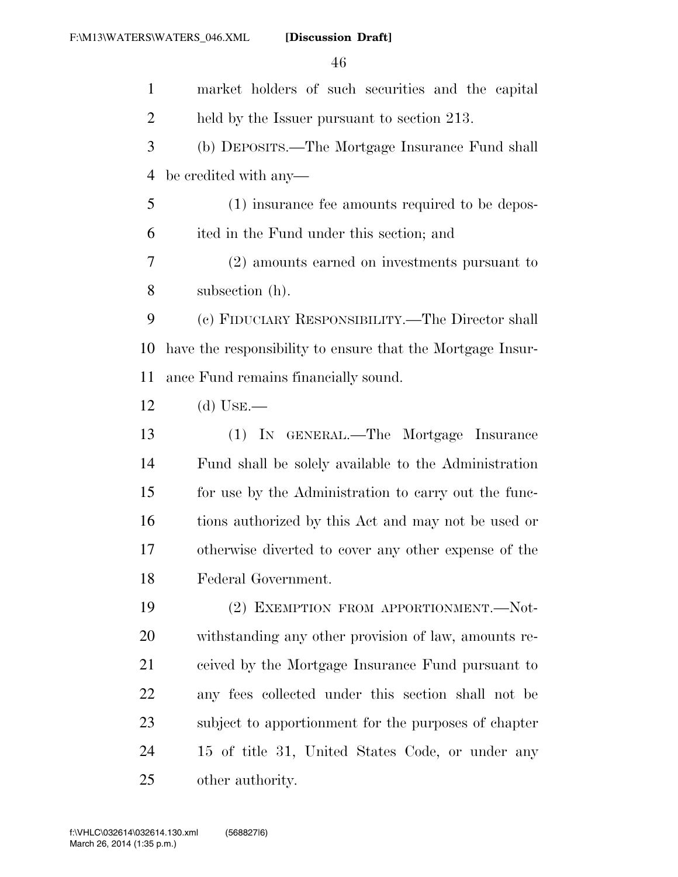market holders of such securities and the capital 2 held by the Issuer pursuant to section 213. (b) DEPOSITS.—The Mortgage Insurance Fund shall be credited with any— (1) insurance fee amounts required to be depos- ited in the Fund under this section; and (2) amounts earned on investments pursuant to subsection (h). (c) FIDUCIARY RESPONSIBILITY.—The Director shall have the responsibility to ensure that the Mortgage Insur- ance Fund remains financially sound. (d) USE.— (1) IN GENERAL.—The Mortgage Insurance Fund shall be solely available to the Administration for use by the Administration to carry out the func- tions authorized by this Act and may not be used or otherwise diverted to cover any other expense of the Federal Government. 19 (2) EXEMPTION FROM APPORTIONMENT.--Not- withstanding any other provision of law, amounts re- ceived by the Mortgage Insurance Fund pursuant to any fees collected under this section shall not be subject to apportionment for the purposes of chapter 15 of title 31, United States Code, or under any other authority.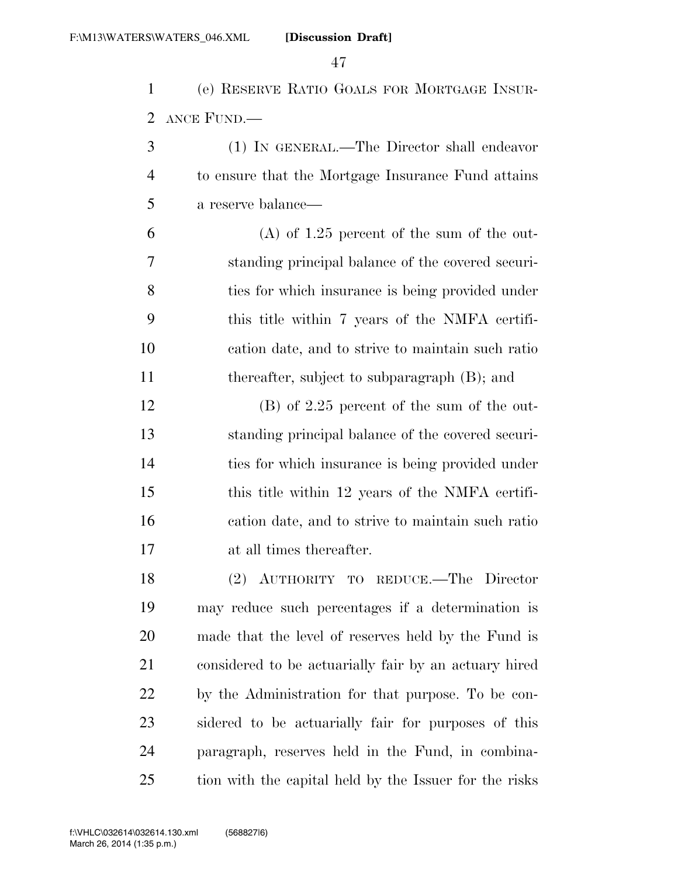(e) RESERVE RATIO GOALS FOR MORTGAGE INSUR-ANCE FUND.—

| -3             | (1) IN GENERAL.—The Director shall endeavor        |
|----------------|----------------------------------------------------|
| $\overline{4}$ | to ensure that the Mortgage Insurance Fund attains |
| 5 <sup>5</sup> | a reserve balance—                                 |

 (A) of 1.25 percent of the sum of the out- standing principal balance of the covered securi- ties for which insurance is being provided under this title within 7 years of the NMFA certifi- cation date, and to strive to maintain such ratio 11 thereafter, subject to subparagraph (B); and

 (B) of 2.25 percent of the sum of the out- standing principal balance of the covered securi- ties for which insurance is being provided under this title within 12 years of the NMFA certifi- cation date, and to strive to maintain such ratio at all times thereafter.

 (2) AUTHORITY TO REDUCE.—The Director may reduce such percentages if a determination is made that the level of reserves held by the Fund is considered to be actuarially fair by an actuary hired by the Administration for that purpose. To be con- sidered to be actuarially fair for purposes of this paragraph, reserves held in the Fund, in combina-tion with the capital held by the Issuer for the risks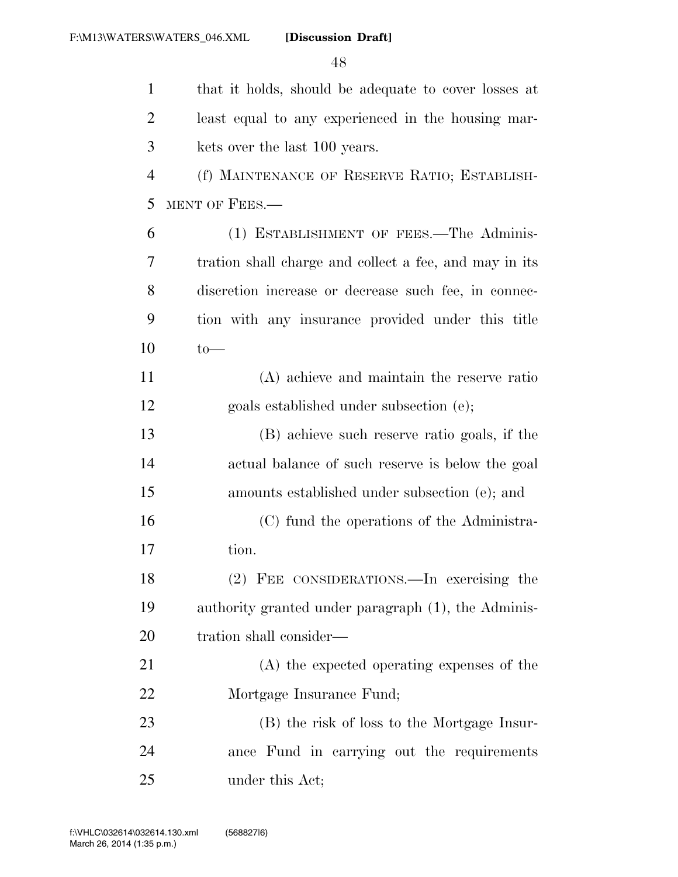| $\mathbf{1}$   | that it holds, should be adequate to cover losses at   |
|----------------|--------------------------------------------------------|
| $\overline{2}$ | least equal to any experienced in the housing mar-     |
| 3              | kets over the last 100 years.                          |
| $\overline{4}$ | (f) MAINTENANCE OF RESERVE RATIO; ESTABLISH-           |
| 5              | MENT OF FEES.-                                         |
| 6              | (1) ESTABLISHMENT OF FEES.—The Adminis-                |
| 7              | tration shall charge and collect a fee, and may in its |
| 8              | discretion increase or decrease such fee, in connec-   |
| 9              | tion with any insurance provided under this title      |
| 10             | $to-$                                                  |
| 11             | (A) achieve and maintain the reserve ratio             |
| 12             | goals established under subsection (e);                |
| 13             | (B) achieve such reserve ratio goals, if the           |
| 14             | actual balance of such reserve is below the goal       |
| 15             | amounts established under subsection (e); and          |
| 16             | (C) fund the operations of the Administra-             |
| 17             | tion.                                                  |
| 18             | (2) FEE CONSIDERATIONS.—In exercising the              |
| 19             | authority granted under paragraph (1), the Adminis-    |
| 20             | tration shall consider—                                |
| 21             | (A) the expected operating expenses of the             |
| 22             | Mortgage Insurance Fund;                               |
| 23             | (B) the risk of loss to the Mortgage Insur-            |
| 24             | ance Fund in carrying out the requirements             |
| 25             | under this Act;                                        |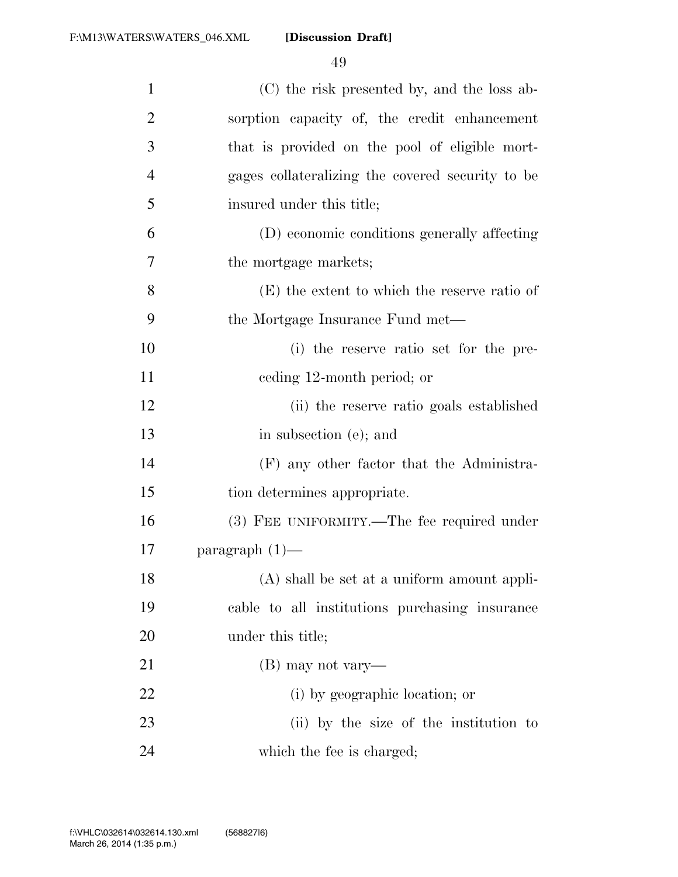| $\mathbf{1}$   | (C) the risk presented by, and the loss ab-      |
|----------------|--------------------------------------------------|
| $\overline{2}$ | sorption capacity of, the credit enhancement     |
| 3              | that is provided on the pool of eligible mort-   |
| $\overline{4}$ | gages collateralizing the covered security to be |
| 5              | insured under this title;                        |
| 6              | (D) economic conditions generally affecting      |
| 7              | the mortgage markets;                            |
| 8              | (E) the extent to which the reserve ratio of     |
| 9              | the Mortgage Insurance Fund met—                 |
| 10             | (i) the reserve ratio set for the pre-           |
| 11             | eeding 12-month period; or                       |
| 12             | (ii) the reserve ratio goals established         |
| 13             | in subsection (e); and                           |
| 14             | (F) any other factor that the Administra-        |
| 15             | tion determines appropriate.                     |
| 16             | (3) FEE UNIFORMITY.—The fee required under       |
| 17             | paragraph $(1)$ —                                |
| 18             | (A) shall be set at a uniform amount appli-      |
| 19             | cable to all institutions purchasing insurance   |
| 20             | under this title;                                |
| 21             | (B) may not vary—                                |
| 22             | (i) by geographic location; or                   |
| 23             | (ii) by the size of the institution to           |
| 24             | which the fee is charged;                        |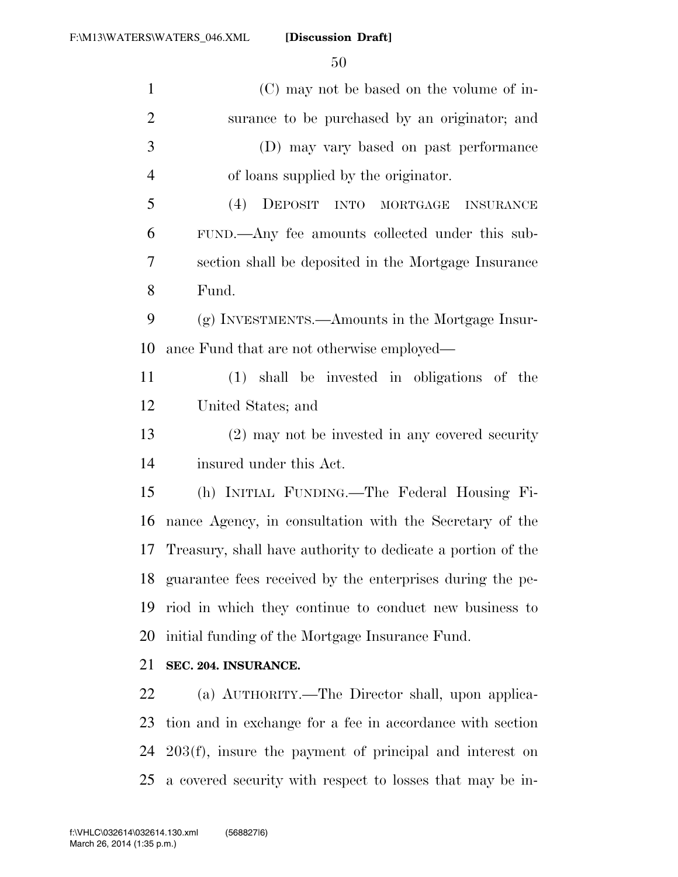| $\mathbf{1}$   | (C) may not be based on the volume of in-                   |
|----------------|-------------------------------------------------------------|
| $\overline{2}$ | surance to be purchased by an originator; and               |
| 3              | (D) may vary based on past performance                      |
| $\overline{4}$ | of loans supplied by the originator.                        |
| 5              | (4)<br>DEPOSIT INTO<br>MORTGAGE INSURANCE                   |
| 6              | FUND.—Any fee amounts collected under this sub-             |
| 7              | section shall be deposited in the Mortgage Insurance        |
| 8              | Fund.                                                       |
| 9              | (g) INVESTMENTS.—Amounts in the Mortgage Insur-             |
| 10             | ance Fund that are not otherwise employed—                  |
| 11             | (1) shall be invested in obligations of the                 |
| 12             | United States; and                                          |
| 13             | (2) may not be invested in any covered security             |
| 14             | insured under this Act.                                     |
| 15             | (h) INITIAL FUNDING.—The Federal Housing Fi-                |
| 16             | nance Agency, in consultation with the Secretary of the     |
| 17             | Treasury, shall have authority to dedicate a portion of the |
| 18             | guarantee fees received by the enterprises during the pe-   |
| 19             | riod in which they continue to conduct new business to      |
| 20             | initial funding of the Mortgage Insurance Fund.             |
| 21             | SEC. 204. INSURANCE.                                        |
| 22             | (a) AUTHORITY.—The Director shall, upon applica-            |
| 23             | tion and in exchange for a fee in accordance with section   |
| 24             | $203(f)$ , insure the payment of principal and interest on  |

a covered security with respect to losses that may be in-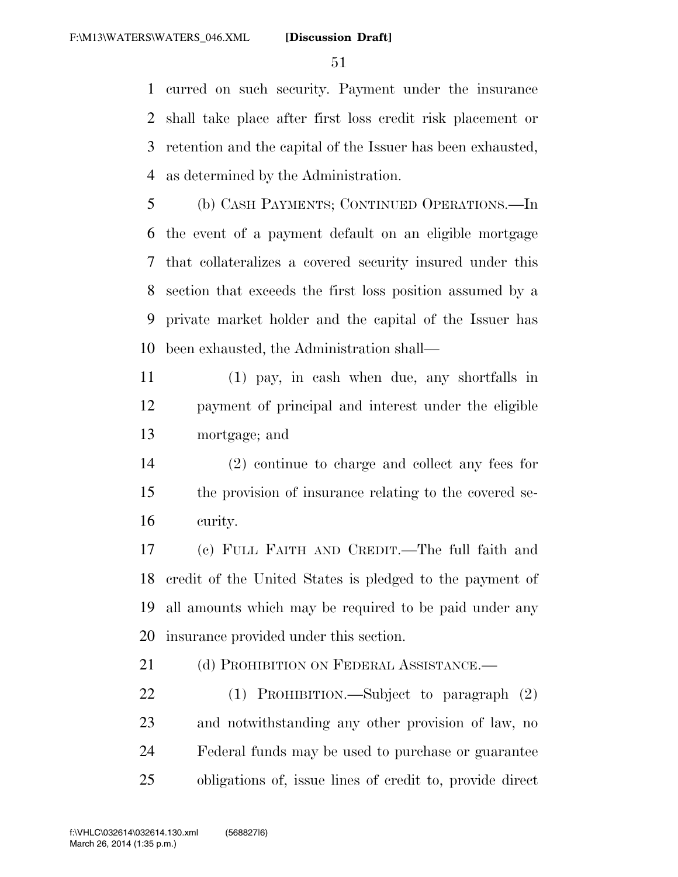curred on such security. Payment under the insurance shall take place after first loss credit risk placement or retention and the capital of the Issuer has been exhausted, as determined by the Administration.

 (b) CASH PAYMENTS; CONTINUED OPERATIONS.—In the event of a payment default on an eligible mortgage that collateralizes a covered security insured under this section that exceeds the first loss position assumed by a private market holder and the capital of the Issuer has been exhausted, the Administration shall—

 (1) pay, in cash when due, any shortfalls in payment of principal and interest under the eligible mortgage; and

 (2) continue to charge and collect any fees for the provision of insurance relating to the covered se-curity.

 (c) FULL FAITH AND CREDIT.—The full faith and credit of the United States is pledged to the payment of all amounts which may be required to be paid under any insurance provided under this section.

21 (d) PROHIBITION ON FEDERAL ASSISTANCE.

 (1) PROHIBITION.—Subject to paragraph (2) and notwithstanding any other provision of law, no Federal funds may be used to purchase or guarantee obligations of, issue lines of credit to, provide direct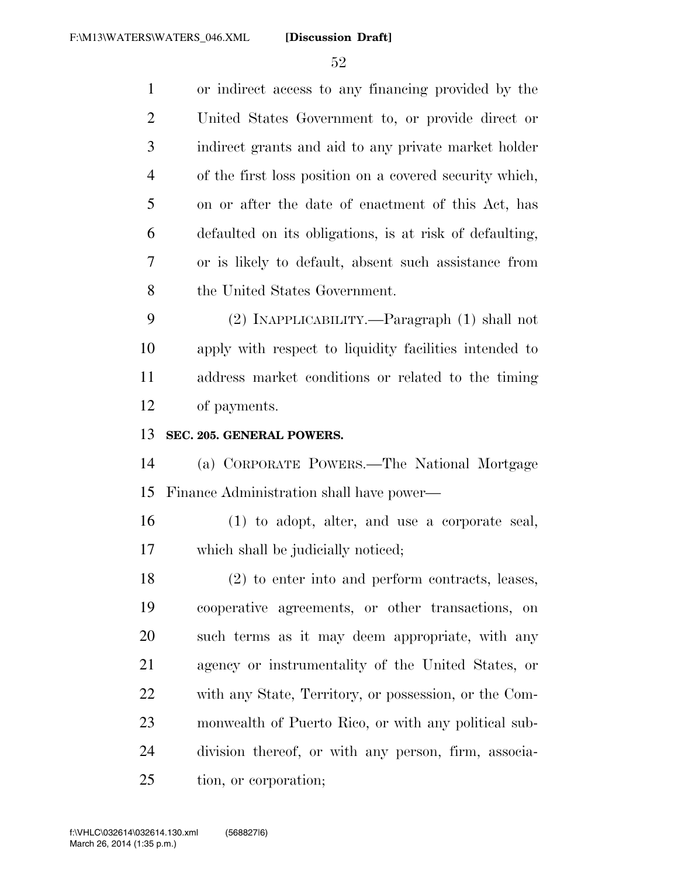or indirect access to any financing provided by the United States Government to, or provide direct or indirect grants and aid to any private market holder of the first loss position on a covered security which, on or after the date of enactment of this Act, has defaulted on its obligations, is at risk of defaulting, or is likely to default, absent such assistance from 8 the United States Government. (2) INAPPLICABILITY.—Paragraph (1) shall not apply with respect to liquidity facilities intended to address market conditions or related to the timing of payments. **SEC. 205. GENERAL POWERS.**  (a) CORPORATE POWERS.—The National Mortgage Finance Administration shall have power— (1) to adopt, alter, and use a corporate seal, which shall be judicially noticed; (2) to enter into and perform contracts, leases, cooperative agreements, or other transactions, on such terms as it may deem appropriate, with any agency or instrumentality of the United States, or with any State, Territory, or possession, or the Com-monwealth of Puerto Rico, or with any political sub-

 division thereof, or with any person, firm, associa-tion, or corporation;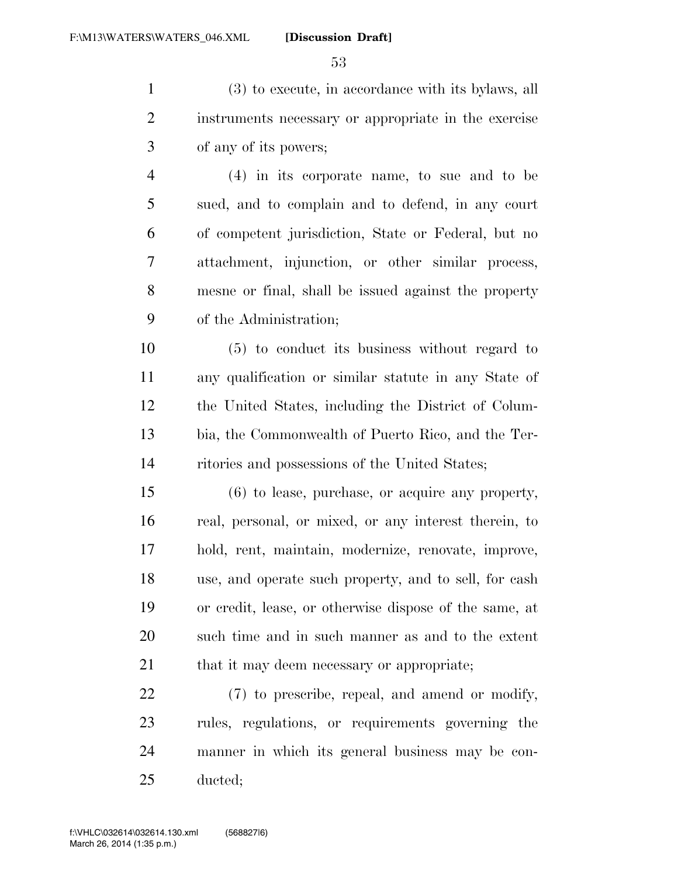(3) to execute, in accordance with its bylaws, all instruments necessary or appropriate in the exercise of any of its powers;

 (4) in its corporate name, to sue and to be sued, and to complain and to defend, in any court of competent jurisdiction, State or Federal, but no attachment, injunction, or other similar process, mesne or final, shall be issued against the property of the Administration;

 (5) to conduct its business without regard to any qualification or similar statute in any State of the United States, including the District of Colum- bia, the Commonwealth of Puerto Rico, and the Ter-ritories and possessions of the United States;

 (6) to lease, purchase, or acquire any property, real, personal, or mixed, or any interest therein, to hold, rent, maintain, modernize, renovate, improve, use, and operate such property, and to sell, for cash or credit, lease, or otherwise dispose of the same, at such time and in such manner as and to the extent 21 that it may deem necessary or appropriate;

 (7) to prescribe, repeal, and amend or modify, rules, regulations, or requirements governing the manner in which its general business may be con-ducted;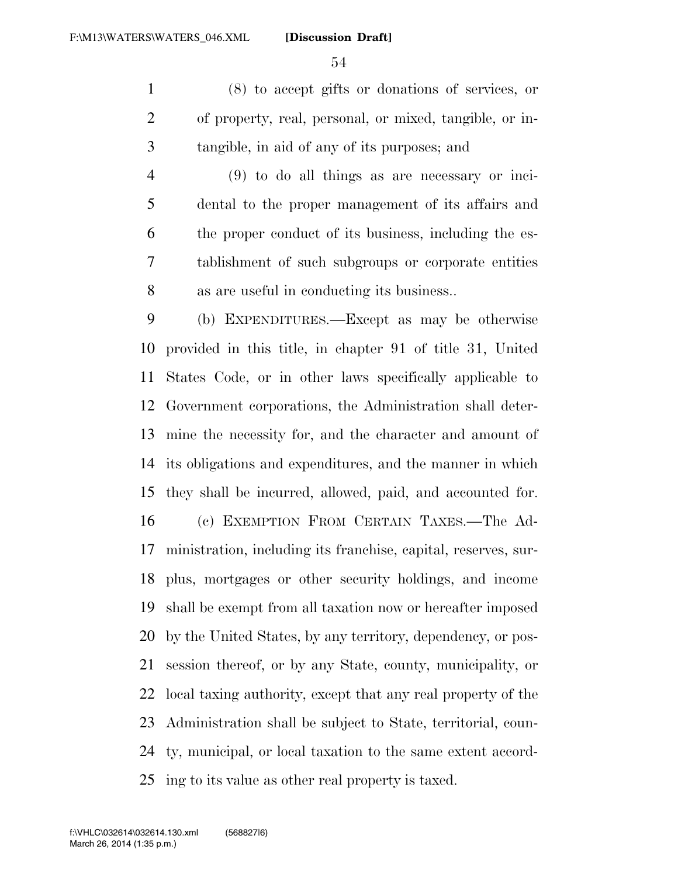(8) to accept gifts or donations of services, or of property, real, personal, or mixed, tangible, or in-tangible, in aid of any of its purposes; and

 (9) to do all things as are necessary or inci- dental to the proper management of its affairs and the proper conduct of its business, including the es- tablishment of such subgroups or corporate entities as are useful in conducting its business..

 (b) EXPENDITURES.—Except as may be otherwise provided in this title, in chapter 91 of title 31, United States Code, or in other laws specifically applicable to Government corporations, the Administration shall deter- mine the necessity for, and the character and amount of its obligations and expenditures, and the manner in which they shall be incurred, allowed, paid, and accounted for. (c) EXEMPTION FROM CERTAIN TAXES.—The Ad- ministration, including its franchise, capital, reserves, sur- plus, mortgages or other security holdings, and income shall be exempt from all taxation now or hereafter imposed by the United States, by any territory, dependency, or pos-

 session thereof, or by any State, county, municipality, or local taxing authority, except that any real property of the Administration shall be subject to State, territorial, coun- ty, municipal, or local taxation to the same extent accord-ing to its value as other real property is taxed.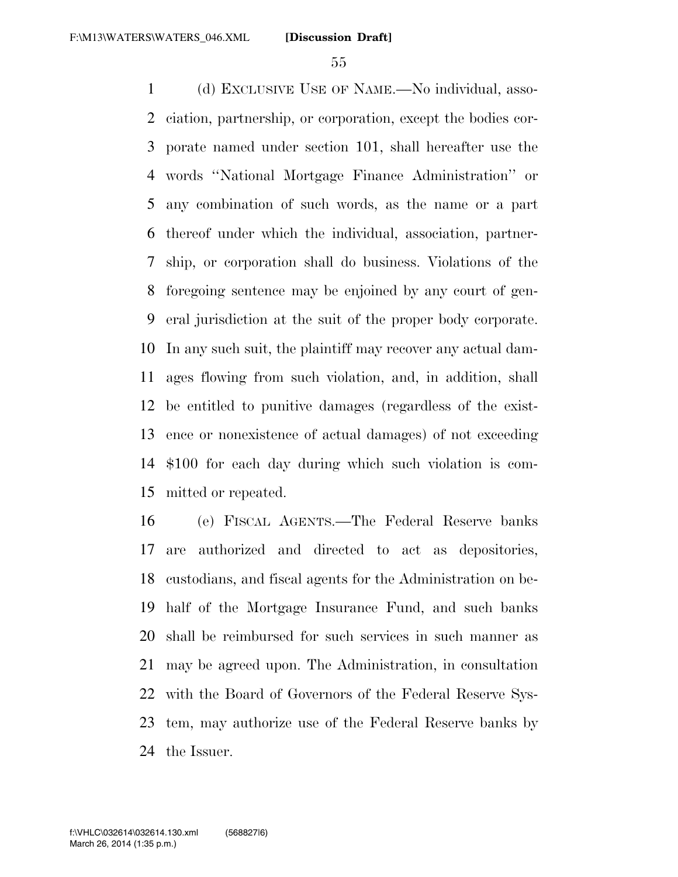(d) EXCLUSIVE USE OF NAME.—No individual, asso- ciation, partnership, or corporation, except the bodies cor- porate named under section 101, shall hereafter use the words ''National Mortgage Finance Administration'' or any combination of such words, as the name or a part thereof under which the individual, association, partner- ship, or corporation shall do business. Violations of the foregoing sentence may be enjoined by any court of gen- eral jurisdiction at the suit of the proper body corporate. In any such suit, the plaintiff may recover any actual dam- ages flowing from such violation, and, in addition, shall be entitled to punitive damages (regardless of the exist- ence or nonexistence of actual damages) of not exceeding \$100 for each day during which such violation is com-mitted or repeated.

 (e) FISCAL AGENTS.—The Federal Reserve banks are authorized and directed to act as depositories, custodians, and fiscal agents for the Administration on be- half of the Mortgage Insurance Fund, and such banks shall be reimbursed for such services in such manner as may be agreed upon. The Administration, in consultation with the Board of Governors of the Federal Reserve Sys- tem, may authorize use of the Federal Reserve banks by the Issuer.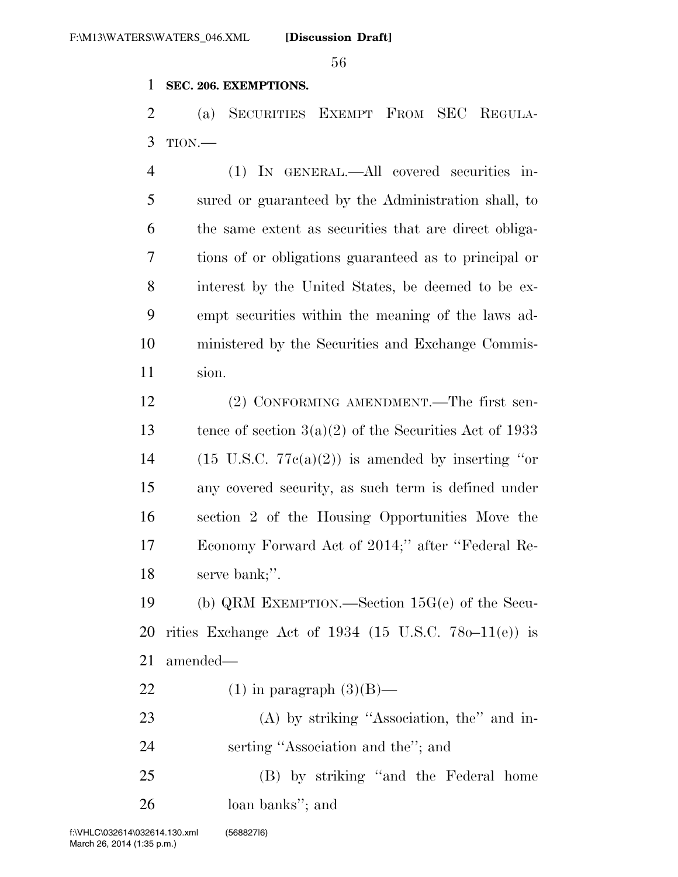#### **SEC. 206. EXEMPTIONS.**

 (a) SECURITIES EXEMPT FROM SEC REGULA-TION.—

 (1) IN GENERAL.—All covered securities in- sured or guaranteed by the Administration shall, to the same extent as securities that are direct obliga- tions of or obligations guaranteed as to principal or interest by the United States, be deemed to be ex- empt securities within the meaning of the laws ad- ministered by the Securities and Exchange Commis-sion.

 (2) CONFORMING AMENDMENT.—The first sen-13 tence of section  $3(a)(2)$  of the Securities Act of 1933 14 (15 U.S.C.  $77c(a)(2)$ ) is amended by inserting "or any covered security, as such term is defined under section 2 of the Housing Opportunities Move the Economy Forward Act of 2014;'' after ''Federal Re-serve bank;''.

 (b) QRM EXEMPTION.—Section 15G(e) of the Secu- rities Exchange Act of 1934 (15 U.S.C. 78o–11(e)) is amended—

22 (1) in paragraph  $(3)(B)$ —

 (A) by striking ''Association, the'' and in-serting ''Association and the''; and

 (B) by striking ''and the Federal home loan banks''; and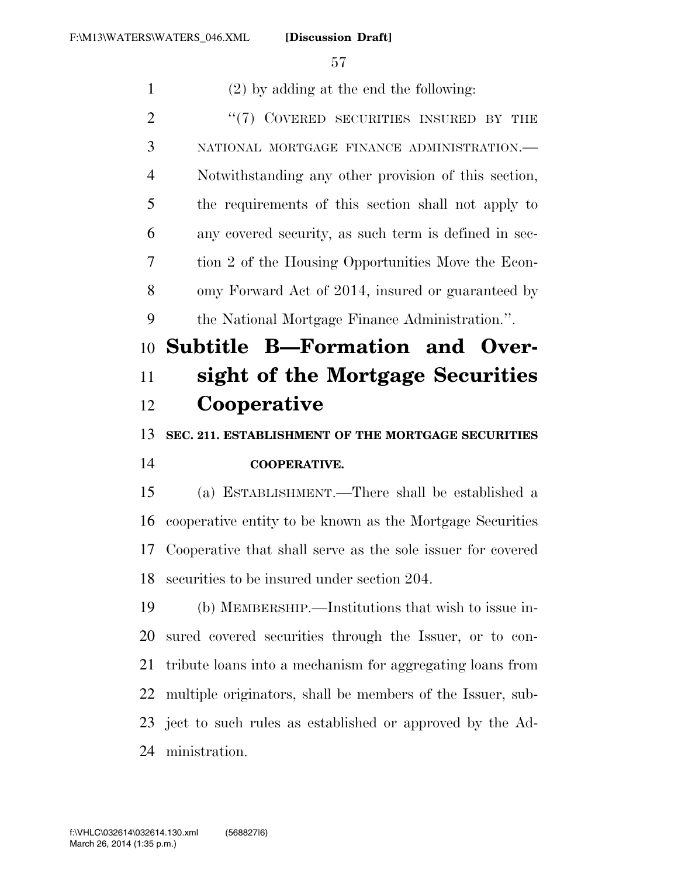(2) by adding at the end the following: 2 "(7) COVERED SECURITIES INSURED BY THE NATIONAL MORTGAGE FINANCE ADMINISTRATION.— Notwithstanding any other provision of this section, the requirements of this section shall not apply to any covered security, as such term is defined in sec- tion 2 of the Housing Opportunities Move the Econ- omy Forward Act of 2014, insured or guaranteed by the National Mortgage Finance Administration.''. **Subtitle B—Formation and Over- sight of the Mortgage Securities Cooperative SEC. 211. ESTABLISHMENT OF THE MORTGAGE SECURITIES COOPERATIVE.**  (a) ESTABLISHMENT.—There shall be established a cooperative entity to be known as the Mortgage Securities Cooperative that shall serve as the sole issuer for covered securities to be insured under section 204. (b) MEMBERSHIP.—Institutions that wish to issue in- sured covered securities through the Issuer, or to con- tribute loans into a mechanism for aggregating loans from multiple originators, shall be members of the Issuer, sub- ject to such rules as established or approved by the Ad-ministration.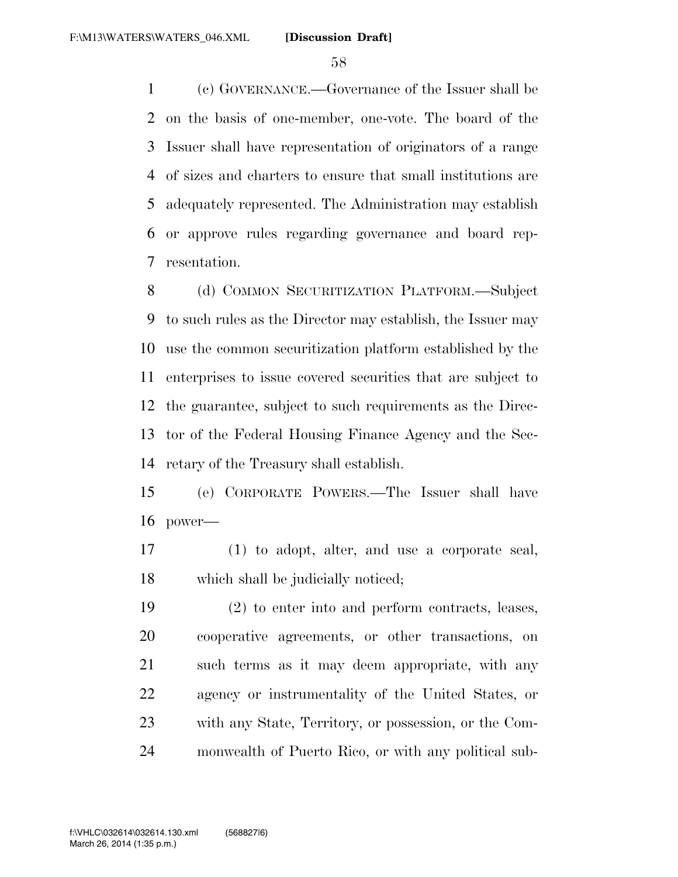(c) GOVERNANCE.—Governance of the Issuer shall be on the basis of one-member, one-vote. The board of the Issuer shall have representation of originators of a range of sizes and charters to ensure that small institutions are adequately represented. The Administration may establish or approve rules regarding governance and board rep-resentation.

8 (d) COMMON SECURITIZATION PLATFORM.—Subject to such rules as the Director may establish, the Issuer may use the common securitization platform established by the enterprises to issue covered securities that are subject to the guarantee, subject to such requirements as the Direc- tor of the Federal Housing Finance Agency and the Sec-retary of the Treasury shall establish.

 (e) CORPORATE POWERS.—The Issuer shall have power—

 (1) to adopt, alter, and use a corporate seal, which shall be judicially noticed;

 (2) to enter into and perform contracts, leases, cooperative agreements, or other transactions, on such terms as it may deem appropriate, with any agency or instrumentality of the United States, or with any State, Territory, or possession, or the Com-monwealth of Puerto Rico, or with any political sub-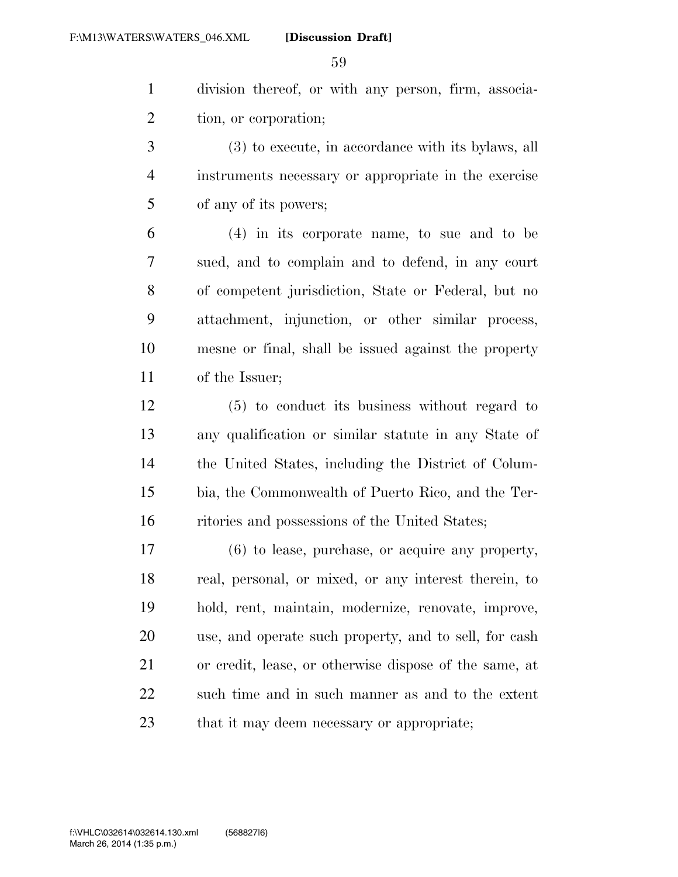division thereof, or with any person, firm, associa-tion, or corporation;

 (3) to execute, in accordance with its bylaws, all instruments necessary or appropriate in the exercise of any of its powers;

 (4) in its corporate name, to sue and to be sued, and to complain and to defend, in any court of competent jurisdiction, State or Federal, but no attachment, injunction, or other similar process, mesne or final, shall be issued against the property of the Issuer;

 (5) to conduct its business without regard to any qualification or similar statute in any State of the United States, including the District of Colum- bia, the Commonwealth of Puerto Rico, and the Ter-ritories and possessions of the United States;

 (6) to lease, purchase, or acquire any property, real, personal, or mixed, or any interest therein, to hold, rent, maintain, modernize, renovate, improve, use, and operate such property, and to sell, for cash or credit, lease, or otherwise dispose of the same, at such time and in such manner as and to the extent 23 that it may deem necessary or appropriate;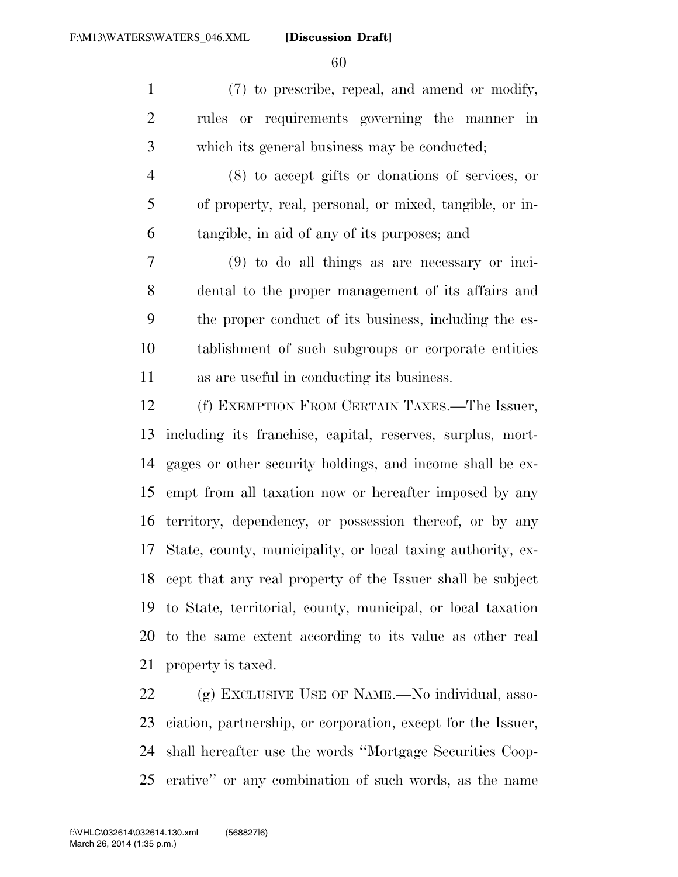(7) to prescribe, repeal, and amend or modify, rules or requirements governing the manner in which its general business may be conducted;

 (8) to accept gifts or donations of services, or of property, real, personal, or mixed, tangible, or in-tangible, in aid of any of its purposes; and

 (9) to do all things as are necessary or inci- dental to the proper management of its affairs and the proper conduct of its business, including the es- tablishment of such subgroups or corporate entities as are useful in conducting its business.

 (f) EXEMPTION FROM CERTAIN TAXES.—The Issuer, including its franchise, capital, reserves, surplus, mort- gages or other security holdings, and income shall be ex- empt from all taxation now or hereafter imposed by any territory, dependency, or possession thereof, or by any State, county, municipality, or local taxing authority, ex- cept that any real property of the Issuer shall be subject to State, territorial, county, municipal, or local taxation to the same extent according to its value as other real property is taxed.

 (g) EXCLUSIVE USE OF NAME.—No individual, asso- ciation, partnership, or corporation, except for the Issuer, shall hereafter use the words ''Mortgage Securities Coop-erative'' or any combination of such words, as the name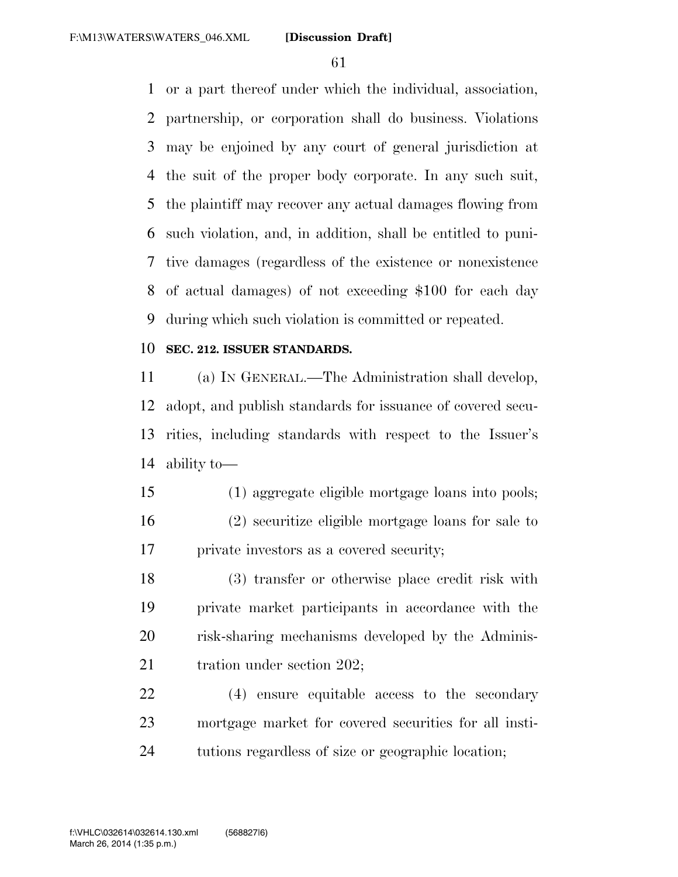or a part thereof under which the individual, association, partnership, or corporation shall do business. Violations may be enjoined by any court of general jurisdiction at the suit of the proper body corporate. In any such suit, the plaintiff may recover any actual damages flowing from such violation, and, in addition, shall be entitled to puni- tive damages (regardless of the existence or nonexistence of actual damages) of not exceeding \$100 for each day during which such violation is committed or repeated.

#### **SEC. 212. ISSUER STANDARDS.**

 (a) IN GENERAL.—The Administration shall develop, adopt, and publish standards for issuance of covered secu- rities, including standards with respect to the Issuer's ability to—

 (1) aggregate eligible mortgage loans into pools; (2) securitize eligible mortgage loans for sale to private investors as a covered security;

 (3) transfer or otherwise place credit risk with private market participants in accordance with the risk-sharing mechanisms developed by the Adminis-21 tration under section 202;

 (4) ensure equitable access to the secondary mortgage market for covered securities for all insti-tutions regardless of size or geographic location;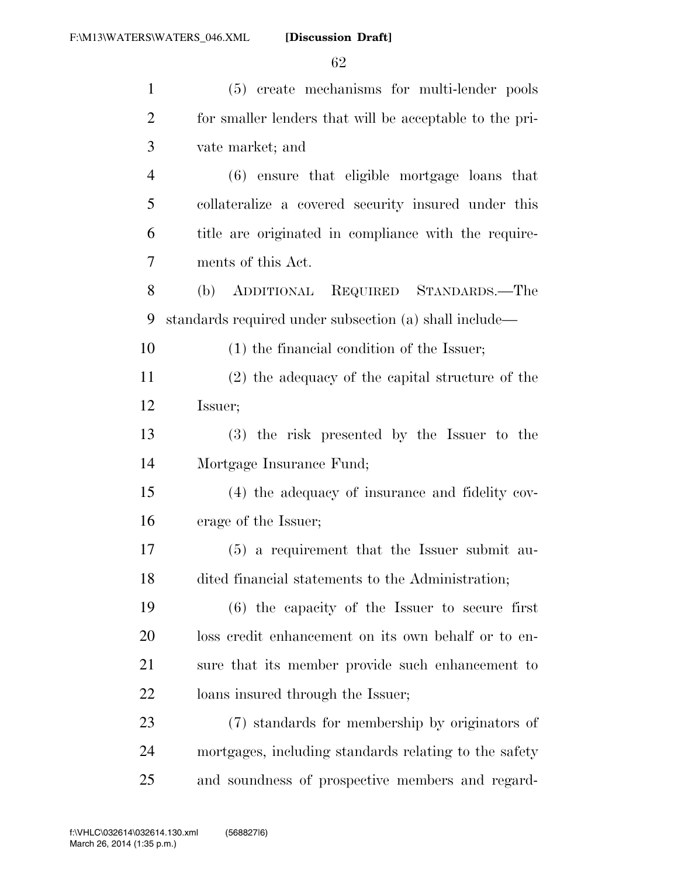| $\mathbf{1}$   | (5) create mechanisms for multi-lender pools            |
|----------------|---------------------------------------------------------|
| $\overline{2}$ | for smaller lenders that will be acceptable to the pri- |
| $\mathfrak{Z}$ | vate market; and                                        |
| $\overline{4}$ | (6) ensure that eligible mortgage loans that            |
| 5              | collateralize a covered security insured under this     |
| 6              | title are originated in compliance with the require-    |
| 7              | ments of this Act.                                      |
| 8              | (b) ADDITIONAL REQUIRED STANDARDS.—The                  |
| 9              | standards required under subsection (a) shall include—  |
| 10             | $(1)$ the financial condition of the Issuer;            |
| 11             | $(2)$ the adequacy of the capital structure of the      |
| 12             | Issuer;                                                 |
| 13             | (3) the risk presented by the Issuer to the             |
| 14             | Mortgage Insurance Fund;                                |
| 15             | (4) the adequacy of insurance and fidelity cov-         |
| 16             | erage of the Issuer;                                    |
| 17             | $(5)$ a requirement that the Issuer submit au-          |
| 18             | dited financial statements to the Administration;       |
| 19             | $(6)$ the capacity of the Issuer to secure first        |
| 20             | loss credit enhancement on its own behalf or to en-     |
| 21             | sure that its member provide such enhancement to        |
| 22             | loans insured through the Issuer;                       |
| 23             | (7) standards for membership by originators of          |
| 24             | mortgages, including standards relating to the safety   |
| 25             | and soundness of prospective members and regard-        |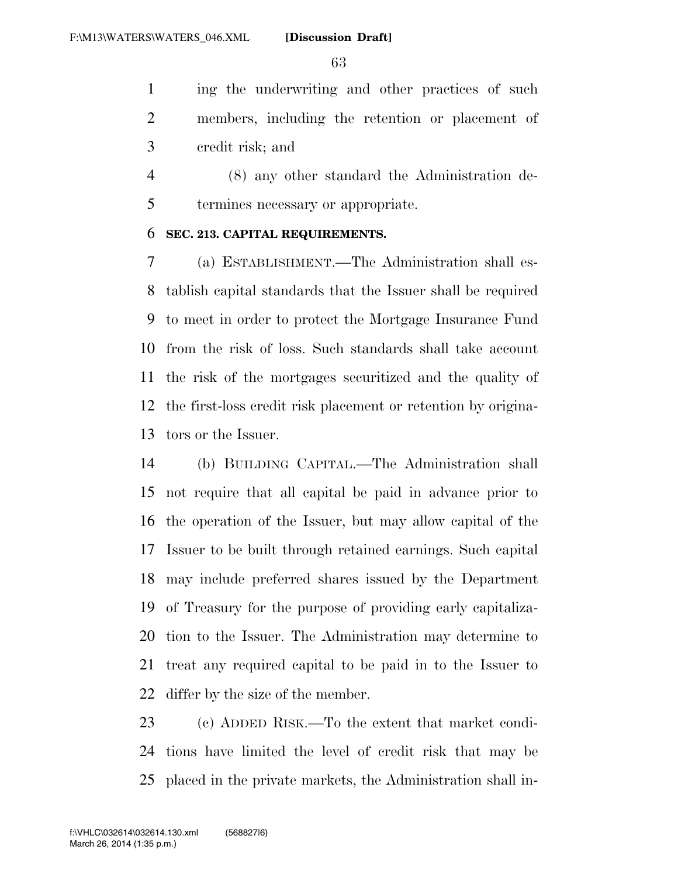ing the underwriting and other practices of such members, including the retention or placement of credit risk; and

 (8) any other standard the Administration de-termines necessary or appropriate.

#### **SEC. 213. CAPITAL REQUIREMENTS.**

 (a) ESTABLISHMENT.—The Administration shall es- tablish capital standards that the Issuer shall be required to meet in order to protect the Mortgage Insurance Fund from the risk of loss. Such standards shall take account the risk of the mortgages securitized and the quality of the first-loss credit risk placement or retention by origina-tors or the Issuer.

 (b) BUILDING CAPITAL.—The Administration shall not require that all capital be paid in advance prior to the operation of the Issuer, but may allow capital of the Issuer to be built through retained earnings. Such capital may include preferred shares issued by the Department of Treasury for the purpose of providing early capitaliza- tion to the Issuer. The Administration may determine to treat any required capital to be paid in to the Issuer to differ by the size of the member.

 (c) ADDED RISK.—To the extent that market condi- tions have limited the level of credit risk that may be placed in the private markets, the Administration shall in-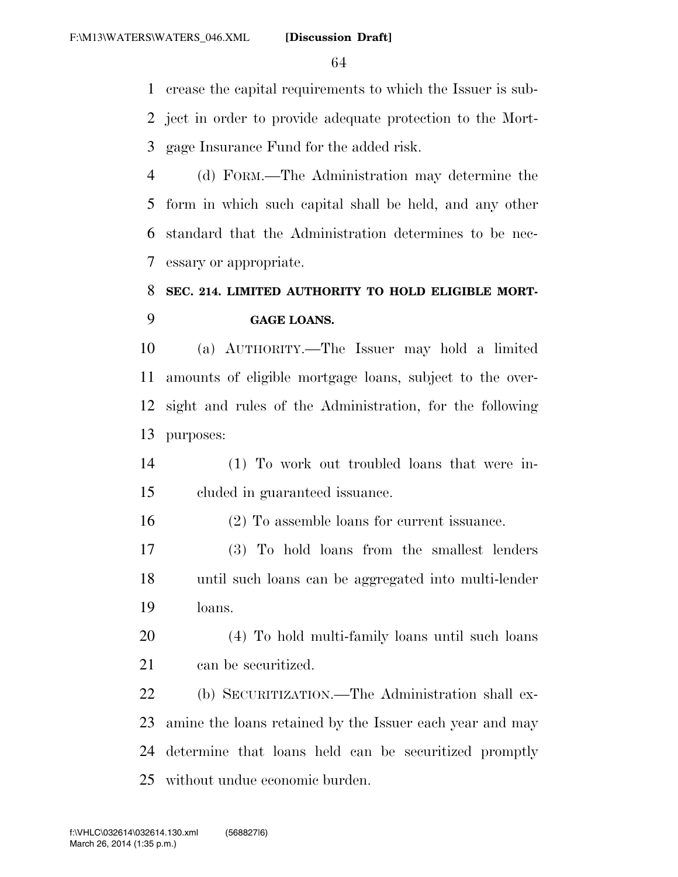crease the capital requirements to which the Issuer is sub- ject in order to provide adequate protection to the Mort-gage Insurance Fund for the added risk.

 (d) FORM.—The Administration may determine the form in which such capital shall be held, and any other standard that the Administration determines to be nec-essary or appropriate.

## **SEC. 214. LIMITED AUTHORITY TO HOLD ELIGIBLE MORT-GAGE LOANS.**

 (a) AUTHORITY.—The Issuer may hold a limited amounts of eligible mortgage loans, subject to the over- sight and rules of the Administration, for the following purposes:

 (1) To work out troubled loans that were in-cluded in guaranteed issuance.

(2) To assemble loans for current issuance.

 (3) To hold loans from the smallest lenders until such loans can be aggregated into multi-lender loans.

 (4) To hold multi-family loans until such loans can be securitized.

 (b) SECURITIZATION.—The Administration shall ex- amine the loans retained by the Issuer each year and may determine that loans held can be securitized promptly without undue economic burden.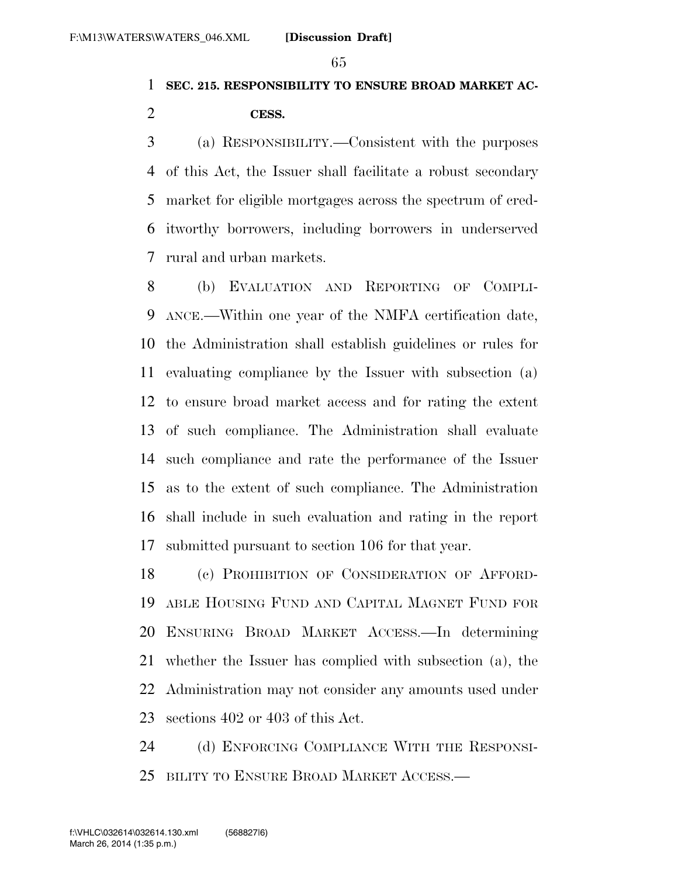### **SEC. 215. RESPONSIBILITY TO ENSURE BROAD MARKET AC-**

#### **CESS.**

 (a) RESPONSIBILITY.—Consistent with the purposes of this Act, the Issuer shall facilitate a robust secondary market for eligible mortgages across the spectrum of cred- itworthy borrowers, including borrowers in underserved rural and urban markets.

 (b) EVALUATION AND REPORTING OF COMPLI- ANCE.—Within one year of the NMFA certification date, the Administration shall establish guidelines or rules for evaluating compliance by the Issuer with subsection (a) to ensure broad market access and for rating the extent of such compliance. The Administration shall evaluate such compliance and rate the performance of the Issuer as to the extent of such compliance. The Administration shall include in such evaluation and rating in the report submitted pursuant to section 106 for that year.

 (c) PROHIBITION OF CONSIDERATION OF AFFORD- ABLE HOUSING FUND AND CAPITAL MAGNET FUND FOR ENSURING BROAD MARKET ACCESS.—In determining whether the Issuer has complied with subsection (a), the Administration may not consider any amounts used under sections 402 or 403 of this Act.

 (d) ENFORCING COMPLIANCE WITH THE RESPONSI-BILITY TO ENSURE BROAD MARKET ACCESS.—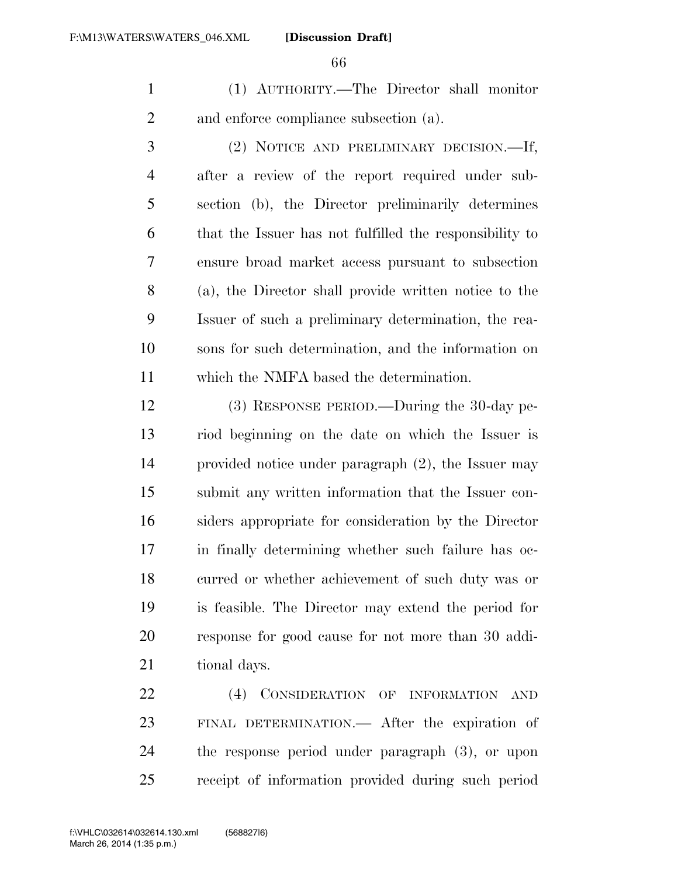(1) AUTHORITY.—The Director shall monitor and enforce compliance subsection (a).

 (2) NOTICE AND PRELIMINARY DECISION.—If, after a review of the report required under sub- section (b), the Director preliminarily determines that the Issuer has not fulfilled the responsibility to ensure broad market access pursuant to subsection (a), the Director shall provide written notice to the Issuer of such a preliminary determination, the rea- sons for such determination, and the information on which the NMFA based the determination.

 (3) RESPONSE PERIOD.—During the 30-day pe- riod beginning on the date on which the Issuer is provided notice under paragraph (2), the Issuer may submit any written information that the Issuer con- siders appropriate for consideration by the Director in finally determining whether such failure has oc- curred or whether achievement of such duty was or is feasible. The Director may extend the period for response for good cause for not more than 30 addi-tional days.

22 (4) CONSIDERATION OF INFORMATION AND FINAL DETERMINATION.— After the expiration of the response period under paragraph (3), or upon receipt of information provided during such period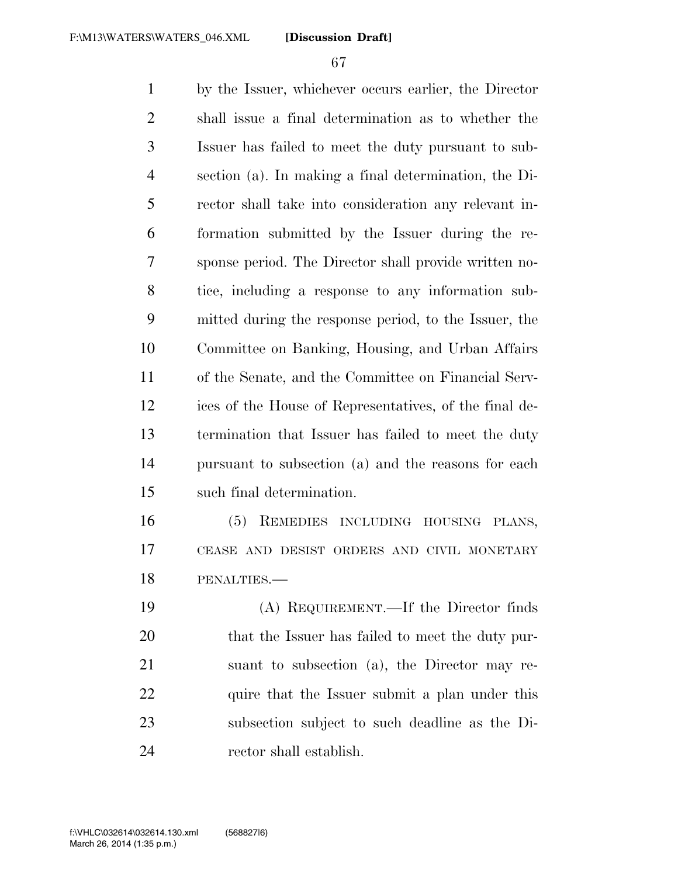by the Issuer, whichever occurs earlier, the Director shall issue a final determination as to whether the Issuer has failed to meet the duty pursuant to sub- section (a). In making a final determination, the Di- rector shall take into consideration any relevant in- formation submitted by the Issuer during the re- sponse period. The Director shall provide written no- tice, including a response to any information sub- mitted during the response period, to the Issuer, the Committee on Banking, Housing, and Urban Affairs of the Senate, and the Committee on Financial Serv- ices of the House of Representatives, of the final de- termination that Issuer has failed to meet the duty pursuant to subsection (a) and the reasons for each such final determination. (5) REMEDIES INCLUDING HOUSING PLANS, CEASE AND DESIST ORDERS AND CIVIL MONETARY

PENALTIES.—

 (A) REQUIREMENT.—If the Director finds that the Issuer has failed to meet the duty pur- suant to subsection (a), the Director may re-22 quire that the Issuer submit a plan under this subsection subject to such deadline as the Di-rector shall establish.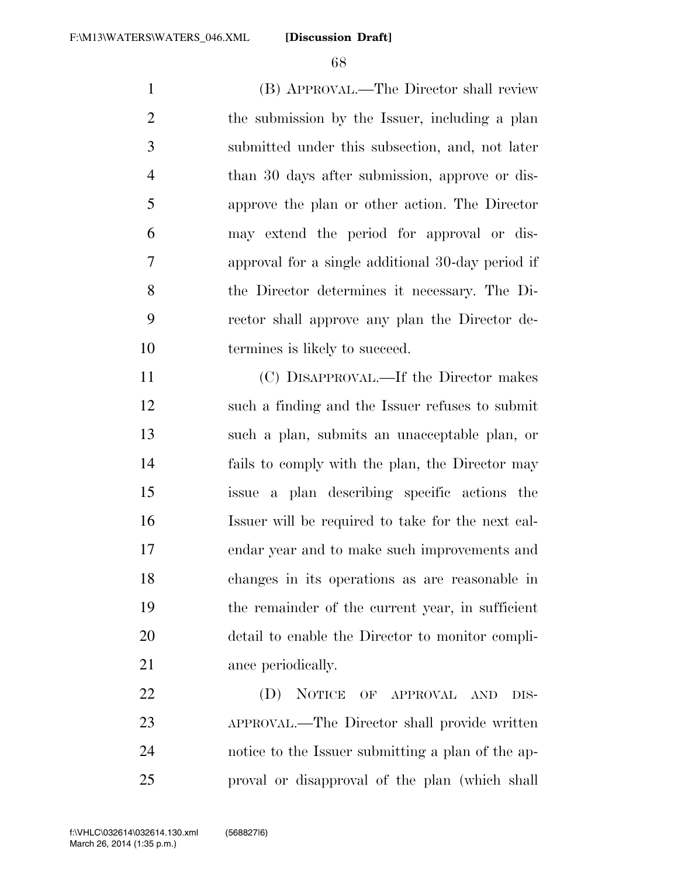(B) APPROVAL.—The Director shall review the submission by the Issuer, including a plan submitted under this subsection, and, not later than 30 days after submission, approve or dis- approve the plan or other action. The Director may extend the period for approval or dis- approval for a single additional 30-day period if the Director determines it necessary. The Di- rector shall approve any plan the Director de-10 termines is likely to succeed.

 (C) DISAPPROVAL.—If the Director makes such a finding and the Issuer refuses to submit such a plan, submits an unacceptable plan, or fails to comply with the plan, the Director may issue a plan describing specific actions the Issuer will be required to take for the next cal- endar year and to make such improvements and changes in its operations as are reasonable in the remainder of the current year, in sufficient detail to enable the Director to monitor compli-21 ance periodically.

22 (D) NOTICE OF APPROVAL AND DIS- APPROVAL.—The Director shall provide written notice to the Issuer submitting a plan of the ap-proval or disapproval of the plan (which shall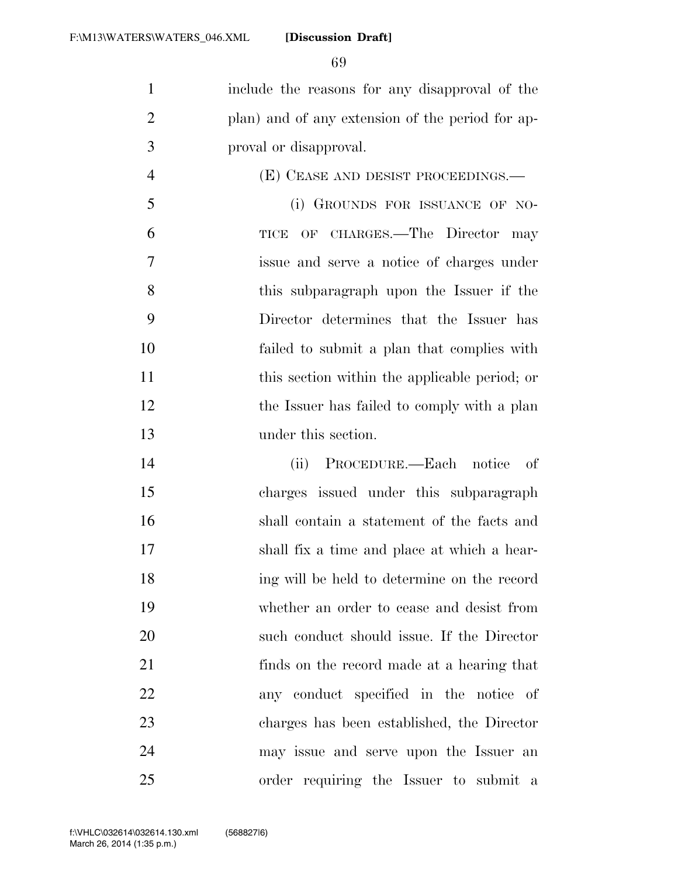include the reasons for any disapproval of the plan) and of any extension of the period for ap-proval or disapproval.

 (E) CEASE AND DESIST PROCEEDINGS.— 5 (i) GROUNDS FOR ISSUANCE OF NO- TICE OF CHARGES.—The Director may issue and serve a notice of charges under this subparagraph upon the Issuer if the Director determines that the Issuer has failed to submit a plan that complies with 11 this section within the applicable period; or 12 the Issuer has failed to comply with a plan under this section.

 (ii) PROCEDURE.—Each notice of charges issued under this subparagraph shall contain a statement of the facts and shall fix a time and place at which a hear- ing will be held to determine on the record whether an order to cease and desist from such conduct should issue. If the Director finds on the record made at a hearing that any conduct specified in the notice of charges has been established, the Director may issue and serve upon the Issuer an order requiring the Issuer to submit a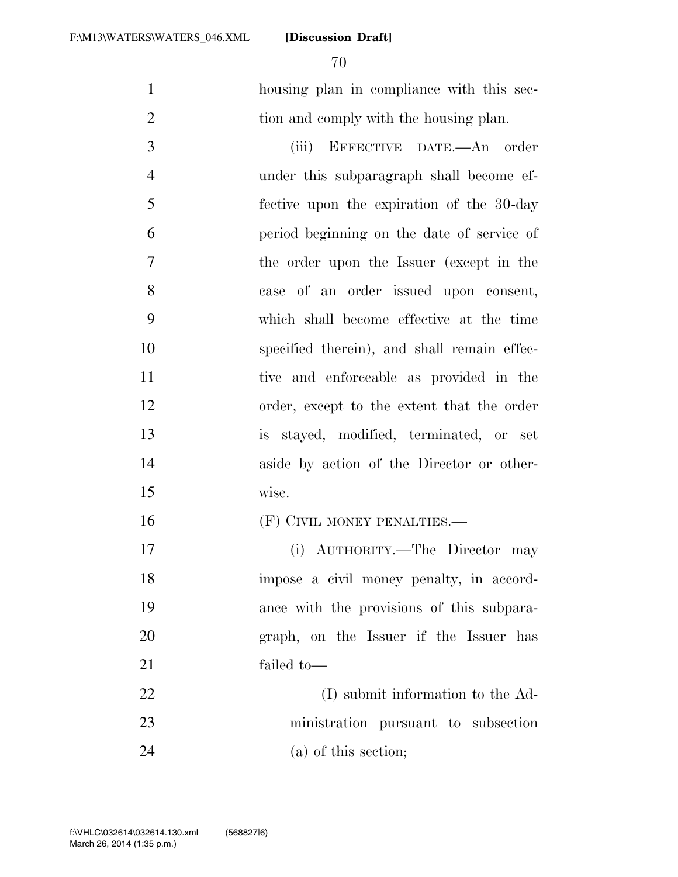housing plan in compliance with this sec-2 tion and comply with the housing plan.

 (iii) EFFECTIVE DATE.—An order under this subparagraph shall become ef- fective upon the expiration of the 30-day period beginning on the date of service of the order upon the Issuer (except in the case of an order issued upon consent, which shall become effective at the time specified therein), and shall remain effec- tive and enforceable as provided in the order, except to the extent that the order is stayed, modified, terminated, or set aside by action of the Director or other-wise.

**(F) CIVIL MONEY PENALTIES.**—

 (i) AUTHORITY.—The Director may impose a civil money penalty, in accord- ance with the provisions of this subpara- graph, on the Issuer if the Issuer has failed to—

22 (I) submit information to the Ad- ministration pursuant to subsection (a) of this section;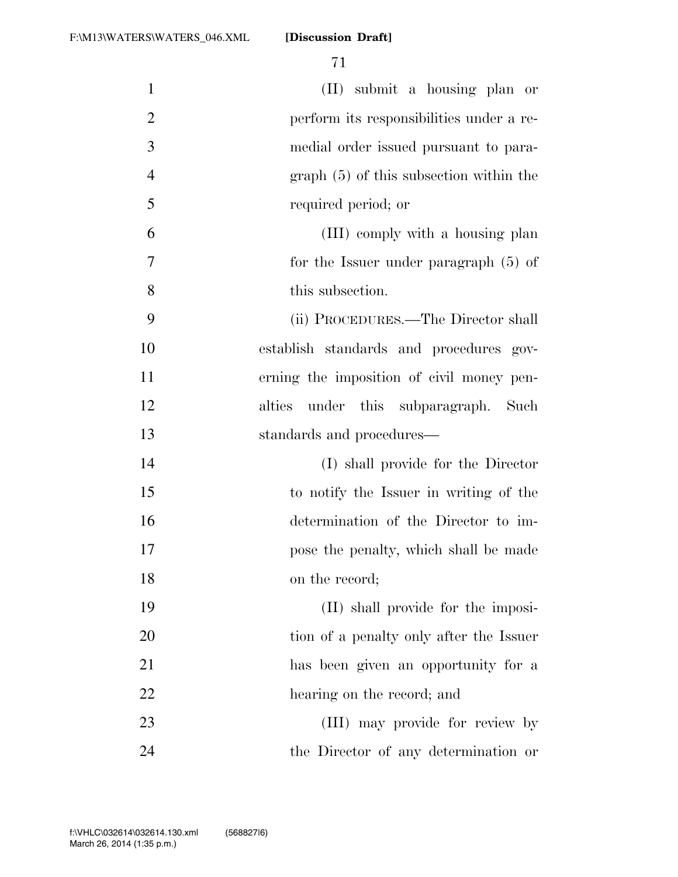| $\mathbf{1}$   | (II) submit a housing plan or             |
|----------------|-------------------------------------------|
| $\overline{2}$ | perform its responsibilities under a re-  |
| 3              | medial order issued pursuant to para-     |
| $\overline{4}$ | $graph(5)$ of this subsection within the  |
| 5              | required period; or                       |
| 6              | (III) comply with a housing plan          |
| 7              | for the Issuer under paragraph $(5)$ of   |
| 8              | this subsection.                          |
| 9              | (ii) PROCEDURES.—The Director shall       |
| 10             | establish standards and procedures gov-   |
| 11             | erning the imposition of civil money pen- |
| 12             | under this subparagraph. Such<br>alties   |
| 13             | standards and procedures—                 |
| 14             | (I) shall provide for the Director        |
| 15             | to notify the Issuer in writing of the    |
| 16             | determination of the Director to im-      |
| 17             | pose the penalty, which shall be made     |
| 18             | on the record;                            |
| 19             | (II) shall provide for the imposi-        |
| 20             | tion of a penalty only after the Issuer   |
| 21             | has been given an opportunity for a       |
| 22             | hearing on the record; and                |
| 23             | (III) may provide for review by           |
| 24             | the Director of any determination or      |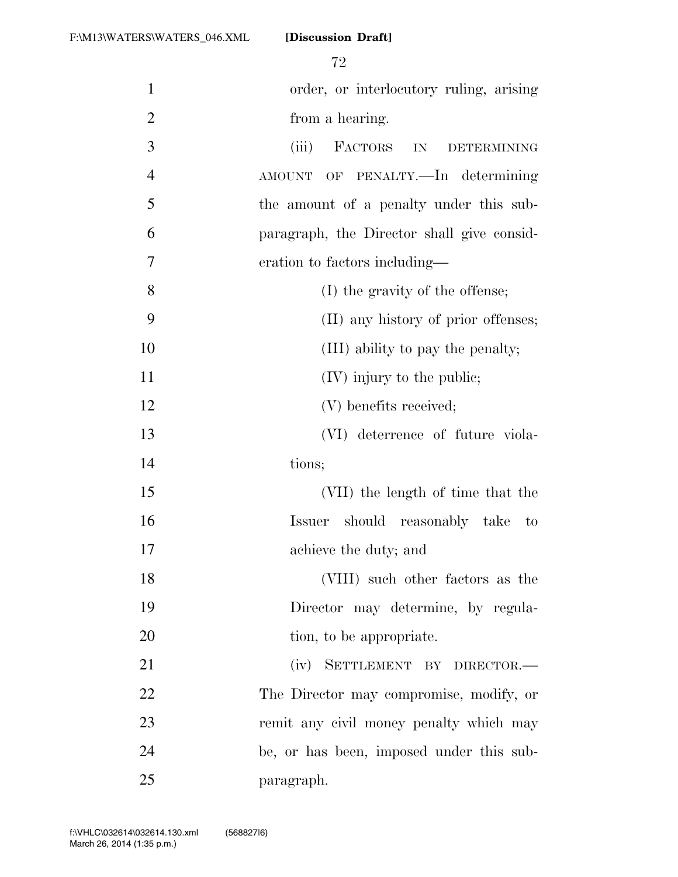72

| $\mathbf{1}$   | order, or interlocutory ruling, arising    |
|----------------|--------------------------------------------|
| $\overline{2}$ | from a hearing.                            |
| 3              | (iii)<br>FACTORS IN DETERMINING            |
| $\overline{4}$ | AMOUNT OF PENALTY.—In determining          |
| 5              | the amount of a penalty under this sub-    |
| 6              | paragraph, the Director shall give consid- |
| 7              | eration to factors including—              |
| 8              | (I) the gravity of the offense;            |
| 9              | (II) any history of prior offenses;        |
| 10             | (III) ability to pay the penalty;          |
| 11             | $(IV)$ injury to the public;               |
| 12             | (V) benefits received;                     |
| 13             | (VI) deterrence of future viola-           |
| 14             | tions;                                     |
| 15             | (VII) the length of time that the          |
| 16             | Issuer should reasonably take to           |
| 17             | achieve the duty; and                      |
| 18             | (VIII) such other factors as the           |
| 19             | Director may determine, by regula-         |
| 20             | tion, to be appropriate.                   |
| 21             | (iv) SETTLEMENT BY DIRECTOR.-              |
| 22             | The Director may compromise, modify, or    |
| 23             | remit any civil money penalty which may    |
| 24             | be, or has been, imposed under this sub-   |
| 25             | paragraph.                                 |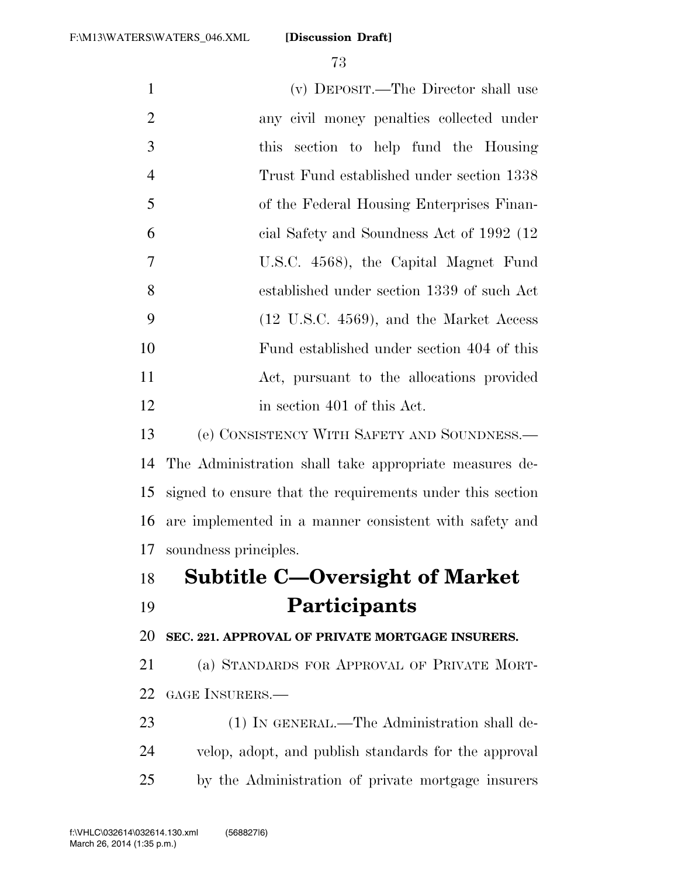| $\mathbf{1}$   | (v) DEPOSIT.—The Director shall use                       |
|----------------|-----------------------------------------------------------|
| $\overline{2}$ | any civil money penalties collected under                 |
| 3              | section to help fund the Housing<br><i>this</i>           |
| $\overline{4}$ | Trust Fund established under section 1338                 |
| 5              | of the Federal Housing Enterprises Finan-                 |
| 6              | cial Safety and Soundness Act of 1992 (12)                |
| $\tau$         | U.S.C. 4568), the Capital Magnet Fund                     |
| 8              | established under section 1339 of such Act                |
| 9              | (12 U.S.C. 4569), and the Market Access                   |
| 10             | Fund established under section 404 of this                |
| 11             | Act, pursuant to the allocations provided                 |
| 12             | in section 401 of this Act.                               |
| 13             | (e) CONSISTENCY WITH SAFETY AND SOUNDNESS.—               |
| 14             | The Administration shall take appropriate measures de-    |
| 15             | signed to ensure that the requirements under this section |
| 16             | are implemented in a manner consistent with safety and    |
| 17             | soundness principles.                                     |
| 18             | Subtitle C—Oversight of Market                            |
| 19             | Participants                                              |
| 20             | SEC. 221. APPROVAL OF PRIVATE MORTGAGE INSURERS.          |
| 21             | (a) STANDARDS FOR APPROVAL OF PRIVATE MORT-               |
| 22             | GAGE INSURERS.—                                           |
| 23             | (1) IN GENERAL.—The Administration shall de-              |
| 24             | velop, adopt, and publish standards for the approval      |
| 25             | by the Administration of private mortgage insurers        |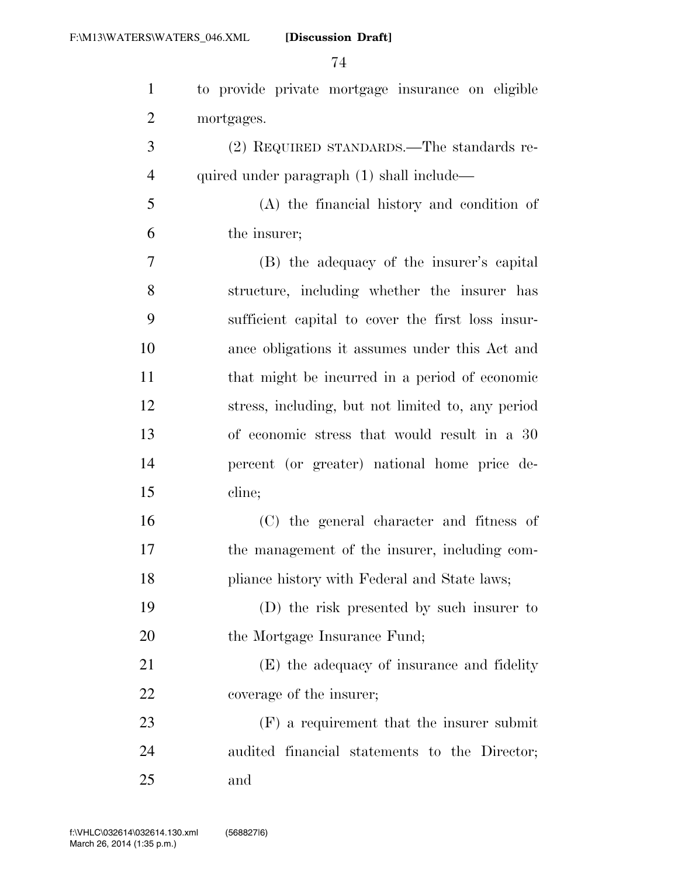| $\mathbf{1}$   | to provide private mortgage insurance on eligible |
|----------------|---------------------------------------------------|
| $\overline{2}$ | mortgages.                                        |
| 3              | (2) REQUIRED STANDARDS.—The standards re-         |
| $\overline{4}$ | quired under paragraph (1) shall include—         |
| 5              | (A) the financial history and condition of        |
| 6              | the insurer;                                      |
| 7              | (B) the adequacy of the insurer's capital         |
| 8              | structure, including whether the insurer has      |
| 9              | sufficient capital to cover the first loss insur- |
| 10             | ance obligations it assumes under this Act and    |
| 11             | that might be incurred in a period of economic    |
| 12             | stress, including, but not limited to, any period |
| 13             | of economic stress that would result in a 30      |
| 14             | percent (or greater) national home price de-      |
| 15             | cline;                                            |
| 16             | (C) the general character and fitness of          |
| 17             | the management of the insurer, including com-     |
| 18             | pliance history with Federal and State laws;      |
| 19             | (D) the risk presented by such insurer to         |
| 20             | the Mortgage Insurance Fund;                      |
| 21             | (E) the adequacy of insurance and fidelity        |
| 22             | coverage of the insurer;                          |
| 23             | $(F)$ a requirement that the insurer submit       |
| 24             | audited financial statements to the Director;     |
| 25             | and                                               |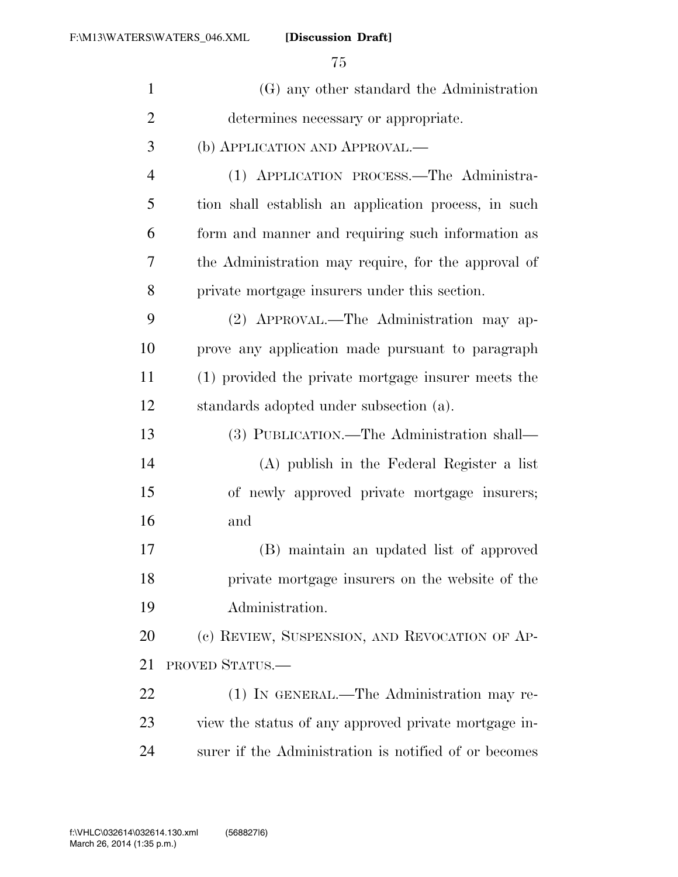| $\mathbf{1}$   | (G) any other standard the Administration             |
|----------------|-------------------------------------------------------|
| $\overline{2}$ | determines necessary or appropriate.                  |
| 3              | (b) APPLICATION AND APPROVAL.—                        |
| $\overline{4}$ | (1) APPLICATION PROCESS.—The Administra-              |
| 5              | tion shall establish an application process, in such  |
| 6              | form and manner and requiring such information as     |
| 7              | the Administration may require, for the approval of   |
| 8              | private mortgage insurers under this section.         |
| 9              | (2) APPROVAL.—The Administration may ap-              |
| 10             | prove any application made pursuant to paragraph      |
| 11             | (1) provided the private mortgage insurer meets the   |
| 12             | standards adopted under subsection (a).               |
| 13             | (3) PUBLICATION.—The Administration shall—            |
| 14             | (A) publish in the Federal Register a list            |
| 15             | of newly approved private mortgage insurers;          |
| 16             | and                                                   |
| 17             | (B) maintain an updated list of approved              |
| 18             | private mortgage insurers on the website of the       |
| 19             | Administration.                                       |
| 20             | (c) REVIEW, SUSPENSION, AND REVOCATION OF AP-         |
| 21             | <b>PROVED STATUS.—</b>                                |
| 22             | (1) IN GENERAL.—The Administration may re-            |
| 23             | view the status of any approved private mortgage in-  |
| 24             | surer if the Administration is notified of or becomes |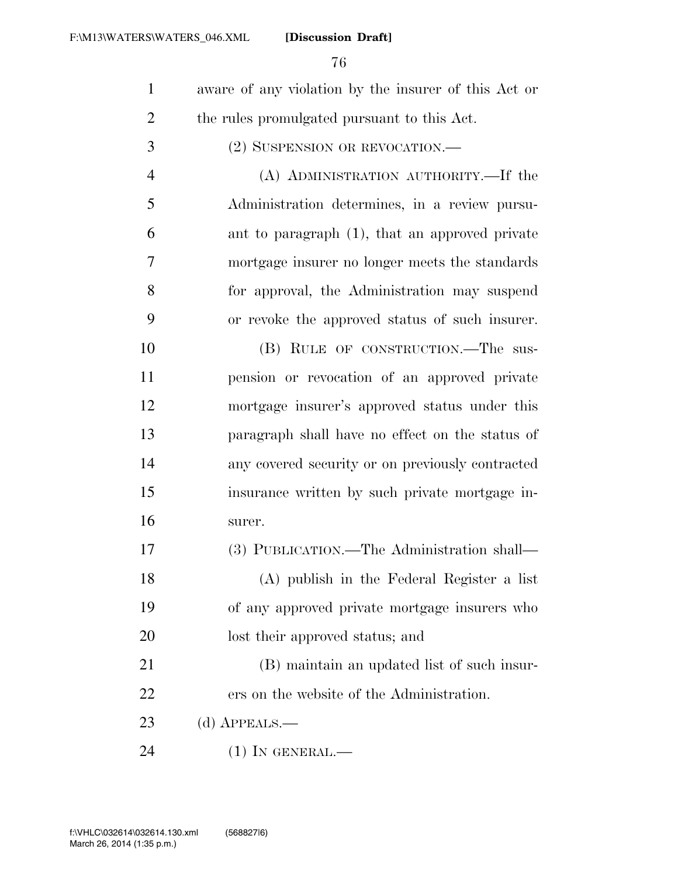- aware of any violation by the insurer of this Act or the rules promulgated pursuant to this Act.
- (2) SUSPENSION OR REVOCATION.—
- (A) ADMINISTRATION AUTHORITY.—If the Administration determines, in a review pursu- ant to paragraph (1), that an approved private mortgage insurer no longer meets the standards for approval, the Administration may suspend or revoke the approved status of such insurer.
- 10 (B) RULE OF CONSTRUCTION.—The sus- pension or revocation of an approved private mortgage insurer's approved status under this paragraph shall have no effect on the status of any covered security or on previously contracted insurance written by such private mortgage in-surer.
- (3) PUBLICATION.—The Administration shall— (A) publish in the Federal Register a list of any approved private mortgage insurers who lost their approved status; and
- (B) maintain an updated list of such insur-ers on the website of the Administration.
- (d) APPEALS.—
- (1) IN GENERAL.—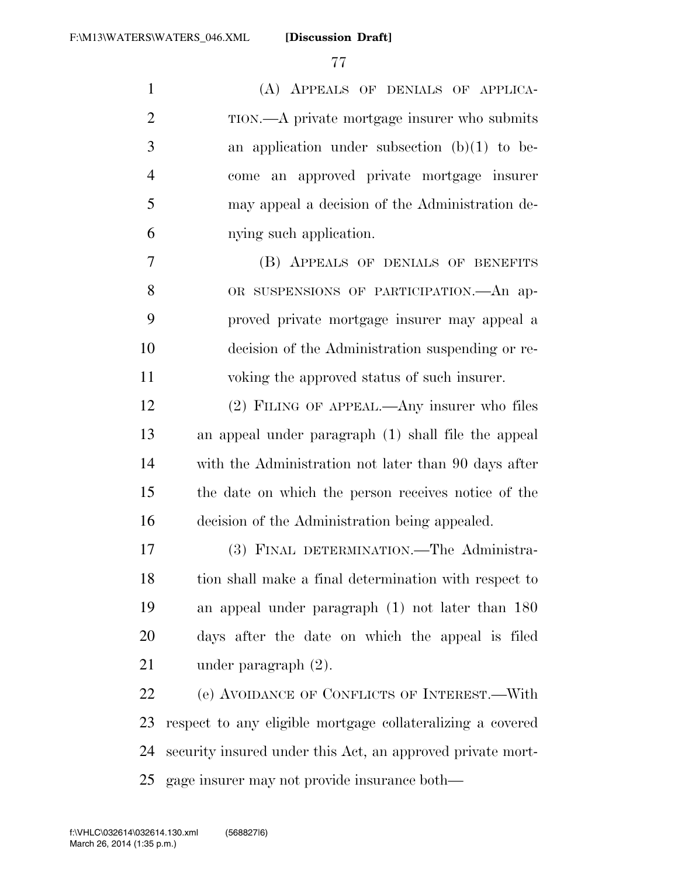(A) APPEALS OF DENIALS OF APPLICA- TION.—A private mortgage insurer who submits an application under subsection (b)(1) to be- come an approved private mortgage insurer may appeal a decision of the Administration de-nying such application.

 (B) APPEALS OF DENIALS OF BENEFITS 8 OR SUSPENSIONS OF PARTICIPATION. An ap- proved private mortgage insurer may appeal a decision of the Administration suspending or re-voking the approved status of such insurer.

 (2) FILING OF APPEAL.—Any insurer who files an appeal under paragraph (1) shall file the appeal with the Administration not later than 90 days after the date on which the person receives notice of the decision of the Administration being appealed.

 (3) FINAL DETERMINATION.—The Administra- tion shall make a final determination with respect to an appeal under paragraph (1) not later than 180 days after the date on which the appeal is filed under paragraph (2).

 (e) AVOIDANCE OF CONFLICTS OF INTEREST.—With respect to any eligible mortgage collateralizing a covered security insured under this Act, an approved private mort-gage insurer may not provide insurance both—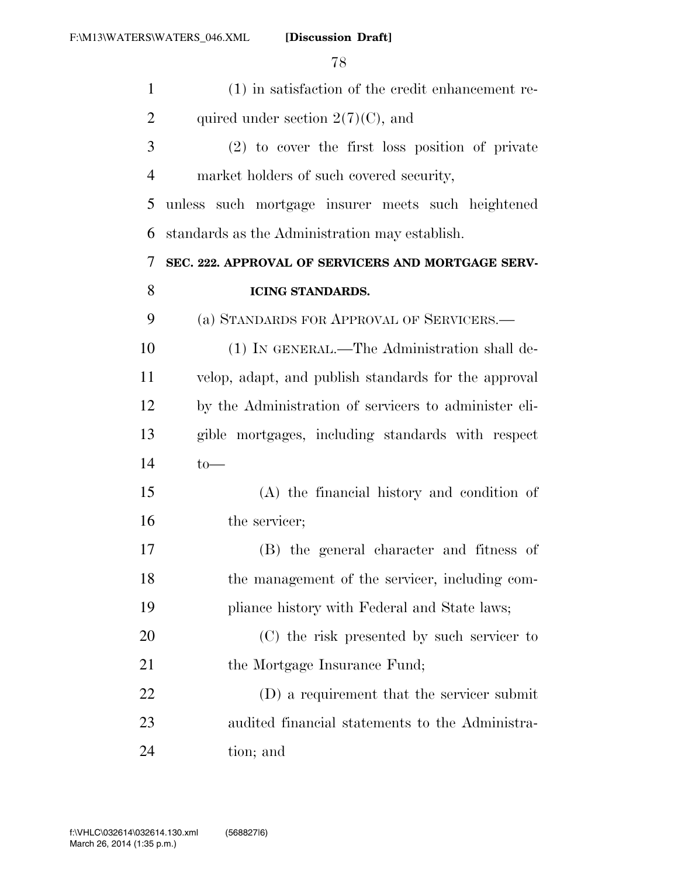| $\mathbf{1}$   | (1) in satisfaction of the credit enhancement re-     |
|----------------|-------------------------------------------------------|
| $\overline{2}$ | quired under section $2(7)(C)$ , and                  |
| 3              | (2) to cover the first loss position of private       |
| $\overline{4}$ | market holders of such covered security,              |
| 5              | unless such mortgage insurer meets such heightened    |
| 6              | standards as the Administration may establish.        |
| 7              | SEC. 222. APPROVAL OF SERVICERS AND MORTGAGE SERV-    |
| 8              | <b>ICING STANDARDS.</b>                               |
| 9              | (a) STANDARDS FOR APPROVAL OF SERVICERS.—             |
| 10             | (1) IN GENERAL.—The Administration shall de-          |
| 11             | velop, adapt, and publish standards for the approval  |
| 12             | by the Administration of servicers to administer eli- |
| 13             | gible mortgages, including standards with respect     |
| 14             | $to-$                                                 |
| 15             | (A) the financial history and condition of            |
| 16             | the servicer;                                         |
| 17             | (B) the general character and fitness of              |
| 18             | the management of the servicer, including com-        |
| 19             | pliance history with Federal and State laws;          |
| 20             | (C) the risk presented by such servicer to            |
| 21             | the Mortgage Insurance Fund;                          |
| 22             | (D) a requirement that the servicer submit            |
| 23             | audited financial statements to the Administra-       |
| 24             | tion; and                                             |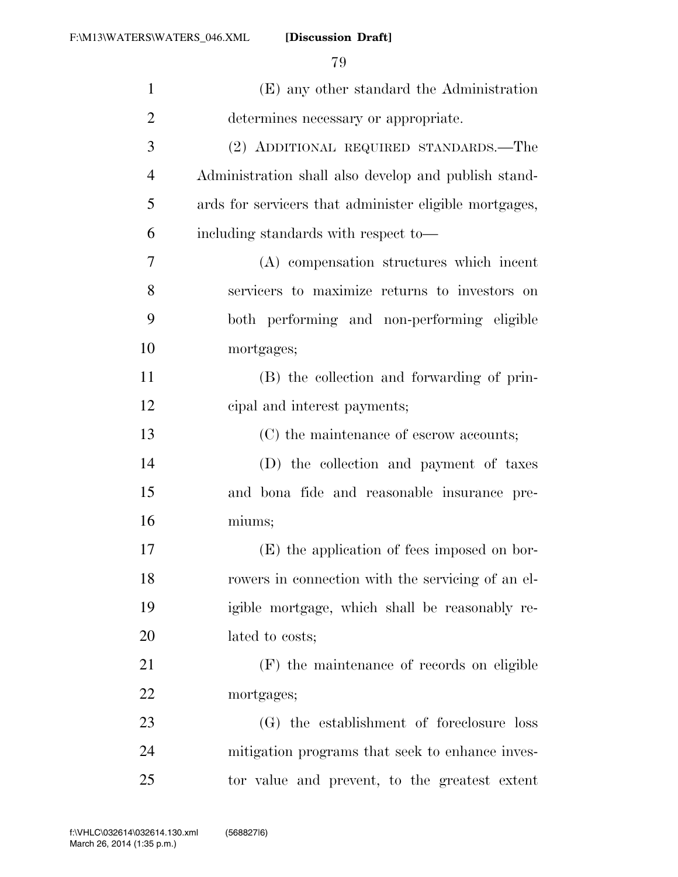| $\mathbf{1}$   | (E) any other standard the Administration              |
|----------------|--------------------------------------------------------|
| $\overline{2}$ | determines necessary or appropriate.                   |
| 3              | (2) ADDITIONAL REQUIRED STANDARDS.—The                 |
| $\overline{4}$ | Administration shall also develop and publish stand-   |
| 5              | ards for servicers that administer eligible mortgages, |
| 6              | including standards with respect to-                   |
| 7              | (A) compensation structures which incent               |
| 8              | servicers to maximize returns to investors on          |
| 9              | both performing and non-performing eligible            |
| 10             | mortgages;                                             |
| 11             | (B) the collection and forwarding of prin-             |
| 12             | eipal and interest payments;                           |
| 13             | (C) the maintenance of escrow accounts;                |
| 14             | (D) the collection and payment of taxes                |
| 15             | and bona fide and reasonable insurance pre-            |
| 16             | miums;                                                 |
| 17             | (E) the application of fees imposed on bor-            |
| 18             | rowers in connection with the servicing of an el-      |
| 19             | igible mortgage, which shall be reasonably re-         |
| 20             | lated to costs;                                        |
| 21             | (F) the maintenance of records on eligible             |
| 22             | mortgages;                                             |
| 23             | (G) the establishment of foreclosure loss              |
| 24             | mitigation programs that seek to enhance inves-        |
| 25             | tor value and prevent, to the greatest extent          |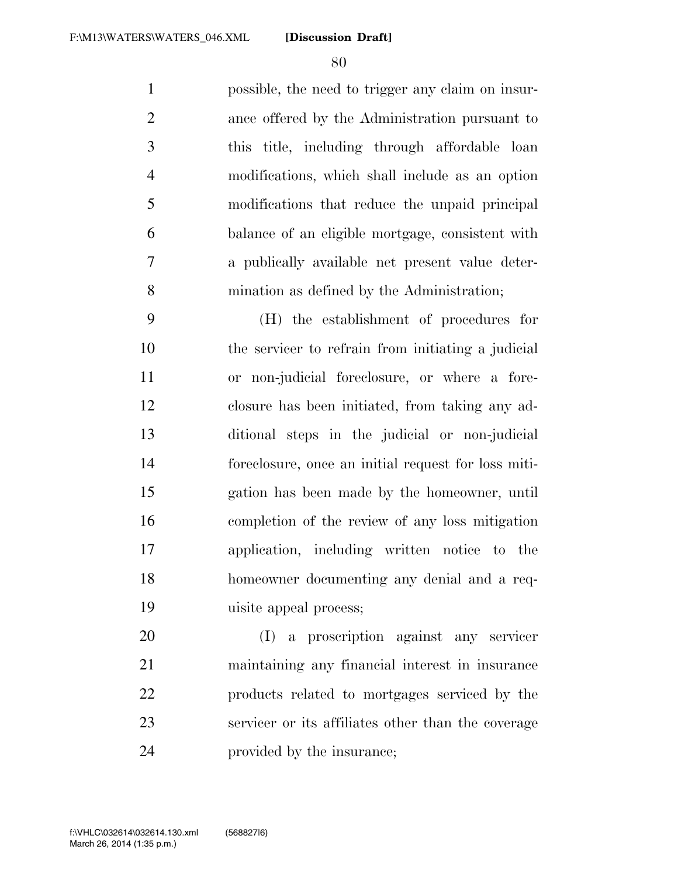possible, the need to trigger any claim on insur- ance offered by the Administration pursuant to this title, including through affordable loan modifications, which shall include as an option modifications that reduce the unpaid principal balance of an eligible mortgage, consistent with a publically available net present value deter-mination as defined by the Administration;

 (H) the establishment of procedures for the servicer to refrain from initiating a judicial or non-judicial foreclosure, or where a fore- closure has been initiated, from taking any ad- ditional steps in the judicial or non-judicial foreclosure, once an initial request for loss miti- gation has been made by the homeowner, until completion of the review of any loss mitigation application, including written notice to the homeowner documenting any denial and a req-uisite appeal process;

 (I) a proscription against any servicer maintaining any financial interest in insurance products related to mortgages serviced by the servicer or its affiliates other than the coverage provided by the insurance;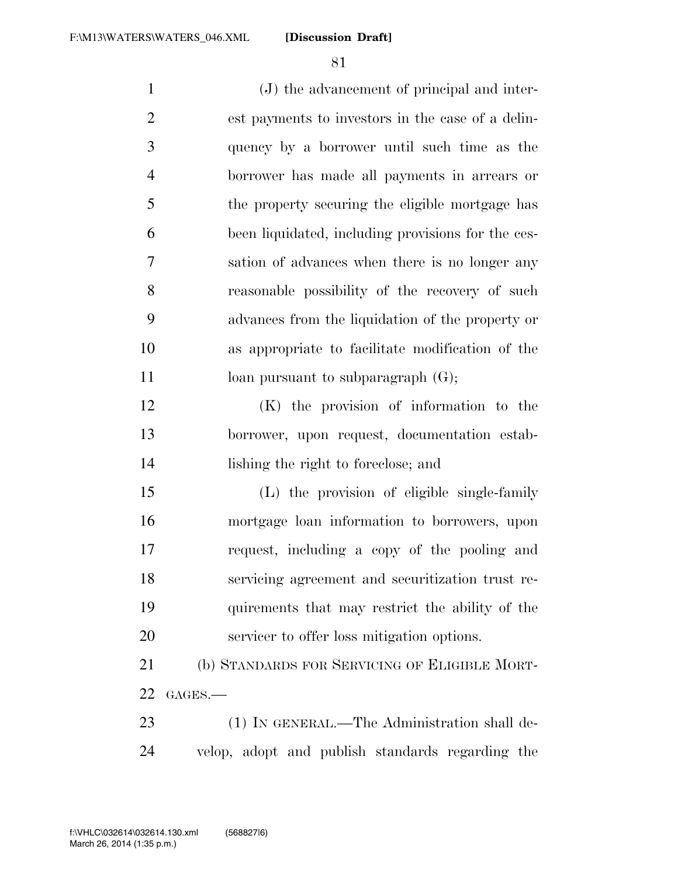(J) the advancement of principal and inter- est payments to investors in the case of a delin- quency by a borrower until such time as the borrower has made all payments in arrears or the property securing the eligible mortgage has been liquidated, including provisions for the ces- sation of advances when there is no longer any reasonable possibility of the recovery of such advances from the liquidation of the property or as appropriate to facilitate modification of the 11 loan pursuant to subparagraph  $(G)$ ; (K) the provision of information to the borrower, upon request, documentation estab- lishing the right to foreclose; and (L) the provision of eligible single-family mortgage loan information to borrowers, upon request, including a copy of the pooling and servicing agreement and securitization trust re- quirements that may restrict the ability of the servicer to offer loss mitigation options. (b) STANDARDS FOR SERVICING OF ELIGIBLE MORT- GAGES.— 23 (1) IN GENERAL.—The Administration shall de-

velop, adopt and publish standards regarding the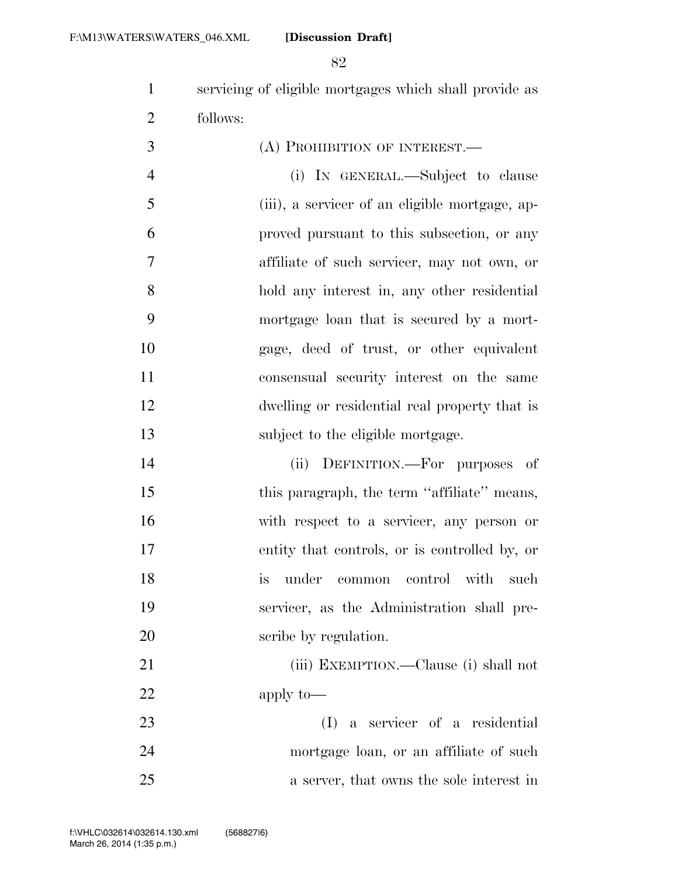servicing of eligible mortgages which shall provide as follows:

| 3              | (A) PROHIBITION OF INTEREST.—                  |
|----------------|------------------------------------------------|
| $\overline{4}$ | (i) IN GENERAL.—Subject to clause              |
| 5              | (iii), a servicer of an eligible mortgage, ap- |
| 6              | proved pursuant to this subsection, or any     |
| $\overline{7}$ | affiliate of such servicer, may not own, or    |
| 8              | hold any interest in, any other residential    |
| 9              | mortgage loan that is secured by a mort-       |
| 10             | gage, deed of trust, or other equivalent       |
| 11             | consensual security interest on the same       |
| 12             | dwelling or residential real property that is  |
| 13             | subject to the eligible mortgage.              |

 (ii) DEFINITION.—For purposes of 15 this paragraph, the term "affiliate" means, with respect to a servicer, any person or entity that controls, or is controlled by, or is under common control with such servicer, as the Administration shall pre-scribe by regulation.

21 (iii) EXEMPTION.—Clause (i) shall not apply to—

 (I) a servicer of a residential mortgage loan, or an affiliate of such a server, that owns the sole interest in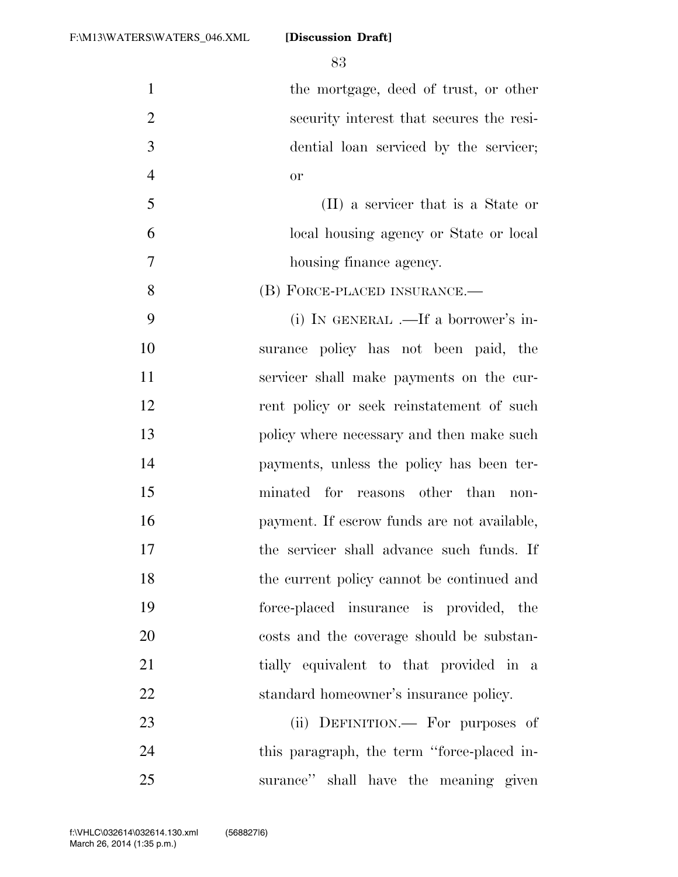1 the mortgage, deed of trust, or other security interest that secures the resi- dential loan serviced by the servicer; or (II) a servicer that is a State or local housing agency or State or local housing finance agency. 8 (B) FORCE-PLACED INSURANCE.— (i) IN GENERAL .—If a borrower's in- surance policy has not been paid, the servicer shall make payments on the cur-12 rent policy or seek reinstatement of such policy where necessary and then make such payments, unless the policy has been ter- minated for reasons other than non- payment. If escrow funds are not available, the servicer shall advance such funds. If the current policy cannot be continued and force-placed insurance is provided, the costs and the coverage should be substan-21 tially equivalent to that provided in a standard homeowner's insurance policy. 23 (ii) DEFINITION.— For purposes of 24 this paragraph, the term "force-placed in-surance'' shall have the meaning given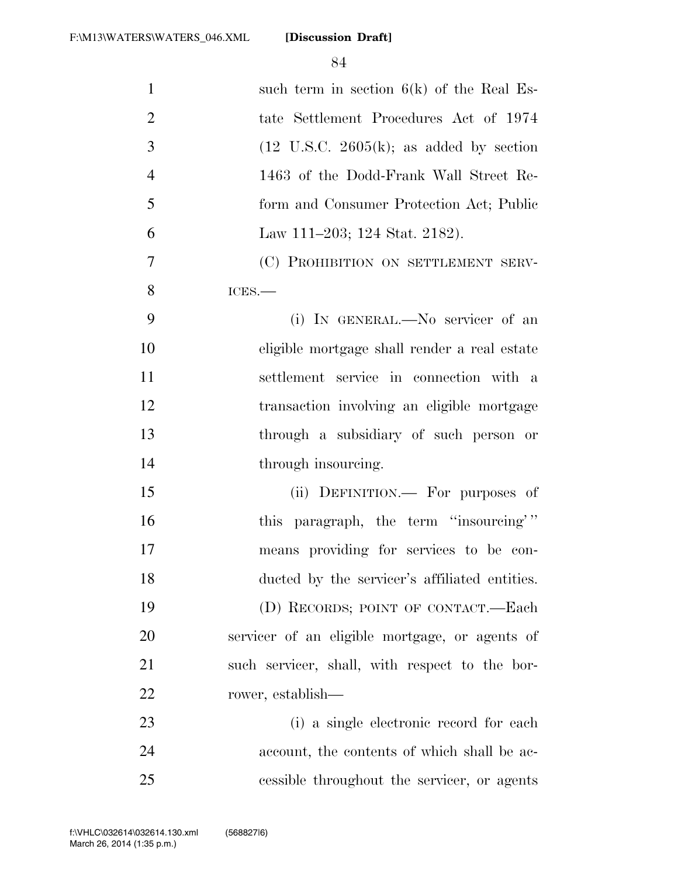| $\mathbf{1}$   | such term in section $6(k)$ of the Real Es-          |
|----------------|------------------------------------------------------|
| $\mathfrak{2}$ | tate Settlement Procedures Act of 1974               |
| 3              | $(12 \text{ U.S.C. } 2605(k))$ ; as added by section |
| $\overline{4}$ | 1463 of the Dodd-Frank Wall Street Re-               |
| 5              | form and Consumer Protection Act; Public             |
| 6              | Law 111–203; 124 Stat. 2182).                        |
| 7              | (C) PROHIBITION ON SETTLEMENT SERV-                  |
| 8              | ICES.                                                |
| 9              | (i) IN GENERAL.—No servicer of an                    |
| 10             | eligible mortgage shall render a real estate         |
| 11             | settlement service in connection with a              |
| 12             | transaction involving an eligible mortgage           |
| 13             | through a subsidiary of such person or               |
| 14             | through insourcing.                                  |
| 15             | (ii) DEFINITION.— For purposes of                    |
| 16             | this paragraph, the term "insourcing"                |
| 17             | means providing for services to be con-              |
| 18             | ducted by the servicer's affiliated entities.        |
| 19             | (D) RECORDS; POINT OF CONTACT.—Each                  |
| 20             | servicer of an eligible mortgage, or agents of       |
| 21             | such servicer, shall, with respect to the bor-       |
| 22             | rower, establish—                                    |
| 23             | (i) a single electronic record for each              |
| 24             | account, the contents of which shall be ac-          |
| 25             | cessible throughout the servicer, or agents          |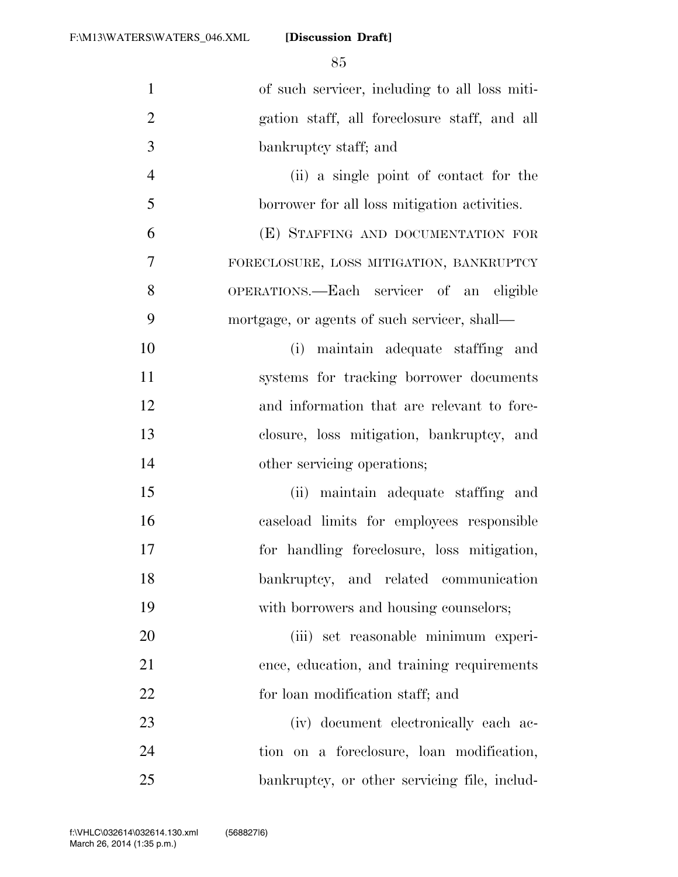| $\mathbf{1}$   | of such servicer, including to all loss miti- |
|----------------|-----------------------------------------------|
| $\overline{2}$ | gation staff, all foreclosure staff, and all  |
| 3              | bankruptcy staff; and                         |
| $\overline{4}$ | (ii) a single point of contact for the        |
| 5              | borrower for all loss mitigation activities.  |
| 6              | (E) STAFFING AND DOCUMENTATION FOR            |
| $\tau$         | FORECLOSURE, LOSS MITIGATION, BANKRUPTCY      |
| 8              | OPERATIONS.—Each servicer of an eligible      |
| 9              | mortgage, or agents of such servicer, shall—  |
| 10             | (i) maintain adequate staffing and            |
| 11             | systems for tracking borrower documents       |
| 12             | and information that are relevant to fore-    |
| 13             | closure, loss mitigation, bankruptcy, and     |
| 14             | other servicing operations;                   |
| 15             | (ii) maintain adequate staffing and           |
| 16             | caseload limits for employees responsible     |
| 17             | for handling foreclosure, loss mitigation,    |
| 18             | bankruptcy, and related communication         |
| 19             | with borrowers and housing counselors;        |
| 20             | (iii) set reasonable minimum experi-          |
| 21             | ence, education, and training requirements    |
| 22             | for loan modification staff; and              |
| 23             | (iv) document electronically each ac-         |
| 24             | tion on a foreclosure, loan modification,     |
| 25             | bankruptcy, or other servicing file, includ-  |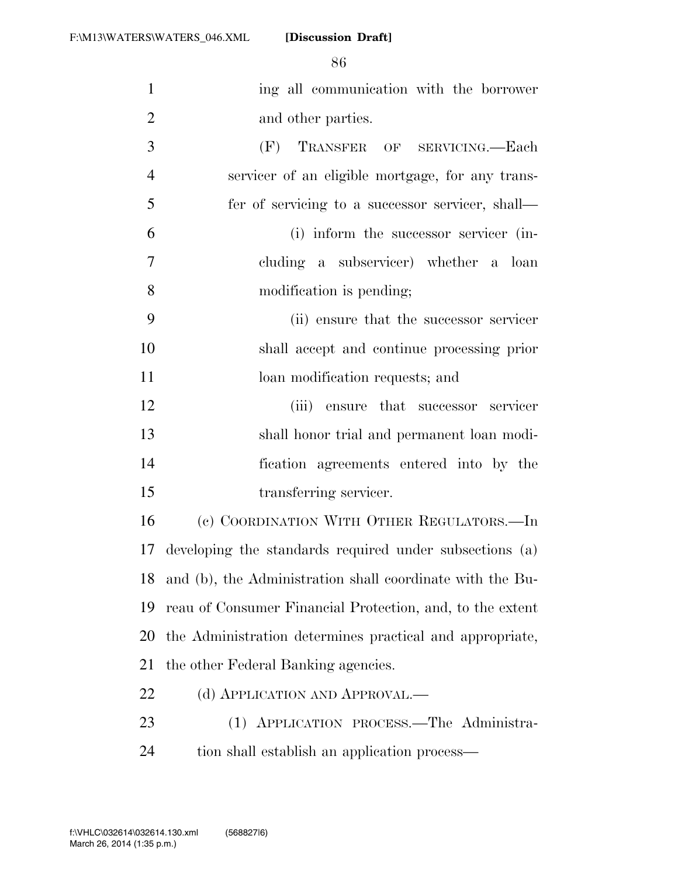| $\mathbf{1}$   | ing all communication with the borrower                   |
|----------------|-----------------------------------------------------------|
| $\overline{2}$ | and other parties.                                        |
| 3              | (F)<br>TRANSFER OF SERVICING.-Each                        |
| $\overline{4}$ | servicer of an eligible mortgage, for any trans-          |
| 5              | fer of servicing to a successor servicer, shall—          |
| 6              | (i) inform the successor servicer (in-                    |
| $\tau$         | cluding a subservicer) whether a loan                     |
| 8              | modification is pending;                                  |
| 9              | (ii) ensure that the successor servicer                   |
| 10             | shall accept and continue processing prior                |
| 11             | loan modification requests; and                           |
| 12             | (iii) ensure that successor servicer                      |
| 13             | shall honor trial and permanent loan modi-                |
| 14             | fication agreements entered into by the                   |
| 15             | transferring servicer.                                    |
| 16             | (c) COORDINATION WITH OTHER REGULATORS.—In                |
| 17             | developing the standards required under subsections (a)   |
| 18             | and (b), the Administration shall coordinate with the Bu- |
| 19             | reau of Consumer Financial Protection, and, to the extent |
| 20             | the Administration determines practical and appropriate,  |
| 21             | the other Federal Banking agencies.                       |
| 22             | (d) APPLICATION AND APPROVAL.—                            |
| 23             | (1) APPLICATION PROCESS.—The Administra-                  |
| 24             | tion shall establish an application process—              |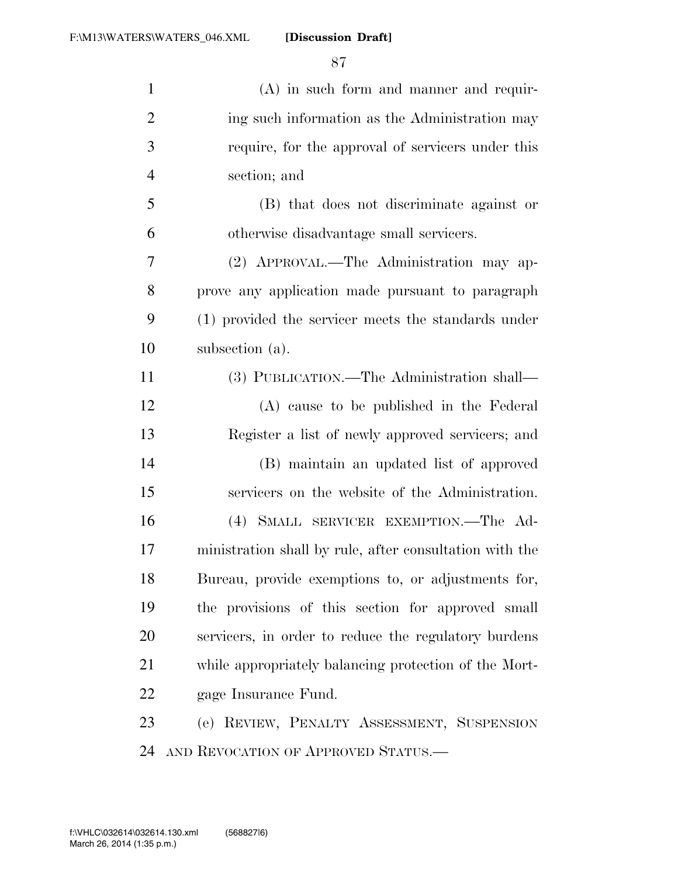| $\mathbf{1}$   | $(A)$ in such form and manner and requir-               |
|----------------|---------------------------------------------------------|
| $\overline{2}$ | ing such information as the Administration may          |
| 3              | require, for the approval of servicers under this       |
| $\overline{4}$ | section; and                                            |
| 5              | (B) that does not discriminate against or               |
| 6              | otherwise disadvantage small servicers.                 |
| 7              | (2) APPROVAL.—The Administration may ap-                |
| 8              | prove any application made pursuant to paragraph        |
| 9              | (1) provided the servicer meets the standards under     |
| 10             | subsection (a).                                         |
| 11             | (3) PUBLICATION.—The Administration shall—              |
| 12             | (A) cause to be published in the Federal                |
| 13             | Register a list of newly approved servicers; and        |
| 14             | (B) maintain an updated list of approved                |
| 15             | servicers on the website of the Administration.         |
| 16             | (4) SMALL SERVICER EXEMPTION. The Ad-                   |
| 17             | ministration shall by rule, after consultation with the |
| 18             | Bureau, provide exemptions to, or adjustments for,      |
| 19             | the provisions of this section for approved small       |
| 20             | servicers, in order to reduce the regulatory burdens    |
| 21             | while appropriately balancing protection of the Mort-   |
| 22             | gage Insurance Fund.                                    |
| 23             | (e) REVIEW, PENALTY ASSESSMENT, SUSPENSION              |
| 24             | AND REVOCATION OF APPROVED STATUS.                      |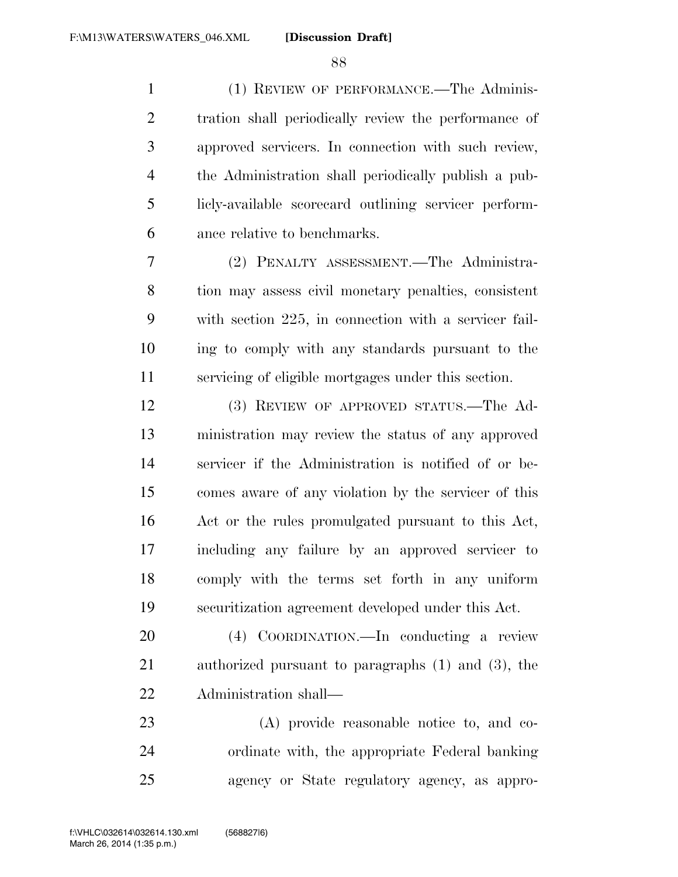(1) REVIEW OF PERFORMANCE.—The Adminis- tration shall periodically review the performance of approved servicers. In connection with such review, the Administration shall periodically publish a pub- licly-available scorecard outlining servicer perform-ance relative to benchmarks.

 (2) PENALTY ASSESSMENT.—The Administra- tion may assess civil monetary penalties, consistent with section 225, in connection with a servicer fail- ing to comply with any standards pursuant to the servicing of eligible mortgages under this section.

 (3) REVIEW OF APPROVED STATUS.—The Ad- ministration may review the status of any approved servicer if the Administration is notified of or be- comes aware of any violation by the servicer of this Act or the rules promulgated pursuant to this Act, including any failure by an approved servicer to comply with the terms set forth in any uniform securitization agreement developed under this Act.

 (4) COORDINATION.—In conducting a review authorized pursuant to paragraphs (1) and (3), the Administration shall—

 (A) provide reasonable notice to, and co- ordinate with, the appropriate Federal banking agency or State regulatory agency, as appro-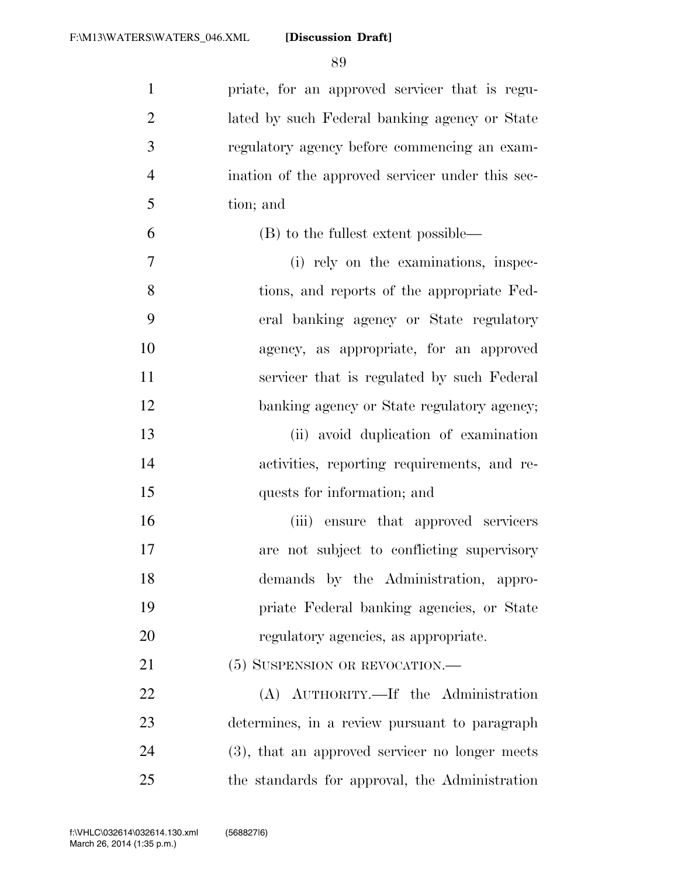| $\mathbf{1}$   | priate, for an approved servicer that is regu-   |
|----------------|--------------------------------------------------|
| $\overline{2}$ | lated by such Federal banking agency or State    |
| 3              | regulatory agency before commencing an exam-     |
| $\overline{4}$ | ination of the approved servicer under this sec- |
| 5              | tion; and                                        |
| 6              | (B) to the fullest extent possible—              |
| 7              | (i) rely on the examinations, inspec-            |
| 8              | tions, and reports of the appropriate Fed-       |
| 9              | eral banking agency or State regulatory          |
| 10             | agency, as appropriate, for an approved          |
| 11             | servicer that is regulated by such Federal       |
| 12             | banking agency or State regulatory agency;       |
| 13             | (ii) avoid duplication of examination            |
| 14             | activities, reporting requirements, and re-      |
| 15             | quests for information; and                      |
| 16             | (iii) ensure that approved servicers             |
| 17             | are not subject to conflicting supervisory       |
| 18             | demands by the Administration, appro-            |
| 19             | priate Federal banking agencies, or State        |
| 20             | regulatory agencies, as appropriate.             |
| 21             | (5) SUSPENSION OR REVOCATION.—                   |
| 22             | (A) AUTHORITY.—If the Administration             |
| 23             | determines, in a review pursuant to paragraph    |
| 24             | (3), that an approved servicer no longer meets   |
| 25             | the standards for approval, the Administration   |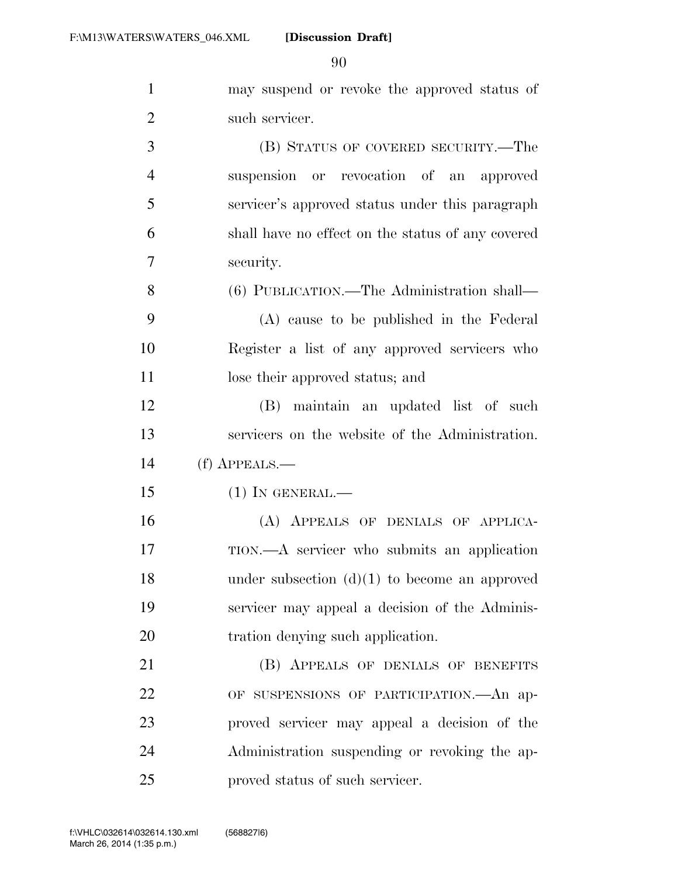may suspend or revoke the approved status of

| $\overline{2}$ | such servicer.                                    |
|----------------|---------------------------------------------------|
| 3              | (B) STATUS OF COVERED SECURITY.—The               |
| $\overline{4}$ | suspension or revocation of an approved           |
| 5              | servicer's approved status under this paragraph   |
| 6              | shall have no effect on the status of any covered |
| 7              | security.                                         |
| 8              | (6) PUBLICATION.—The Administration shall—        |
| 9              | (A) cause to be published in the Federal          |
| 10             | Register a list of any approved servicers who     |
| 11             | lose their approved status; and                   |
| 12             | (B) maintain an updated list of such              |
| 13             | servicers on the website of the Administration.   |
| 14             | (f) APPEALS.—                                     |
| 15             | $(1)$ In GENERAL.—                                |
| 16             | (A) APPEALS OF DENIALS OF APPLICA-                |
| 17             | TION.—A servicer who submits an application       |
| 18             | under subsection $(d)(1)$ to become an approved   |
| 19             | servicer may appeal a decision of the Adminis-    |
| 20             | tration denying such application.                 |
| 21             | (B) APPEALS OF DENIALS OF BENEFITS                |
| 22             | OF SUSPENSIONS OF PARTICIPATION. An ap-           |
| 23             | proved servicer may appeal a decision of the      |
| 24             | Administration suspending or revoking the ap-     |

proved status of such servicer.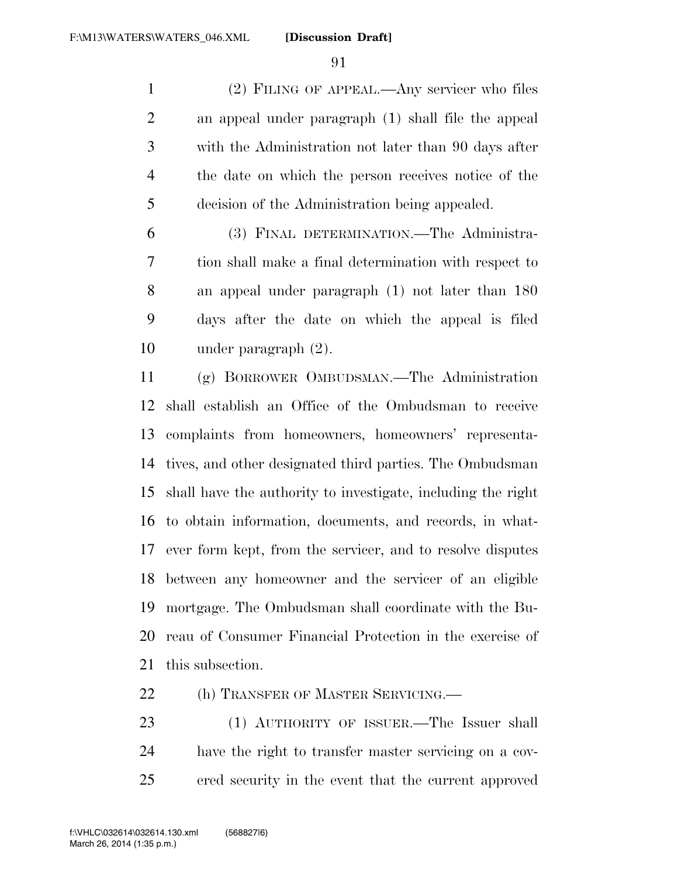(2) FILING OF APPEAL.—Any servicer who files an appeal under paragraph (1) shall file the appeal with the Administration not later than 90 days after the date on which the person receives notice of the decision of the Administration being appealed.

 (3) FINAL DETERMINATION.—The Administra- tion shall make a final determination with respect to an appeal under paragraph (1) not later than 180 days after the date on which the appeal is filed under paragraph (2).

 (g) BORROWER OMBUDSMAN.—The Administration shall establish an Office of the Ombudsman to receive complaints from homeowners, homeowners' representa- tives, and other designated third parties. The Ombudsman shall have the authority to investigate, including the right to obtain information, documents, and records, in what- ever form kept, from the servicer, and to resolve disputes between any homeowner and the servicer of an eligible mortgage. The Ombudsman shall coordinate with the Bu- reau of Consumer Financial Protection in the exercise of this subsection.

22 (h) TRANSFER OF MASTER SERVICING.

 (1) AUTHORITY OF ISSUER.—The Issuer shall have the right to transfer master servicing on a cov-ered security in the event that the current approved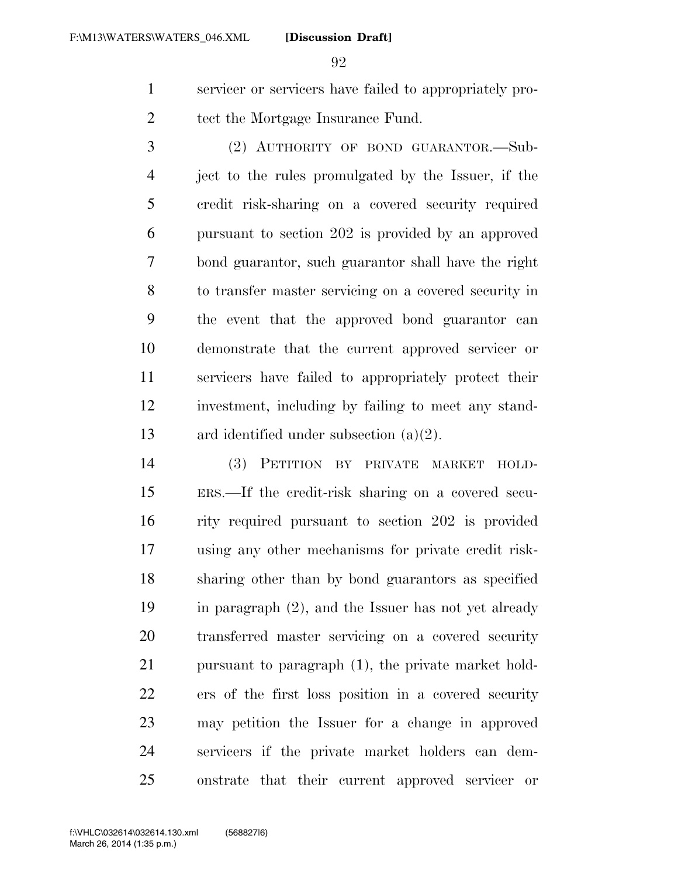servicer or servicers have failed to appropriately pro-2 tect the Mortgage Insurance Fund.

 (2) AUTHORITY OF BOND GUARANTOR.—Sub- ject to the rules promulgated by the Issuer, if the credit risk-sharing on a covered security required pursuant to section 202 is provided by an approved bond guarantor, such guarantor shall have the right to transfer master servicing on a covered security in the event that the approved bond guarantor can demonstrate that the current approved servicer or servicers have failed to appropriately protect their investment, including by failing to meet any stand-ard identified under subsection (a)(2).

 (3) PETITION BY PRIVATE MARKET HOLD- ERS.—If the credit-risk sharing on a covered secu- rity required pursuant to section 202 is provided using any other mechanisms for private credit risk- sharing other than by bond guarantors as specified in paragraph (2), and the Issuer has not yet already transferred master servicing on a covered security pursuant to paragraph (1), the private market hold- ers of the first loss position in a covered security may petition the Issuer for a change in approved servicers if the private market holders can dem-onstrate that their current approved servicer or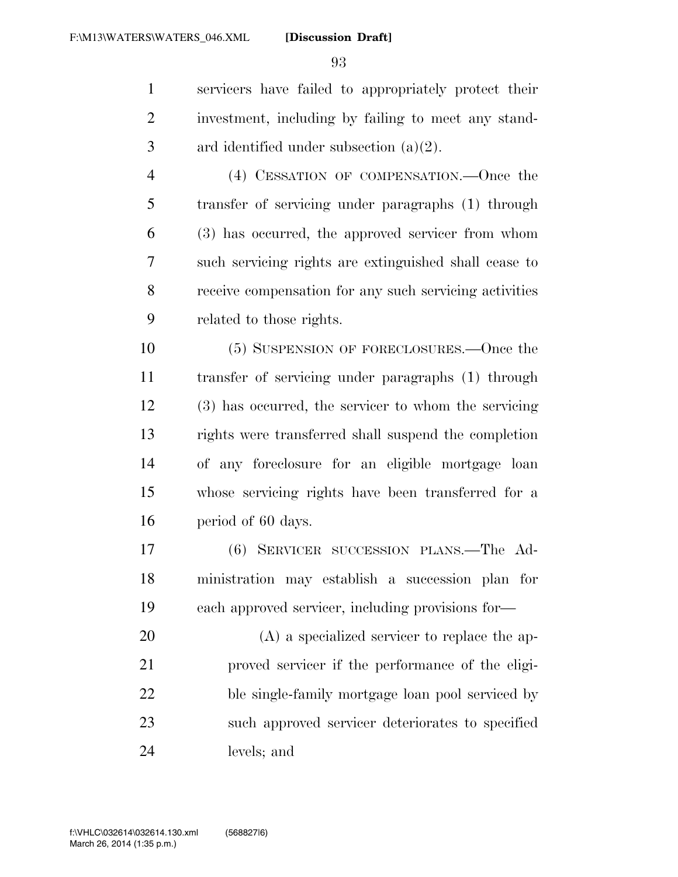servicers have failed to appropriately protect their investment, including by failing to meet any stand-ard identified under subsection (a)(2).

 (4) CESSATION OF COMPENSATION.—Once the transfer of servicing under paragraphs (1) through (3) has occurred, the approved servicer from whom such servicing rights are extinguished shall cease to receive compensation for any such servicing activities related to those rights.

 (5) SUSPENSION OF FORECLOSURES.—Once the transfer of servicing under paragraphs (1) through (3) has occurred, the servicer to whom the servicing rights were transferred shall suspend the completion of any foreclosure for an eligible mortgage loan whose servicing rights have been transferred for a period of 60 days.

 (6) SERVICER SUCCESSION PLANS.—The Ad- ministration may establish a succession plan for each approved servicer, including provisions for—

 (A) a specialized servicer to replace the ap- proved servicer if the performance of the eligi- ble single-family mortgage loan pool serviced by such approved servicer deteriorates to specified levels; and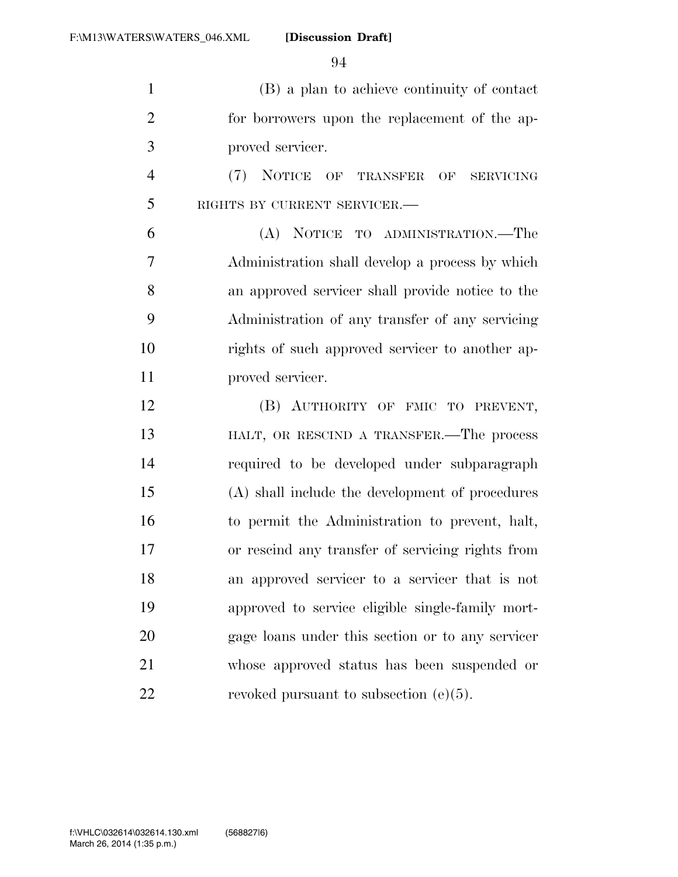(B) a plan to achieve continuity of contact for borrowers upon the replacement of the ap-proved servicer.

 (7) NOTICE OF TRANSFER OF SERVICING RIGHTS BY CURRENT SERVICER.—

 (A) NOTICE TO ADMINISTRATION.—The Administration shall develop a process by which an approved servicer shall provide notice to the Administration of any transfer of any servicing rights of such approved servicer to another ap-11 proved servicer.

 (B) AUTHORITY OF FMIC TO PREVENT, **HALT, OR RESCIND A TRANSFER.** The process required to be developed under subparagraph (A) shall include the development of procedures to permit the Administration to prevent, halt, or rescind any transfer of servicing rights from an approved servicer to a servicer that is not approved to service eligible single-family mort- gage loans under this section or to any servicer whose approved status has been suspended or 22 revoked pursuant to subsection  $(e)(5)$ .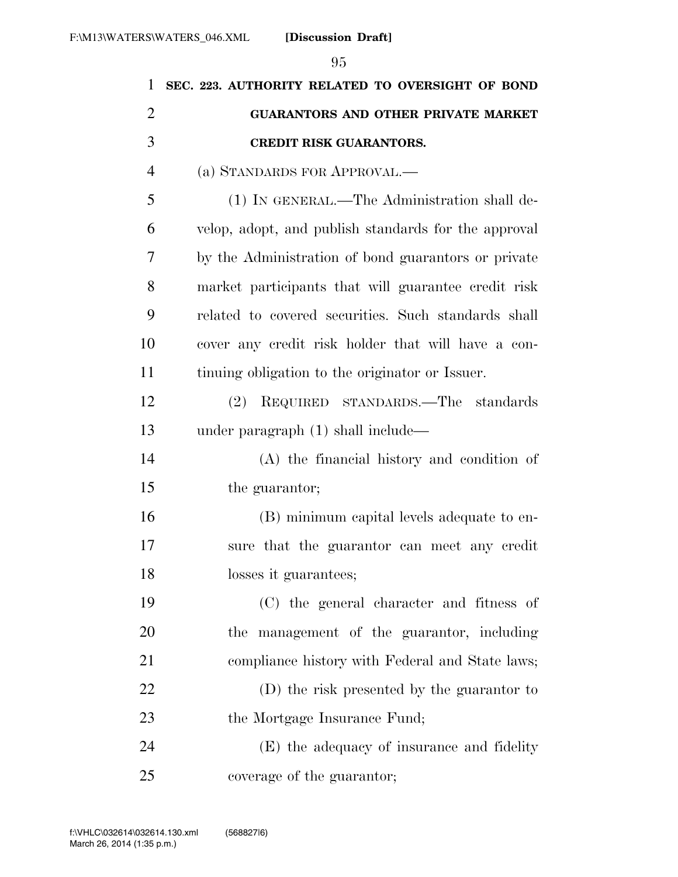| 1              | SEC. 223. AUTHORITY RELATED TO OVERSIGHT OF BOND     |
|----------------|------------------------------------------------------|
| $\overline{2}$ | <b>GUARANTORS AND OTHER PRIVATE MARKET</b>           |
| 3              | <b>CREDIT RISK GUARANTORS.</b>                       |
| $\overline{4}$ | (a) STANDARDS FOR APPROVAL.—                         |
| 5              | (1) IN GENERAL.—The Administration shall de-         |
| 6              | velop, adopt, and publish standards for the approval |
| 7              | by the Administration of bond guarantors or private  |
| 8              | market participants that will guarantee credit risk  |
| 9              | related to covered securities. Such standards shall  |
| 10             | cover any credit risk holder that will have a con-   |
| 11             | tinuing obligation to the originator or Issuer.      |
| 12             | REQUIRED STANDARDS.—The standards<br>(2)             |
| 13             | under paragraph $(1)$ shall include—                 |
| 14             | (A) the financial history and condition of           |
| 15             | the guarantor;                                       |
| 16             | (B) minimum capital levels adequate to en-           |
| 17             | sure that the guarantor can meet any credit          |
| 18             | losses it guarantees;                                |
| 19             | (C) the general character and fitness of             |
| 20             | the management of the guarantor, including           |
| 21             | compliance history with Federal and State laws;      |
| 22             | (D) the risk presented by the guarantor to           |
| 23             | the Mortgage Insurance Fund;                         |
| 24             | (E) the adequacy of insurance and fidelity           |
| 25             | coverage of the guarantor;                           |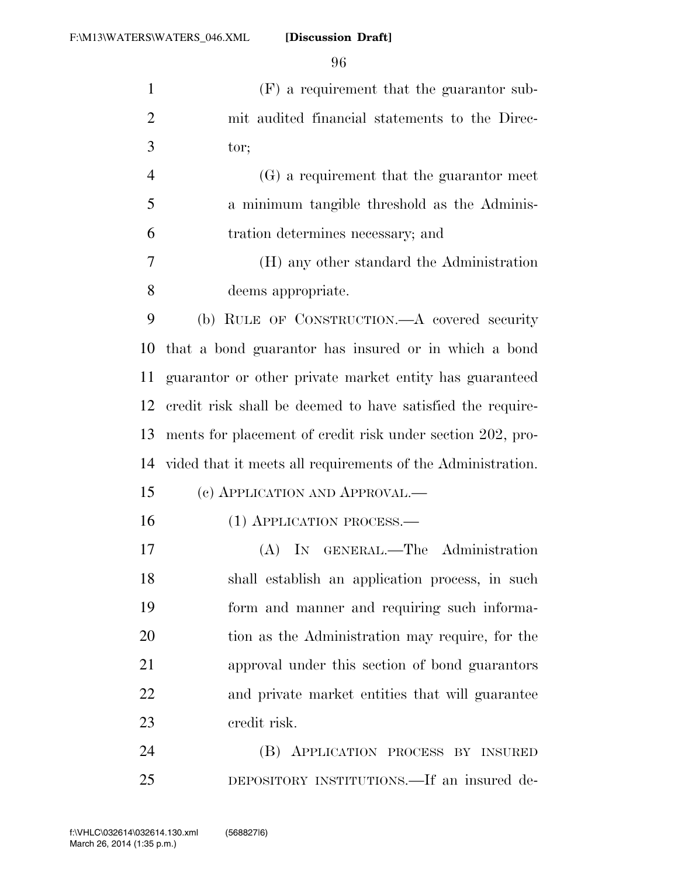| $\mathbf{1}$   | (F) a requirement that the guarantor sub-                   |
|----------------|-------------------------------------------------------------|
| $\overline{2}$ | mit audited financial statements to the Direc-              |
| 3              | tor;                                                        |
| $\overline{4}$ | (G) a requirement that the guarantor meet                   |
| 5              | a minimum tangible threshold as the Adminis-                |
| 6              | tration determines necessary; and                           |
| $\tau$         | (H) any other standard the Administration                   |
| 8              | deems appropriate.                                          |
| 9              | (b) RULE OF CONSTRUCTION.—A covered security                |
| 10             | that a bond guaranter has insured or in which a bond        |
| 11             | guaranter or other private market entity has guaranteed     |
| 12             | credit risk shall be deemed to have satisfied the require-  |
| 13             | ments for placement of credit risk under section 202, pro-  |
| 14             | vided that it meets all requirements of the Administration. |
| 15             | (c) APPLICATION AND APPROVAL.—                              |
| 16             | (1) APPLICATION PROCESS.—                                   |
| 17             | IN GENERAL.—The Administration<br>(A)                       |
| 18             | shall establish an application process, in such             |
| 19             | form and manner and requiring such informa-                 |
| 20             | tion as the Administration may require, for the             |
| 21             | approval under this section of bond guarantors              |
| 22             | and private market entities that will guarantee             |
| 23             | credit risk.                                                |
| 24             | (B) APPLICATION PROCESS BY INSURED                          |
| 25             | DEPOSITORY INSTITUTIONS.—If an insured de-                  |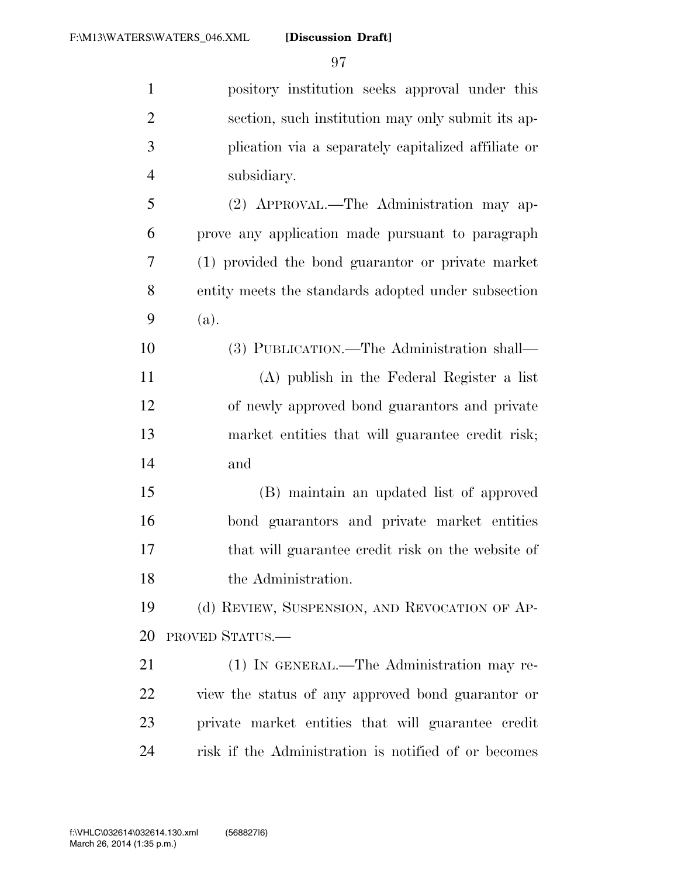| $\mathbf{1}$   | pository institution seeks approval under this       |
|----------------|------------------------------------------------------|
| $\overline{2}$ | section, such institution may only submit its ap-    |
| 3              | plication via a separately capitalized affiliate or  |
| $\overline{4}$ | subsidiary.                                          |
| 5              | (2) APPROVAL.—The Administration may ap-             |
| 6              | prove any application made pursuant to paragraph     |
| 7              | (1) provided the bond guarantor or private market    |
| 8              | entity meets the standards adopted under subsection  |
| 9              | (a).                                                 |
| 10             | (3) PUBLICATION.—The Administration shall—           |
| 11             | (A) publish in the Federal Register a list           |
| 12             | of newly approved bond guarantors and private        |
| 13             | market entities that will guarantee credit risk;     |
| 14             | and                                                  |
| 15             | (B) maintain an updated list of approved             |
| 16             | bond guarantors and private market entities          |
| 17             | that will guarantee credit risk on the website of    |
| 18             | the Administration.                                  |
| 19             | (d) REVIEW, SUSPENSION, AND REVOCATION OF AP-        |
| 20             | PROVED STATUS.                                       |
| 21             | (1) IN GENERAL.—The Administration may re-           |
| 22             | view the status of any approved bond guarantor or    |
| 23             | private market entities that will guarantee credit   |
| 24             | risk if the Administration is notified of or becomes |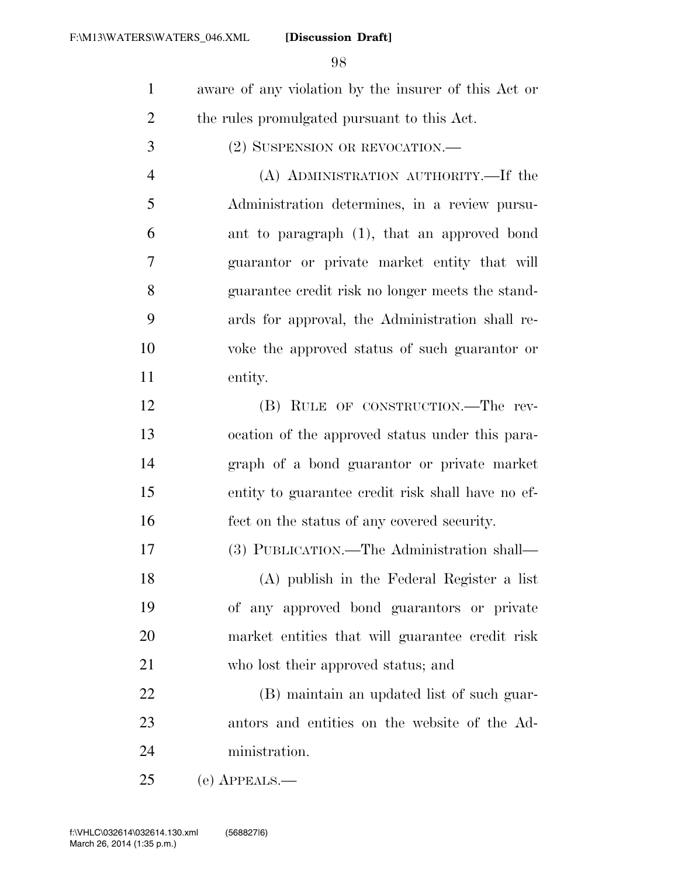- aware of any violation by the insurer of this Act or the rules promulgated pursuant to this Act.
- (2) SUSPENSION OR REVOCATION.—
- (A) ADMINISTRATION AUTHORITY.—If the Administration determines, in a review pursu- ant to paragraph (1), that an approved bond guarantor or private market entity that will guarantee credit risk no longer meets the stand- ards for approval, the Administration shall re- voke the approved status of such guarantor or entity.
- (B) RULE OF CONSTRUCTION.—The rev- ocation of the approved status under this para- graph of a bond guarantor or private market entity to guarantee credit risk shall have no ef-fect on the status of any covered security.

(3) PUBLICATION.—The Administration shall—

 (A) publish in the Federal Register a list of any approved bond guarantors or private market entities that will guarantee credit risk who lost their approved status; and

 (B) maintain an updated list of such guar- antors and entities on the website of the Ad-ministration.

(e) APPEALS.—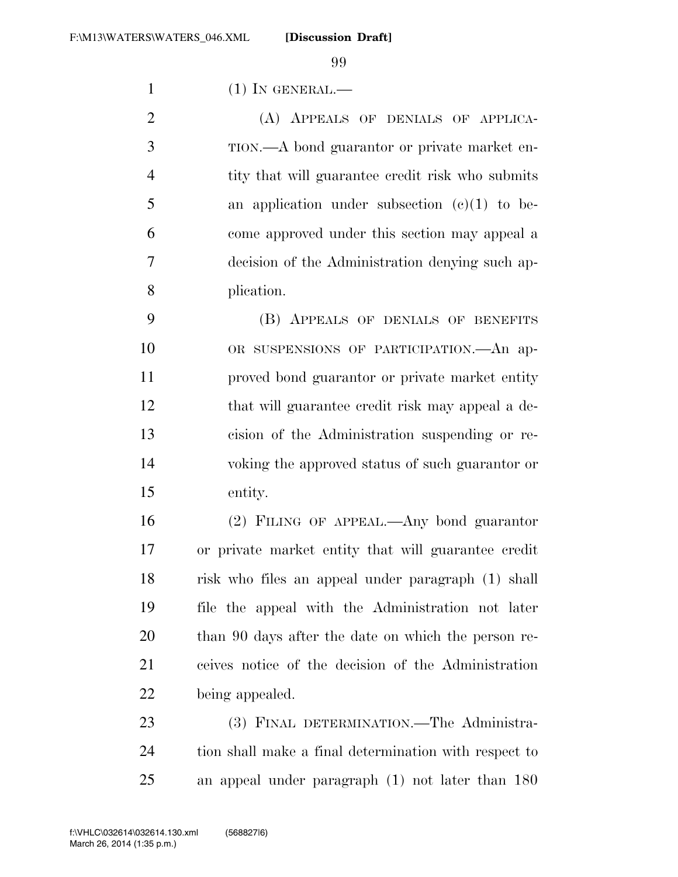(1) IN GENERAL.—

 (A) APPEALS OF DENIALS OF APPLICA- TION.—A bond guarantor or private market en-4 tity that will guarantee credit risk who submits an application under subsection  $(c)(1)$  to be- come approved under this section may appeal a decision of the Administration denying such ap-plication.

 (B) APPEALS OF DENIALS OF BENEFITS OR SUSPENSIONS OF PARTICIPATION.—An ap- proved bond guarantor or private market entity that will guarantee credit risk may appeal a de- cision of the Administration suspending or re- voking the approved status of such guarantor or entity.

 (2) FILING OF APPEAL.—Any bond guarantor or private market entity that will guarantee credit risk who files an appeal under paragraph (1) shall file the appeal with the Administration not later than 90 days after the date on which the person re- ceives notice of the decision of the Administration being appealed.

23 (3) FINAL DETERMINATION.—The Administra- tion shall make a final determination with respect to an appeal under paragraph (1) not later than 180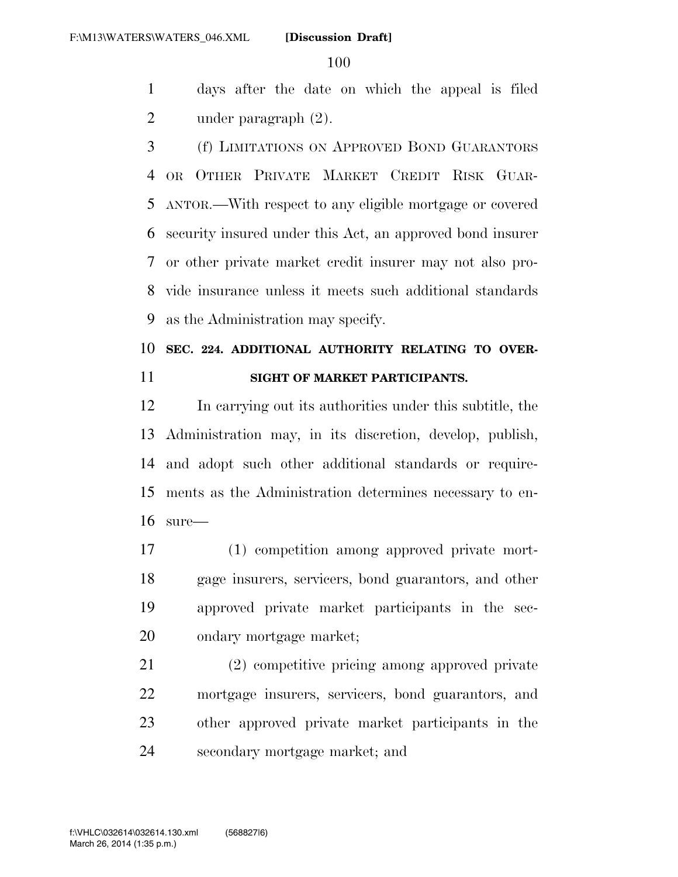days after the date on which the appeal is filed under paragraph (2).

 (f) LIMITATIONS ON APPROVED BOND GUARANTORS OR OTHER PRIVATE MARKET CREDIT RISK GUAR- ANTOR.—With respect to any eligible mortgage or covered security insured under this Act, an approved bond insurer or other private market credit insurer may not also pro- vide insurance unless it meets such additional standards as the Administration may specify.

## **SEC. 224. ADDITIONAL AUTHORITY RELATING TO OVER-SIGHT OF MARKET PARTICIPANTS.**

 In carrying out its authorities under this subtitle, the Administration may, in its discretion, develop, publish, and adopt such other additional standards or require- ments as the Administration determines necessary to en-sure—

 (1) competition among approved private mort- gage insurers, servicers, bond guarantors, and other approved private market participants in the sec-ondary mortgage market;

 (2) competitive pricing among approved private mortgage insurers, servicers, bond guarantors, and other approved private market participants in the secondary mortgage market; and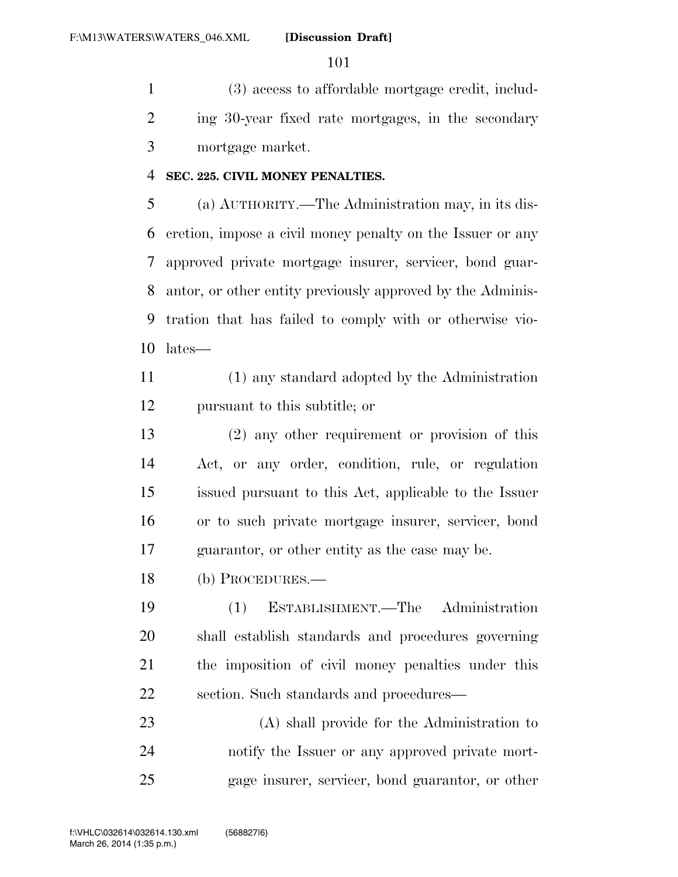(3) access to affordable mortgage credit, includ- ing 30-year fixed rate mortgages, in the secondary mortgage market.

## **SEC. 225. CIVIL MONEY PENALTIES.**

 (a) AUTHORITY.—The Administration may, in its dis- cretion, impose a civil money penalty on the Issuer or any approved private mortgage insurer, servicer, bond guar- antor, or other entity previously approved by the Adminis- tration that has failed to comply with or otherwise vio-lates—

 (1) any standard adopted by the Administration pursuant to this subtitle; or

 (2) any other requirement or provision of this Act, or any order, condition, rule, or regulation issued pursuant to this Act, applicable to the Issuer or to such private mortgage insurer, servicer, bond guarantor, or other entity as the case may be.

(b) PROCEDURES.—

 (1) ESTABLISHMENT.—The Administration shall establish standards and procedures governing the imposition of civil money penalties under this section. Such standards and procedures—

 (A) shall provide for the Administration to notify the Issuer or any approved private mort-gage insurer, servicer, bond guarantor, or other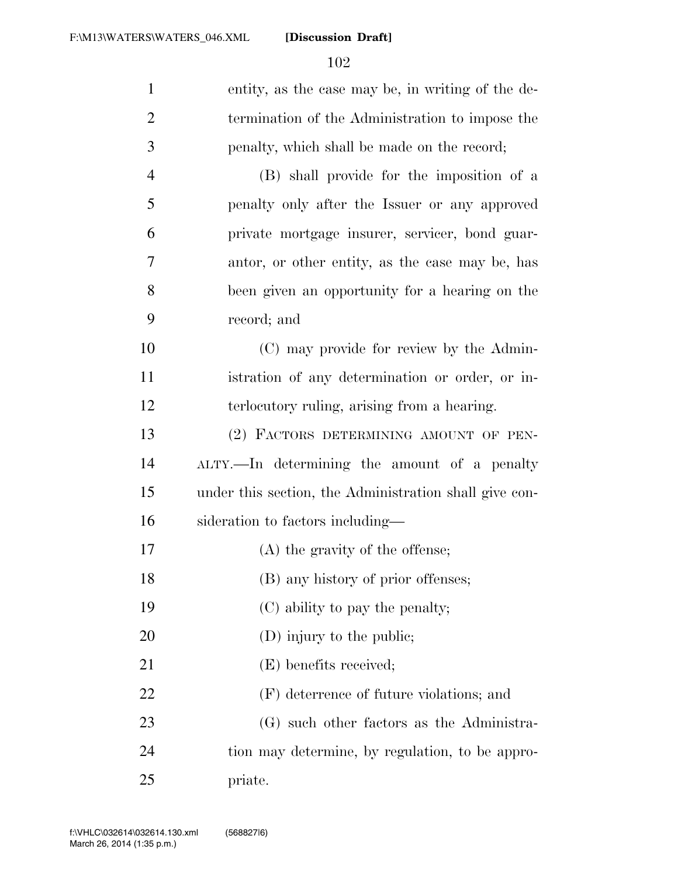| $\mathbf{1}$   | entity, as the case may be, in writing of the de-      |
|----------------|--------------------------------------------------------|
| $\overline{2}$ | termination of the Administration to impose the        |
| 3              | penalty, which shall be made on the record;            |
| $\overline{4}$ | (B) shall provide for the imposition of a              |
| 5              | penalty only after the Issuer or any approved          |
| 6              | private mortgage insurer, servicer, bond guar-         |
| 7              | antor, or other entity, as the case may be, has        |
| 8              | been given an opportunity for a hearing on the         |
| 9              | record; and                                            |
| 10             | (C) may provide for review by the Admin-               |
| 11             | istration of any determination or order, or in-        |
| 12             | terlocutory ruling, arising from a hearing.            |
| 13             | (2) FACTORS DETERMINING AMOUNT OF PEN-                 |
| 14             | ALTY.—In determining the amount of a penalty           |
| 15             | under this section, the Administration shall give con- |
| 16             | sideration to factors including—                       |
| 17             | (A) the gravity of the offense;                        |
| 18             | (B) any history of prior offenses;                     |
| 19             | (C) ability to pay the penalty;                        |
| 20             | $(D)$ injury to the public;                            |
| 21             | (E) benefits received;                                 |
| 22             | (F) deterrence of future violations; and               |
| 23             | (G) such other factors as the Administra-              |
| 24             | tion may determine, by regulation, to be appro-        |
| 25             | priate.                                                |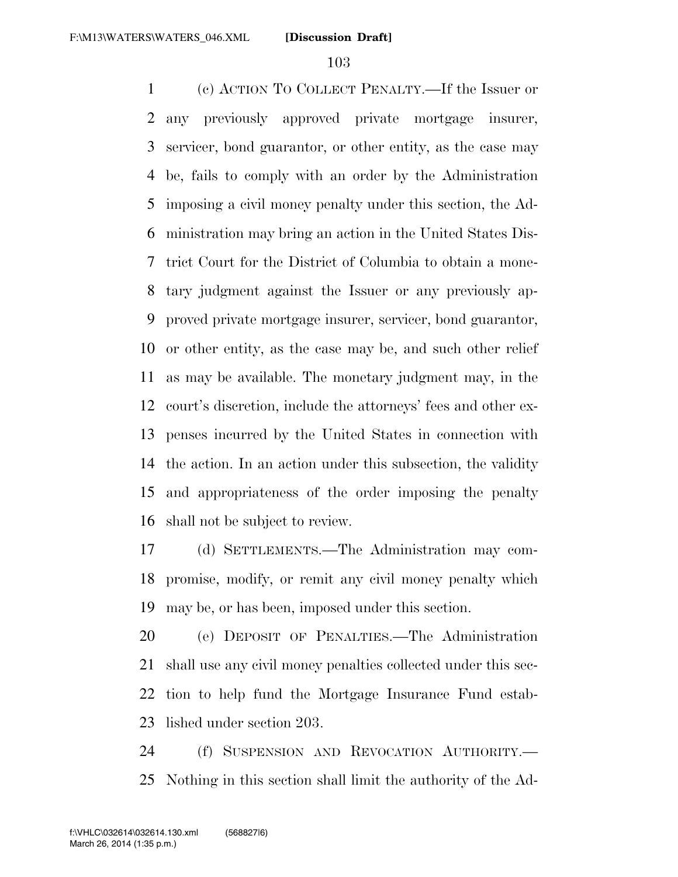(c) ACTION TO COLLECT PENALTY.—If the Issuer or any previously approved private mortgage insurer, servicer, bond guarantor, or other entity, as the case may be, fails to comply with an order by the Administration imposing a civil money penalty under this section, the Ad- ministration may bring an action in the United States Dis- trict Court for the District of Columbia to obtain a mone- tary judgment against the Issuer or any previously ap- proved private mortgage insurer, servicer, bond guarantor, or other entity, as the case may be, and such other relief as may be available. The monetary judgment may, in the court's discretion, include the attorneys' fees and other ex- penses incurred by the United States in connection with the action. In an action under this subsection, the validity and appropriateness of the order imposing the penalty shall not be subject to review.

 (d) SETTLEMENTS.—The Administration may com- promise, modify, or remit any civil money penalty which may be, or has been, imposed under this section.

 (e) DEPOSIT OF PENALTIES.—The Administration shall use any civil money penalties collected under this sec- tion to help fund the Mortgage Insurance Fund estab-lished under section 203.

 (f) SUSPENSION AND REVOCATION AUTHORITY.— Nothing in this section shall limit the authority of the Ad-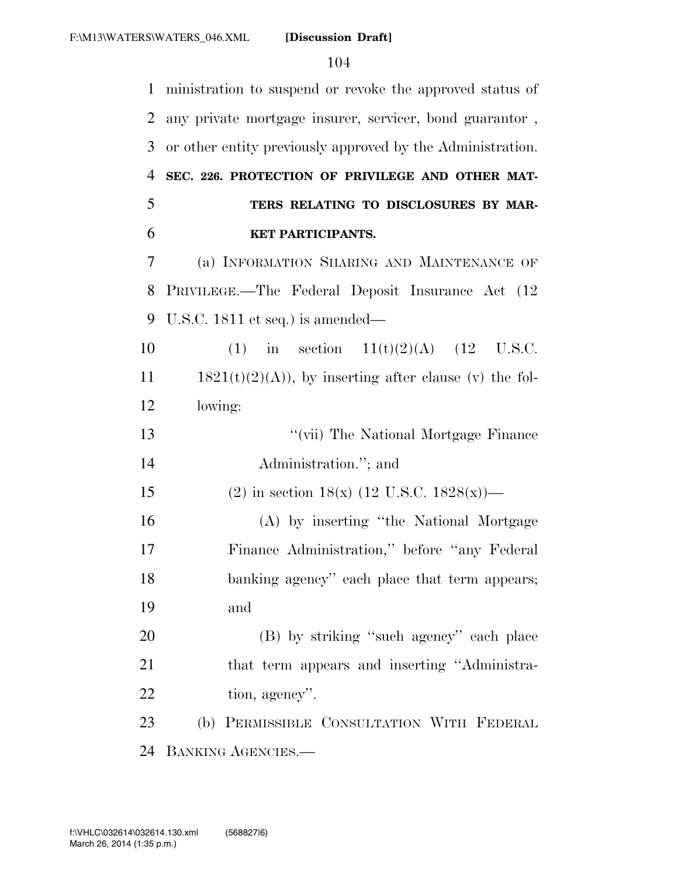| $\mathbf{1}$   | ministration to suspend or revoke the approved status of   |
|----------------|------------------------------------------------------------|
| $\overline{2}$ | any private mortgage insurer, servicer, bond guarantor,    |
| 3              | or other entity previously approved by the Administration. |
| $\overline{4}$ | SEC. 226. PROTECTION OF PRIVILEGE AND OTHER MAT-           |
| 5              | TERS RELATING TO DISCLOSURES BY MAR-                       |
| 6              | KET PARTICIPANTS.                                          |
| 7              | (a) INFORMATION SHARING AND MAINTENANCE OF                 |
| 8              | PRIVILEGE.—The Federal Deposit Insurance Act (12)          |
| 9              | U.S.C. $1811$ et seq.) is amended—                         |
| 10             | in section $11(t)(2)(A)$ (12 U.S.C.<br>(1)                 |
| 11             | $1821(t)(2)(A)$ , by inserting after clause (v) the fol-   |
| 12             | lowing:                                                    |
| 13             | "(vii) The National Mortgage Finance                       |
| 14             | Administration."; and                                      |
| 15             | (2) in section 18(x) (12 U.S.C. 1828(x))—                  |
| 16             | (A) by inserting "the National Mortgage                    |
| 17             | Finance Administration," before "any Federal"              |
| 18             | banking agency" each place that term appears;              |
| 19             | and                                                        |
| 20             | (B) by striking "such agency" each place                   |
| 21             | that term appears and inserting "Administra-               |
| 22             | tion, agency".                                             |
| 23             | (b) PERMISSIBLE CONSULTATION WITH FEDERAL                  |
| 24             | BANKING AGENCIES.-                                         |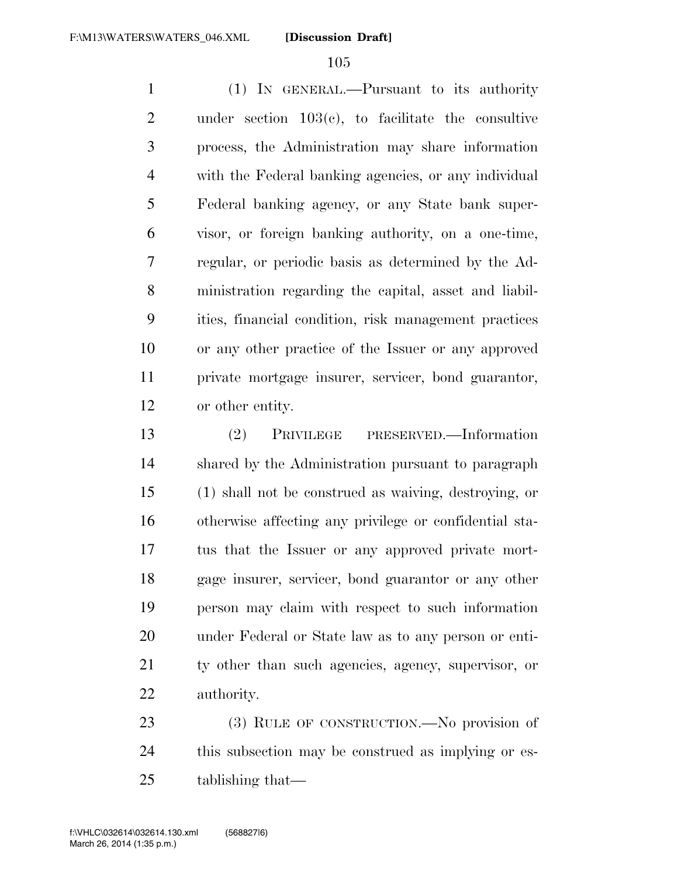(1) IN GENERAL.—Pursuant to its authority under section 103(c), to facilitate the consultive process, the Administration may share information with the Federal banking agencies, or any individual Federal banking agency, or any State bank super- visor, or foreign banking authority, on a one-time, regular, or periodic basis as determined by the Ad- ministration regarding the capital, asset and liabil- ities, financial condition, risk management practices or any other practice of the Issuer or any approved private mortgage insurer, servicer, bond guarantor, or other entity.

 (2) PRIVILEGE PRESERVED.—Information shared by the Administration pursuant to paragraph (1) shall not be construed as waiving, destroying, or otherwise affecting any privilege or confidential sta- tus that the Issuer or any approved private mort- gage insurer, servicer, bond guarantor or any other person may claim with respect to such information under Federal or State law as to any person or enti- ty other than such agencies, agency, supervisor, or authority.

23 (3) RULE OF CONSTRUCTION.—No provision of this subsection may be construed as implying or es-tablishing that—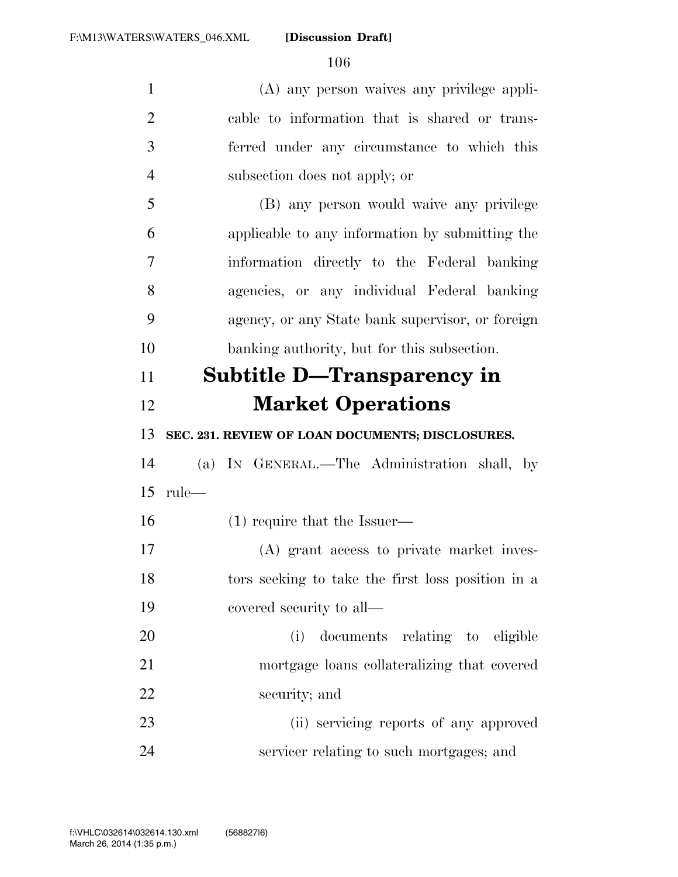(A) any person waives any privilege appli- cable to information that is shared or trans- ferred under any circumstance to which this subsection does not apply; or (B) any person would waive any privilege applicable to any information by submitting the information directly to the Federal banking agencies, or any individual Federal banking agency, or any State bank supervisor, or foreign banking authority, but for this subsection. **Subtitle D—Transparency in Market Operations SEC. 231. REVIEW OF LOAN DOCUMENTS; DISCLOSURES.**  (a) IN GENERAL.—The Administration shall, by rule— (1) require that the Issuer— (A) grant access to private market inves- tors seeking to take the first loss position in a covered security to all— (i) documents relating to eligible mortgage loans collateralizing that covered security; and (ii) servicing reports of any approved servicer relating to such mortgages; and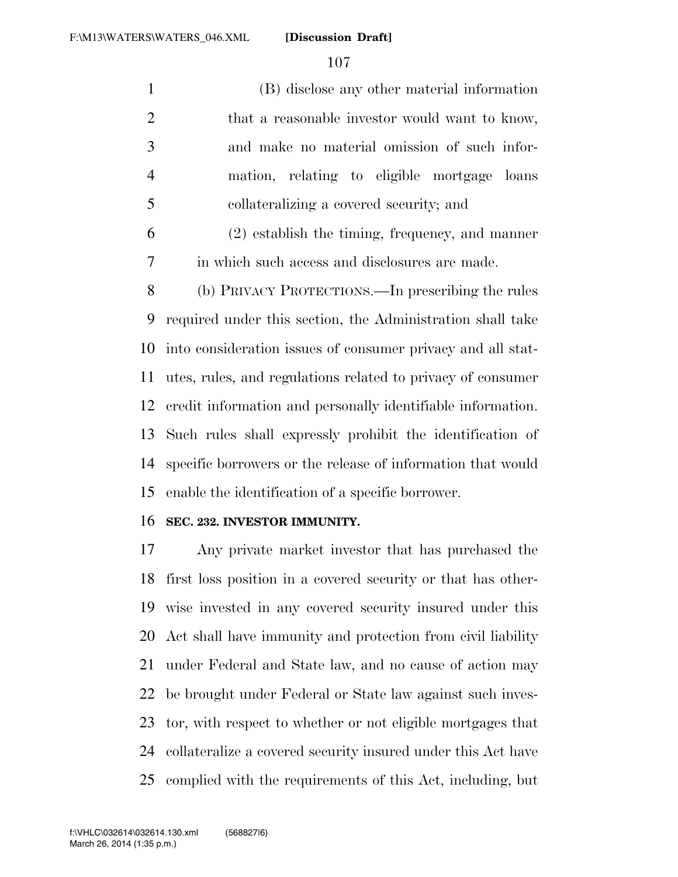(B) disclose any other material information 2 that a reasonable investor would want to know, and make no material omission of such infor- mation, relating to eligible mortgage loans collateralizing a covered security; and

 (2) establish the timing, frequency, and manner in which such access and disclosures are made.

 (b) PRIVACY PROTECTIONS.—In prescribing the rules required under this section, the Administration shall take into consideration issues of consumer privacy and all stat- utes, rules, and regulations related to privacy of consumer credit information and personally identifiable information. Such rules shall expressly prohibit the identification of specific borrowers or the release of information that would enable the identification of a specific borrower.

## **SEC. 232. INVESTOR IMMUNITY.**

 Any private market investor that has purchased the first loss position in a covered security or that has other- wise invested in any covered security insured under this Act shall have immunity and protection from civil liability under Federal and State law, and no cause of action may be brought under Federal or State law against such inves- tor, with respect to whether or not eligible mortgages that collateralize a covered security insured under this Act have complied with the requirements of this Act, including, but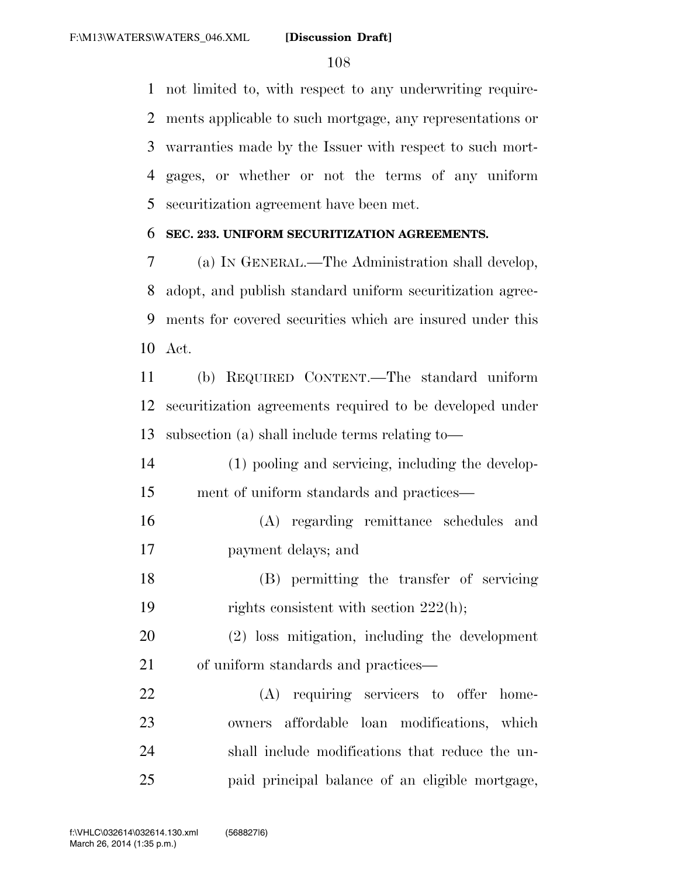not limited to, with respect to any underwriting require- ments applicable to such mortgage, any representations or warranties made by the Issuer with respect to such mort- gages, or whether or not the terms of any uniform securitization agreement have been met.

## **SEC. 233. UNIFORM SECURITIZATION AGREEMENTS.**

 (a) IN GENERAL.—The Administration shall develop, adopt, and publish standard uniform securitization agree- ments for covered securities which are insured under this Act.

 (b) REQUIRED CONTENT.—The standard uniform securitization agreements required to be developed under subsection (a) shall include terms relating to—

- (1) pooling and servicing, including the develop-ment of uniform standards and practices—
- (A) regarding remittance schedules and payment delays; and
- (B) permitting the transfer of servicing 19 rights consistent with section 222(h);

 (2) loss mitigation, including the development 21 of uniform standards and practices—

 (A) requiring servicers to offer home- owners affordable loan modifications, which shall include modifications that reduce the un-paid principal balance of an eligible mortgage,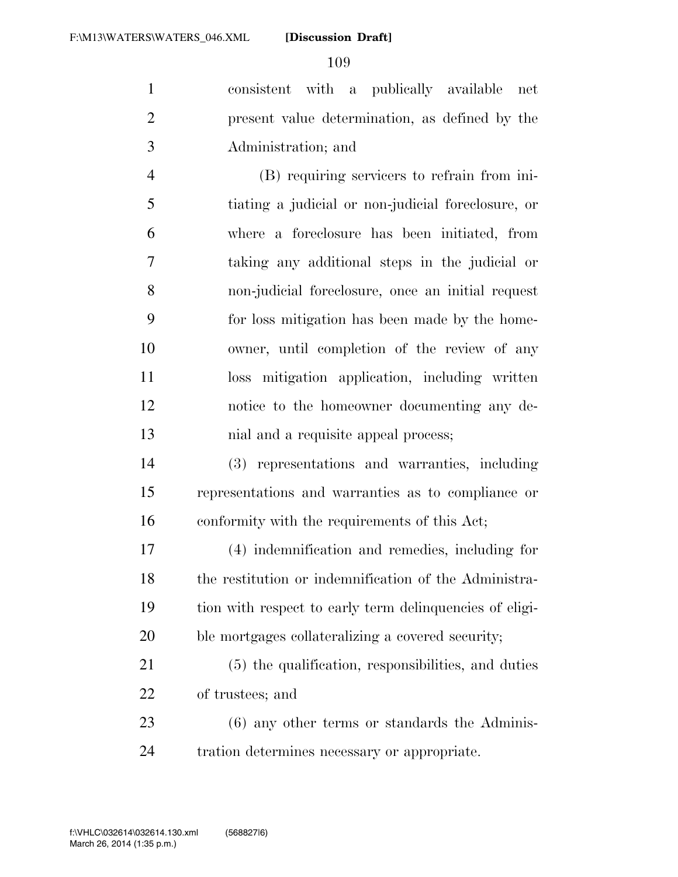consistent with a publically available net present value determination, as defined by the Administration; and

 (B) requiring servicers to refrain from ini- tiating a judicial or non-judicial foreclosure, or where a foreclosure has been initiated, from taking any additional steps in the judicial or non-judicial foreclosure, once an initial request for loss mitigation has been made by the home- owner, until completion of the review of any loss mitigation application, including written notice to the homeowner documenting any de-13 hial and a requisite appeal process;

 (3) representations and warranties, including representations and warranties as to compliance or conformity with the requirements of this Act;

 (4) indemnification and remedies, including for the restitution or indemnification of the Administra- tion with respect to early term delinquencies of eligi-ble mortgages collateralizing a covered security;

 (5) the qualification, responsibilities, and duties of trustees; and

 (6) any other terms or standards the Adminis-tration determines necessary or appropriate.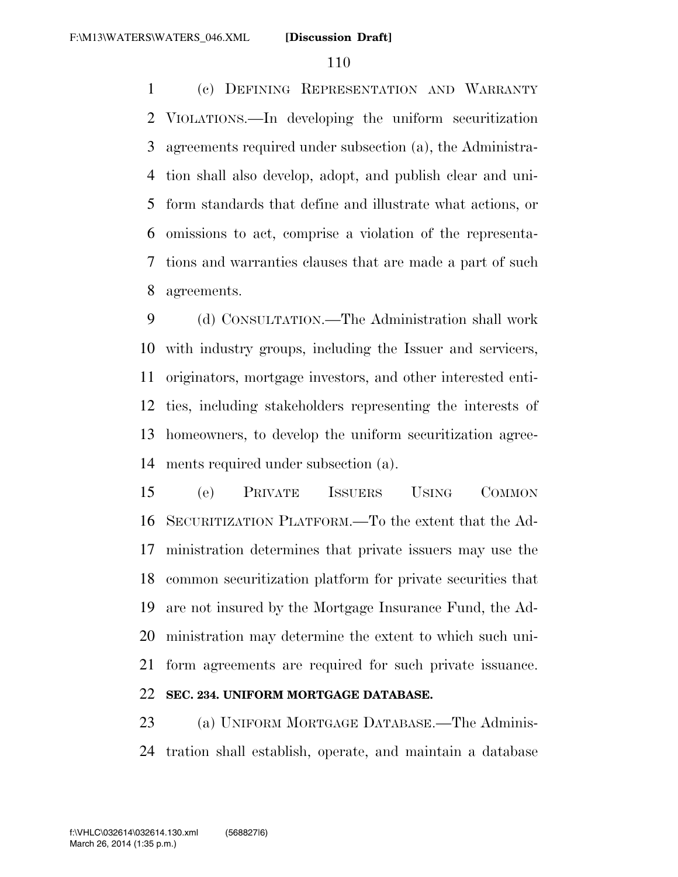(c) DEFINING REPRESENTATION AND WARRANTY VIOLATIONS.—In developing the uniform securitization agreements required under subsection (a), the Administra- tion shall also develop, adopt, and publish clear and uni- form standards that define and illustrate what actions, or omissions to act, comprise a violation of the representa- tions and warranties clauses that are made a part of such agreements.

 (d) CONSULTATION.—The Administration shall work with industry groups, including the Issuer and servicers, originators, mortgage investors, and other interested enti- ties, including stakeholders representing the interests of homeowners, to develop the uniform securitization agree-ments required under subsection (a).

 (e) PRIVATE ISSUERS USING COMMON SECURITIZATION PLATFORM.—To the extent that the Ad- ministration determines that private issuers may use the common securitization platform for private securities that are not insured by the Mortgage Insurance Fund, the Ad- ministration may determine the extent to which such uni- form agreements are required for such private issuance. **SEC. 234. UNIFORM MORTGAGE DATABASE.** 

 (a) UNIFORM MORTGAGE DATABASE.—The Adminis-tration shall establish, operate, and maintain a database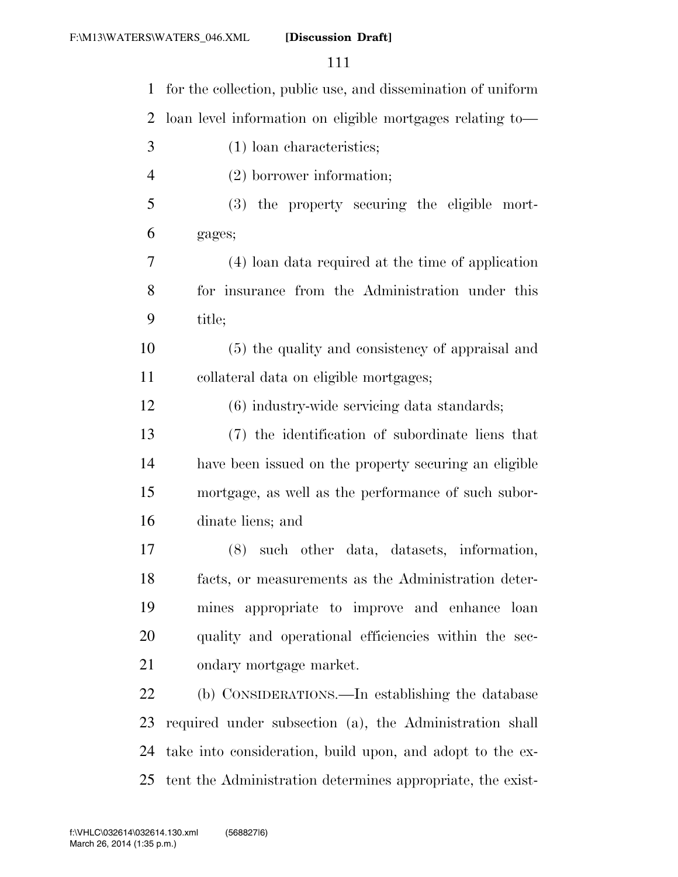| $\mathbf{1}$   | for the collection, public use, and dissemination of uniform |
|----------------|--------------------------------------------------------------|
| 2              | loan level information on eligible mortgages relating to-    |
| 3              | $(1)$ loan characteristics;                                  |
| $\overline{4}$ | $(2)$ borrower information;                                  |
| 5              | (3) the property securing the eligible mort-                 |
| 6              | gages;                                                       |
| 7              | (4) loan data required at the time of application            |
| 8              | for insurance from the Administration under this             |
| 9              | title;                                                       |
| 10             | (5) the quality and consistency of appraisal and             |
| 11             | collateral data on eligible mortgages;                       |
| 12             | (6) industry-wide servicing data standards;                  |
| 13             | (7) the identification of subordinate liens that             |
| 14             | have been issued on the property securing an eligible        |
| 15             | mortgage, as well as the performance of such subor-          |
| 16             | dinate liens; and                                            |
| 17             | such other data, datasets, information,<br>(8)               |
| 18             | facts, or measurements as the Administration deter-          |
| 19             | mines appropriate to improve and enhance loan                |
| 20             | quality and operational efficiencies within the sec-         |
| 21             | ondary mortgage market.                                      |
| 22             | (b) CONSIDERATIONS.—In establishing the database             |
| 23             | required under subsection (a), the Administration shall      |
| 24             | take into consideration, build upon, and adopt to the ex-    |
| 25             | tent the Administration determines appropriate, the exist-   |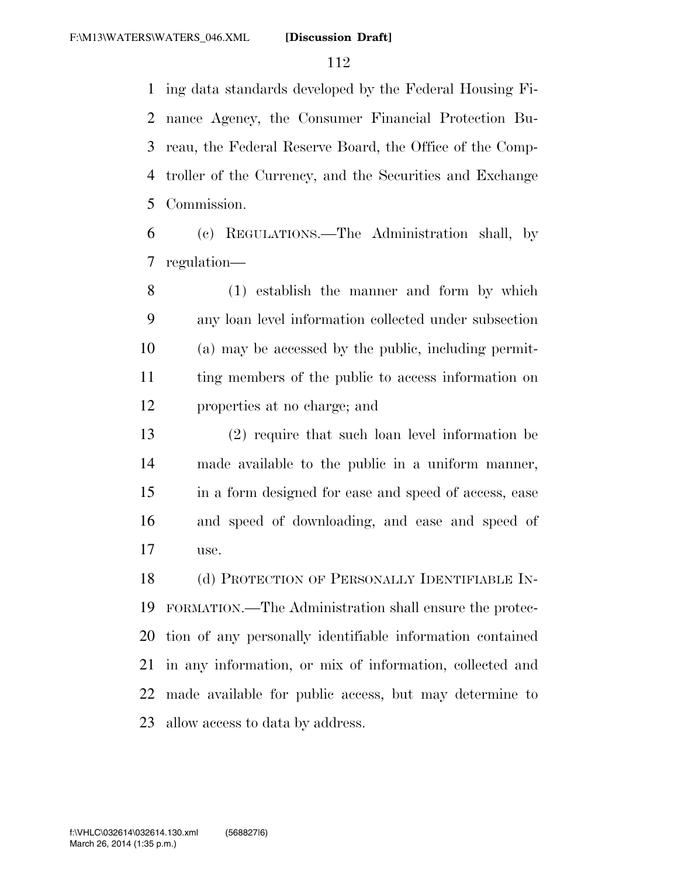ing data standards developed by the Federal Housing Fi- nance Agency, the Consumer Financial Protection Bu- reau, the Federal Reserve Board, the Office of the Comp- troller of the Currency, and the Securities and Exchange Commission.

 (c) REGULATIONS.—The Administration shall, by regulation—

 (1) establish the manner and form by which any loan level information collected under subsection (a) may be accessed by the public, including permit- ting members of the public to access information on properties at no charge; and

 (2) require that such loan level information be made available to the public in a uniform manner, in a form designed for ease and speed of access, ease and speed of downloading, and ease and speed of use.

 (d) PROTECTION OF PERSONALLY IDENTIFIABLE IN- FORMATION.—The Administration shall ensure the protec- tion of any personally identifiable information contained in any information, or mix of information, collected and made available for public access, but may determine to allow access to data by address.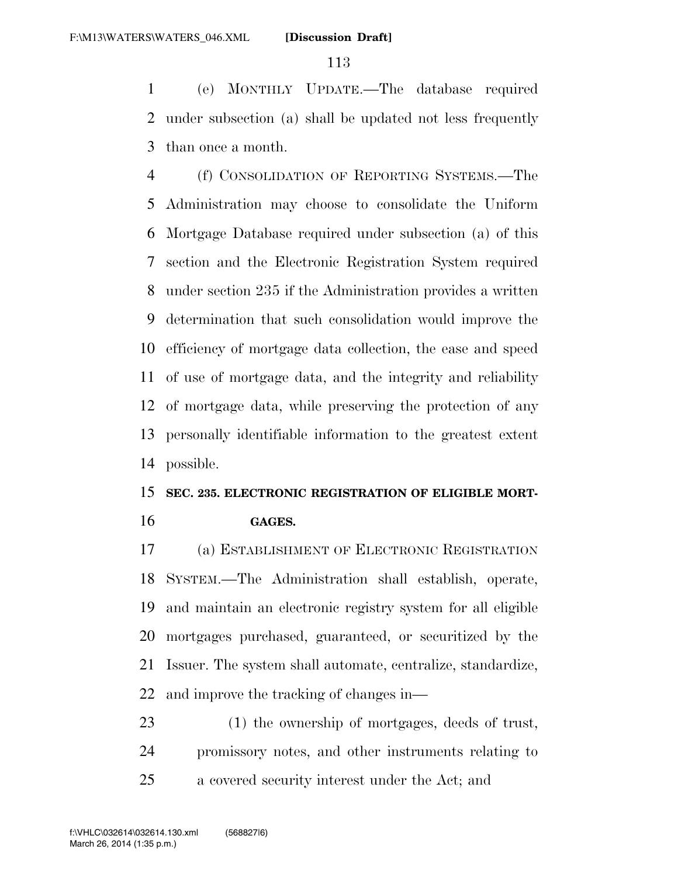(e) MONTHLY UPDATE.—The database required under subsection (a) shall be updated not less frequently than once a month.

 (f) CONSOLIDATION OF REPORTING SYSTEMS.—The Administration may choose to consolidate the Uniform Mortgage Database required under subsection (a) of this section and the Electronic Registration System required under section 235 if the Administration provides a written determination that such consolidation would improve the efficiency of mortgage data collection, the ease and speed of use of mortgage data, and the integrity and reliability of mortgage data, while preserving the protection of any personally identifiable information to the greatest extent possible.

## **SEC. 235. ELECTRONIC REGISTRATION OF ELIGIBLE MORT-GAGES.**

 (a) ESTABLISHMENT OF ELECTRONIC REGISTRATION SYSTEM.—The Administration shall establish, operate, and maintain an electronic registry system for all eligible mortgages purchased, guaranteed, or securitized by the Issuer. The system shall automate, centralize, standardize, and improve the tracking of changes in—

 (1) the ownership of mortgages, deeds of trust, promissory notes, and other instruments relating to a covered security interest under the Act; and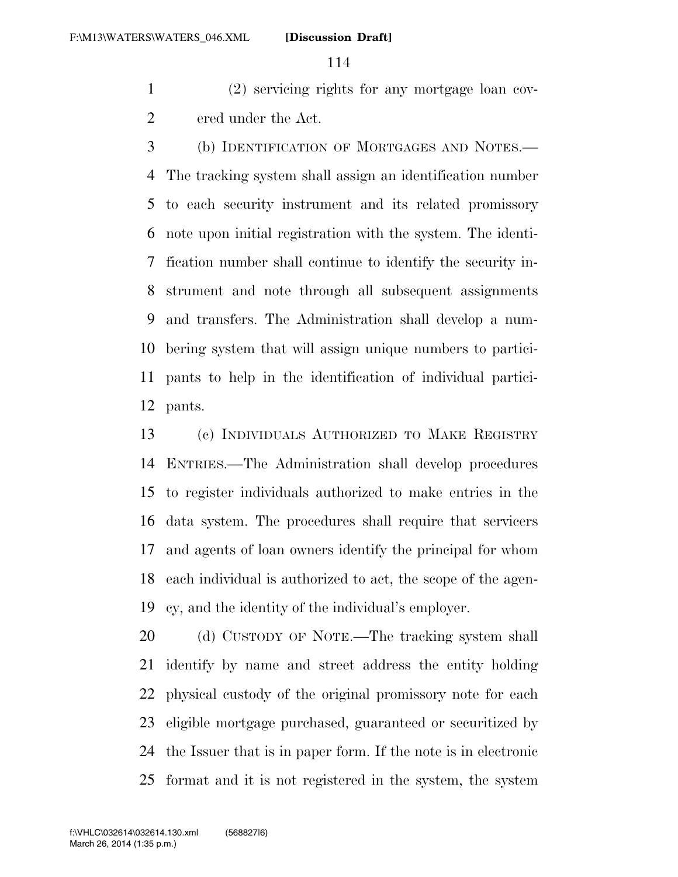(2) servicing rights for any mortgage loan cov-ered under the Act.

 (b) IDENTIFICATION OF MORTGAGES AND NOTES.— The tracking system shall assign an identification number to each security instrument and its related promissory note upon initial registration with the system. The identi- fication number shall continue to identify the security in- strument and note through all subsequent assignments and transfers. The Administration shall develop a num- bering system that will assign unique numbers to partici- pants to help in the identification of individual partici-pants.

 (c) INDIVIDUALS AUTHORIZED TO MAKE REGISTRY ENTRIES.—The Administration shall develop procedures to register individuals authorized to make entries in the data system. The procedures shall require that servicers and agents of loan owners identify the principal for whom each individual is authorized to act, the scope of the agen-cy, and the identity of the individual's employer.

 (d) CUSTODY OF NOTE.—The tracking system shall identify by name and street address the entity holding physical custody of the original promissory note for each eligible mortgage purchased, guaranteed or securitized by the Issuer that is in paper form. If the note is in electronic format and it is not registered in the system, the system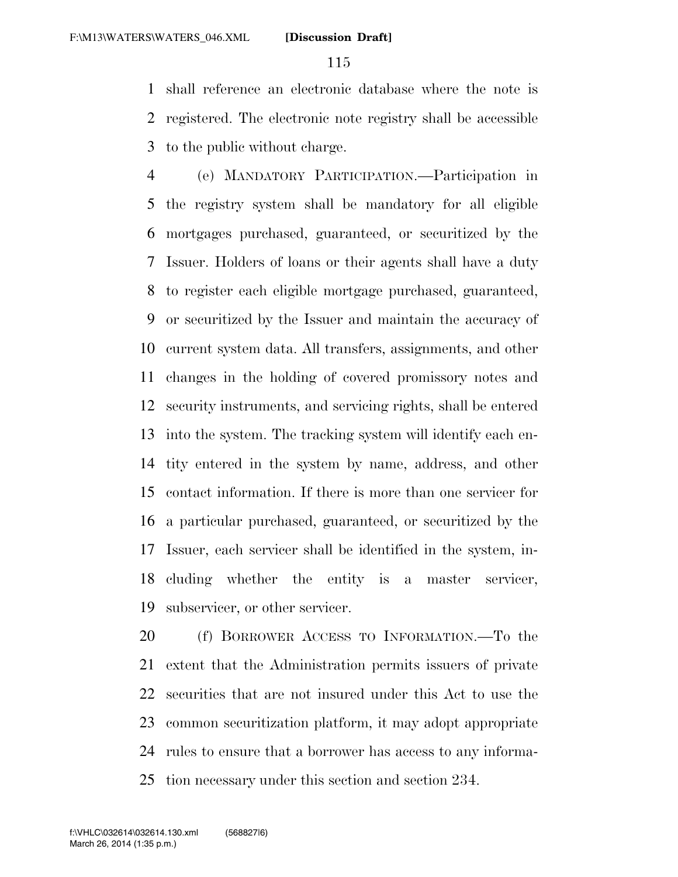shall reference an electronic database where the note is registered. The electronic note registry shall be accessible to the public without charge.

 (e) MANDATORY PARTICIPATION.—Participation in the registry system shall be mandatory for all eligible mortgages purchased, guaranteed, or securitized by the Issuer. Holders of loans or their agents shall have a duty to register each eligible mortgage purchased, guaranteed, or securitized by the Issuer and maintain the accuracy of current system data. All transfers, assignments, and other changes in the holding of covered promissory notes and security instruments, and servicing rights, shall be entered into the system. The tracking system will identify each en- tity entered in the system by name, address, and other contact information. If there is more than one servicer for a particular purchased, guaranteed, or securitized by the Issuer, each servicer shall be identified in the system, in- cluding whether the entity is a master servicer, subservicer, or other servicer.

 (f) BORROWER ACCESS TO INFORMATION.—To the extent that the Administration permits issuers of private securities that are not insured under this Act to use the common securitization platform, it may adopt appropriate rules to ensure that a borrower has access to any informa-tion necessary under this section and section 234.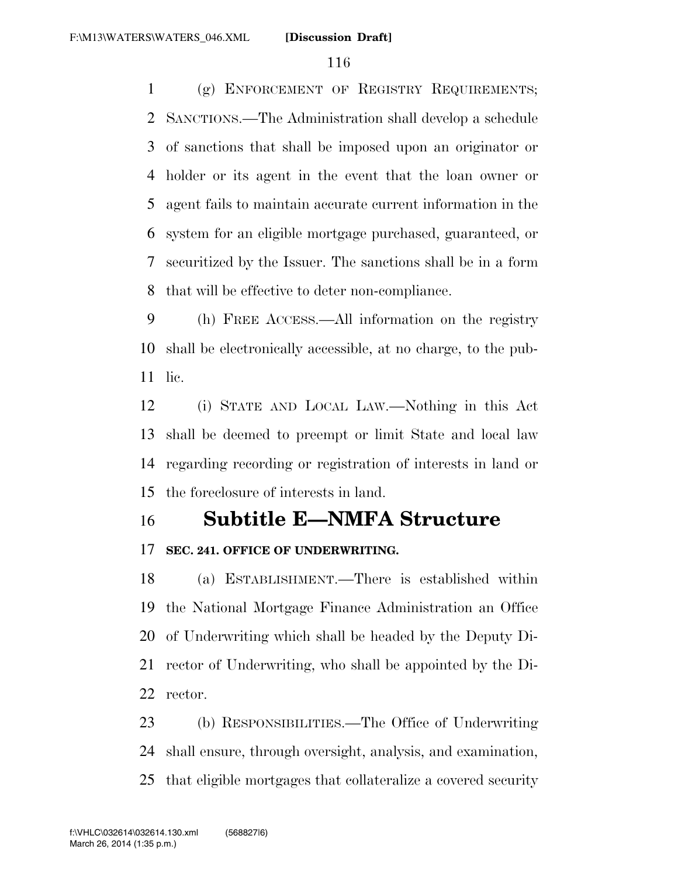(g) ENFORCEMENT OF REGISTRY REQUIREMENTS; SANCTIONS.—The Administration shall develop a schedule of sanctions that shall be imposed upon an originator or holder or its agent in the event that the loan owner or agent fails to maintain accurate current information in the system for an eligible mortgage purchased, guaranteed, or securitized by the Issuer. The sanctions shall be in a form that will be effective to deter non-compliance.

 (h) FREE ACCESS.—All information on the registry shall be electronically accessible, at no charge, to the pub-lic.

 (i) STATE AND LOCAL LAW.—Nothing in this Act shall be deemed to preempt or limit State and local law regarding recording or registration of interests in land or the foreclosure of interests in land.

## **Subtitle E—NMFA Structure**

#### **SEC. 241. OFFICE OF UNDERWRITING.**

 (a) ESTABLISHMENT.—There is established within the National Mortgage Finance Administration an Office of Underwriting which shall be headed by the Deputy Di- rector of Underwriting, who shall be appointed by the Di-rector.

 (b) RESPONSIBILITIES.—The Office of Underwriting shall ensure, through oversight, analysis, and examination, that eligible mortgages that collateralize a covered security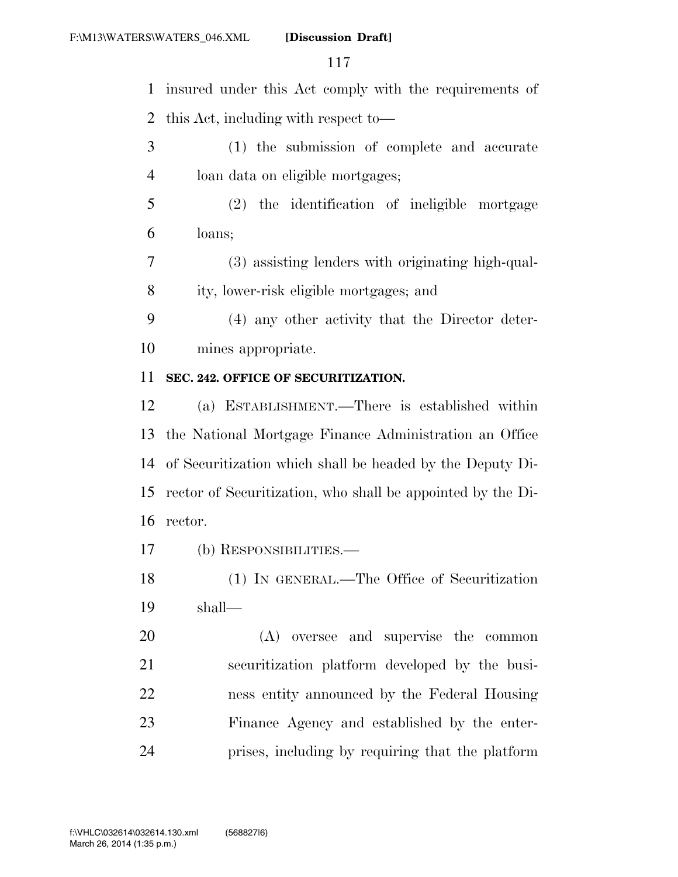insured under this Act comply with the requirements of this Act, including with respect to— (1) the submission of complete and accurate loan data on eligible mortgages; (2) the identification of ineligible mortgage loans; (3) assisting lenders with originating high-qual- ity, lower-risk eligible mortgages; and (4) any other activity that the Director deter- mines appropriate. **SEC. 242. OFFICE OF SECURITIZATION.**  (a) ESTABLISHMENT.—There is established within the National Mortgage Finance Administration an Office of Securitization which shall be headed by the Deputy Di- rector of Securitization, who shall be appointed by the Di- rector. (b) RESPONSIBILITIES.— (1) IN GENERAL.—The Office of Securitization shall— (A) oversee and supervise the common securitization platform developed by the busi- ness entity announced by the Federal Housing Finance Agency and established by the enter-prises, including by requiring that the platform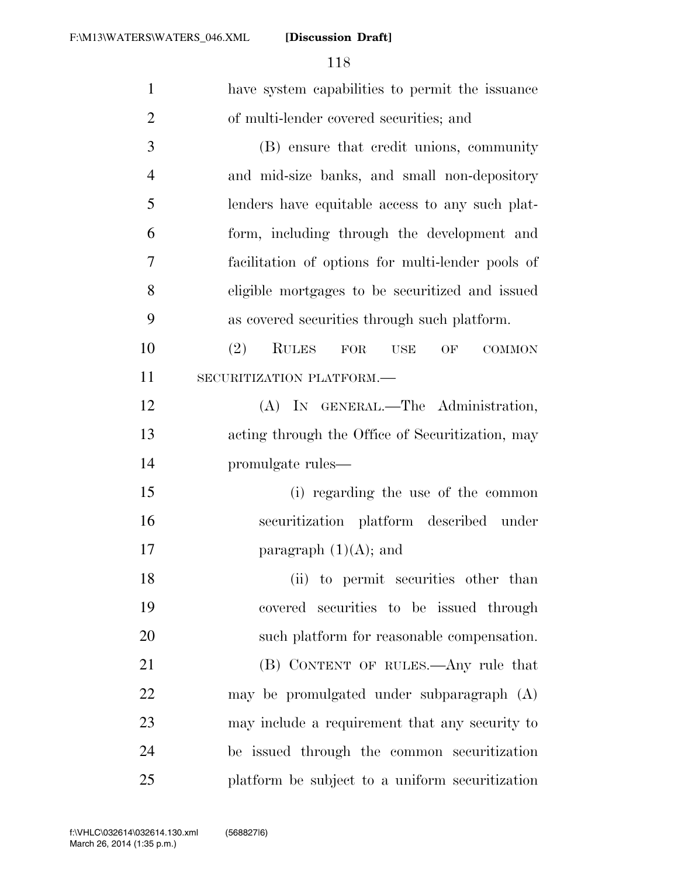| $\mathbf{1}$   | have system capabilities to permit the issuance                  |
|----------------|------------------------------------------------------------------|
| $\overline{2}$ | of multi-lender covered securities; and                          |
| 3              | (B) ensure that credit unions, community                         |
| $\overline{4}$ | and mid-size banks, and small non-depository                     |
| 5              | lenders have equitable access to any such plat-                  |
| 6              | form, including through the development and                      |
| 7              | facilitation of options for multi-lender pools of                |
| 8              | eligible mortgages to be securitized and issued                  |
| 9              | as covered securities through such platform.                     |
| 10             | <b>RULES</b><br>(2)<br>${\rm FOR}$<br>OF<br>USE<br><b>COMMON</b> |
| 11             | SECURITIZATION PLATFORM.-                                        |
| 12             | (A) IN GENERAL.—The Administration,                              |
| 13             | acting through the Office of Securitization, may                 |
| 14             | promulgate rules—                                                |
| 15             | (i) regarding the use of the common                              |
| 16             | securitization platform described under                          |
| 17             | paragraph $(1)(A)$ ; and                                         |
| 18             | (ii) to permit securities other than                             |
| 19             | covered securities to be issued through                          |
| 20             | such platform for reasonable compensation.                       |
| 21             | (B) CONTENT OF RULES.—Any rule that                              |
| 22             | may be promulgated under subparagraph (A)                        |
| 23             | may include a requirement that any security to                   |
| 24             | be issued through the common securitization                      |
| 25             | platform be subject to a uniform securitization                  |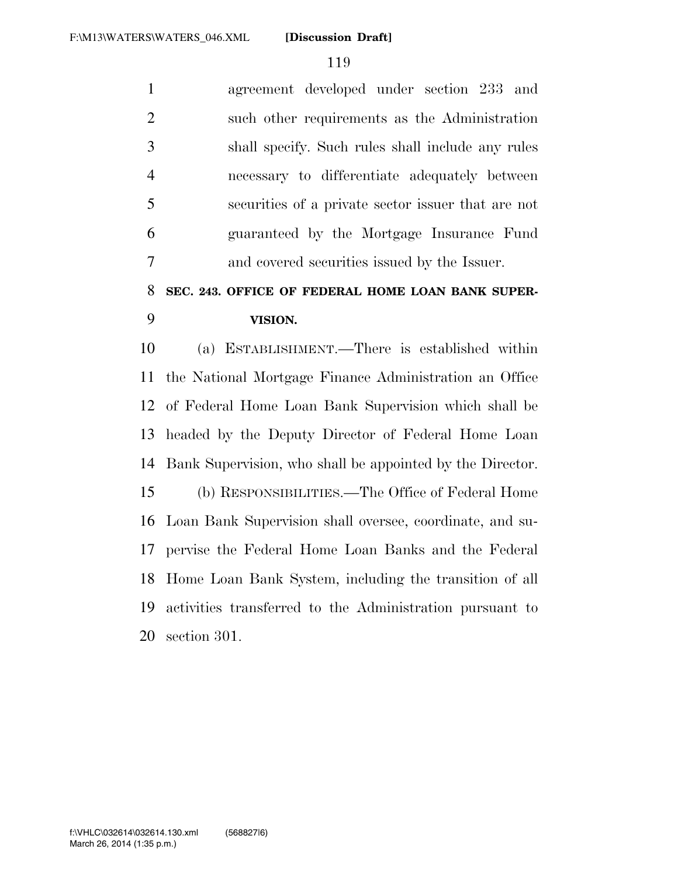agreement developed under section 233 and such other requirements as the Administration shall specify. Such rules shall include any rules necessary to differentiate adequately between securities of a private sector issuer that are not guaranteed by the Mortgage Insurance Fund and covered securities issued by the Issuer.

## **SEC. 243. OFFICE OF FEDERAL HOME LOAN BANK SUPER-VISION.**

 (a) ESTABLISHMENT.—There is established within the National Mortgage Finance Administration an Office of Federal Home Loan Bank Supervision which shall be headed by the Deputy Director of Federal Home Loan Bank Supervision, who shall be appointed by the Director. (b) RESPONSIBILITIES.—The Office of Federal Home Loan Bank Supervision shall oversee, coordinate, and su- pervise the Federal Home Loan Banks and the Federal Home Loan Bank System, including the transition of all activities transferred to the Administration pursuant to section 301.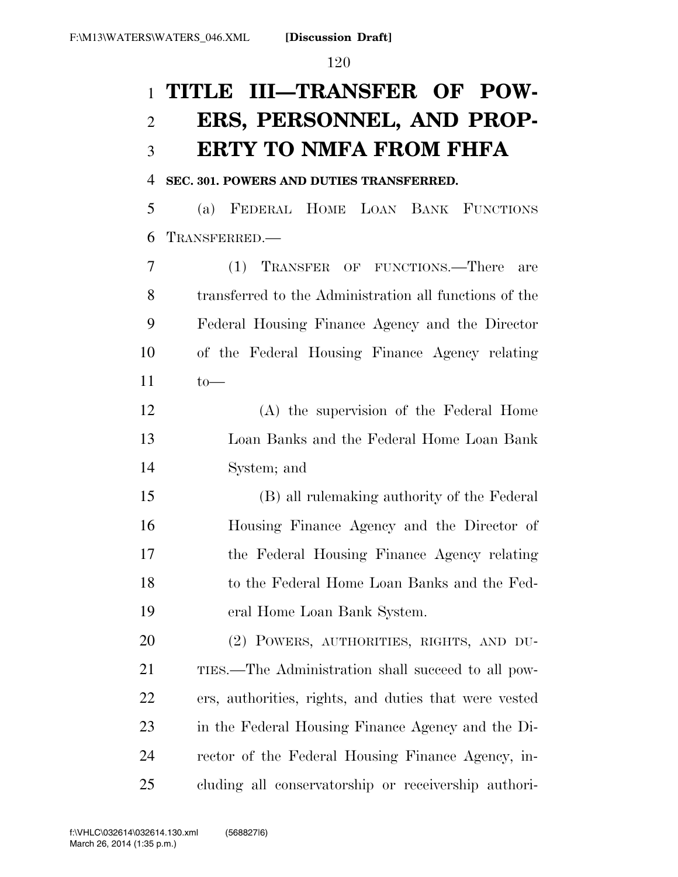## **TITLE III—TRANSFER OF POW- ERS, PERSONNEL, AND PROP-ERTY TO NMFA FROM FHFA**

#### **SEC. 301. POWERS AND DUTIES TRANSFERRED.**

 (a) FEDERAL HOME LOAN BANK FUNCTIONS TRANSFERRED.—

 (1) TRANSFER OF FUNCTIONS.—There are transferred to the Administration all functions of the Federal Housing Finance Agency and the Director of the Federal Housing Finance Agency relating to—

 (A) the supervision of the Federal Home Loan Banks and the Federal Home Loan Bank System; and

 (B) all rulemaking authority of the Federal Housing Finance Agency and the Director of the Federal Housing Finance Agency relating to the Federal Home Loan Banks and the Fed-eral Home Loan Bank System.

 (2) POWERS, AUTHORITIES, RIGHTS, AND DU- TIES.—The Administration shall succeed to all pow- ers, authorities, rights, and duties that were vested in the Federal Housing Finance Agency and the Di- rector of the Federal Housing Finance Agency, in-cluding all conservatorship or receivership authori-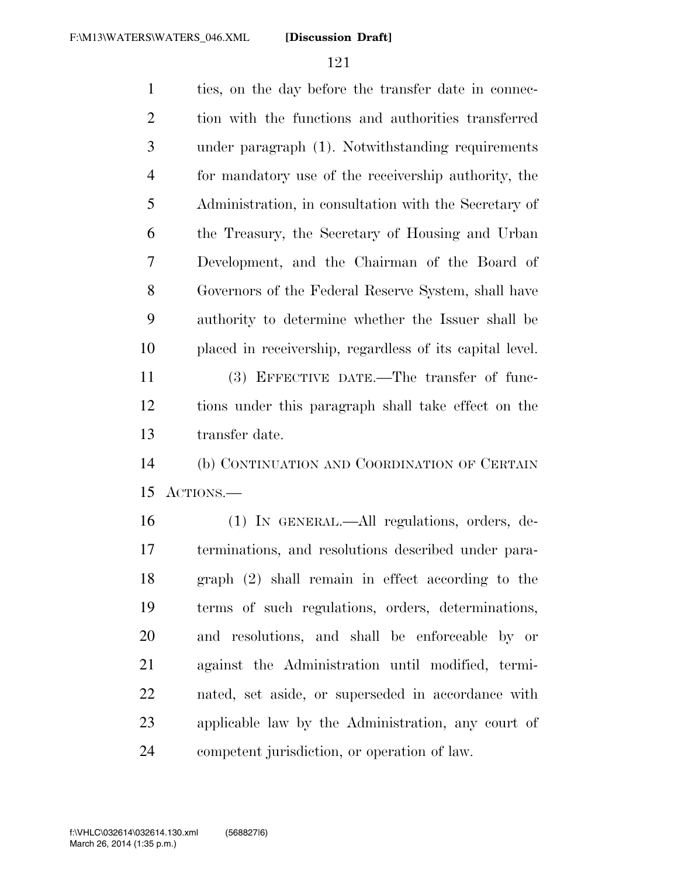ties, on the day before the transfer date in connec- tion with the functions and authorities transferred under paragraph (1). Notwithstanding requirements for mandatory use of the receivership authority, the Administration, in consultation with the Secretary of the Treasury, the Secretary of Housing and Urban Development, and the Chairman of the Board of Governors of the Federal Reserve System, shall have authority to determine whether the Issuer shall be placed in receivership, regardless of its capital level. (3) EFFECTIVE DATE.—The transfer of func-

 tions under this paragraph shall take effect on the transfer date.

 (b) CONTINUATION AND COORDINATION OF CERTAIN ACTIONS.—

 (1) IN GENERAL.—All regulations, orders, de- terminations, and resolutions described under para- graph (2) shall remain in effect according to the terms of such regulations, orders, determinations, and resolutions, and shall be enforceable by or against the Administration until modified, termi- nated, set aside, or superseded in accordance with applicable law by the Administration, any court of competent jurisdiction, or operation of law.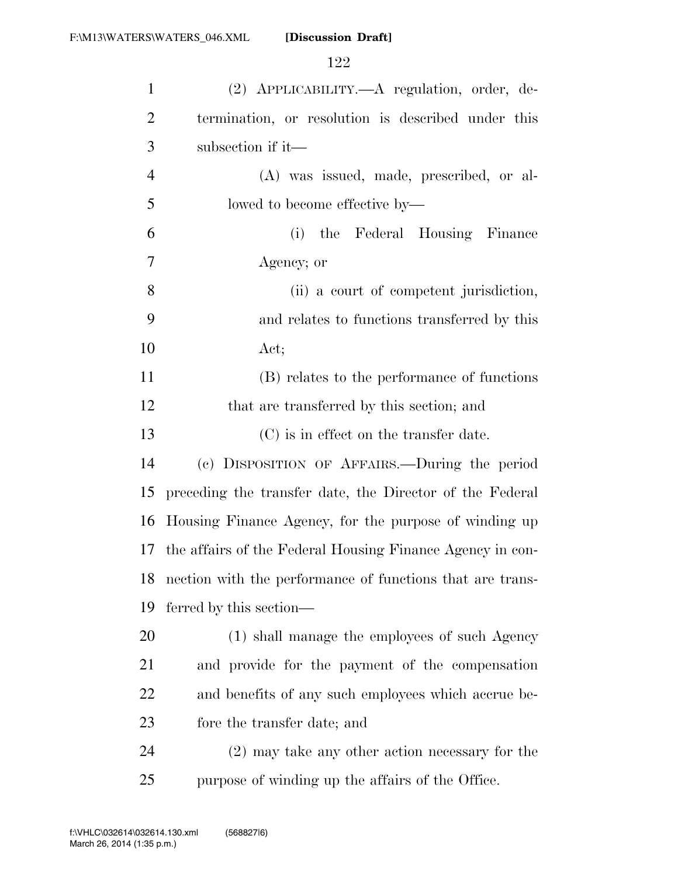| $\mathbf{1}$   | (2) APPLICABILITY.—A regulation, order, de-               |
|----------------|-----------------------------------------------------------|
| $\overline{2}$ | termination, or resolution is described under this        |
| 3              | subsection if it—                                         |
| $\overline{4}$ | (A) was issued, made, prescribed, or al-                  |
| 5              | lowed to become effective by—                             |
| 6              | (i) the Federal Housing Finance                           |
| 7              | Agency; or                                                |
| 8              | (ii) a court of competent jurisdiction,                   |
| 9              | and relates to functions transferred by this              |
| 10             | Act;                                                      |
| 11             | (B) relates to the performance of functions               |
| 12             | that are transferred by this section; and                 |
| 13             | (C) is in effect on the transfer date.                    |
| 14             | (c) DISPOSITION OF AFFAIRS.—During the period             |
| 15             | preceding the transfer date, the Director of the Federal  |
| 16             | Housing Finance Agency, for the purpose of winding up     |
| 17             | the affairs of the Federal Housing Finance Agency in con- |
| 18             | nection with the performance of functions that are trans- |
| 19             | ferred by this section—                                   |
| 20             | (1) shall manage the employees of such Agency             |
| 21             | and provide for the payment of the compensation           |
| 22             | and benefits of any such employees which accrue be-       |
| 23             | fore the transfer date; and                               |
| 24             | $(2)$ may take any other action necessary for the         |
| 25             | purpose of winding up the affairs of the Office.          |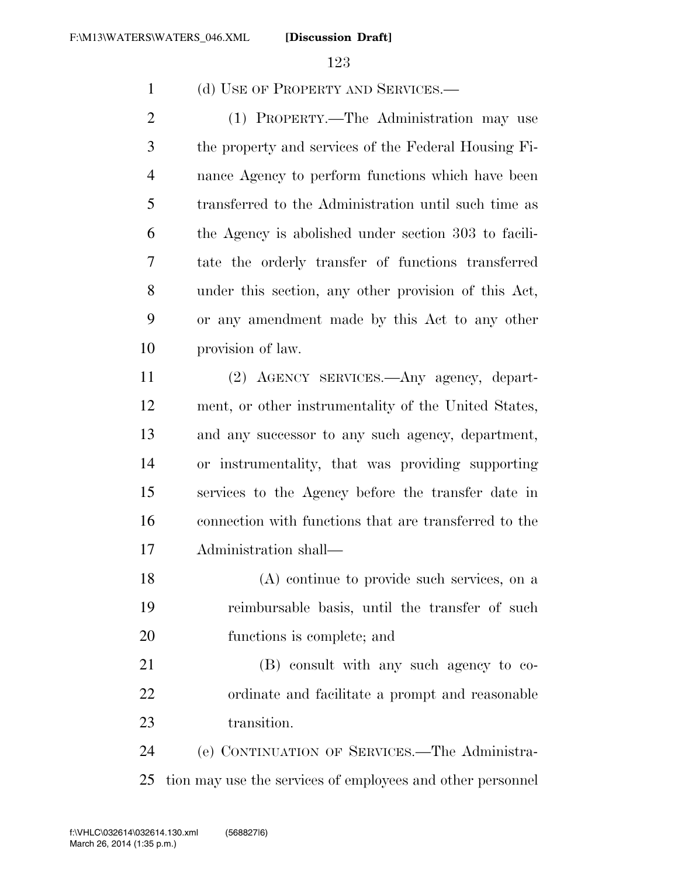(d) USE OF PROPERTY AND SERVICES.—

 (1) PROPERTY.—The Administration may use the property and services of the Federal Housing Fi- nance Agency to perform functions which have been transferred to the Administration until such time as the Agency is abolished under section 303 to facili- tate the orderly transfer of functions transferred under this section, any other provision of this Act, or any amendment made by this Act to any other provision of law.

 (2) AGENCY SERVICES.—Any agency, depart- ment, or other instrumentality of the United States, and any successor to any such agency, department, or instrumentality, that was providing supporting services to the Agency before the transfer date in connection with functions that are transferred to the Administration shall—

 (A) continue to provide such services, on a reimbursable basis, until the transfer of such functions is complete; and

 (B) consult with any such agency to co- ordinate and facilitate a prompt and reasonable transition.

 (e) CONTINUATION OF SERVICES.—The Administra-tion may use the services of employees and other personnel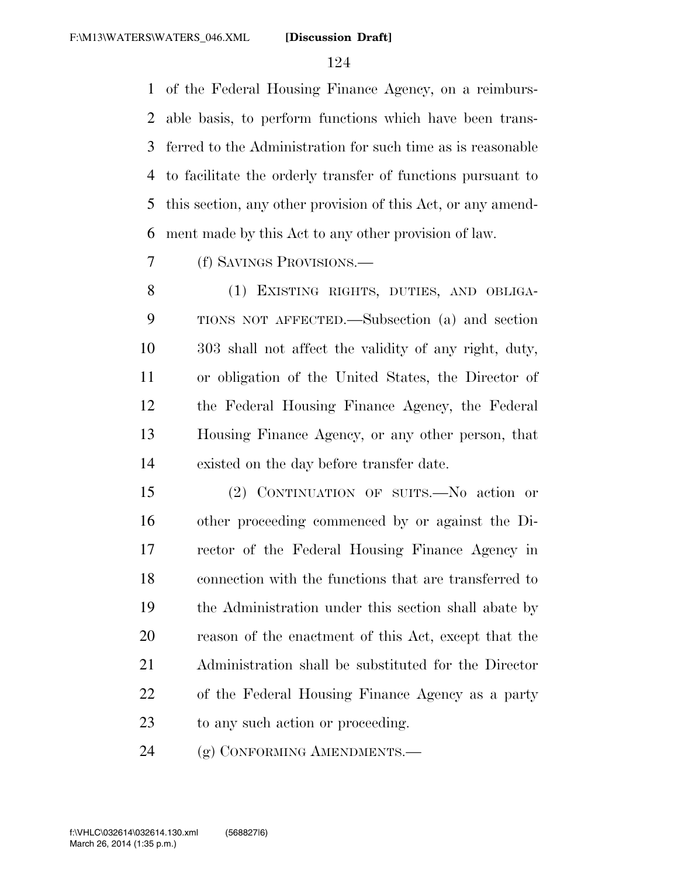of the Federal Housing Finance Agency, on a reimburs- able basis, to perform functions which have been trans- ferred to the Administration for such time as is reasonable to facilitate the orderly transfer of functions pursuant to this section, any other provision of this Act, or any amend-ment made by this Act to any other provision of law.

(f) SAVINGS PROVISIONS.—

 (1) EXISTING RIGHTS, DUTIES, AND OBLIGA- TIONS NOT AFFECTED.—Subsection (a) and section 303 shall not affect the validity of any right, duty, or obligation of the United States, the Director of the Federal Housing Finance Agency, the Federal Housing Finance Agency, or any other person, that existed on the day before transfer date.

 (2) CONTINUATION OF SUITS.—No action or other proceeding commenced by or against the Di- rector of the Federal Housing Finance Agency in connection with the functions that are transferred to the Administration under this section shall abate by reason of the enactment of this Act, except that the Administration shall be substituted for the Director of the Federal Housing Finance Agency as a party to any such action or proceeding.

24 (g) CONFORMING AMENDMENTS.—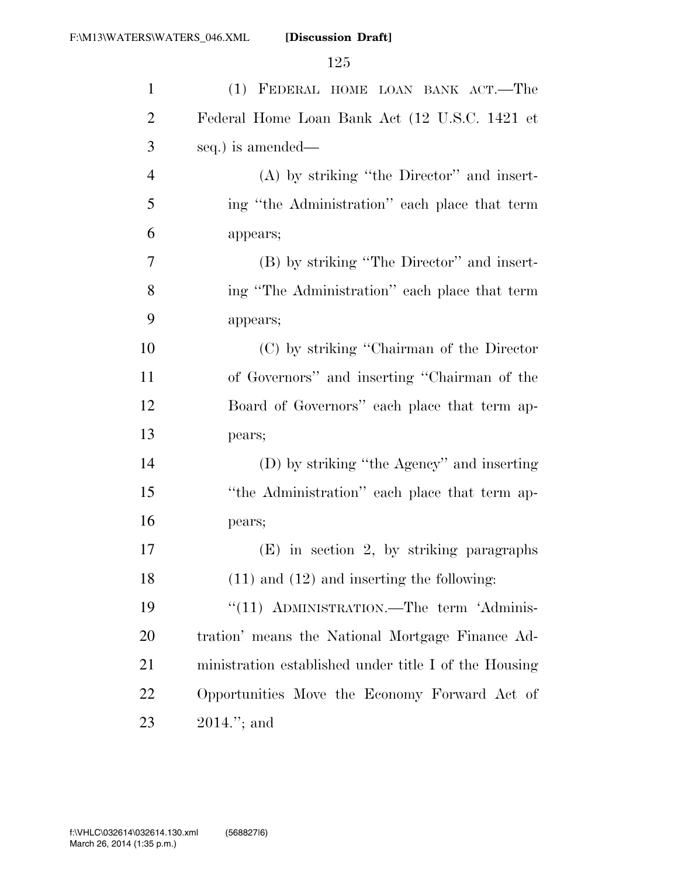| $\mathbf{1}$   | (1) FEDERAL HOME LOAN BANK ACT.-The                   |
|----------------|-------------------------------------------------------|
| $\overline{2}$ | Federal Home Loan Bank Act (12 U.S.C. 1421 et         |
| 3              | seq.) is amended—                                     |
| $\overline{4}$ | $(A)$ by striking "the Director" and insert-          |
| 5              | ing "the Administration" each place that term         |
| 6              | appears;                                              |
| 7              | (B) by striking "The Director" and insert-            |
| 8              | ing "The Administration" each place that term         |
| 9              | appears;                                              |
| 10             | (C) by striking "Chairman of the Director"            |
| 11             | of Governors" and inserting "Chairman of the          |
| 12             | Board of Governors" each place that term ap-          |
| 13             | pears;                                                |
| 14             | (D) by striking "the Agency" and inserting            |
| 15             | "the Administration" each place that term ap-         |
| 16             | pears;                                                |
| 17             | $(E)$ in section 2, by striking paragraphs            |
| 18             | $(11)$ and $(12)$ and inserting the following:        |
| 19             | "(11) ADMINISTRATION.—The term 'Adminis-              |
| 20             | tration' means the National Mortgage Finance Ad-      |
| 21             | ministration established under title I of the Housing |
| 22             | Opportunities Move the Economy Forward Act of         |
| 23             | $2014."$ ; and                                        |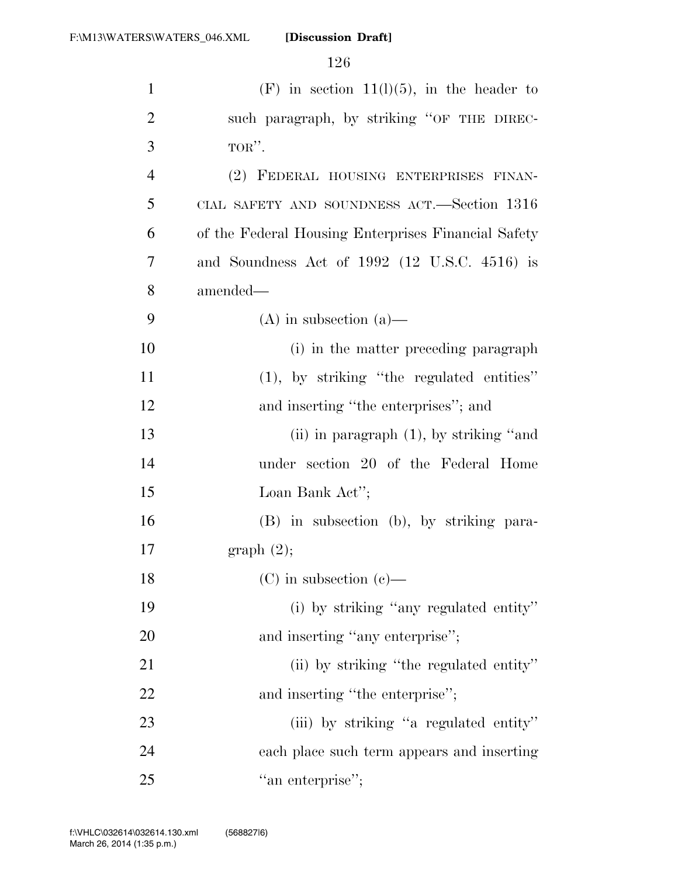| $\mathbf{1}$   | $(F)$ in section 11(1)(5), in the header to         |
|----------------|-----------------------------------------------------|
| $\overline{2}$ | such paragraph, by striking "OF THE DIREC-          |
| 3              | TOR".                                               |
| $\overline{4}$ | (2) FEDERAL HOUSING ENTERPRISES FINAN-              |
| 5              | CIAL SAFETY AND SOUNDNESS ACT.—Section 1316         |
| 6              | of the Federal Housing Enterprises Financial Safety |
| 7              | and Soundness Act of $1992$ (12 U.S.C. 4516) is     |
| 8              | amended—                                            |
| 9              | $(A)$ in subsection $(a)$ —                         |
| 10             | (i) in the matter preceding paragraph               |
| 11             | $(1)$ , by striking "the regulated entities"        |
| 12             | and inserting "the enterprises"; and                |
| 13             | (ii) in paragraph $(1)$ , by striking "and          |
| 14             | under section 20 of the Federal Home                |
| 15             | Loan Bank Act";                                     |
| 16             | (B) in subsection (b), by striking para-            |
| 17             | graph(2);                                           |
| 18             | $(C)$ in subsection $(e)$ —                         |
| 19             | (i) by striking "any regulated entity"              |
| 20             | and inserting "any enterprise";                     |
| 21             | (ii) by striking "the regulated entity"             |
| 22             | and inserting "the enterprise";                     |
| 23             | (iii) by striking "a regulated entity"              |
| 24             | each place such term appears and inserting          |
| 25             | "an enterprise";                                    |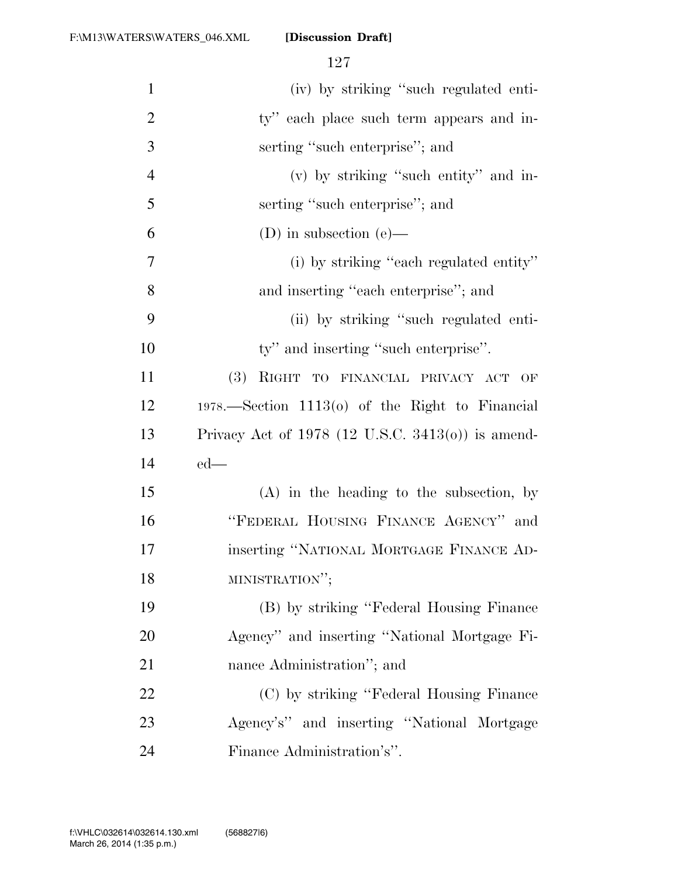| $\mathbf{1}$   | (iv) by striking "such regulated enti-              |
|----------------|-----------------------------------------------------|
| $\overline{2}$ | ty" each place such term appears and in-            |
| 3              | serting "such enterprise"; and                      |
| $\overline{4}$ | (v) by striking "such entity" and in-               |
| 5              | serting "such enterprise"; and                      |
| 6              | (D) in subsection $(e)$ —                           |
| 7              | (i) by striking "each regulated entity"             |
| 8              | and inserting "each enterprise"; and                |
| 9              | (ii) by striking "such regulated enti-              |
| 10             | ty" and inserting "such enterprise".                |
| 11             | (3)<br>RIGHT TO FINANCIAL PRIVACY ACT OF            |
| 12             | $1978.$ Section $1113(0)$ of the Right to Financial |
| 13             | Privacy Act of $1978$ (12 U.S.C. 3413(o)) is amend- |
| 14             | $ed$ —                                              |
| 15             | $(A)$ in the heading to the subsection, by          |
| 16             | "FEDERAL HOUSING FINANCE AGENCY" and                |
| 17             | inserting "NATIONAL MORTGAGE FINANCE AD-            |
| 18             | MINISTRATION";                                      |
| 19             | (B) by striking "Federal Housing Finance            |
| <b>20</b>      | Agency" and inserting "National Mortgage Fi-        |
| 21             | nance Administration"; and                          |
| 22             | (C) by striking "Federal Housing Finance            |
| 23             | Agency's" and inserting "National Mortgage          |
| 24             | Finance Administration's".                          |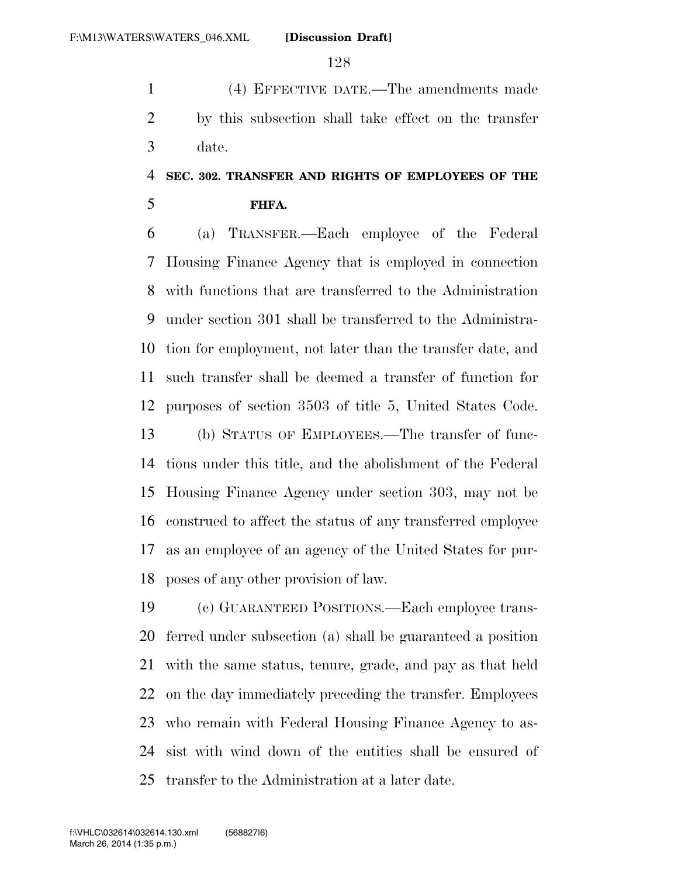(4) EFFECTIVE DATE.—The amendments made by this subsection shall take effect on the transfer date.

### **SEC. 302. TRANSFER AND RIGHTS OF EMPLOYEES OF THE FHFA.**

 (a) TRANSFER.—Each employee of the Federal Housing Finance Agency that is employed in connection with functions that are transferred to the Administration under section 301 shall be transferred to the Administra- tion for employment, not later than the transfer date, and such transfer shall be deemed a transfer of function for purposes of section 3503 of title 5, United States Code. (b) STATUS OF EMPLOYEES.—The transfer of func- tions under this title, and the abolishment of the Federal Housing Finance Agency under section 303, may not be construed to affect the status of any transferred employee as an employee of an agency of the United States for pur-poses of any other provision of law.

 (c) GUARANTEED POSITIONS.—Each employee trans- ferred under subsection (a) shall be guaranteed a position with the same status, tenure, grade, and pay as that held on the day immediately preceding the transfer. Employees who remain with Federal Housing Finance Agency to as- sist with wind down of the entities shall be ensured of transfer to the Administration at a later date.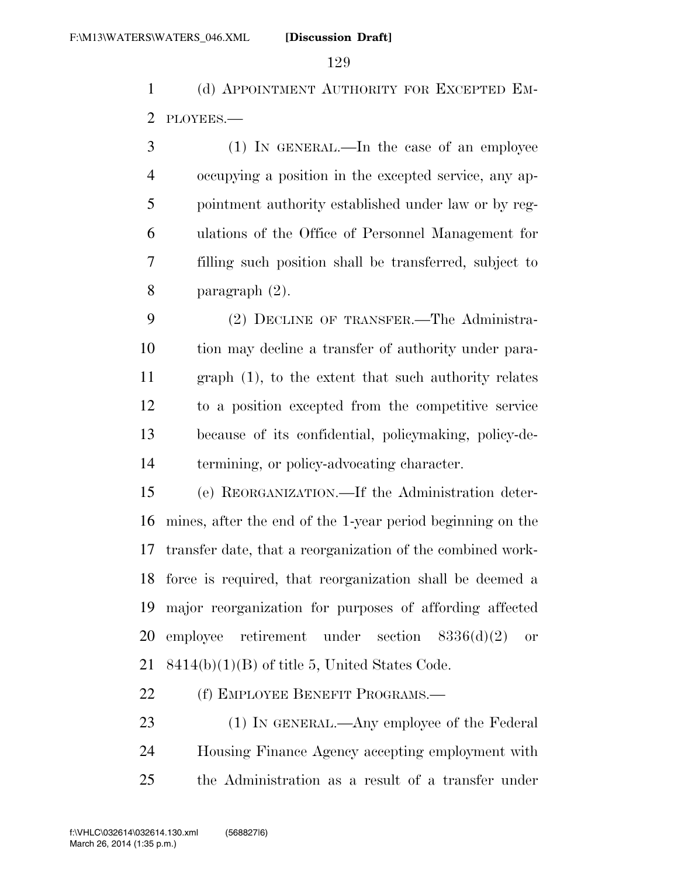(d) APPOINTMENT AUTHORITY FOR EXCEPTED EM-PLOYEES.—

 (1) IN GENERAL.—In the case of an employee occupying a position in the excepted service, any ap- pointment authority established under law or by reg- ulations of the Office of Personnel Management for filling such position shall be transferred, subject to paragraph (2).

 (2) DECLINE OF TRANSFER.—The Administra- tion may decline a transfer of authority under para- graph (1), to the extent that such authority relates to a position excepted from the competitive service because of its confidential, policymaking, policy-de-termining, or policy-advocating character.

 (e) REORGANIZATION.—If the Administration deter- mines, after the end of the 1-year period beginning on the transfer date, that a reorganization of the combined work- force is required, that reorganization shall be deemed a major reorganization for purposes of affording affected employee retirement under section 8336(d)(2) or 8414(b)(1)(B) of title 5, United States Code.

22 (f) EMPLOYEE BENEFIT PROGRAMS.—

23 (1) IN GENERAL.—Any employee of the Federal Housing Finance Agency accepting employment with the Administration as a result of a transfer under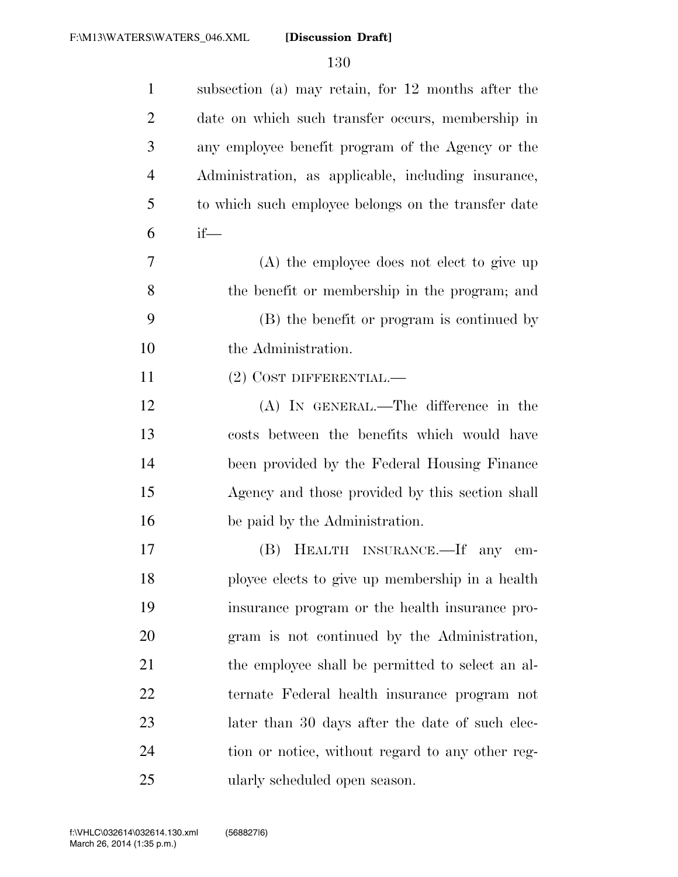| $\mathbf{1}$   | subsection (a) may retain, for 12 months after the  |
|----------------|-----------------------------------------------------|
| 2              | date on which such transfer occurs, membership in   |
| 3              | any employee benefit program of the Agency or the   |
| $\overline{4}$ | Administration, as applicable, including insurance, |
| 5              | to which such employee belongs on the transfer date |
| 6              | $if$ —                                              |
| 7              | (A) the employee does not elect to give up          |
| 8              | the benefit or membership in the program; and       |
| 9              | (B) the benefit or program is continued by          |
| 10             | the Administration.                                 |
| 11             | $(2)$ COST DIFFERENTIAL.—                           |
| 12             | $(A)$ In GENERAL.—The difference in the             |
| 13             | costs between the benefits which would have         |
| 14             | been provided by the Federal Housing Finance        |
| 15             | Agency and those provided by this section shall     |
| 16             | be paid by the Administration.                      |
| 17             | (B) HEALTH INSURANCE.—If any em-                    |
| 18             | ployee elects to give up membership in a health     |
| 19             | insurance program or the health insurance pro-      |
| 20             | gram is not continued by the Administration,        |
| 21             | the employee shall be permitted to select an al-    |
| 22             | ternate Federal health insurance program not        |
| 23             | later than 30 days after the date of such elec-     |
| 24             | tion or notice, without regard to any other reg-    |
| 25             | ularly scheduled open season.                       |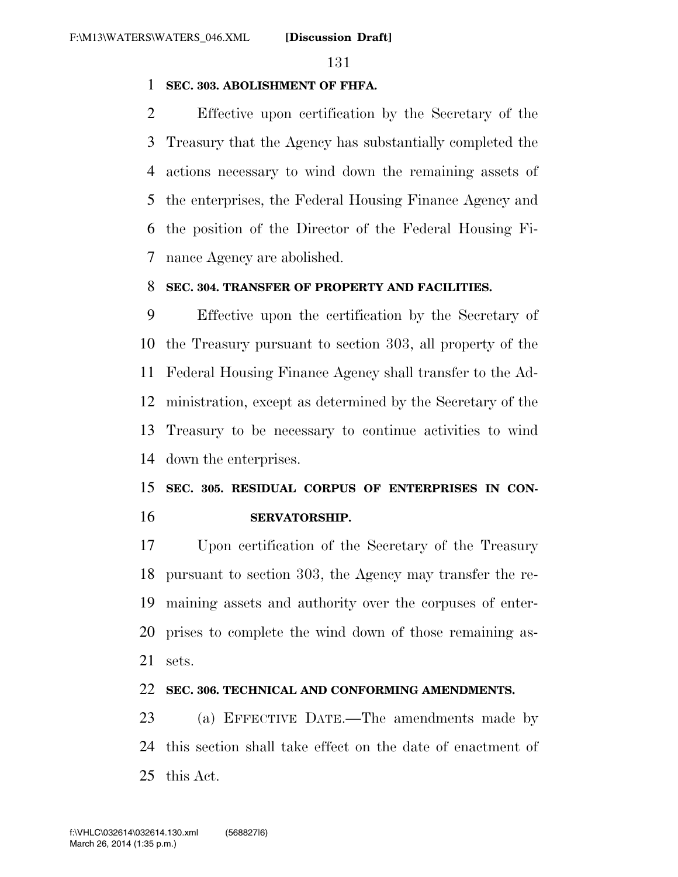#### **SEC. 303. ABOLISHMENT OF FHFA.**

 Effective upon certification by the Secretary of the Treasury that the Agency has substantially completed the actions necessary to wind down the remaining assets of the enterprises, the Federal Housing Finance Agency and the position of the Director of the Federal Housing Fi-nance Agency are abolished.

#### **SEC. 304. TRANSFER OF PROPERTY AND FACILITIES.**

 Effective upon the certification by the Secretary of the Treasury pursuant to section 303, all property of the Federal Housing Finance Agency shall transfer to the Ad- ministration, except as determined by the Secretary of the Treasury to be necessary to continue activities to wind down the enterprises.

### **SEC. 305. RESIDUAL CORPUS OF ENTERPRISES IN CON-SERVATORSHIP.**

 Upon certification of the Secretary of the Treasury pursuant to section 303, the Agency may transfer the re- maining assets and authority over the corpuses of enter- prises to complete the wind down of those remaining as-sets.

#### **SEC. 306. TECHNICAL AND CONFORMING AMENDMENTS.**

 (a) EFFECTIVE DATE.—The amendments made by this section shall take effect on the date of enactment of this Act.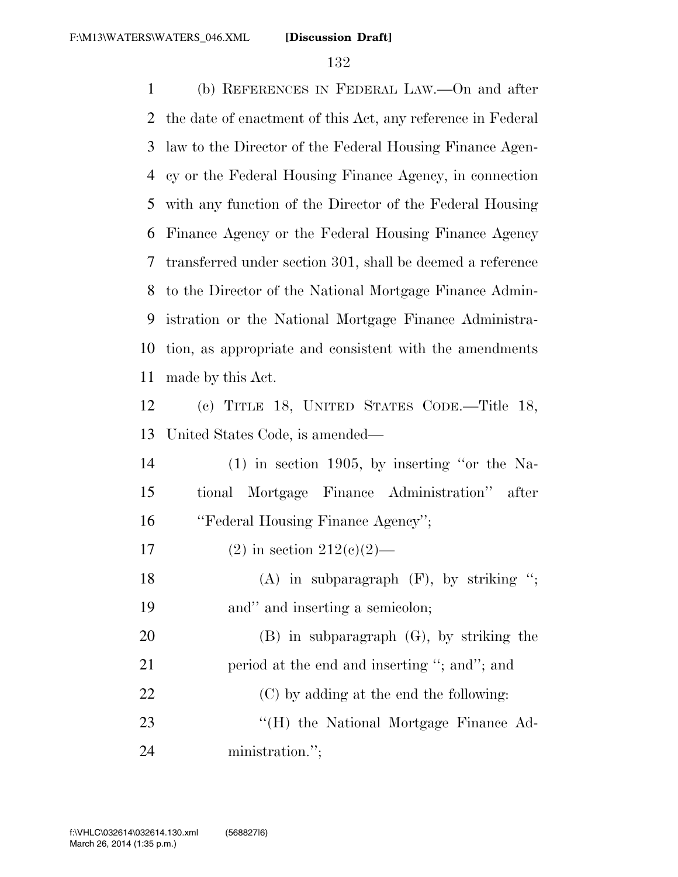(b) REFERENCES IN FEDERAL LAW.—On and after the date of enactment of this Act, any reference in Federal law to the Director of the Federal Housing Finance Agen- cy or the Federal Housing Finance Agency, in connection with any function of the Director of the Federal Housing Finance Agency or the Federal Housing Finance Agency transferred under section 301, shall be deemed a reference to the Director of the National Mortgage Finance Admin- istration or the National Mortgage Finance Administra- tion, as appropriate and consistent with the amendments made by this Act. (c) TITLE 18, UNITED STATES CODE.—Title 18, United States Code, is amended— (1) in section 1905, by inserting ''or the Na- tional Mortgage Finance Administration'' after ''Federal Housing Finance Agency''; 17 (2) in section  $212(c)(2)$ — 18 (A) in subparagraph (F), by striking "; and'' and inserting a semicolon; (B) in subparagraph (G), by striking the 21 period at the end and inserting "; and"; and (C) by adding at the end the following: 23 "'(H) the National Mortgage Finance Ad-

ministration.'';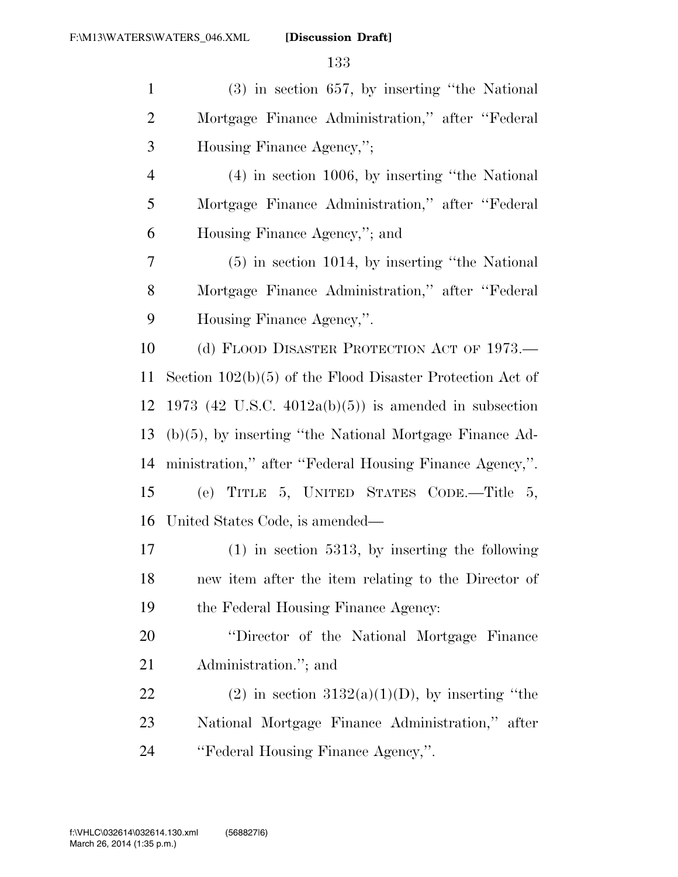| $\mathbf{1}$   | $(3)$ in section 657, by inserting "the National"           |
|----------------|-------------------------------------------------------------|
| $\overline{2}$ | Mortgage Finance Administration," after "Federal            |
| 3              | Housing Finance Agency,";                                   |
| $\overline{4}$ | $(4)$ in section 1006, by inserting "the National"          |
| 5              | Mortgage Finance Administration," after "Federal            |
| 6              | Housing Finance Agency,"; and                               |
| 7              | $(5)$ in section 1014, by inserting "the National"          |
| $8\phantom{1}$ | Mortgage Finance Administration," after "Federal            |
| 9              | Housing Finance Agency,".                                   |
| 10             | (d) FLOOD DISASTER PROTECTION ACT OF 1973.—                 |
| 11             | Section $102(b)(5)$ of the Flood Disaster Protection Act of |
| 12             | 1973 (42 U.S.C. 4012a(b)(5)) is amended in subsection       |
| 13             | $(b)(5)$ , by inserting "the National Mortgage Finance Ad-  |
| 14             | ministration," after "Federal Housing Finance Agency,".     |
| 15             | (e) TITLE 5, UNITED STATES CODE.—Title 5,                   |
| 16             | United States Code, is amended—                             |
| 17             | $(1)$ in section 5313, by inserting the following           |
| 18             | new item after the item relating to the Director of         |
| 19             | the Federal Housing Finance Agency:                         |
| 20             | "Director of the National Mortgage Finance"                 |
| 21             | Administration."; and                                       |
| 22             | $(2)$ in section 3132(a)(1)(D), by inserting "the           |
| 23             | National Mortgage Finance Administration," after            |
| 24             | "Federal Housing Finance Agency,".                          |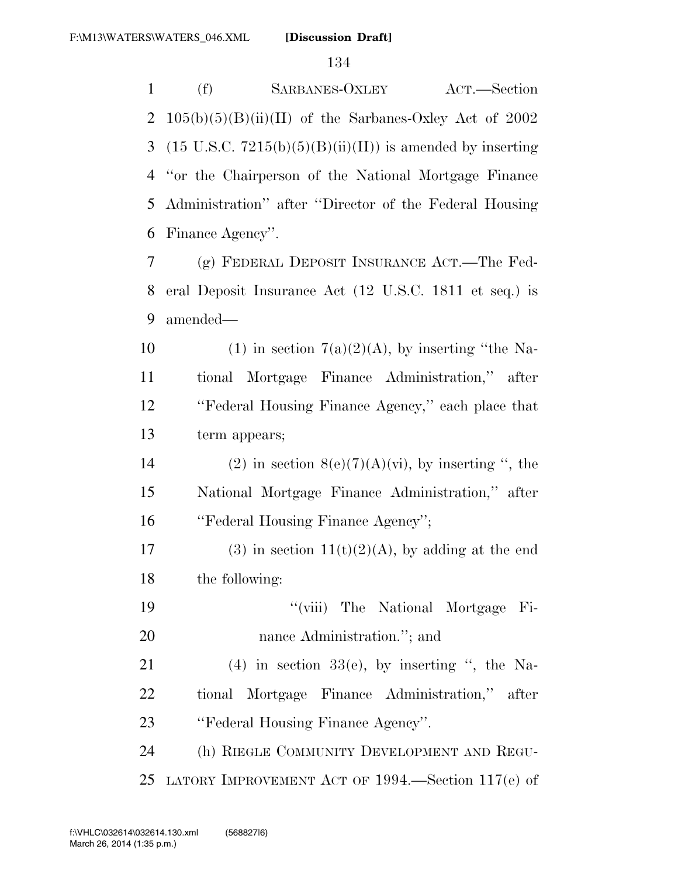(f) SARBANES-OXLEY ACT.—Section 2 105(b)(5)(B)(ii)(II) of the Sarbanes-Oxley Act of 2002 3 (15 U.S.C.  $7215(b)(5)(B)(ii)(II)$ ) is amended by inserting ''or the Chairperson of the National Mortgage Finance Administration'' after ''Director of the Federal Housing Finance Agency''. (g) FEDERAL DEPOSIT INSURANCE ACT.—The Fed- eral Deposit Insurance Act (12 U.S.C. 1811 et seq.) is amended— 10 (1) in section  $7(a)(2)(A)$ , by inserting "the Na- tional Mortgage Finance Administration,'' after ''Federal Housing Finance Agency,'' each place that term appears; 14 (2) in section  $8(e)(7)(A)(vi)$ , by inserting ", the National Mortgage Finance Administration,'' after

''Federal Housing Finance Agency'';

17 (3) in section 11(t)(2)(A), by adding at the end the following:

 ''(viii) The National Mortgage Fi-20 nance Administration."; and

21 (4) in section  $33(e)$ , by inserting ", the Na- tional Mortgage Finance Administration,'' after ''Federal Housing Finance Agency''.

 (h) RIEGLE COMMUNITY DEVELOPMENT AND REGU-LATORY IMPROVEMENT ACT OF 1994.—Section 117(e) of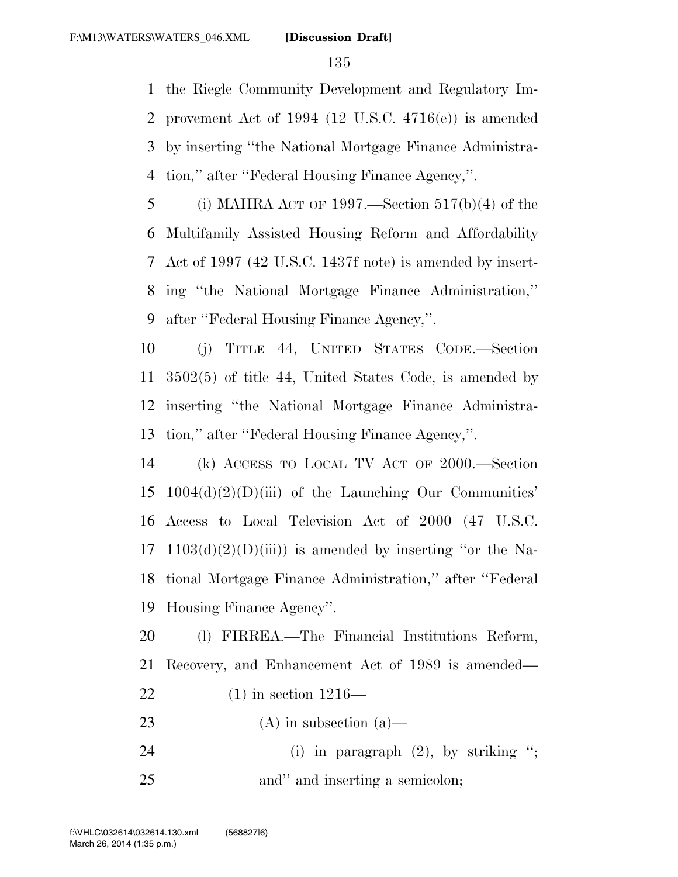the Riegle Community Development and Regulatory Im- provement Act of 1994 (12 U.S.C. 4716(e)) is amended by inserting ''the National Mortgage Finance Administra-tion,'' after ''Federal Housing Finance Agency,''.

5 (i) MAHRA ACT OF 1997.—Section  $517(b)(4)$  of the Multifamily Assisted Housing Reform and Affordability Act of 1997 (42 U.S.C. 1437f note) is amended by insert- ing ''the National Mortgage Finance Administration,'' after ''Federal Housing Finance Agency,''.

 (j) TITLE 44, UNITED STATES CODE.—Section 3502(5) of title 44, United States Code, is amended by inserting ''the National Mortgage Finance Administra-tion,'' after ''Federal Housing Finance Agency,''.

 (k) ACCESS TO LOCAL TV ACT OF 2000.—Section 1004(d)(2)(D)(iii) of the Launching Our Communities' Access to Local Television Act of 2000 (47 U.S.C. 17 1103(d)(2)(D)(iii)) is amended by inserting "or the Na- tional Mortgage Finance Administration,'' after ''Federal Housing Finance Agency''.

 (l) FIRREA.—The Financial Institutions Reform, Recovery, and Enhancement Act of 1989 is amended— (1) in section 1216—

- 23 (A) in subsection  $(a)$ —
- 24 (i) in paragraph (2), by striking "; 25 and inserting a semicolon;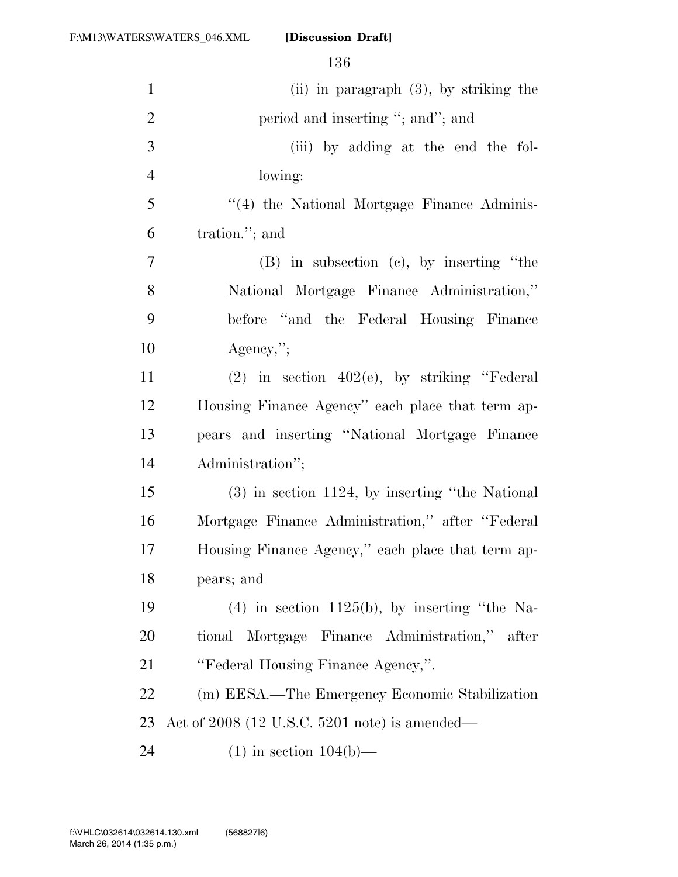| $\mathbf{1}$   | $(ii)$ in paragraph $(3)$ , by striking the        |
|----------------|----------------------------------------------------|
| $\overline{2}$ | period and inserting "; and"; and                  |
| $\mathfrak{Z}$ | (iii) by adding at the end the fol-                |
| $\overline{4}$ | lowing:                                            |
| 5              | "(4) the National Mortgage Finance Adminis-        |
| 6              | tration."; and                                     |
| 7              | $(B)$ in subsection $(e)$ , by inserting "the      |
| 8              | National Mortgage Finance Administration,"         |
| 9              | before "and the Federal Housing Finance"           |
| 10             | $Agency$ ,";                                       |
| 11             | $(2)$ in section $402(e)$ , by striking "Federal   |
| 12             | Housing Finance Agency" each place that term ap-   |
| 13             | pears and inserting "National Mortgage Finance     |
| 14             | Administration";                                   |
| 15             | $(3)$ in section 1124, by inserting "the National" |
| 16             | Mortgage Finance Administration," after "Federal   |
| 17             | Housing Finance Agency," each place that term ap-  |
| 18             | pears; and                                         |
| 19             | $(4)$ in section 1125(b), by inserting "the Na-    |
| 20             | tional Mortgage Finance Administration," after     |
| 21             | "Federal Housing Finance Agency,".                 |
| 22             | (m) EESA.—The Emergency Economic Stabilization     |
| 23             | Act of $2008$ (12 U.S.C. 5201 note) is amended—    |
| 24             | $(1)$ in section $104(b)$ —                        |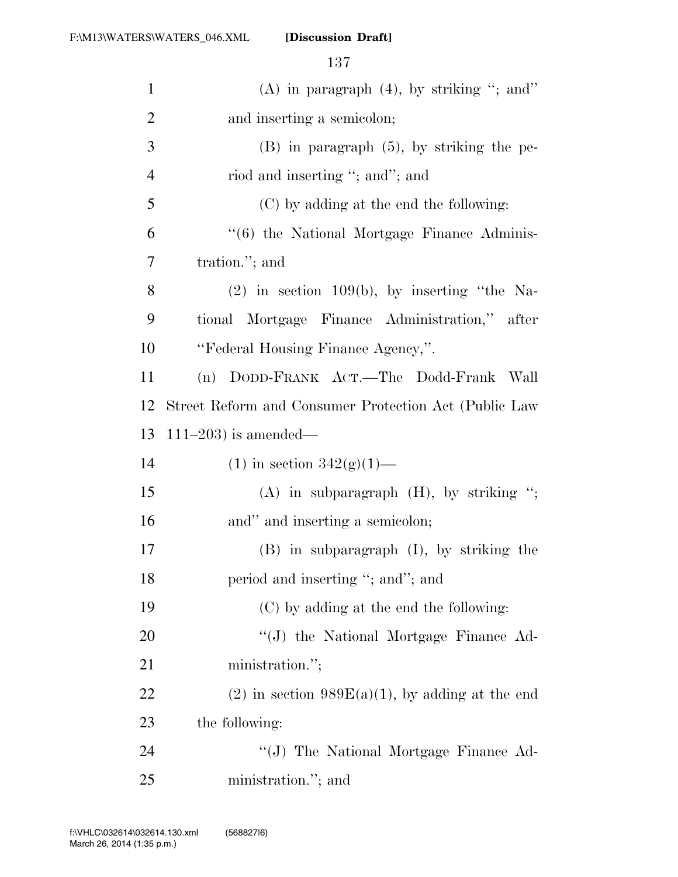| $\mathbf{1}$   | (A) in paragraph $(4)$ , by striking "; and"          |
|----------------|-------------------------------------------------------|
| $\overline{2}$ | and inserting a semicolon;                            |
| 3              | $(B)$ in paragraph $(5)$ , by striking the pe-        |
| $\overline{4}$ | riod and inserting "; and"; and                       |
| 5              | (C) by adding at the end the following:               |
| 6              | "(6) the National Mortgage Finance Adminis-           |
| 7              | tration."; and                                        |
| 8              | $(2)$ in section 109(b), by inserting "the Na-        |
| 9              | tional Mortgage Finance Administration," after        |
| 10             | "Federal Housing Finance Agency,".                    |
| 11             | (n) DODD-FRANK ACT.—The Dodd-Frank Wall               |
| 12             | Street Reform and Consumer Protection Act (Public Law |
| 13             | $111-203$ ) is amended—                               |
| 14             | (1) in section $342(g)(1)$ —                          |
| 15             | $(A)$ in subparagraph $(H)$ , by striking ";          |
| 16             | and" and inserting a semicolon;                       |
| 17             | $(B)$ in subparagraph $(I)$ , by striking the         |
| 18             | period and inserting "; and"; and                     |
| 19             | (C) by adding at the end the following:               |
| 20             | "(J) the National Mortgage Finance Ad-                |
| 21             | ministration.";                                       |
| 22             | $(2)$ in section 989E(a)(1), by adding at the end     |
| 23             | the following:                                        |
| 24             | "(J) The National Mortgage Finance Ad-                |
| 25             | ministration."; and                                   |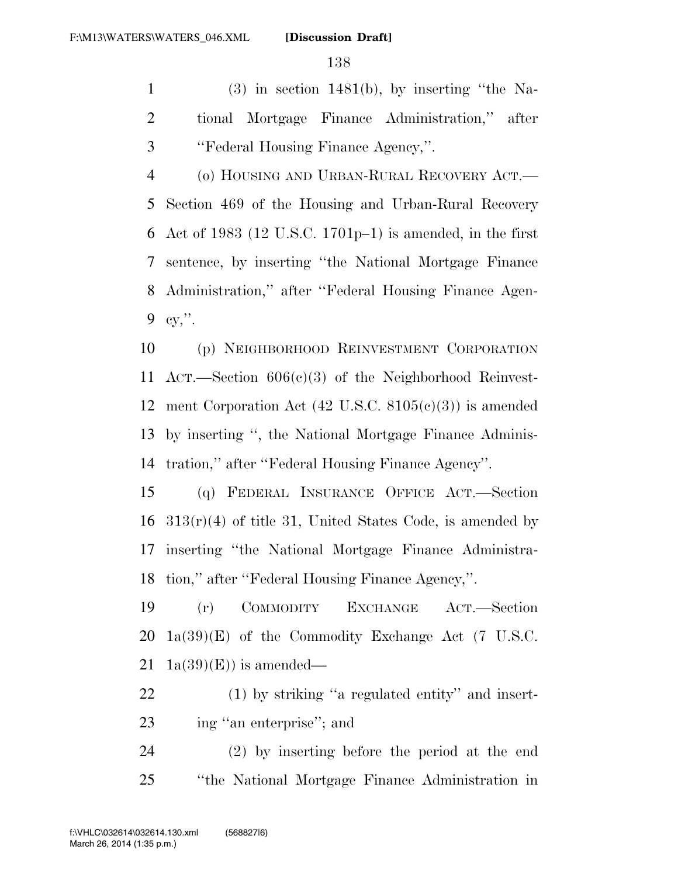(3) in section 1481(b), by inserting "the Na- tional Mortgage Finance Administration,'' after ''Federal Housing Finance Agency,''.

 (o) HOUSING AND URBAN-RURAL RECOVERY ACT.— Section 469 of the Housing and Urban-Rural Recovery Act of 1983 (12 U.S.C. 1701p–1) is amended, in the first sentence, by inserting ''the National Mortgage Finance Administration,'' after ''Federal Housing Finance Agen-cy,''.

 (p) NEIGHBORHOOD REINVESTMENT CORPORATION ACT.—Section 606(c)(3) of the Neighborhood Reinvest- ment Corporation Act (42 U.S.C. 8105(c)(3)) is amended by inserting '', the National Mortgage Finance Adminis-tration,'' after ''Federal Housing Finance Agency''.

 (q) FEDERAL INSURANCE OFFICE ACT.—Section 313(r)(4) of title 31, United States Code, is amended by inserting ''the National Mortgage Finance Administra-tion,'' after ''Federal Housing Finance Agency,''.

 (r) COMMODITY EXCHANGE ACT.—Section 1a(39)(E) of the Commodity Exchange Act (7 U.S.C. 21 1a(39)(E)) is amended—

 (1) by striking ''a regulated entity'' and insert-ing ''an enterprise''; and

 (2) by inserting before the period at the end ''the National Mortgage Finance Administration in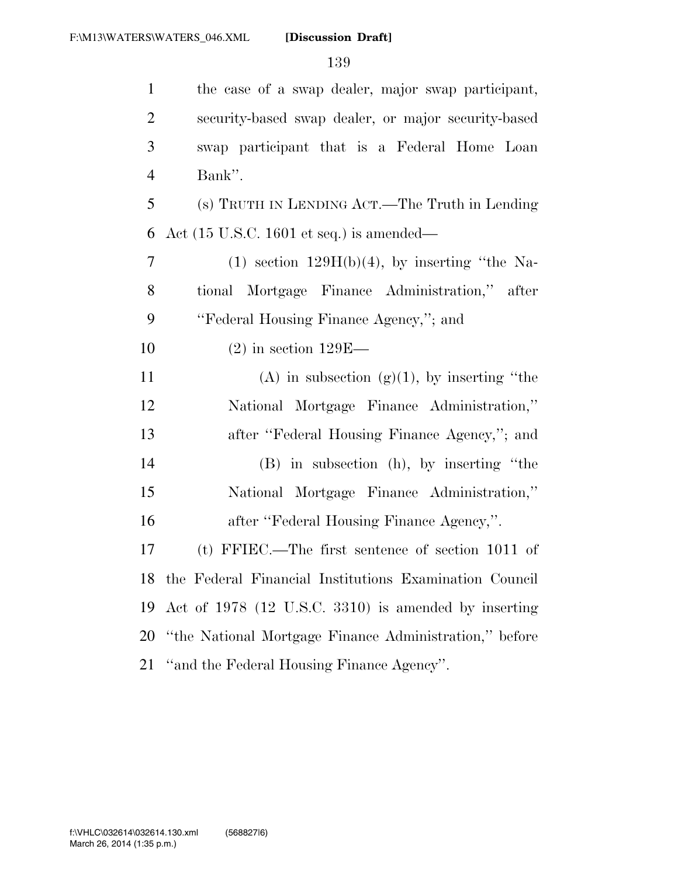| $\mathbf{1}$   | the case of a swap dealer, major swap participant,          |
|----------------|-------------------------------------------------------------|
| $\overline{2}$ | security-based swap dealer, or major security-based         |
| 3              | swap participant that is a Federal Home Loan                |
| $\overline{4}$ | Bank".                                                      |
| 5              | (s) TRUTH IN LENDING ACT.—The Truth in Lending              |
| 6              | Act $(15 \text{ U.S.C. } 1601 \text{ et seq.})$ is amended— |
| $\tau$         | $(1)$ section $129H(b)(4)$ , by inserting "the Na-          |
| 8              | tional Mortgage Finance Administration," after              |
| 9              | "Federal Housing Finance Agency,"; and                      |
| 10             | $(2)$ in section 129E—                                      |
| 11             | (A) in subsection (g)(1), by inserting "the                 |
| 12             | National Mortgage Finance Administration,"                  |
| 13             | after "Federal Housing Finance Agency,"; and                |
| 14             | $(B)$ in subsection $(h)$ , by inserting "the               |
| 15             | National Mortgage Finance Administration,"                  |
| 16             | after "Federal Housing Finance Agency,".                    |
| 17             | (t) FFIEC.—The first sentence of section $1011$ of          |
|                | 18 the Federal Financial Institutions Examination Council   |
| 19             | Act of 1978 (12 U.S.C. 3310) is amended by inserting        |
| 20             | "the National Mortgage Finance Administration," before      |
| 21             | "and the Federal Housing Finance Agency".                   |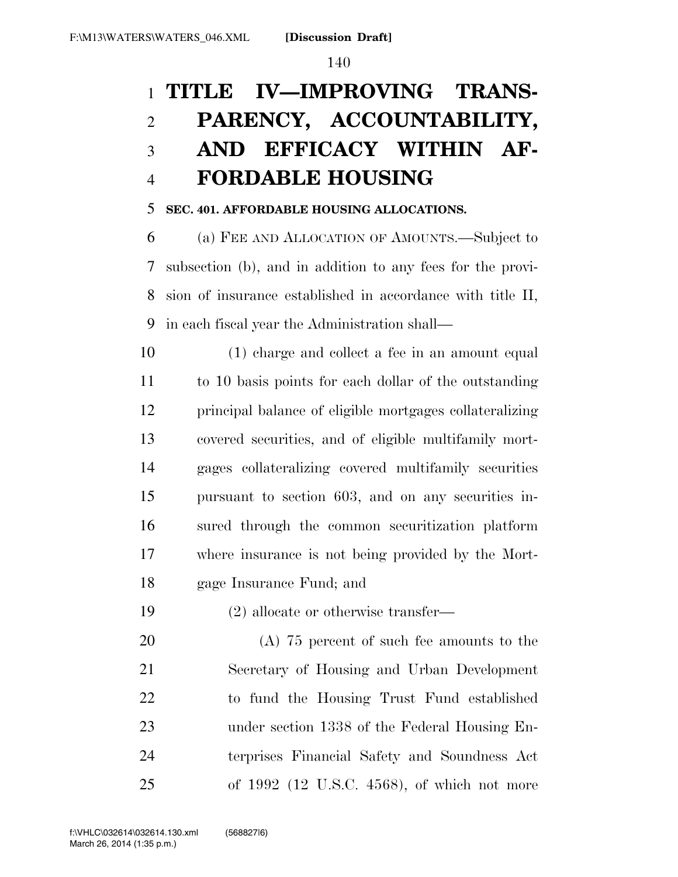# **TITLE IV—IMPROVING TRANS- PARENCY, ACCOUNTABILITY, AND EFFICACY WITHIN AF-FORDABLE HOUSING**

#### **SEC. 401. AFFORDABLE HOUSING ALLOCATIONS.**

 (a) FEE AND ALLOCATION OF AMOUNTS.—Subject to subsection (b), and in addition to any fees for the provi- sion of insurance established in accordance with title II, in each fiscal year the Administration shall—

 (1) charge and collect a fee in an amount equal to 10 basis points for each dollar of the outstanding principal balance of eligible mortgages collateralizing covered securities, and of eligible multifamily mort- gages collateralizing covered multifamily securities pursuant to section 603, and on any securities in- sured through the common securitization platform where insurance is not being provided by the Mort-gage Insurance Fund; and

(2) allocate or otherwise transfer—

 (A) 75 percent of such fee amounts to the Secretary of Housing and Urban Development to fund the Housing Trust Fund established under section 1338 of the Federal Housing En- terprises Financial Safety and Soundness Act of 1992 (12 U.S.C. 4568), of which not more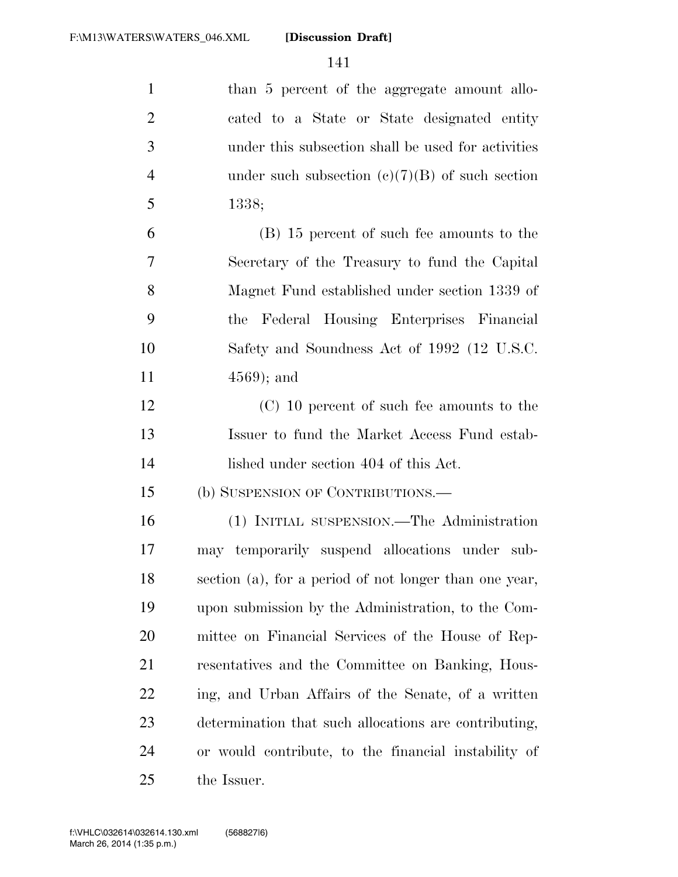| $\mathbf{1}$   | than 5 percent of the aggregate amount allo-           |
|----------------|--------------------------------------------------------|
| $\overline{2}$ | cated to a State or State designated entity            |
| 3              | under this subsection shall be used for activities     |
| $\overline{4}$ | under such subsection $(c)(7)(B)$ of such section      |
| 5              | 1338;                                                  |
| 6              | (B) 15 percent of such fee amounts to the              |
| 7              | Secretary of the Treasury to fund the Capital          |
| 8              | Magnet Fund established under section 1339 of          |
| 9              | the Federal Housing Enterprises Financial              |
| 10             | Safety and Soundness Act of 1992 (12 U.S.C.            |
| 11             | $4569$ ; and                                           |
| 12             | (C) 10 percent of such fee amounts to the              |
| 13             | Issuer to fund the Market Access Fund estab-           |
| 14             | lished under section 404 of this Act.                  |
| 15             | (b) SUSPENSION OF CONTRIBUTIONS.—                      |
| 16             | (1) INITIAL SUSPENSION.—The Administration             |
| 17             | may temporarily suspend allocations under sub-         |
| 18             | section (a), for a period of not longer than one year, |
| 19             | upon submission by the Administration, to the Com-     |
| 20             | mittee on Financial Services of the House of Rep-      |
| 21             | resentatives and the Committee on Banking, Hous-       |
| 22             | ing, and Urban Affairs of the Senate, of a written     |
| 23             | determination that such allocations are contributing,  |
| 24             | or would contribute, to the financial instability of   |
| 25             | the Issuer.                                            |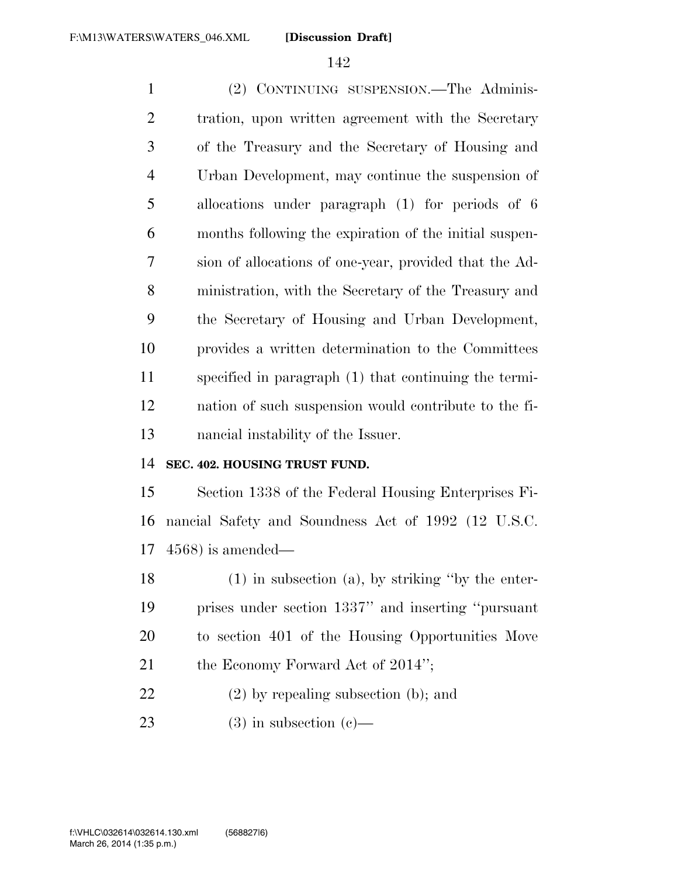(2) CONTINUING SUSPENSION.—The Adminis- tration, upon written agreement with the Secretary of the Treasury and the Secretary of Housing and Urban Development, may continue the suspension of allocations under paragraph (1) for periods of 6 months following the expiration of the initial suspen- sion of allocations of one-year, provided that the Ad- ministration, with the Secretary of the Treasury and the Secretary of Housing and Urban Development, provides a written determination to the Committees specified in paragraph (1) that continuing the termi- nation of such suspension would contribute to the fi-nancial instability of the Issuer.

#### **SEC. 402. HOUSING TRUST FUND.**

 Section 1338 of the Federal Housing Enterprises Fi- nancial Safety and Soundness Act of 1992 (12 U.S.C. 4568) is amended—

 (1) in subsection (a), by striking ''by the enter- prises under section 1337'' and inserting ''pursuant to section 401 of the Housing Opportunities Move 21 the Economy Forward Act of 2014'';

(2) by repealing subsection (b); and

23 (3) in subsection  $(c)$ —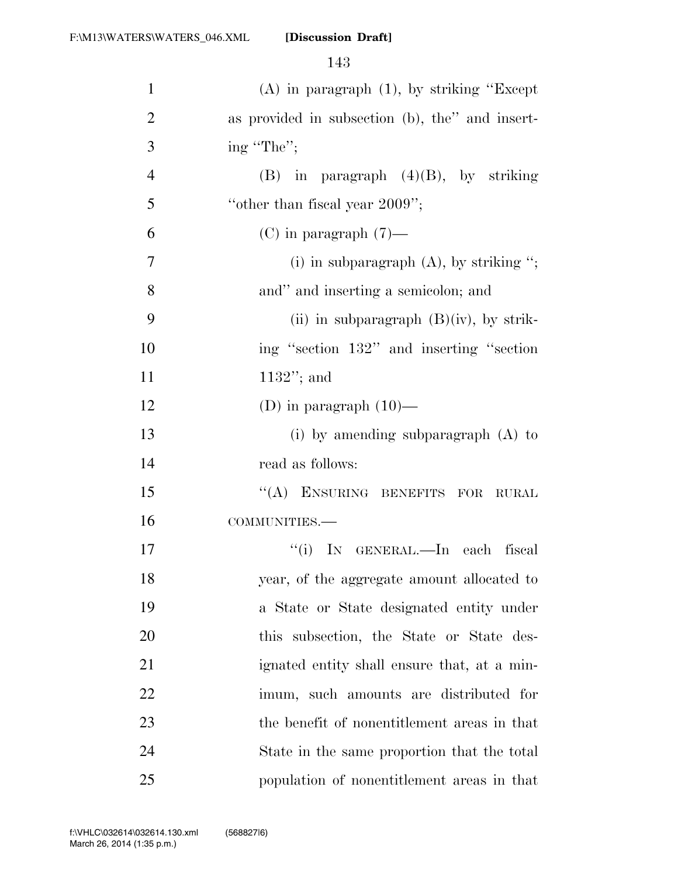| $\mathbf{1}$   | $(A)$ in paragraph $(1)$ , by striking "Except" |
|----------------|-------------------------------------------------|
| $\overline{2}$ | as provided in subsection (b), the" and insert- |
| 3              | ing "The";                                      |
| $\overline{4}$ | $(B)$ in paragraph $(4)(B)$ , by striking       |
| 5              | "other than fiscal year 2009";                  |
| 6              | $(C)$ in paragraph $(7)$ —                      |
| $\overline{7}$ | (i) in subparagraph $(A)$ , by striking ";      |
| 8              | and" and inserting a semicolon; and             |
| 9              | (ii) in subparagraph $(B)(iv)$ , by strik-      |
| 10             | ing "section 132" and inserting "section        |
| 11             | $1132"$ ; and                                   |
| 12             | (D) in paragraph $(10)$ —                       |
| 13             | (i) by amending subparagraph $(A)$ to           |
| 14             | read as follows:                                |
| 15             | "(A) ENSURING BENEFITS FOR RURAL                |
| 16             | COMMUNITIES.-                                   |
| 17             | "(i) IN GENERAL.—In each fiscal                 |
| 18             | year, of the aggregate amount allocated to      |
| 19             | a State or State designated entity under        |
| 20             | this subsection, the State or State des-        |
| 21             | ignated entity shall ensure that, at a min-     |
| 22             | imum, such amounts are distributed for          |
| 23             | the benefit of nonentitlement areas in that     |
| 24             | State in the same proportion that the total     |
| 25             | population of nonentitlement areas in that      |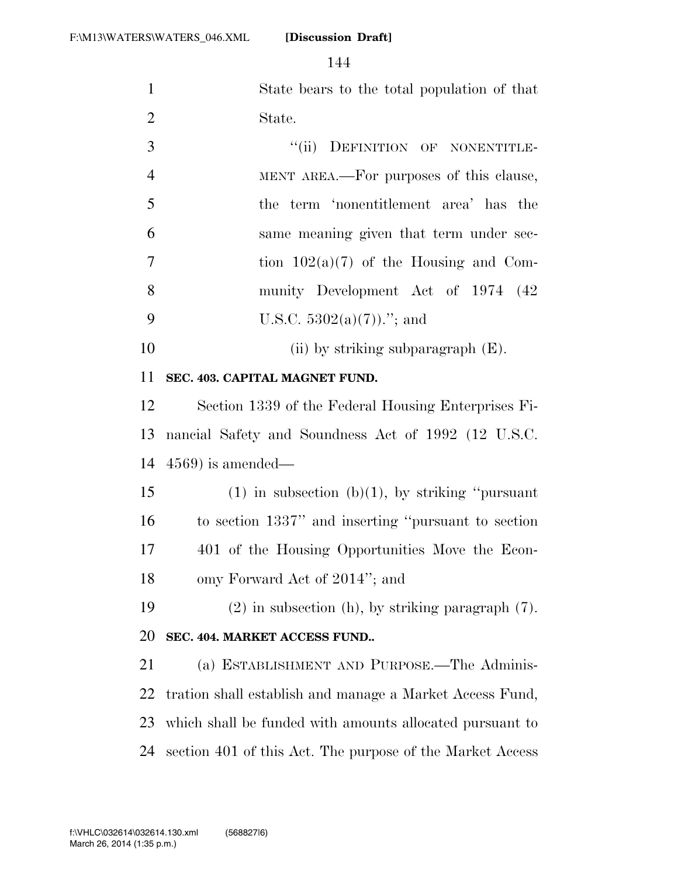| $\mathbf{1}$   | State bears to the total population of that |
|----------------|---------------------------------------------|
| 2              | State.                                      |
| 3              | "(ii) DEFINITION OF NONENTITLE-             |
| $\overline{4}$ | MENT AREA.—For purposes of this clause,     |
| $\overline{5}$ | the term 'nonentitlement area' has the      |
| 6              | same meaning given that term under sec-     |
| $\overline{7}$ | tion $102(a)(7)$ of the Housing and Com-    |
| 8              | munity Development Act of 1974 (42)         |

- 9 U.S.C.  $5302(a)(7)$ ."; and
- 10 (ii) by striking subparagraph (E).

#### **SEC. 403. CAPITAL MAGNET FUND.**

 Section 1339 of the Federal Housing Enterprises Fi- nancial Safety and Soundness Act of 1992 (12 U.S.C. 4569) is amended—

15 (1) in subsection (b)(1), by striking "pursuant to section 1337'' and inserting ''pursuant to section 401 of the Housing Opportunities Move the Econ-omy Forward Act of 2014''; and

 (2) in subsection (h), by striking paragraph (7). **SEC. 404. MARKET ACCESS FUND..** 

 (a) ESTABLISHMENT AND PURPOSE.—The Adminis- tration shall establish and manage a Market Access Fund, which shall be funded with amounts allocated pursuant to section 401 of this Act. The purpose of the Market Access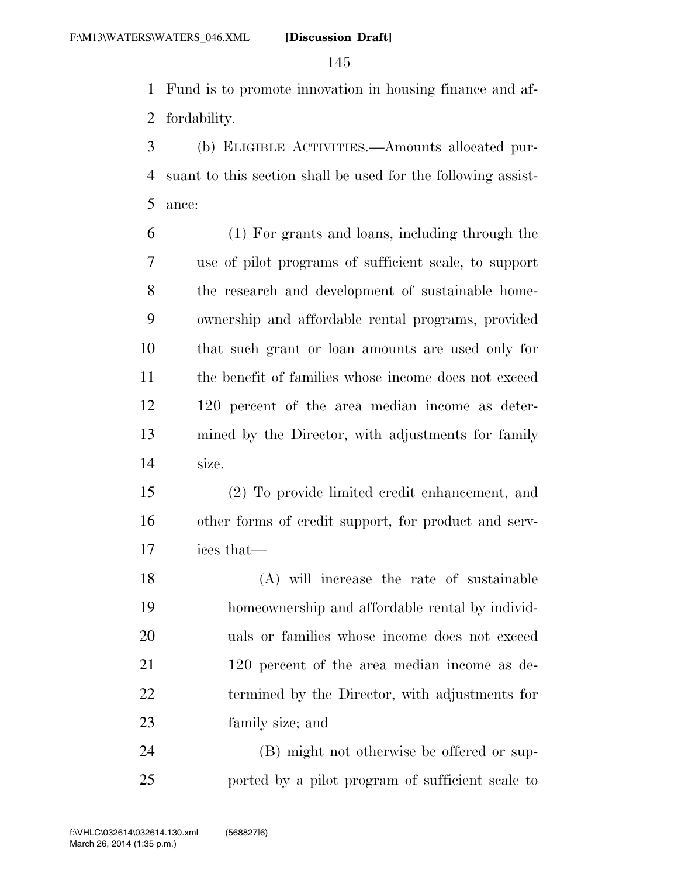Fund is to promote innovation in housing finance and af-fordability.

 (b) ELIGIBLE ACTIVITIES.—Amounts allocated pur- suant to this section shall be used for the following assist-ance:

 (1) For grants and loans, including through the use of pilot programs of sufficient scale, to support the research and development of sustainable home- ownership and affordable rental programs, provided that such grant or loan amounts are used only for the benefit of families whose income does not exceed 120 percent of the area median income as deter- mined by the Director, with adjustments for family size.

 (2) To provide limited credit enhancement, and other forms of credit support, for product and serv-ices that—

 (A) will increase the rate of sustainable homeownership and affordable rental by individ- uals or families whose income does not exceed 21 120 percent of the area median income as de- termined by the Director, with adjustments for family size; and

 (B) might not otherwise be offered or sup-ported by a pilot program of sufficient scale to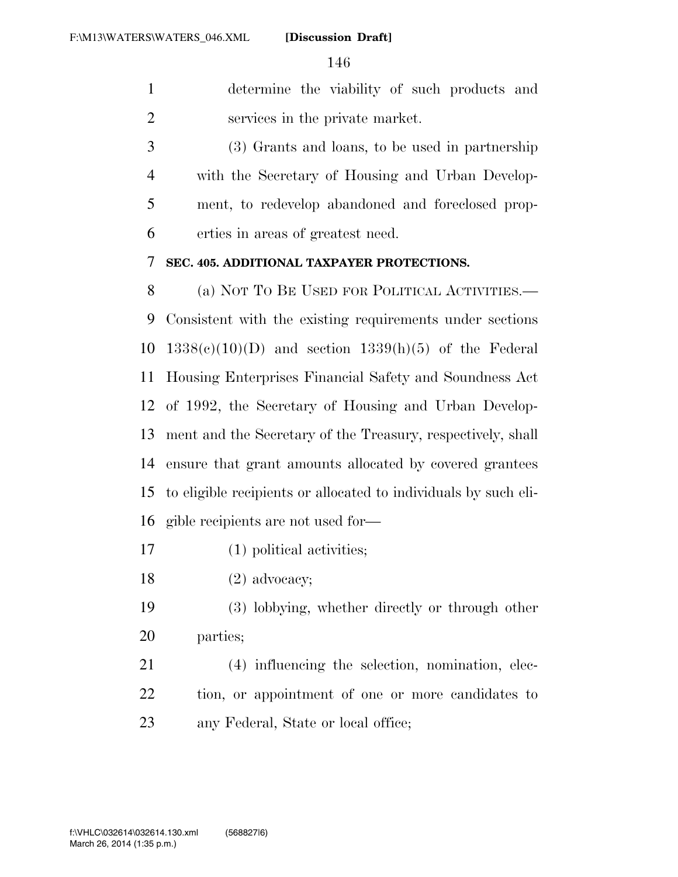determine the viability of such products and services in the private market.

 (3) Grants and loans, to be used in partnership with the Secretary of Housing and Urban Develop- ment, to redevelop abandoned and foreclosed prop-erties in areas of greatest need.

#### **SEC. 405. ADDITIONAL TAXPAYER PROTECTIONS.**

 (a) NOT TO BE USED FOR POLITICAL ACTIVITIES.— Consistent with the existing requirements under sections  $1338(e)(10)(D)$  and section  $1339(h)(5)$  of the Federal Housing Enterprises Financial Safety and Soundness Act of 1992, the Secretary of Housing and Urban Develop- ment and the Secretary of the Treasury, respectively, shall ensure that grant amounts allocated by covered grantees to eligible recipients or allocated to individuals by such eli-gible recipients are not used for—

- (1) political activities;
- 18 (2) advocacy;
- (3) lobbying, whether directly or through other parties;
- (4) influencing the selection, nomination, elec- tion, or appointment of one or more candidates to 23 any Federal, State or local office;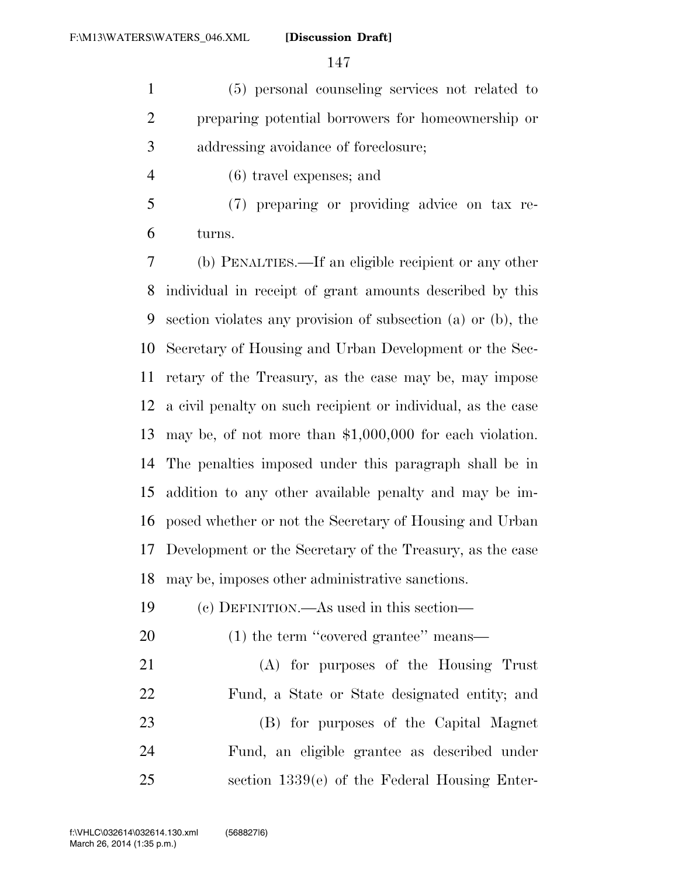(5) personal counseling services not related to preparing potential borrowers for homeownership or addressing avoidance of foreclosure;

- (6) travel expenses; and
- (7) preparing or providing advice on tax re-turns.

 (b) PENALTIES.—If an eligible recipient or any other individual in receipt of grant amounts described by this section violates any provision of subsection (a) or (b), the Secretary of Housing and Urban Development or the Sec- retary of the Treasury, as the case may be, may impose a civil penalty on such recipient or individual, as the case may be, of not more than \$1,000,000 for each violation. The penalties imposed under this paragraph shall be in addition to any other available penalty and may be im- posed whether or not the Secretary of Housing and Urban Development or the Secretary of the Treasury, as the case may be, imposes other administrative sanctions.

- (c) DEFINITION.—As used in this section—
- 20 (1) the term "covered grantee" means—

 (A) for purposes of the Housing Trust Fund, a State or State designated entity; and (B) for purposes of the Capital Magnet Fund, an eligible grantee as described under section 1339(e) of the Federal Housing Enter-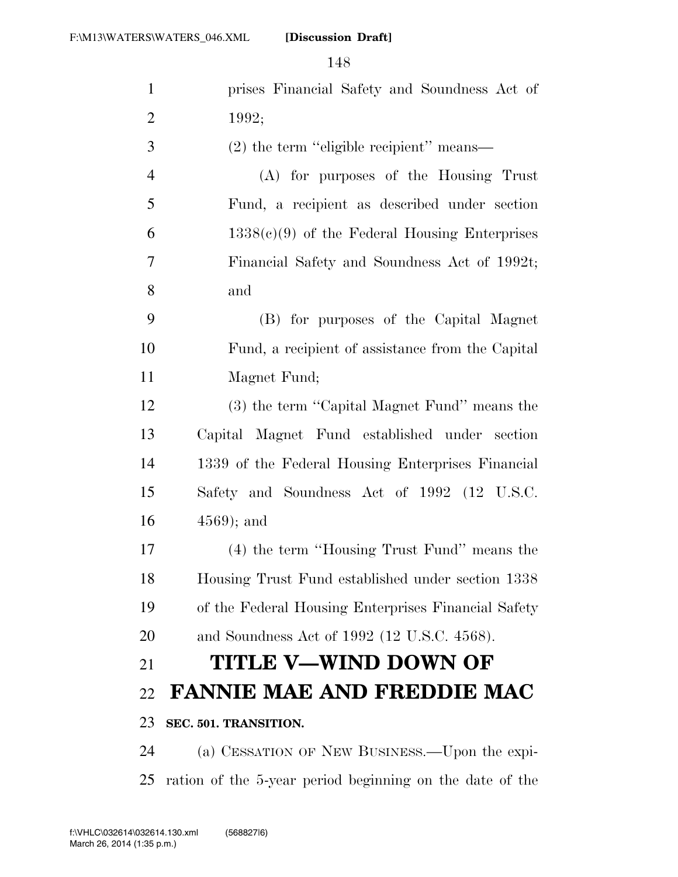| $\mathbf{1}$   | prises Financial Safety and Soundness Act of             |
|----------------|----------------------------------------------------------|
| $\overline{2}$ | 1992;                                                    |
| 3              | (2) the term "eligible recipient" means—                 |
| $\overline{4}$ | (A) for purposes of the Housing Trust                    |
| 5              | Fund, a recipient as described under section             |
| 6              | $1338(e)(9)$ of the Federal Housing Enterprises          |
| $\tau$         | Financial Safety and Soundness Act of 1992t;             |
| 8              | and                                                      |
| 9              | (B) for purposes of the Capital Magnet                   |
| 10             | Fund, a recipient of assistance from the Capital         |
| 11             | Magnet Fund;                                             |
| 12             | (3) the term "Capital Magnet Fund" means the             |
| 13             | Capital Magnet Fund established under section            |
| 14             | 1339 of the Federal Housing Enterprises Financial        |
| 15             | Safety and Soundness Act of 1992 (12 U.S.C.              |
| 16             | $(4569)$ ; and                                           |
| 17             | (4) the term "Housing Trust Fund" means the              |
| 18             | Housing Trust Fund established under section 1338        |
| 19             | of the Federal Housing Enterprises Financial Safety      |
| 20             | and Soundness Act of 1992 (12 U.S.C. 4568).              |
| 21             | TITLE V—WIND DOWN OF                                     |
| 22             | <b>FANNIE MAE AND FREDDIE MAC</b>                        |
| 23             | SEC. 501. TRANSITION.                                    |
| 24             | (a) CESSATION OF NEW BUSINESS.—Upon the expi-            |
| 25             | ration of the 5-year period beginning on the date of the |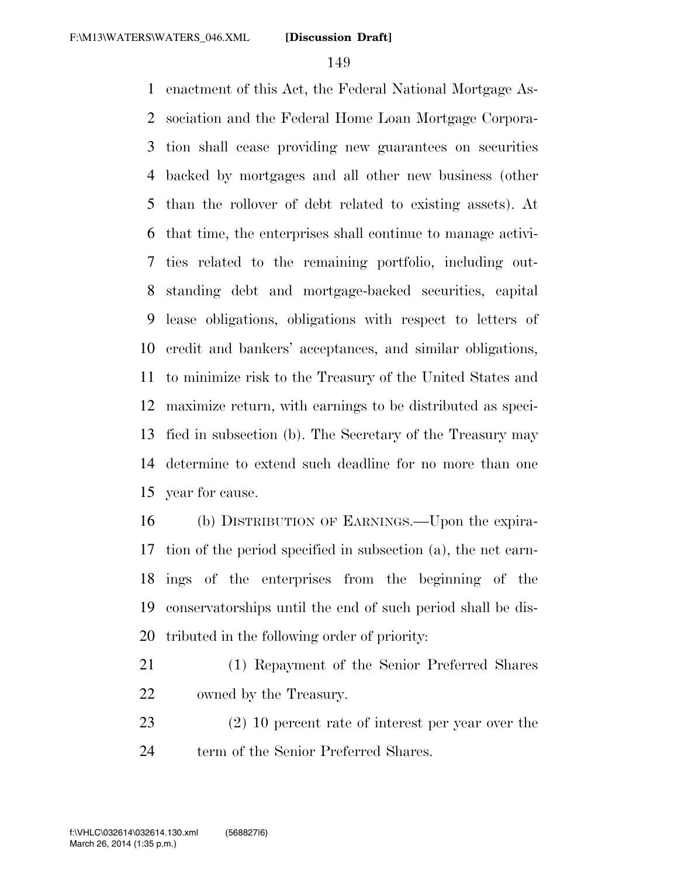enactment of this Act, the Federal National Mortgage As- sociation and the Federal Home Loan Mortgage Corpora- tion shall cease providing new guarantees on securities backed by mortgages and all other new business (other than the rollover of debt related to existing assets). At that time, the enterprises shall continue to manage activi- ties related to the remaining portfolio, including out- standing debt and mortgage-backed securities, capital lease obligations, obligations with respect to letters of credit and bankers' acceptances, and similar obligations, to minimize risk to the Treasury of the United States and maximize return, with earnings to be distributed as speci- fied in subsection (b). The Secretary of the Treasury may determine to extend such deadline for no more than one year for cause.

 (b) DISTRIBUTION OF EARNINGS.—Upon the expira- tion of the period specified in subsection (a), the net earn- ings of the enterprises from the beginning of the conservatorships until the end of such period shall be dis-tributed in the following order of priority:

- (1) Repayment of the Senior Preferred Shares owned by the Treasury.
- (2) 10 percent rate of interest per year over the 24 term of the Senior Preferred Shares.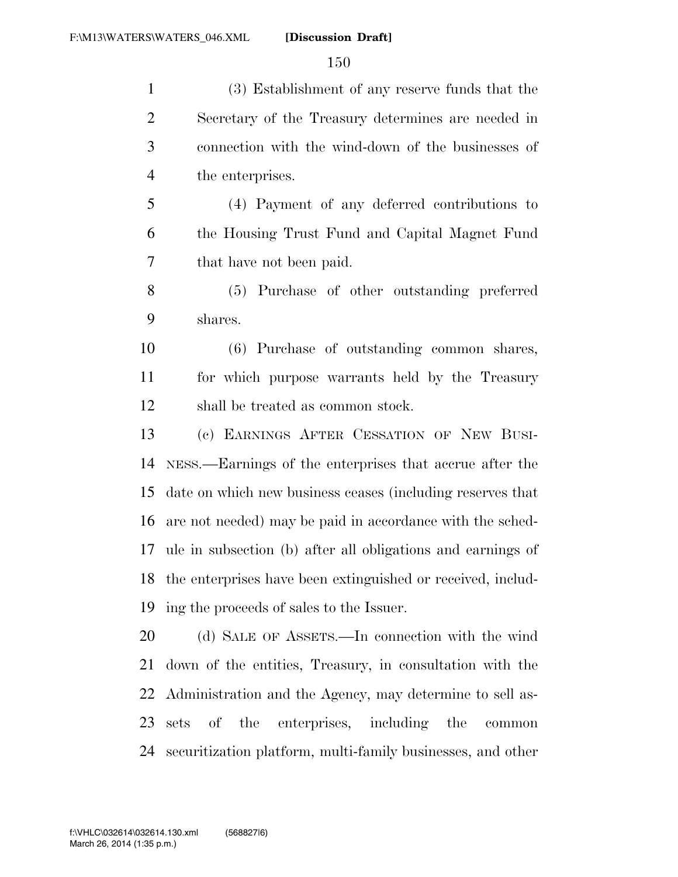(3) Establishment of any reserve funds that the Secretary of the Treasury determines are needed in connection with the wind-down of the businesses of the enterprises. (4) Payment of any deferred contributions to the Housing Trust Fund and Capital Magnet Fund that have not been paid. (5) Purchase of other outstanding preferred shares. (6) Purchase of outstanding common shares, for which purpose warrants held by the Treasury shall be treated as common stock. (c) EARNINGS AFTER CESSATION OF NEW BUSI- NESS.—Earnings of the enterprises that accrue after the date on which new business ceases (including reserves that

 are not needed) may be paid in accordance with the sched- ule in subsection (b) after all obligations and earnings of the enterprises have been extinguished or received, includ-ing the proceeds of sales to the Issuer.

 (d) SALE OF ASSETS.—In connection with the wind down of the entities, Treasury, in consultation with the Administration and the Agency, may determine to sell as- sets of the enterprises, including the common securitization platform, multi-family businesses, and other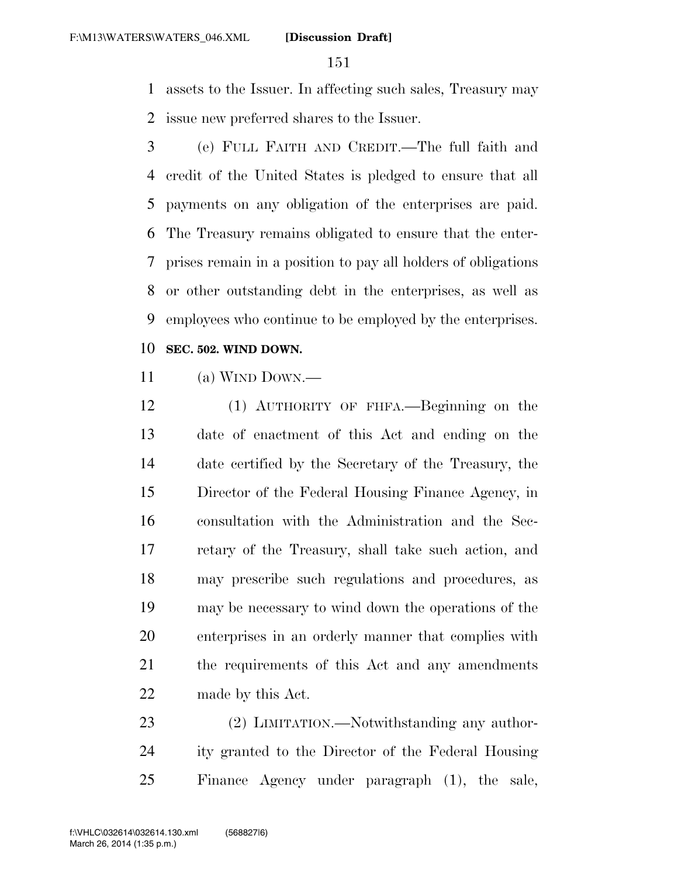assets to the Issuer. In affecting such sales, Treasury may issue new preferred shares to the Issuer.

 (e) FULL FAITH AND CREDIT.—The full faith and credit of the United States is pledged to ensure that all payments on any obligation of the enterprises are paid. The Treasury remains obligated to ensure that the enter- prises remain in a position to pay all holders of obligations or other outstanding debt in the enterprises, as well as employees who continue to be employed by the enterprises.

#### **SEC. 502. WIND DOWN.**

- (a) WIND DOWN.—
- (1) AUTHORITY OF FHFA.—Beginning on the date of enactment of this Act and ending on the date certified by the Secretary of the Treasury, the Director of the Federal Housing Finance Agency, in consultation with the Administration and the Sec- retary of the Treasury, shall take such action, and may prescribe such regulations and procedures, as may be necessary to wind down the operations of the enterprises in an orderly manner that complies with the requirements of this Act and any amendments made by this Act.

23 (2) LIMITATION.—Notwithstanding any author- ity granted to the Director of the Federal Housing Finance Agency under paragraph (1), the sale,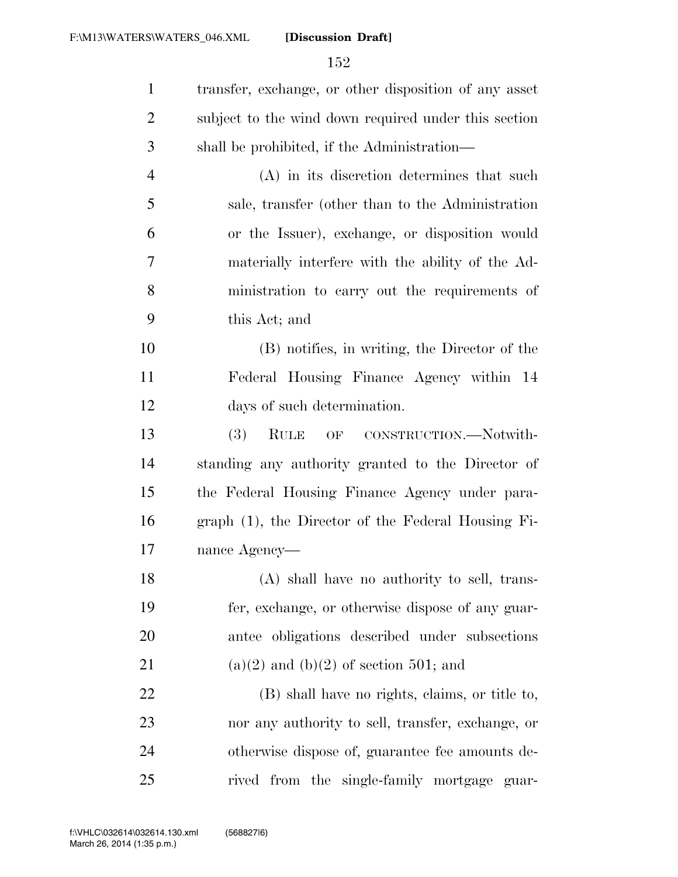| $\mathbf{1}$   | transfer, exchange, or other disposition of any asset |
|----------------|-------------------------------------------------------|
| 2              | subject to the wind down required under this section  |
| 3              | shall be prohibited, if the Administration—           |
| $\overline{4}$ | (A) in its discretion determines that such            |
| 5              | sale, transfer (other than to the Administration      |
| 6              | or the Issuer), exchange, or disposition would        |
| 7              | materially interfere with the ability of the Ad-      |
| 8              | ministration to carry out the requirements of         |
| 9              | this Act; and                                         |
| 10             | (B) notifies, in writing, the Director of the         |
| 11             | Federal Housing Finance Agency within 14              |
| 12             | days of such determination.                           |
| 13             | (3)<br><b>RULE</b><br>OF CONSTRUCTION.-Notwith-       |
| 14             | standing any authority granted to the Director of     |
| 15             | the Federal Housing Finance Agency under para-        |
| 16             | graph (1), the Director of the Federal Housing Fi-    |
| 17             | nance Agency—                                         |
| 18             | (A) shall have no authority to sell, trans-           |
| 19             | fer, exchange, or otherwise dispose of any guar-      |
| 20             | antee obligations described under subsections         |
| 21             | $(a)(2)$ and $(b)(2)$ of section 501; and             |
| 22             | (B) shall have no rights, claims, or title to,        |
| 23             | nor any authority to sell, transfer, exchange, or     |
| 24             | otherwise dispose of, guarantee fee amounts de-       |
| 25             | rived from the single-family mortgage guar-           |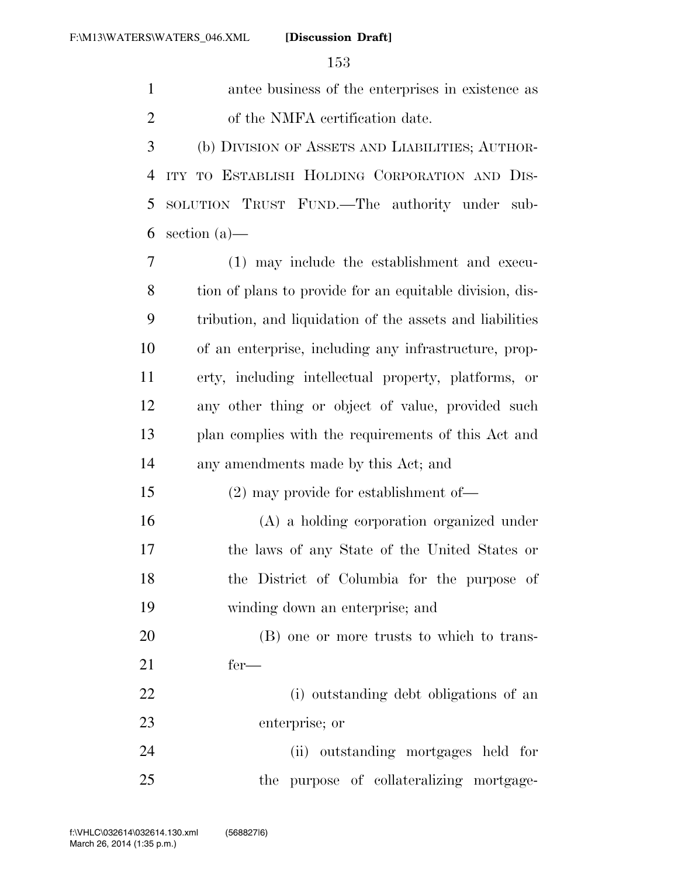| $\mathbf{1}$   | antee business of the enterprises in existence as        |
|----------------|----------------------------------------------------------|
| $\overline{2}$ | of the NMFA certification date.                          |
| 3              | (b) DIVISION OF ASSETS AND LIABILITIES; AUTHOR-          |
| $\overline{4}$ | ITY TO ESTABLISH HOLDING CORPORATION AND DIS-            |
| 5              | SOLUTION TRUST FUND.—The authority under sub-            |
| 6              | section $(a)$ —                                          |
| 7              | (1) may include the establishment and execu-             |
| 8              | tion of plans to provide for an equitable division, dis- |
| 9              | tribution, and liquidation of the assets and liabilities |
| 10             | of an enterprise, including any infrastructure, prop-    |
| 11             | erty, including intellectual property, platforms, or     |
| 12             | any other thing or object of value, provided such        |
| 13             | plan complies with the requirements of this Act and      |
| 14             | any amendments made by this Act; and                     |
| 15             | $(2)$ may provide for establishment of —                 |
| 16             | (A) a holding corporation organized under                |
| 17             | the laws of any State of the United States or            |
| 18             | the District of Columbia for the purpose of              |
| 19             | winding down an enterprise; and                          |
| 20             | (B) one or more trusts to which to trans-                |
| 21             | $fer-$                                                   |
| 22             | (i) outstanding debt obligations of an                   |
| 23             | enterprise; or                                           |
| 24             | (ii) outstanding mortgages held for                      |
| 25             | the purpose of collateralizing mortgage-                 |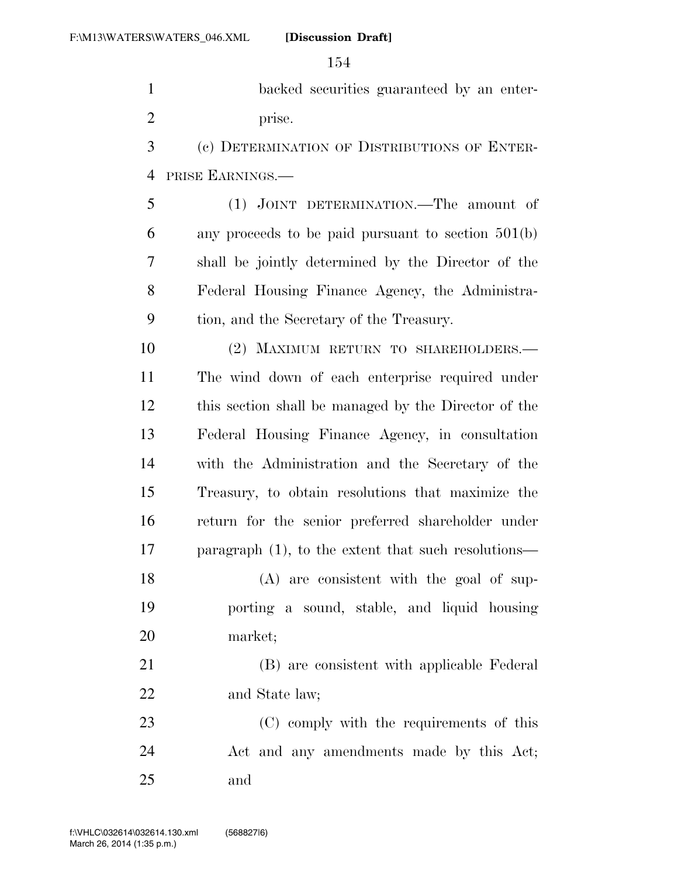backed securities guaranteed by an enter-2 prise.

 (c) DETERMINATION OF DISTRIBUTIONS OF ENTER-PRISE EARNINGS.—

 (1) JOINT DETERMINATION.—The amount of any proceeds to be paid pursuant to section 501(b) shall be jointly determined by the Director of the Federal Housing Finance Agency, the Administra-tion, and the Secretary of the Treasury.

 (2) MAXIMUM RETURN TO SHAREHOLDERS.— The wind down of each enterprise required under this section shall be managed by the Director of the Federal Housing Finance Agency, in consultation with the Administration and the Secretary of the Treasury, to obtain resolutions that maximize the return for the senior preferred shareholder under paragraph (1), to the extent that such resolutions—

 (A) are consistent with the goal of sup- porting a sound, stable, and liquid housing market;

 (B) are consistent with applicable Federal 22 and State law;

 (C) comply with the requirements of this Act and any amendments made by this Act; and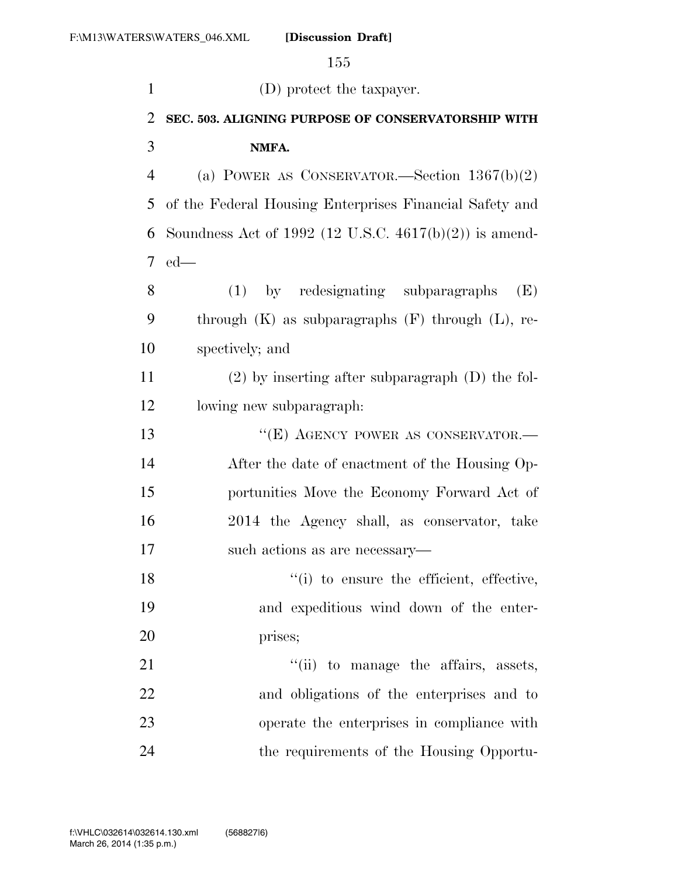| $\mathbf{1}$   | (D) protect the taxpayer.                                 |
|----------------|-----------------------------------------------------------|
| $\overline{2}$ | SEC. 503. ALIGNING PURPOSE OF CONSERVATORSHIP WITH        |
| 3              | NMFA.                                                     |
| $\overline{4}$ | (a) POWER AS CONSERVATOR.—Section $1367(b)(2)$            |
| 5              | of the Federal Housing Enterprises Financial Safety and   |
| 6              | Soundness Act of 1992 (12 U.S.C. $4617(b)(2)$ ) is amend- |
| 7              | $ed$ —                                                    |
| 8              | by redesignating subparagraphs<br>(1)<br>(E)              |
| 9              | through $(K)$ as subparagraphs $(F)$ through $(L)$ , re-  |
| 10             | spectively; and                                           |
| 11             | $(2)$ by inserting after subparagraph $(D)$ the fol-      |
| 12             | lowing new subparagraph:                                  |
| 13             | "(E) AGENCY POWER AS CONSERVATOR.—                        |
| 14             | After the date of enactment of the Housing Op-            |
| 15             | portunities Move the Economy Forward Act of               |
| 16             | 2014 the Agency shall, as conservator, take               |
| 17             | such actions as are necessary—                            |
| 18             | "(i) to ensure the efficient, effective,                  |
| 19             | and expeditious wind down of the enter-                   |
| 20             | prises;                                                   |
| 21             | "(ii) to manage the affairs, assets,                      |
| 22             | and obligations of the enterprises and to                 |
| 23             | operate the enterprises in compliance with                |
| 24             | the requirements of the Housing Opportu-                  |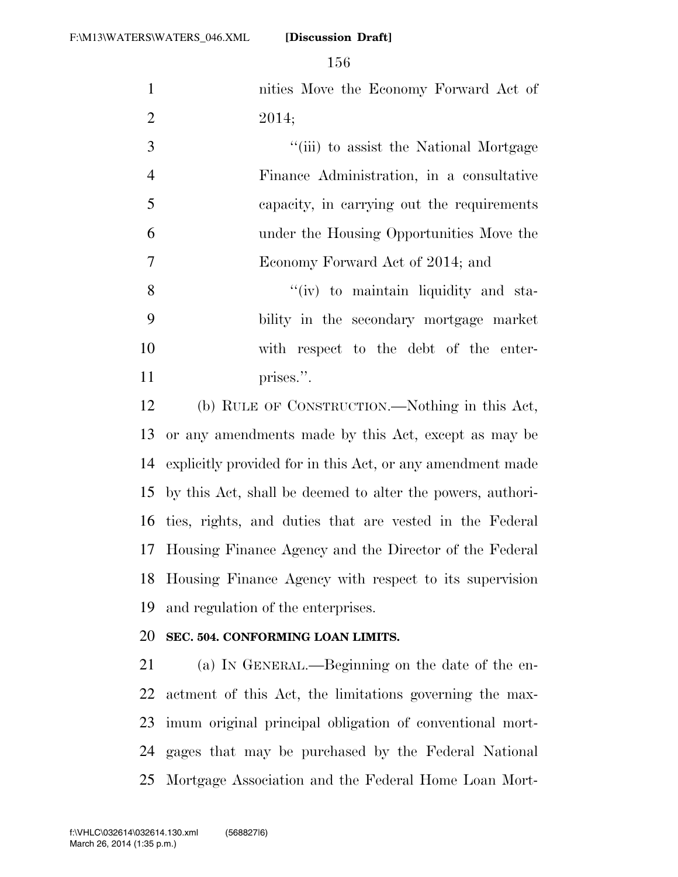| $\mathbf{1}$   | nities Move the Economy Forward Act of                     |
|----------------|------------------------------------------------------------|
| $\overline{2}$ | 2014;                                                      |
| 3              | "(iii) to assist the National Mortgage                     |
| $\overline{4}$ | Finance Administration, in a consultative                  |
| 5              | capacity, in carrying out the requirements                 |
| 6              | under the Housing Opportunities Move the                   |
| $\overline{7}$ | Economy Forward Act of 2014; and                           |
| 8              | "(iv) to maintain liquidity and sta-                       |
| 9              | bility in the secondary mortgage market                    |
| 10             | with respect to the debt of the enter-                     |
| 11             | prises.".                                                  |
| 12             | (b) RULE OF CONSTRUCTION.—Nothing in this Act,             |
| 13             | or any amendments made by this Act, except as may be       |
| 14             | explicitly provided for in this Act, or any amendment made |
| 15             | by this Act, shall be deemed to alter the powers, authori- |
| 16             | ties, rights, and duties that are vested in the Federal    |
| 17             | Housing Finance Agency and the Director of the Federal     |
| 18             | Housing Finance Agency with respect to its supervision     |
| 19             | and regulation of the enterprises.                         |
| 20             | SEC. 504. CONFORMING LOAN LIMITS.                          |
| 21             | (a) IN GENERAL.—Beginning on the date of the en-           |
| 22             | actment of this Act, the limitations governing the max-    |
| 23             | imum original principal obligation of conventional mort-   |
| 24             | gages that may be purchased by the Federal National        |

Mortgage Association and the Federal Home Loan Mort-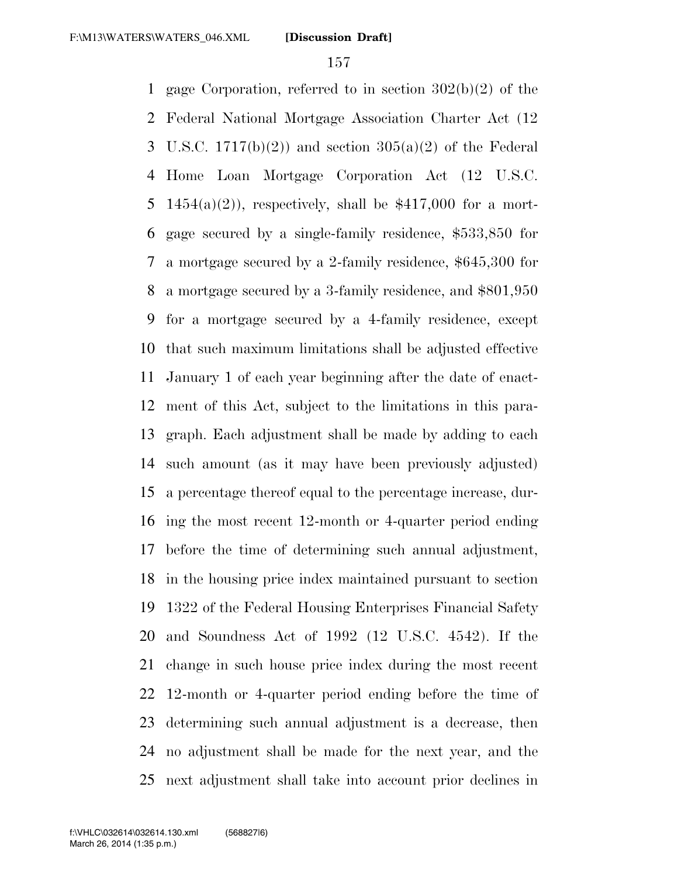gage Corporation, referred to in section 302(b)(2) of the Federal National Mortgage Association Charter Act (12 3 U.S.C.  $1717(b)(2)$  and section  $305(a)(2)$  of the Federal Home Loan Mortgage Corporation Act (12 U.S.C. 5 1454(a)(2)), respectively, shall be  $$417,000$  for a mort- gage secured by a single-family residence, \$533,850 for a mortgage secured by a 2-family residence, \$645,300 for a mortgage secured by a 3-family residence, and \$801,950 for a mortgage secured by a 4-family residence, except that such maximum limitations shall be adjusted effective January 1 of each year beginning after the date of enact- ment of this Act, subject to the limitations in this para- graph. Each adjustment shall be made by adding to each such amount (as it may have been previously adjusted) a percentage thereof equal to the percentage increase, dur- ing the most recent 12-month or 4-quarter period ending before the time of determining such annual adjustment, in the housing price index maintained pursuant to section 1322 of the Federal Housing Enterprises Financial Safety and Soundness Act of 1992 (12 U.S.C. 4542). If the change in such house price index during the most recent 12-month or 4-quarter period ending before the time of determining such annual adjustment is a decrease, then no adjustment shall be made for the next year, and the next adjustment shall take into account prior declines in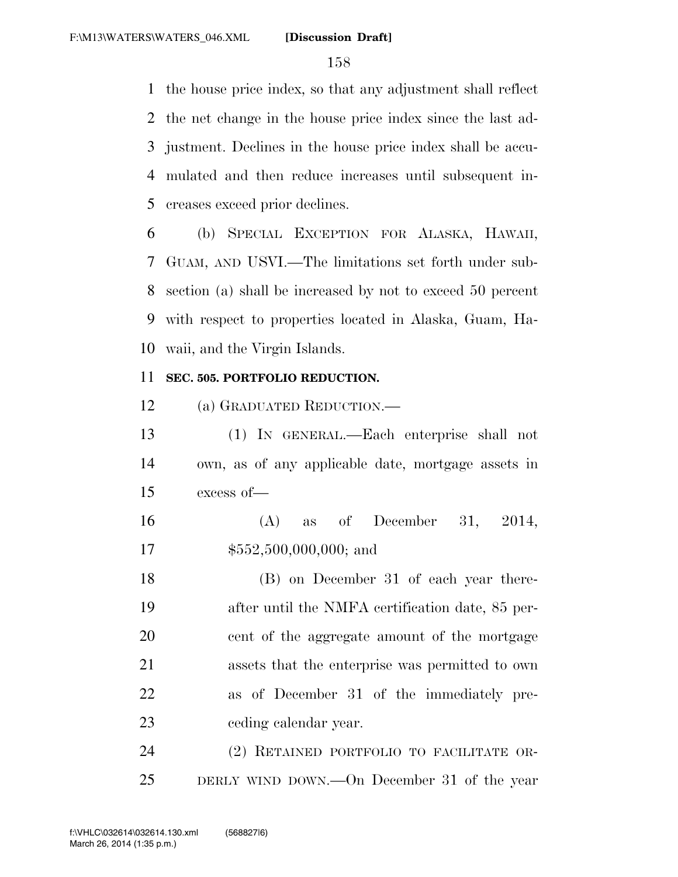the house price index, so that any adjustment shall reflect the net change in the house price index since the last ad- justment. Declines in the house price index shall be accu- mulated and then reduce increases until subsequent in-creases exceed prior declines.

 (b) SPECIAL EXCEPTION FOR ALASKA, HAWAII, GUAM, AND USVI.—The limitations set forth under sub- section (a) shall be increased by not to exceed 50 percent with respect to properties located in Alaska, Guam, Ha-waii, and the Virgin Islands.

### **SEC. 505. PORTFOLIO REDUCTION.**

(a) GRADUATED REDUCTION.—

 (1) IN GENERAL.—Each enterprise shall not own, as of any applicable date, mortgage assets in excess of—

 (A) as of December 31, 2014, 17  $$552,500,000,000;$  and

 (B) on December 31 of each year there- after until the NMFA certification date, 85 per- cent of the aggregate amount of the mortgage assets that the enterprise was permitted to own as of December 31 of the immediately pre-ceding calendar year.

 (2) RETAINED PORTFOLIO TO FACILITATE OR-DERLY WIND DOWN.—On December 31 of the year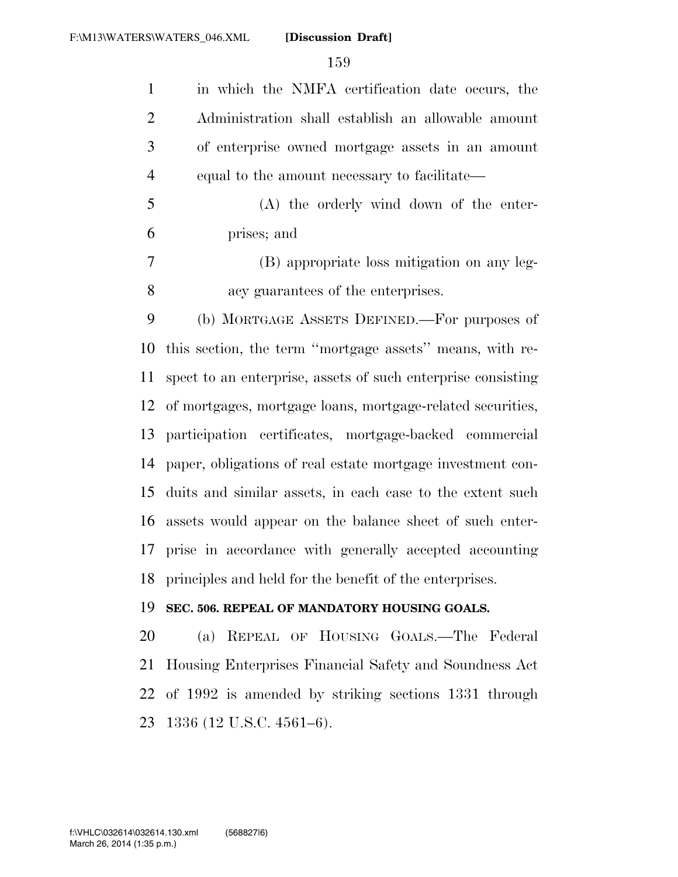in which the NMFA certification date occurs, the Administration shall establish an allowable amount of enterprise owned mortgage assets in an amount equal to the amount necessary to facilitate— (A) the orderly wind down of the enter- prises; and (B) appropriate loss mitigation on any leg- acy guarantees of the enterprises. (b) MORTGAGE ASSETS DEFINED.—For purposes of this section, the term ''mortgage assets'' means, with re- spect to an enterprise, assets of such enterprise consisting of mortgages, mortgage loans, mortgage-related securities, participation certificates, mortgage-backed commercial paper, obligations of real estate mortgage investment con- duits and similar assets, in each case to the extent such assets would appear on the balance sheet of such enter- prise in accordance with generally accepted accounting principles and held for the benefit of the enterprises. **SEC. 506. REPEAL OF MANDATORY HOUSING GOALS.**  (a) REPEAL OF HOUSING GOALS.—The Federal Housing Enterprises Financial Safety and Soundness Act

 of 1992 is amended by striking sections 1331 through 1336 (12 U.S.C. 4561–6).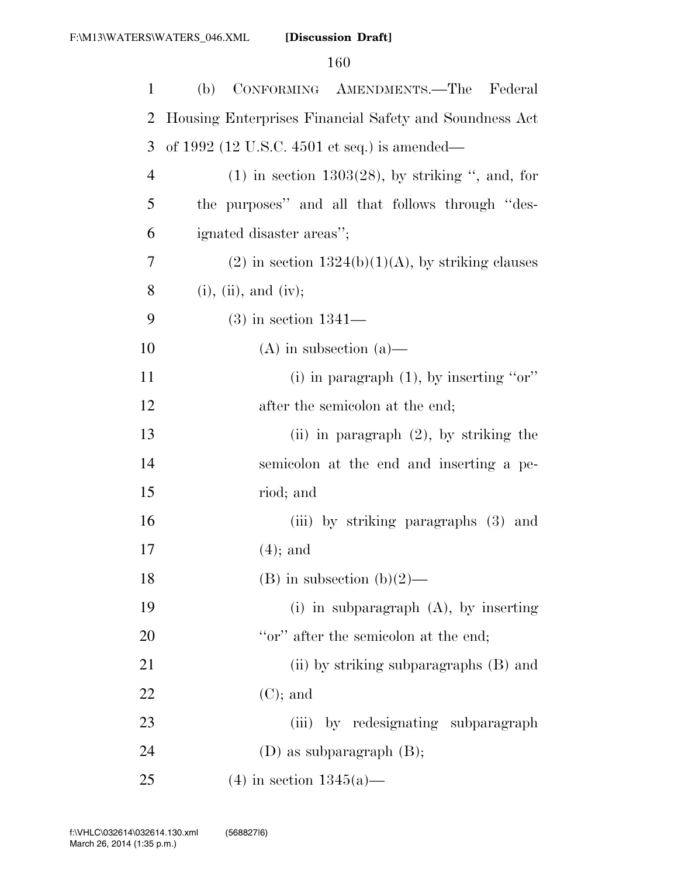| 1              | (b)<br>CONFORMING AMENDMENTS.—The<br>Federal           |
|----------------|--------------------------------------------------------|
| $\overline{2}$ | Housing Enterprises Financial Safety and Soundness Act |
| 3              | of 1992 (12 U.S.C. 4501 et seq.) is amended—           |
| $\overline{4}$ | $(1)$ in section 1303(28), by striking ", and, for     |
| 5              | the purposes" and all that follows through "des-       |
| 6              | ignated disaster areas";                               |
| 7              | $(2)$ in section $1324(b)(1)(A)$ , by striking clauses |
| 8              | $(i)$ , $(ii)$ , and $(iv)$ ;                          |
| 9              | $(3)$ in section 1341—                                 |
| 10             | $(A)$ in subsection $(a)$ —                            |
| 11             | (i) in paragraph $(1)$ , by inserting "or"             |
| 12             | after the semicolon at the end;                        |
| 13             | (ii) in paragraph $(2)$ , by striking the              |
| 14             | semicolon at the end and inserting a pe-               |
| 15             | riod; and                                              |
| 16             | (iii) by striking paragraphs (3) and                   |
| 17             | $(4)$ ; and                                            |
| 18             | (B) in subsection (b)(2)—                              |
| 19             | (i) in subparagraph $(A)$ , by inserting               |
| 20             | "or" after the semicolon at the end;                   |
| 21             | (ii) by striking subparagraphs (B) and                 |
| 22             | $(C)$ ; and                                            |
| 23             | (iii) by redesignating subparagraph                    |
| 24             | $(D)$ as subparagraph $(B)$ ;                          |
| 25             | $(4)$ in section 1345(a)—                              |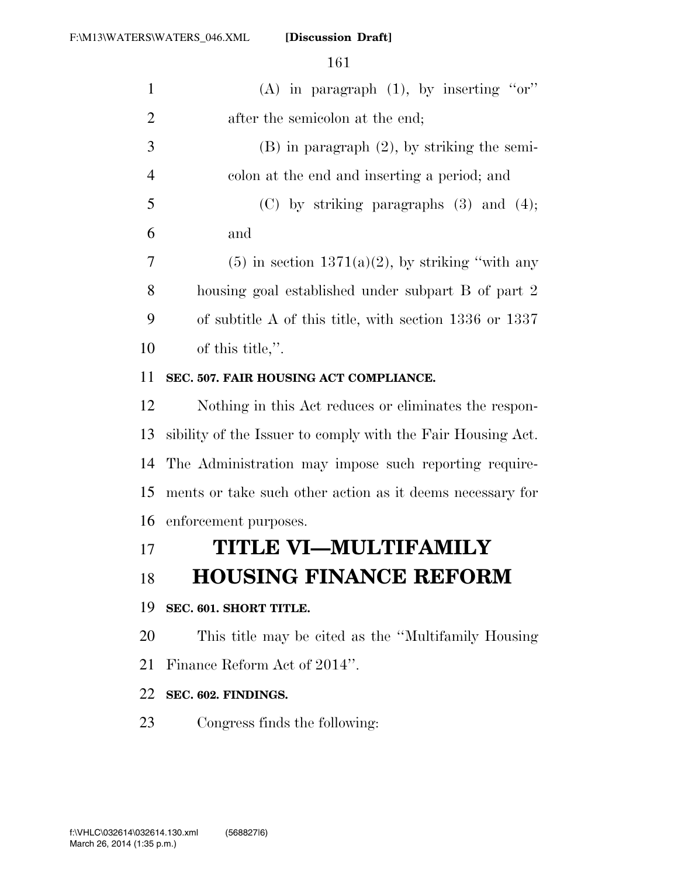|                | 161                                                         |
|----------------|-------------------------------------------------------------|
| $\mathbf{1}$   | (A) in paragraph $(1)$ , by inserting "or"                  |
| $\overline{2}$ | after the semicolon at the end;                             |
| 3              | $(B)$ in paragraph $(2)$ , by striking the semi-            |
| $\overline{4}$ | colon at the end and inserting a period; and                |
| 5              | $(C)$ by striking paragraphs $(3)$ and $(4)$ ;              |
| 6              | and                                                         |
| 7              | $(5)$ in section 1371(a)(2), by striking "with any          |
| 8              | housing goal established under subpart B of part 2          |
| 9              | of subtitle A of this title, with section $1336$ or $1337$  |
| 10             | of this title,".                                            |
| 11             | SEC. 507. FAIR HOUSING ACT COMPLIANCE.                      |
| 12             | Nothing in this Act reduces or eliminates the respon-       |
| 13             | sibility of the Issuer to comply with the Fair Housing Act. |
| 14             | The Administration may impose such reporting require-       |
| 15             | ments or take such other action as it deems necessary for   |
| 16             | enforcement purposes.                                       |
| 17             | TITLE VI—MULTIFAMILY                                        |
| 18             | <b>HOUSING FINANCE REFORM</b>                               |
| 19             | SEC. 601. SHORT TITLE.                                      |
| 20             | This title may be cited as the "Multifamily Housing"        |
| 21             | Finance Reform Act of 2014".                                |
| 22             | SEC. 602. FINDINGS.                                         |

Congress finds the following: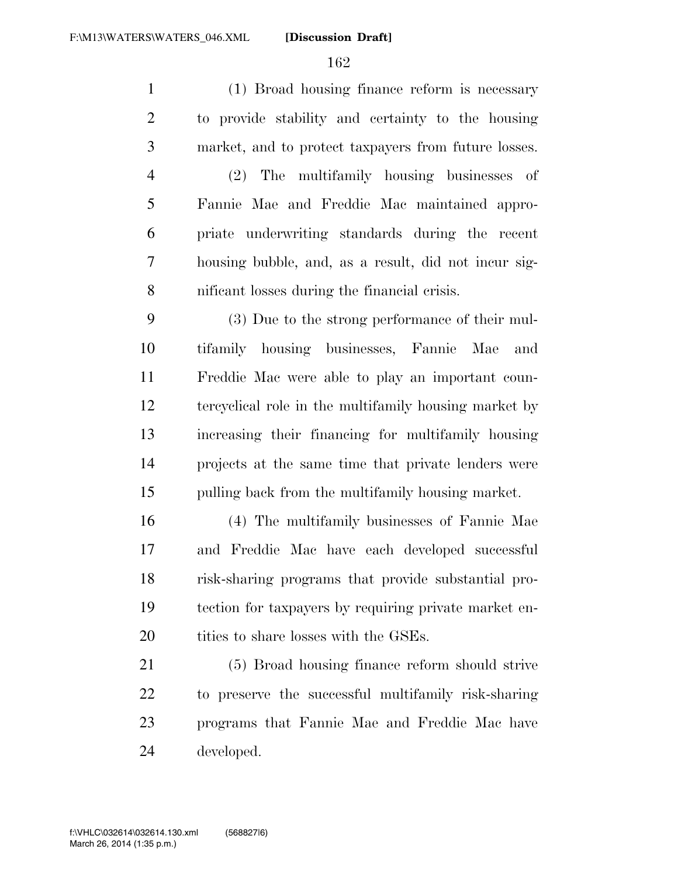(1) Broad housing finance reform is necessary to provide stability and certainty to the housing market, and to protect taxpayers from future losses.

 (2) The multifamily housing businesses of Fannie Mae and Freddie Mac maintained appro- priate underwriting standards during the recent housing bubble, and, as a result, did not incur sig-nificant losses during the financial crisis.

 (3) Due to the strong performance of their mul- tifamily housing businesses, Fannie Mae and Freddie Mac were able to play an important coun- tercyclical role in the multifamily housing market by increasing their financing for multifamily housing projects at the same time that private lenders were pulling back from the multifamily housing market.

 (4) The multifamily businesses of Fannie Mae and Freddie Mac have each developed successful risk-sharing programs that provide substantial pro- tection for taxpayers by requiring private market en-20 tities to share losses with the GSEs.

 (5) Broad housing finance reform should strive to preserve the successful multifamily risk-sharing programs that Fannie Mae and Freddie Mac have developed.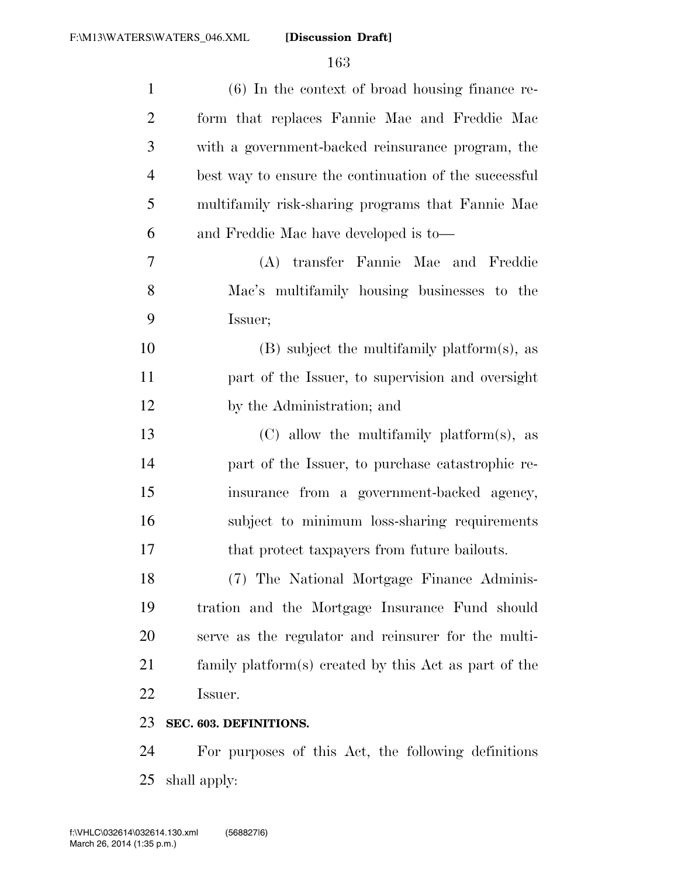| $\mathbf{1}$   | $(6)$ In the context of broad housing finance re-       |
|----------------|---------------------------------------------------------|
| $\overline{2}$ | form that replaces Fannie Mae and Freddie Mac           |
| 3              | with a government-backed reinsurance program, the       |
| $\overline{4}$ | best way to ensure the continuation of the successful   |
| 5              | multifamily risk-sharing programs that Fannie Mae       |
| 6              | and Freddie Mac have developed is to-                   |
| 7              | (A) transfer Fannie Mae and Freddie                     |
| 8              | Mac's multifamily housing businesses to the             |
| 9              | Issuer;                                                 |
| 10             | $(B)$ subject the multifamily platform(s), as           |
| 11             | part of the Issuer, to supervision and oversight        |
| 12             | by the Administration; and                              |
| 13             | $(C)$ allow the multifamily platform(s), as             |
| 14             | part of the Issuer, to purchase catastrophic re-        |
| 15             | insurance from a government-backed agency,              |
| 16             | subject to minimum loss-sharing requirements            |
| 17             | that protect taxpayers from future bailouts.            |
| 18             | (7) The National Mortgage Finance Adminis-              |
| 19             | tration and the Mortgage Insurance Fund should          |
| 20             | serve as the regulator and reinsurer for the multi-     |
| 21             | family platform(s) created by this $Act$ as part of the |
| 22             | Issuer.                                                 |
| 23             | SEC. 603. DEFINITIONS.                                  |
|                |                                                         |

 For purposes of this Act, the following definitions shall apply: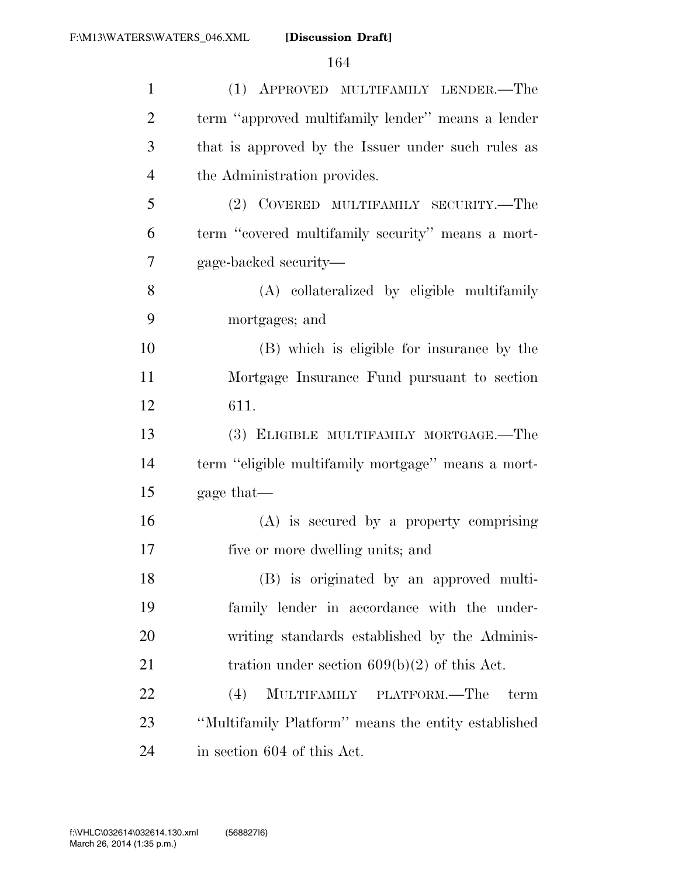| $\mathbf{1}$   | (1) APPROVED MULTIFAMILY LENDER.—The                |
|----------------|-----------------------------------------------------|
| $\overline{2}$ | term "approved multifamily lender" means a lender   |
| 3              | that is approved by the Issuer under such rules as  |
| $\overline{4}$ | the Administration provides.                        |
| 5              | (2) COVERED MULTIFAMILY SECURITY.—The               |
| 6              | term "covered multifamily security" means a mort-   |
| 7              | gage-backed security—                               |
| 8              | (A) collateralized by eligible multifamily          |
| 9              | mortgages; and                                      |
| 10             | (B) which is eligible for insurance by the          |
| 11             | Mortgage Insurance Fund pursuant to section         |
| 12             | 611.                                                |
| 13             | (3) ELIGIBLE MULTIFAMILY MORTGAGE.—The              |
| 14             | term "eligible multifamily mortgage" means a mort-  |
| 15             | gage that—                                          |
| 16             | $(A)$ is secured by a property comprising           |
| 17             | five or more dwelling units; and                    |
| 18             | (B) is originated by an approved multi-             |
| 19             | family lender in accordance with the under-         |
| 20             | writing standards established by the Adminis-       |
| 21             | tration under section $609(b)(2)$ of this Act.      |
| 22             | (4)<br>MULTIFAMILY PLATFORM.—The<br>term            |
| 23             | "Multifamily Platform" means the entity established |
| 24             | in section 604 of this Act.                         |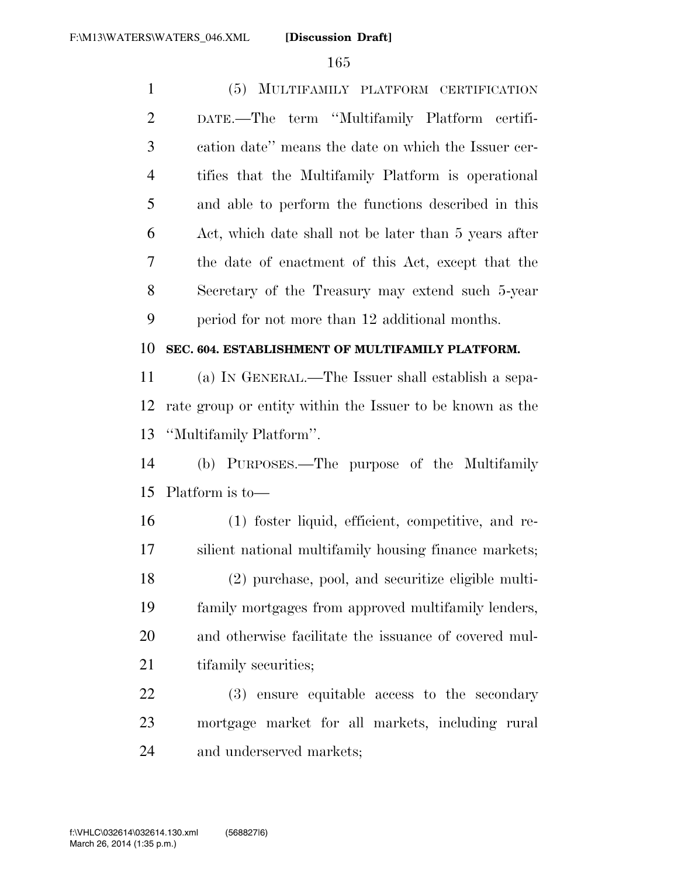(5) MULTIFAMILY PLATFORM CERTIFICATION DATE.—The term ''Multifamily Platform certifi- cation date'' means the date on which the Issuer cer- tifies that the Multifamily Platform is operational and able to perform the functions described in this Act, which date shall not be later than 5 years after the date of enactment of this Act, except that the Secretary of the Treasury may extend such 5-year period for not more than 12 additional months.

### **SEC. 604. ESTABLISHMENT OF MULTIFAMILY PLATFORM.**

 (a) IN GENERAL.—The Issuer shall establish a sepa- rate group or entity within the Issuer to be known as the ''Multifamily Platform''.

 (b) PURPOSES.—The purpose of the Multifamily Platform is to—

 (1) foster liquid, efficient, competitive, and re- silient national multifamily housing finance markets; (2) purchase, pool, and securitize eligible multi- family mortgages from approved multifamily lenders, and otherwise facilitate the issuance of covered mul-21 tifamily securities;

 (3) ensure equitable access to the secondary mortgage market for all markets, including rural and underserved markets;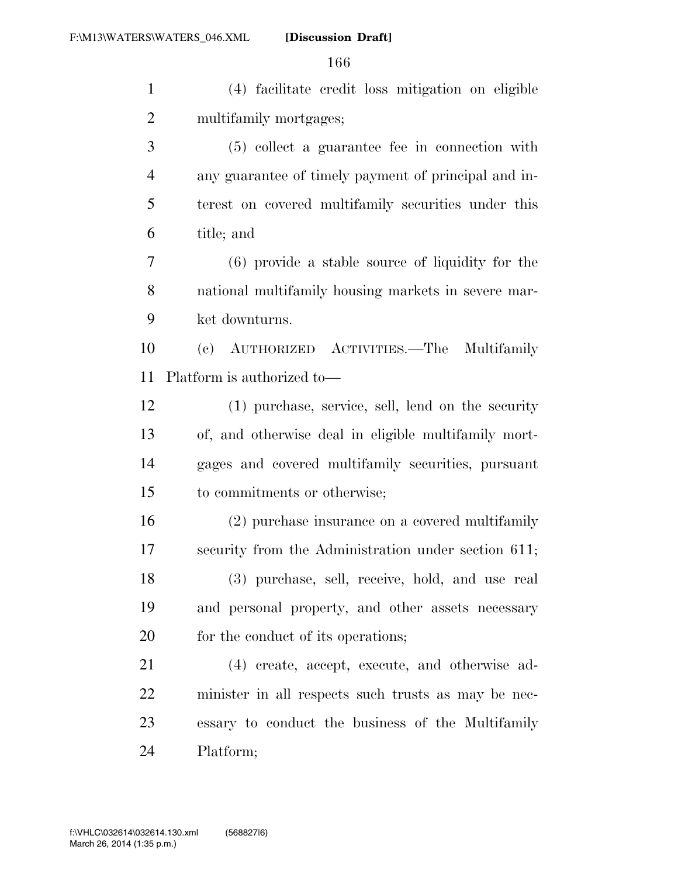(4) facilitate credit loss mitigation on eligible multifamily mortgages;

 (5) collect a guarantee fee in connection with any guarantee of timely payment of principal and in- terest on covered multifamily securities under this title; and

 (6) provide a stable source of liquidity for the national multifamily housing markets in severe mar-ket downturns.

 (c) AUTHORIZED ACTIVITIES.—The Multifamily Platform is authorized to—

 (1) purchase, service, sell, lend on the security of, and otherwise deal in eligible multifamily mort- gages and covered multifamily securities, pursuant to commitments or otherwise;

 (2) purchase insurance on a covered multifamily security from the Administration under section 611; (3) purchase, sell, receive, hold, and use real and personal property, and other assets necessary 20 for the conduct of its operations;

 (4) create, accept, execute, and otherwise ad- minister in all respects such trusts as may be nec- essary to conduct the business of the Multifamily Platform;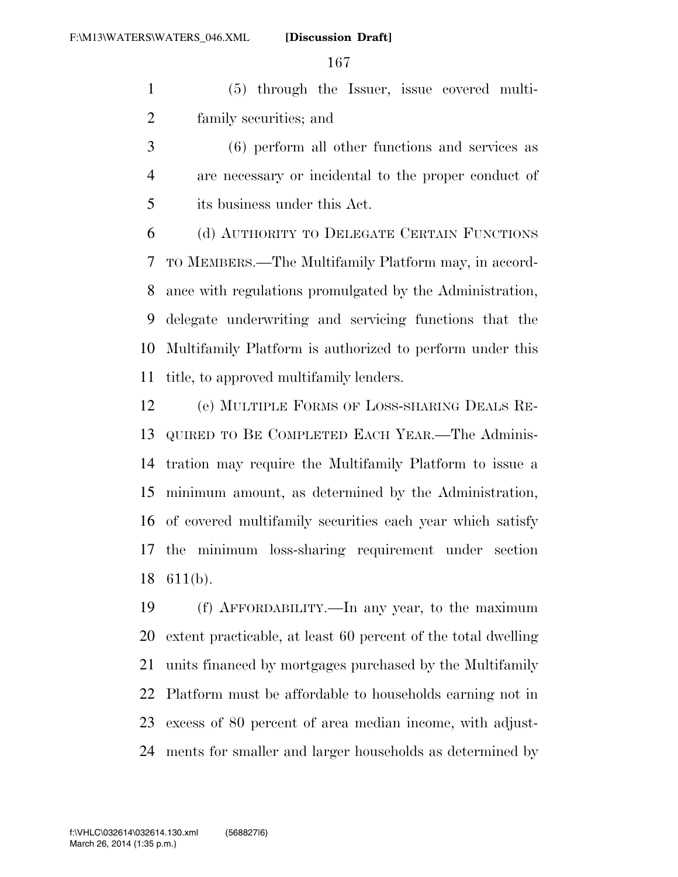(5) through the Issuer, issue covered multi-family securities; and

 (6) perform all other functions and services as are necessary or incidental to the proper conduct of its business under this Act.

 (d) AUTHORITY TO DELEGATE CERTAIN FUNCTIONS TO MEMBERS.—The Multifamily Platform may, in accord- ance with regulations promulgated by the Administration, delegate underwriting and servicing functions that the Multifamily Platform is authorized to perform under this title, to approved multifamily lenders.

 (e) MULTIPLE FORMS OF LOSS-SHARING DEALS RE- QUIRED TO BE COMPLETED EACH YEAR.—The Adminis- tration may require the Multifamily Platform to issue a minimum amount, as determined by the Administration, of covered multifamily securities each year which satisfy the minimum loss-sharing requirement under section 611(b).

 (f) AFFORDABILITY.—In any year, to the maximum extent practicable, at least 60 percent of the total dwelling units financed by mortgages purchased by the Multifamily Platform must be affordable to households earning not in excess of 80 percent of area median income, with adjust-ments for smaller and larger households as determined by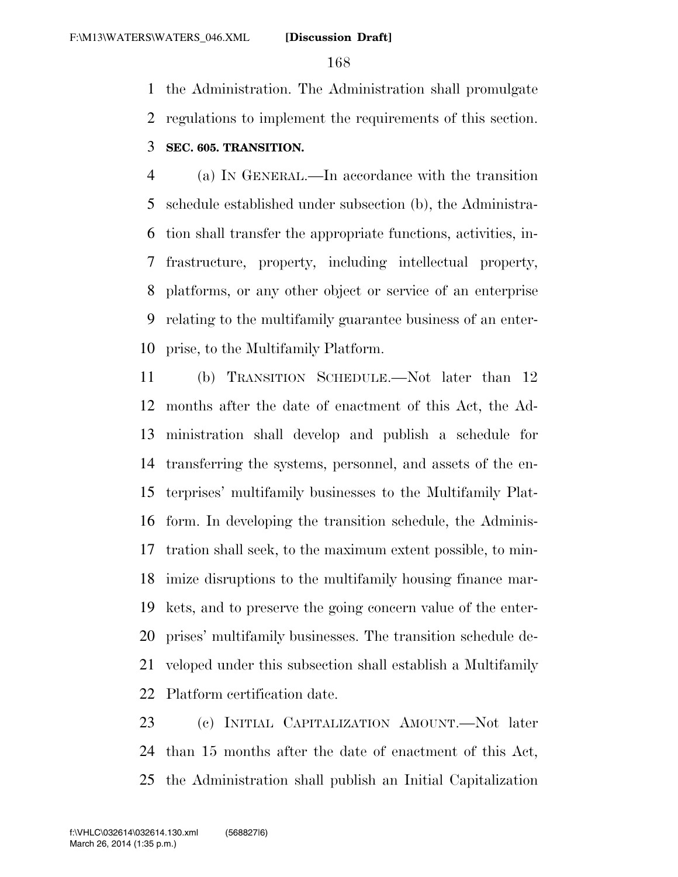the Administration. The Administration shall promulgate regulations to implement the requirements of this section.

### **SEC. 605. TRANSITION.**

 (a) IN GENERAL.—In accordance with the transition schedule established under subsection (b), the Administra- tion shall transfer the appropriate functions, activities, in- frastructure, property, including intellectual property, platforms, or any other object or service of an enterprise relating to the multifamily guarantee business of an enter-prise, to the Multifamily Platform.

 (b) TRANSITION SCHEDULE.—Not later than 12 months after the date of enactment of this Act, the Ad- ministration shall develop and publish a schedule for transferring the systems, personnel, and assets of the en- terprises' multifamily businesses to the Multifamily Plat- form. In developing the transition schedule, the Adminis- tration shall seek, to the maximum extent possible, to min- imize disruptions to the multifamily housing finance mar- kets, and to preserve the going concern value of the enter- prises' multifamily businesses. The transition schedule de- veloped under this subsection shall establish a Multifamily Platform certification date.

 (c) INITIAL CAPITALIZATION AMOUNT.—Not later than 15 months after the date of enactment of this Act, the Administration shall publish an Initial Capitalization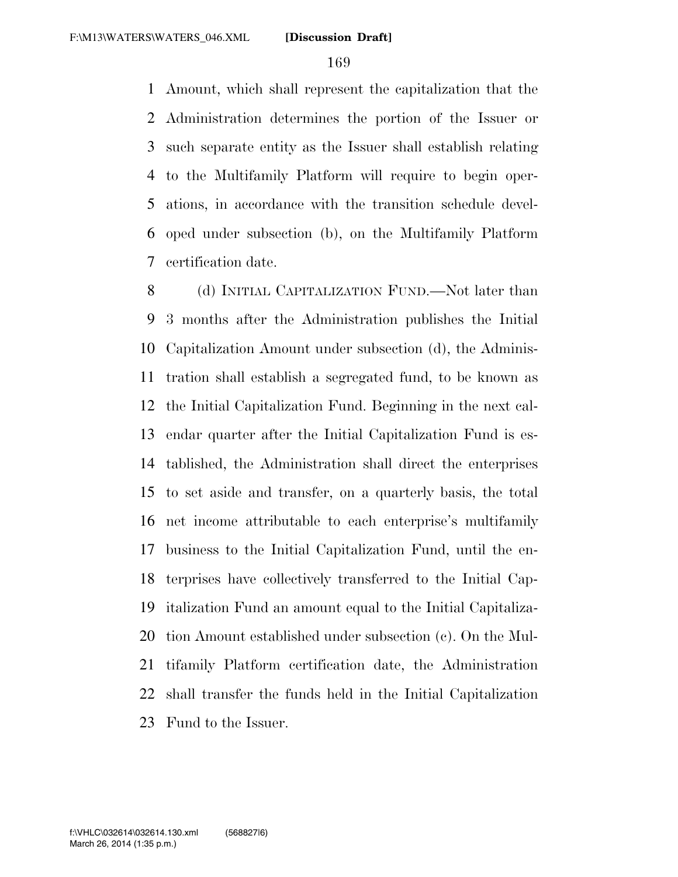Amount, which shall represent the capitalization that the Administration determines the portion of the Issuer or such separate entity as the Issuer shall establish relating to the Multifamily Platform will require to begin oper- ations, in accordance with the transition schedule devel- oped under subsection (b), on the Multifamily Platform certification date.

8 (d) INITIAL CAPITALIZATION FUND.—Not later than 3 months after the Administration publishes the Initial Capitalization Amount under subsection (d), the Adminis- tration shall establish a segregated fund, to be known as the Initial Capitalization Fund. Beginning in the next cal- endar quarter after the Initial Capitalization Fund is es- tablished, the Administration shall direct the enterprises to set aside and transfer, on a quarterly basis, the total net income attributable to each enterprise's multifamily business to the Initial Capitalization Fund, until the en- terprises have collectively transferred to the Initial Cap- italization Fund an amount equal to the Initial Capitaliza- tion Amount established under subsection (c). On the Mul- tifamily Platform certification date, the Administration shall transfer the funds held in the Initial Capitalization Fund to the Issuer.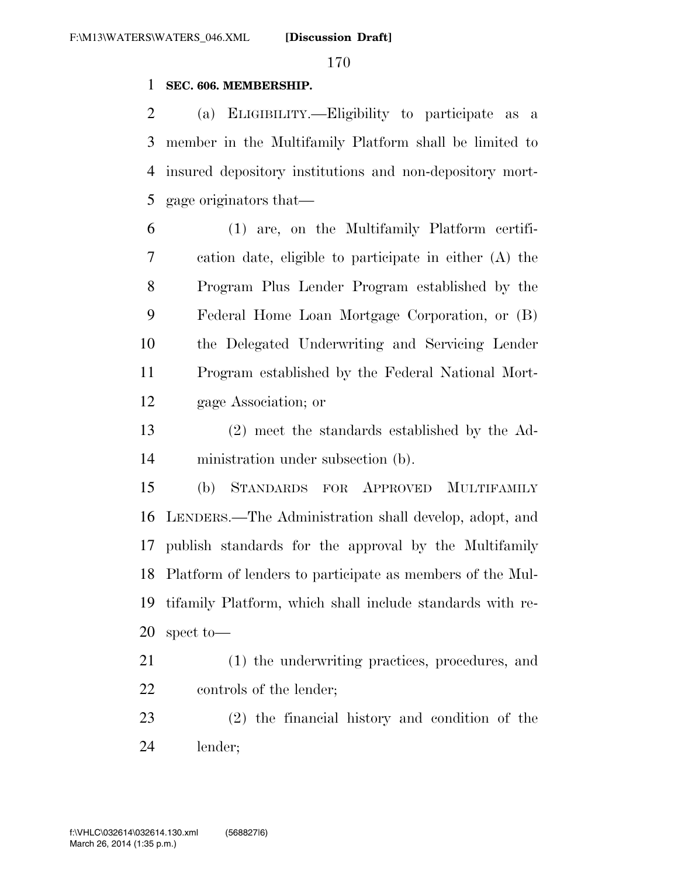#### **SEC. 606. MEMBERSHIP.**

 (a) ELIGIBILITY.—Eligibility to participate as a member in the Multifamily Platform shall be limited to insured depository institutions and non-depository mort-gage originators that—

 (1) are, on the Multifamily Platform certifi- cation date, eligible to participate in either (A) the Program Plus Lender Program established by the Federal Home Loan Mortgage Corporation, or (B) the Delegated Underwriting and Servicing Lender Program established by the Federal National Mort-gage Association; or

 (2) meet the standards established by the Ad-ministration under subsection (b).

 (b) STANDARDS FOR APPROVED MULTIFAMILY LENDERS.—The Administration shall develop, adopt, and publish standards for the approval by the Multifamily Platform of lenders to participate as members of the Mul- tifamily Platform, which shall include standards with re-spect to—

 (1) the underwriting practices, procedures, and controls of the lender;

 (2) the financial history and condition of the lender;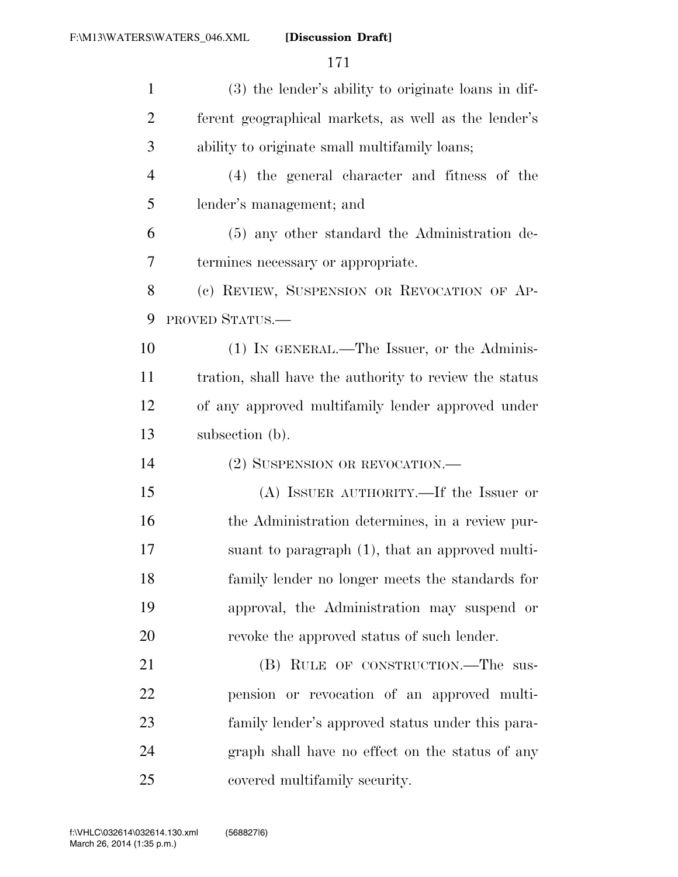| $\mathbf{1}$   | (3) the lender's ability to originate loans in dif-    |
|----------------|--------------------------------------------------------|
| $\overline{2}$ | ferent geographical markets, as well as the lender's   |
| 3              | ability to originate small multifamily loans;          |
| $\overline{4}$ | (4) the general character and fitness of the           |
| 5              | lender's management; and                               |
| 6              | (5) any other standard the Administration de-          |
| 7              | termines necessary or appropriate.                     |
| 8              | (c) REVIEW, SUSPENSION OR REVOCATION OF AP-            |
| 9              | PROVED STATUS.                                         |
| 10             | (1) IN GENERAL.—The Issuer, or the Adminis-            |
| 11             | tration, shall have the authority to review the status |
| 12             | of any approved multifamily lender approved under      |
|                |                                                        |
| 13             | subsection (b).                                        |
| 14             | (2) SUSPENSION OR REVOCATION.—                         |
| 15             | (A) ISSUER AUTHORITY.—If the Issuer or                 |
| 16             | the Administration determines, in a review pur-        |
| 17             | suant to paragraph (1), that an approved multi-        |
| 18             | family lender no longer meets the standards for        |
| 19             | approval, the Administration may suspend or            |
| 20             | revoke the approved status of such lender.             |
| 21             | (B) RULE OF CONSTRUCTION.—The sus-                     |
| 22             | pension or revocation of an approved multi-            |
| 23             | family lender's approved status under this para-       |
| 24             | graph shall have no effect on the status of any        |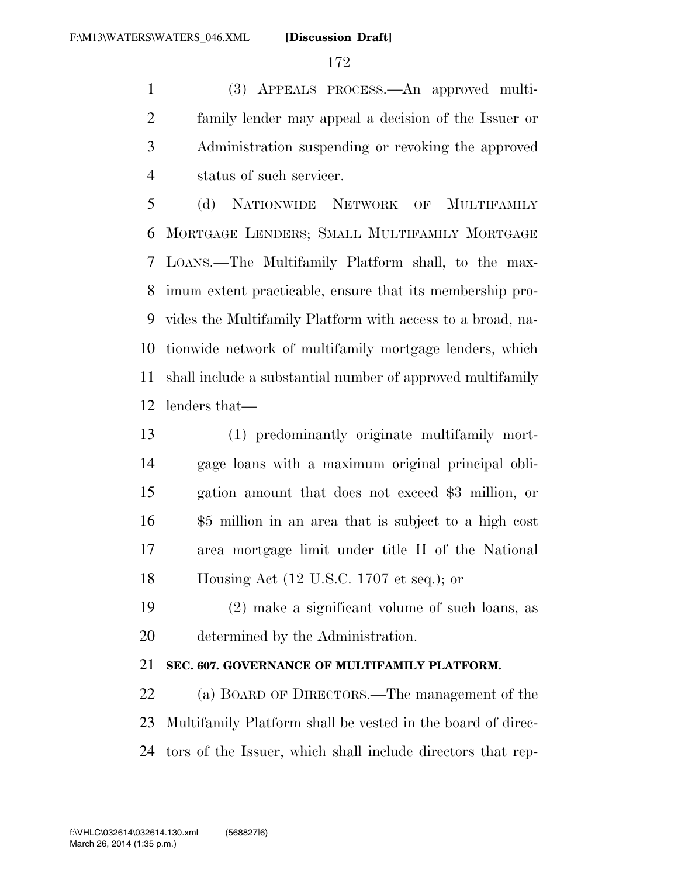(3) APPEALS PROCESS.—An approved multi- family lender may appeal a decision of the Issuer or Administration suspending or revoking the approved status of such servicer.

 (d) NATIONWIDE NETWORK OF MULTIFAMILY MORTGAGE LENDERS; SMALL MULTIFAMILY MORTGAGE LOANS.—The Multifamily Platform shall, to the max- imum extent practicable, ensure that its membership pro- vides the Multifamily Platform with access to a broad, na- tionwide network of multifamily mortgage lenders, which shall include a substantial number of approved multifamily lenders that—

 (1) predominantly originate multifamily mort- gage loans with a maximum original principal obli- gation amount that does not exceed \$3 million, or \$5 million in an area that is subject to a high cost area mortgage limit under title II of the National Housing Act (12 U.S.C. 1707 et seq.); or

 (2) make a significant volume of such loans, as determined by the Administration.

# **SEC. 607. GOVERNANCE OF MULTIFAMILY PLATFORM.**

 (a) BOARD OF DIRECTORS.—The management of the Multifamily Platform shall be vested in the board of direc-tors of the Issuer, which shall include directors that rep-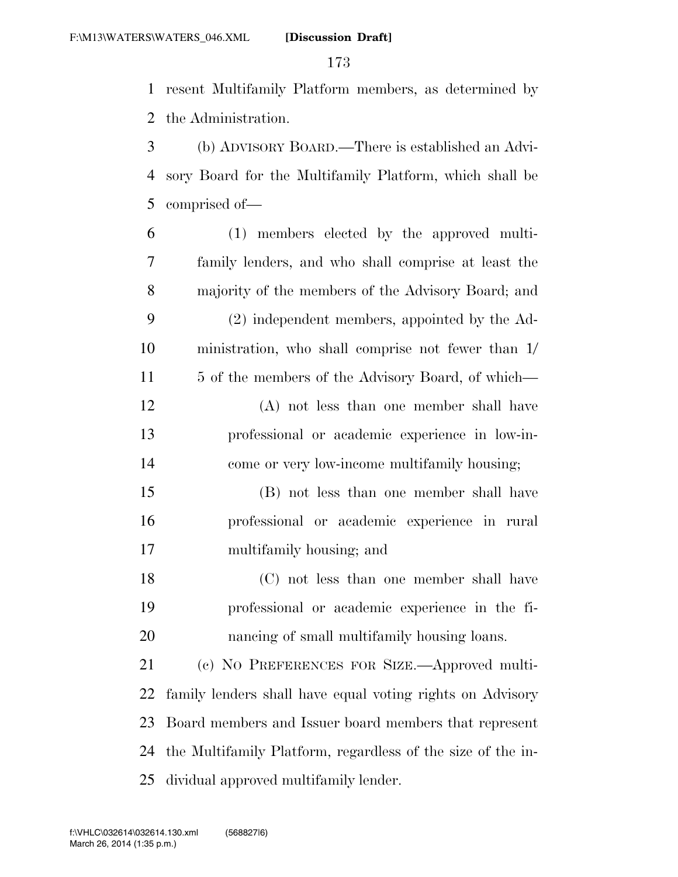resent Multifamily Platform members, as determined by the Administration.

 (b) ADVISORY BOARD.—There is established an Advi- sory Board for the Multifamily Platform, which shall be comprised of—

- (1) members elected by the approved multi- family lenders, and who shall comprise at least the majority of the members of the Advisory Board; and (2) independent members, appointed by the Ad- ministration, who shall comprise not fewer than 1/ 11 5 of the members of the Advisory Board, of which— (A) not less than one member shall have professional or academic experience in low-in-
- (B) not less than one member shall have professional or academic experience in rural multifamily housing; and

come or very low-income multifamily housing;

 (C) not less than one member shall have professional or academic experience in the fi-nancing of small multifamily housing loans.

 (c) NO PREFERENCES FOR SIZE.—Approved multi- family lenders shall have equal voting rights on Advisory Board members and Issuer board members that represent the Multifamily Platform, regardless of the size of the in-dividual approved multifamily lender.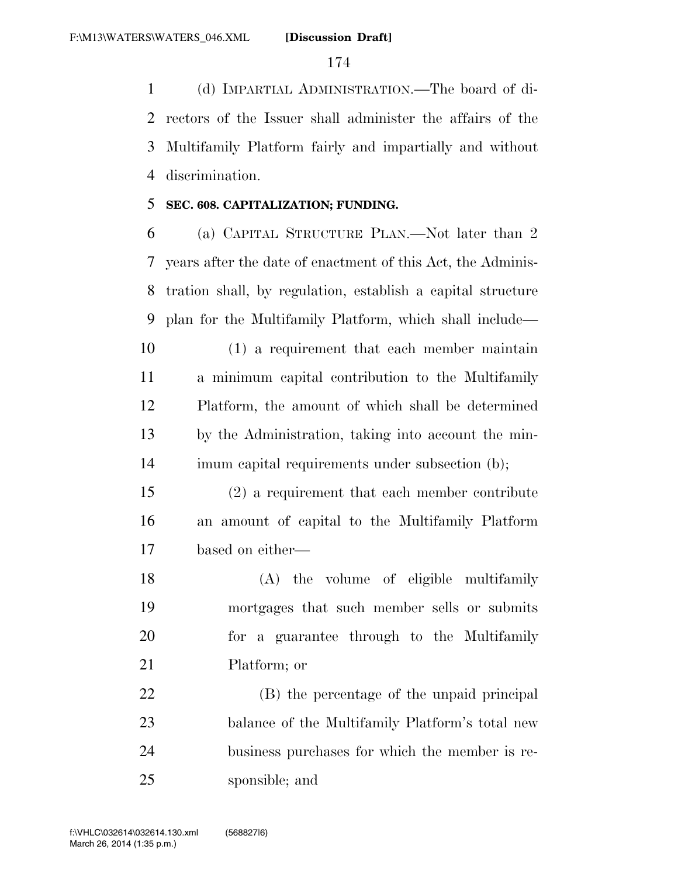(d) IMPARTIAL ADMINISTRATION.—The board of di- rectors of the Issuer shall administer the affairs of the Multifamily Platform fairly and impartially and without discrimination.

#### **SEC. 608. CAPITALIZATION; FUNDING.**

 (a) CAPITAL STRUCTURE PLAN.—Not later than 2 years after the date of enactment of this Act, the Adminis- tration shall, by regulation, establish a capital structure plan for the Multifamily Platform, which shall include—

 (1) a requirement that each member maintain a minimum capital contribution to the Multifamily Platform, the amount of which shall be determined by the Administration, taking into account the min-imum capital requirements under subsection (b);

 (2) a requirement that each member contribute an amount of capital to the Multifamily Platform based on either—

 (A) the volume of eligible multifamily mortgages that such member sells or submits for a guarantee through to the Multifamily Platform; or

 (B) the percentage of the unpaid principal balance of the Multifamily Platform's total new business purchases for which the member is re-sponsible; and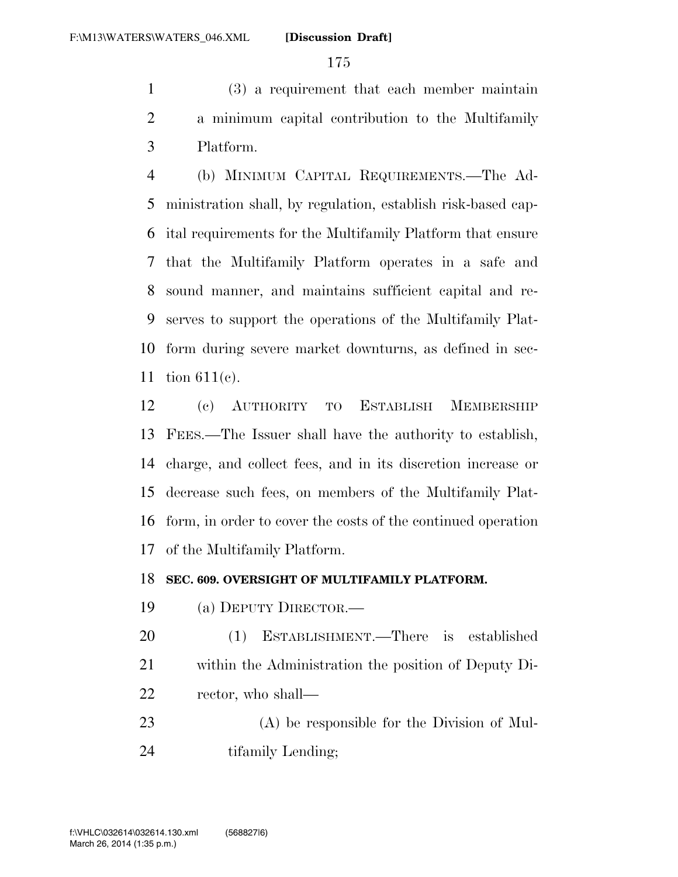(3) a requirement that each member maintain a minimum capital contribution to the Multifamily Platform.

 (b) MINIMUM CAPITAL REQUIREMENTS.—The Ad- ministration shall, by regulation, establish risk-based cap- ital requirements for the Multifamily Platform that ensure that the Multifamily Platform operates in a safe and sound manner, and maintains sufficient capital and re- serves to support the operations of the Multifamily Plat- form during severe market downturns, as defined in sec-tion 611(c).

 (c) AUTHORITY TO ESTABLISH MEMBERSHIP FEES.—The Issuer shall have the authority to establish, charge, and collect fees, and in its discretion increase or decrease such fees, on members of the Multifamily Plat- form, in order to cover the costs of the continued operation of the Multifamily Platform.

#### **SEC. 609. OVERSIGHT OF MULTIFAMILY PLATFORM.**

- (a) DEPUTY DIRECTOR.—
- (1) ESTABLISHMENT.—There is established within the Administration the position of Deputy Di-rector, who shall—
- (A) be responsible for the Division of Mul-24 tifamily Lending;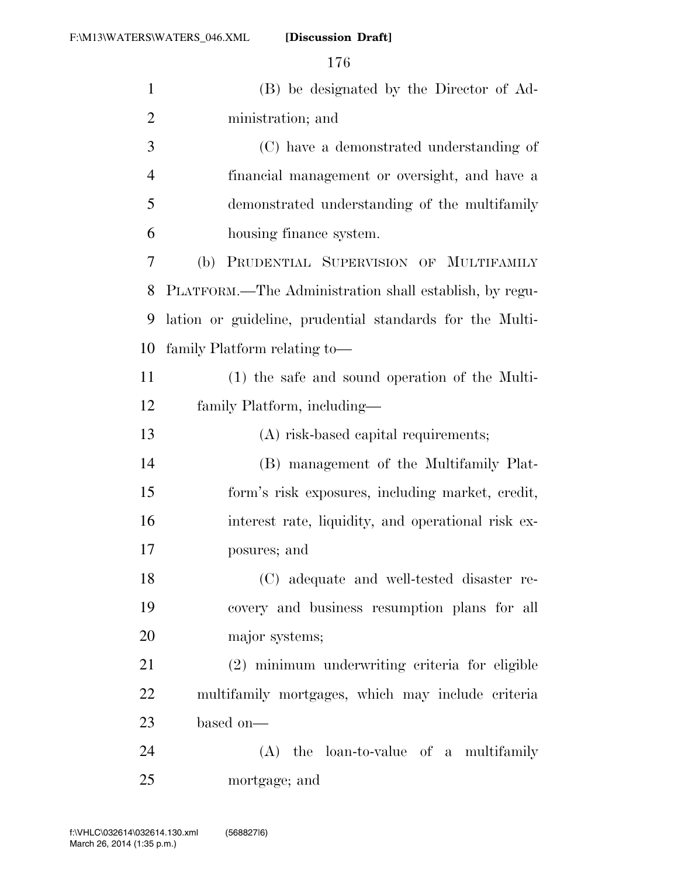| $\mathbf{1}$   | (B) be designated by the Director of Ad-                 |
|----------------|----------------------------------------------------------|
| $\overline{2}$ | ministration; and                                        |
| 3              | (C) have a demonstrated understanding of                 |
| $\overline{4}$ | financial management or oversight, and have a            |
| 5              | demonstrated understanding of the multifamily            |
| 6              | housing finance system.                                  |
| 7              | PRUDENTIAL SUPERVISION OF MULTIFAMILY<br>(b)             |
| 8              | PLATFORM.—The Administration shall establish, by regu-   |
| 9              | lation or guideline, prudential standards for the Multi- |
| 10             | family Platform relating to-                             |
| 11             | (1) the safe and sound operation of the Multi-           |
| 12             | family Platform, including—                              |
| 13             | (A) risk-based capital requirements;                     |
| 14             | (B) management of the Multifamily Plat-                  |
| 15             | form's risk exposures, including market, credit,         |
| 16             | interest rate, liquidity, and operational risk ex-       |
| 17             | posures; and                                             |
| 18             | (C) adequate and well-tested disaster re-                |
| 19             | covery and business resumption plans for all             |
| 20             | major systems;                                           |
| 21             | (2) minimum underwriting criteria for eligible           |
| 22             | multifamily mortgages, which may include criteria        |
| 23             | based on-                                                |
| 24             | $(A)$ the loan-to-value of a multifamily                 |
| 25             | mortgage; and                                            |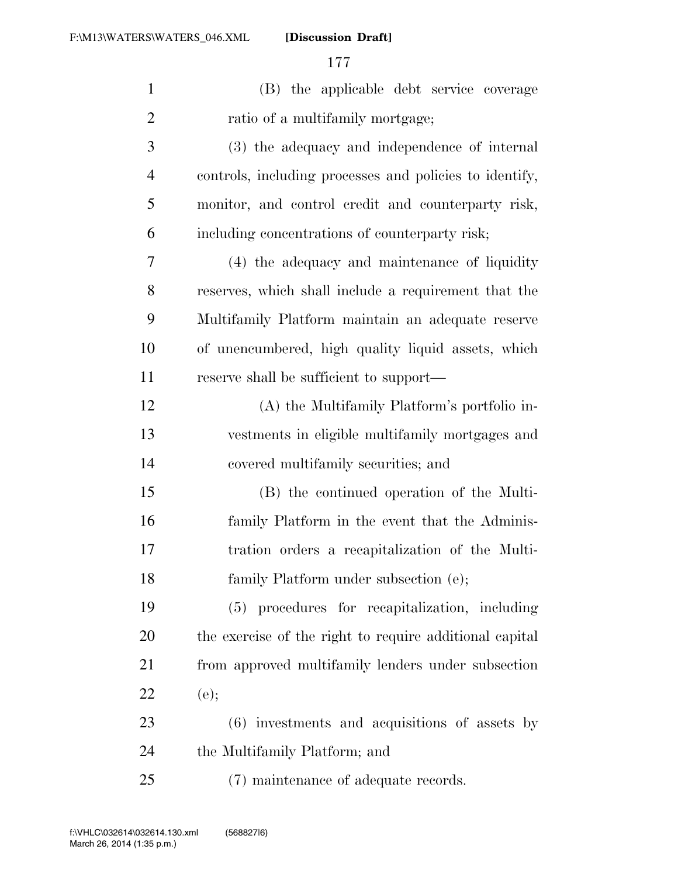| $\mathbf{1}$   | (B) the applicable debt service coverage                |
|----------------|---------------------------------------------------------|
| $\overline{2}$ | ratio of a multifamily mortgage;                        |
| 3              | (3) the adequacy and independence of internal           |
| $\overline{4}$ | controls, including processes and policies to identify, |
| 5              | monitor, and control credit and counterparty risk,      |
| 6              | including concentrations of counterparty risk;          |
| 7              | (4) the adequacy and maintenance of liquidity           |
| 8              | reserves, which shall include a requirement that the    |
| 9              | Multifamily Platform maintain an adequate reserve       |
| 10             | of unencumbered, high quality liquid assets, which      |
| 11             | reserve shall be sufficient to support—                 |
| 12             | (A) the Multifamily Platform's portfolio in-            |
| 13             | vestments in eligible multifamily mortgages and         |
| 14             | covered multifamily securities; and                     |
| 15             | (B) the continued operation of the Multi-               |
| 16             | family Platform in the event that the Adminis-          |
| 17             | tration orders a recapitalization of the Multi-         |
| 18             | family Platform under subsection (e);                   |
| 19             | (5) procedures for recapitalization, including          |
| <b>20</b>      | the exercise of the right to require additional capital |
| 21             | from approved multifamily lenders under subsection      |
| 22             | (e);                                                    |
| 23             | $(6)$ investments and acquisitions of assets by         |
| 24             | the Multifamily Platform; and                           |
| 25             | (7) maintenance of adequate records.                    |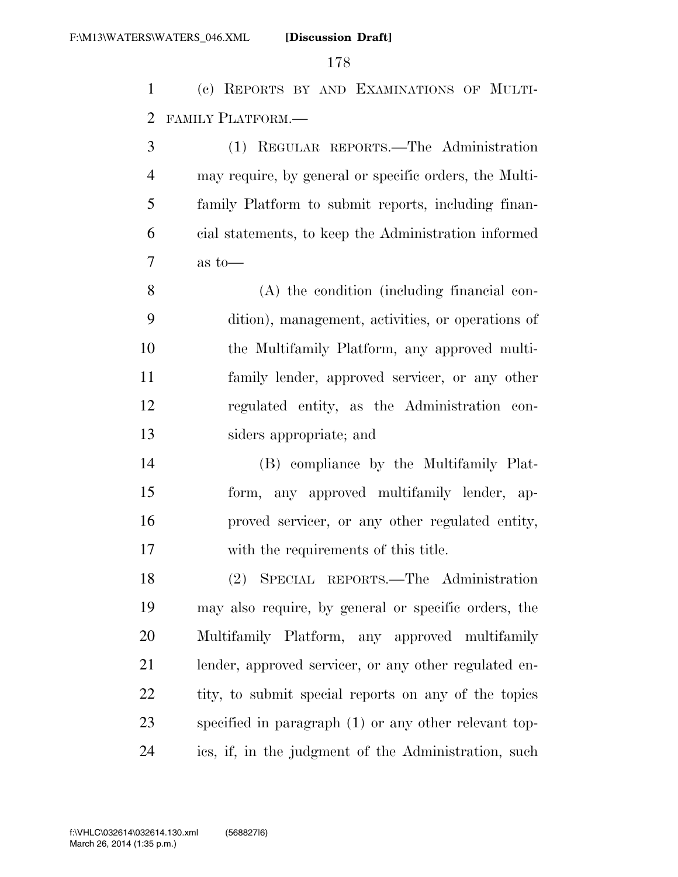(c) REPORTS BY AND EXAMINATIONS OF MULTI-FAMILY PLATFORM.—

 (1) REGULAR REPORTS.—The Administration may require, by general or specific orders, the Multi- family Platform to submit reports, including finan- cial statements, to keep the Administration informed as to—

 (A) the condition (including financial con- dition), management, activities, or operations of the Multifamily Platform, any approved multi- family lender, approved servicer, or any other regulated entity, as the Administration con-siders appropriate; and

 (B) compliance by the Multifamily Plat- form, any approved multifamily lender, ap- proved servicer, or any other regulated entity, with the requirements of this title.

 (2) SPECIAL REPORTS.—The Administration may also require, by general or specific orders, the Multifamily Platform, any approved multifamily lender, approved servicer, or any other regulated en-22 tity, to submit special reports on any of the topics specified in paragraph (1) or any other relevant top-ics, if, in the judgment of the Administration, such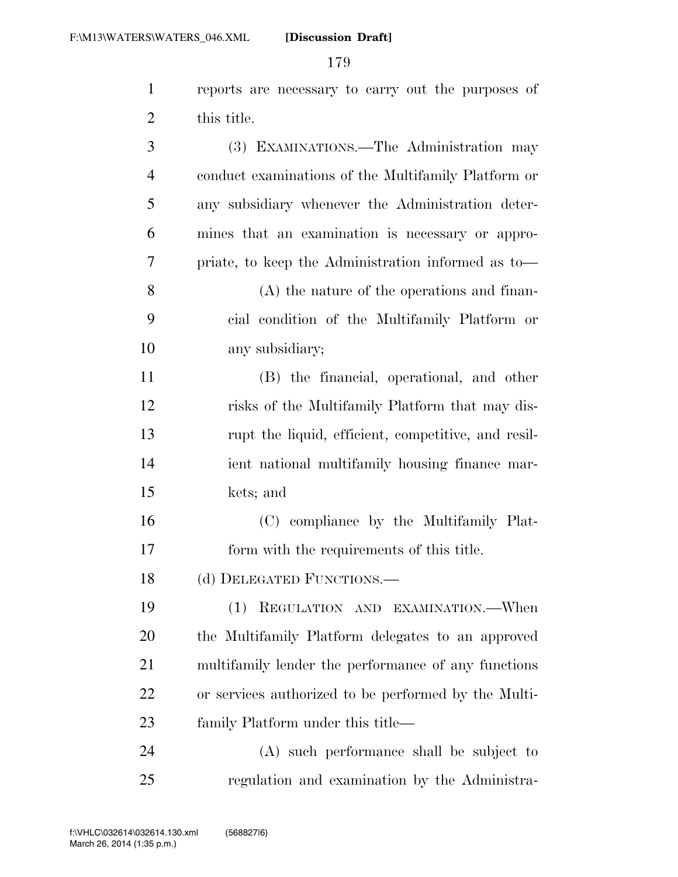| $\mathbf{1}$   | reports are necessary to carry out the purposes of   |
|----------------|------------------------------------------------------|
| $\overline{2}$ | this title.                                          |
| 3              | (3) EXAMINATIONS.—The Administration may             |
| $\overline{4}$ | conduct examinations of the Multifamily Platform or  |
| 5              | any subsidiary whenever the Administration deter-    |
| 6              | mines that an examination is necessary or appro-     |
| 7              | priate, to keep the Administration informed as to-   |
| 8              | $(A)$ the nature of the operations and finan-        |
| 9              | cial condition of the Multifamily Platform or        |
| 10             | any subsidiary;                                      |
| 11             | (B) the financial, operational, and other            |
| 12             | risks of the Multifamily Platform that may dis-      |
| 13             | rupt the liquid, efficient, competitive, and resil-  |
| 14             | ient national multifamily housing finance mar-       |
| 15             | kets; and                                            |
| 16             | (C) compliance by the Multifamily Plat-              |
| 17             | form with the requirements of this title.            |
| 18             | (d) DELEGATED FUNCTIONS.-                            |
| 19             | REGULATION AND EXAMINATION.—When<br>(1)              |
| 20             | the Multifamily Platform delegates to an approved    |
| 21             | multifamily lender the performance of any functions  |
| 22             | or services authorized to be performed by the Multi- |
| 23             | family Platform under this title—                    |
| 24             | (A) such performance shall be subject to             |
| 25             | regulation and examination by the Administra-        |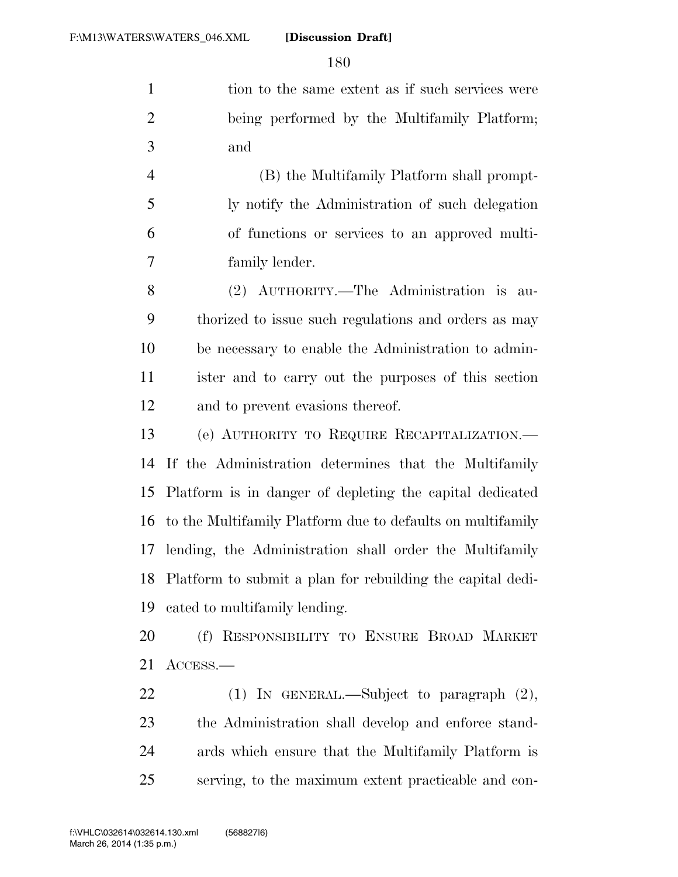1 tion to the same extent as if such services were being performed by the Multifamily Platform; and

 (B) the Multifamily Platform shall prompt- ly notify the Administration of such delegation of functions or services to an approved multi-family lender.

 (2) AUTHORITY.—The Administration is au- thorized to issue such regulations and orders as may be necessary to enable the Administration to admin- ister and to carry out the purposes of this section and to prevent evasions thereof.

 (e) AUTHORITY TO REQUIRE RECAPITALIZATION.— If the Administration determines that the Multifamily Platform is in danger of depleting the capital dedicated to the Multifamily Platform due to defaults on multifamily lending, the Administration shall order the Multifamily Platform to submit a plan for rebuilding the capital dedi-cated to multifamily lending.

 (f) RESPONSIBILITY TO ENSURE BROAD MARKET ACCESS.—

 (1) IN GENERAL.—Subject to paragraph (2), the Administration shall develop and enforce stand- ards which ensure that the Multifamily Platform is serving, to the maximum extent practicable and con-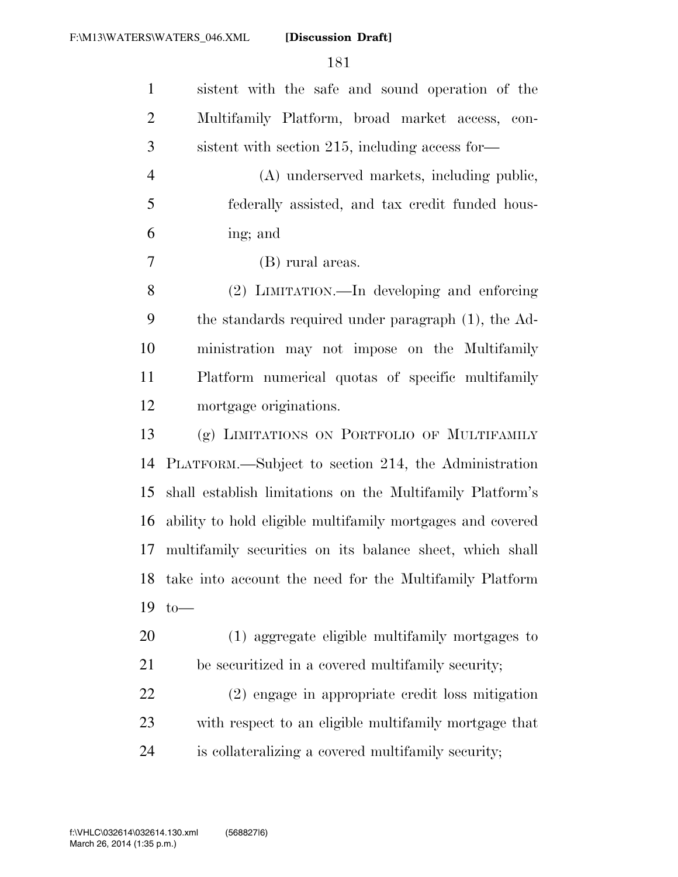| $\mathbf{1}$   | sistent with the safe and sound operation of the           |
|----------------|------------------------------------------------------------|
| $\overline{c}$ | Multifamily Platform, broad market access, con-            |
| 3              | sistent with section 215, including access for-            |
| $\overline{4}$ | (A) underserved markets, including public,                 |
| 5              | federally assisted, and tax credit funded hous-            |
| 6              | ing; and                                                   |
| $\tau$         | (B) rural areas.                                           |
| 8              | (2) LIMITATION.—In developing and enforcing                |
| 9              | the standards required under paragraph (1), the Ad-        |
| 10             | ministration may not impose on the Multifamily             |
| 11             | Platform numerical quotas of specific multifamily          |
| 12             | mortgage originations.                                     |
| 13             | (g) LIMITATIONS ON PORTFOLIO OF MULTIFAMILY                |
| 14             | PLATFORM.—Subject to section 214, the Administration       |
| 15             | shall establish limitations on the Multifamily Platform's  |
| 16             | ability to hold eligible multifamily mortgages and covered |
| 17             | multifamily securities on its balance sheet, which shall   |
|                | 18 take into account the need for the Multifamily Platform |
| 19             | $to-$                                                      |
| 20             | (1) aggregate eligible multifamily mortgages to            |
| 21             | be securitized in a covered multifamily security;          |
| 22             | (2) engage in appropriate credit loss mitigation           |
| 23             | with respect to an eligible multifamily mortgage that      |
|                |                                                            |
|                |                                                            |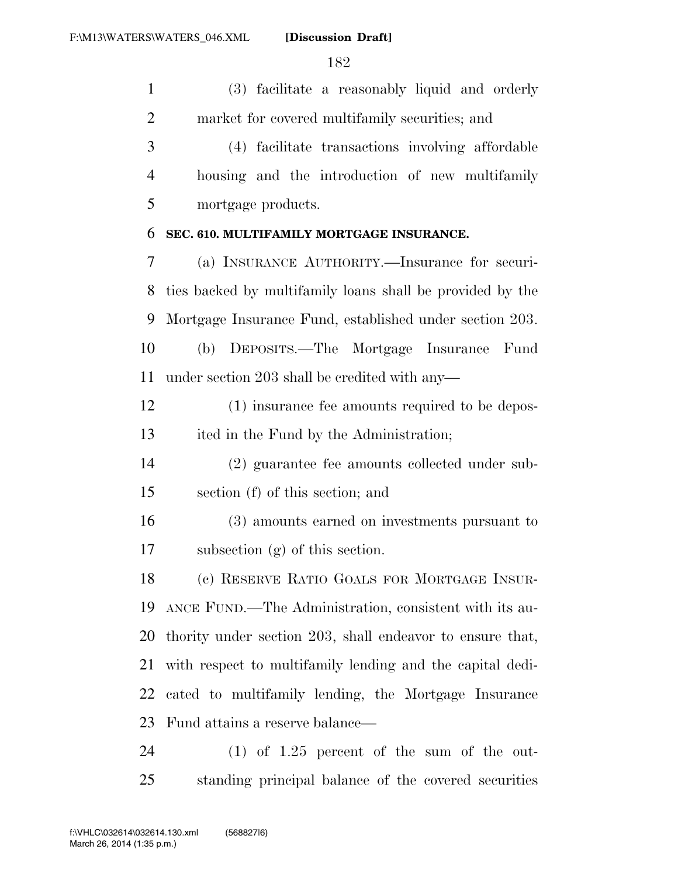(3) facilitate a reasonably liquid and orderly market for covered multifamily securities; and

 (4) facilitate transactions involving affordable housing and the introduction of new multifamily mortgage products.

### **SEC. 610. MULTIFAMILY MORTGAGE INSURANCE.**

 (a) INSURANCE AUTHORITY.—Insurance for securi- ties backed by multifamily loans shall be provided by the Mortgage Insurance Fund, established under section 203. (b) DEPOSITS.—The Mortgage Insurance Fund under section 203 shall be credited with any—

 (1) insurance fee amounts required to be depos-ited in the Fund by the Administration;

 (2) guarantee fee amounts collected under sub-section (f) of this section; and

 (3) amounts earned on investments pursuant to subsection (g) of this section.

 (c) RESERVE RATIO GOALS FOR MORTGAGE INSUR- ANCE FUND.—The Administration, consistent with its au- thority under section 203, shall endeavor to ensure that, with respect to multifamily lending and the capital dedi- cated to multifamily lending, the Mortgage Insurance Fund attains a reserve balance—

 (1) of 1.25 percent of the sum of the out-standing principal balance of the covered securities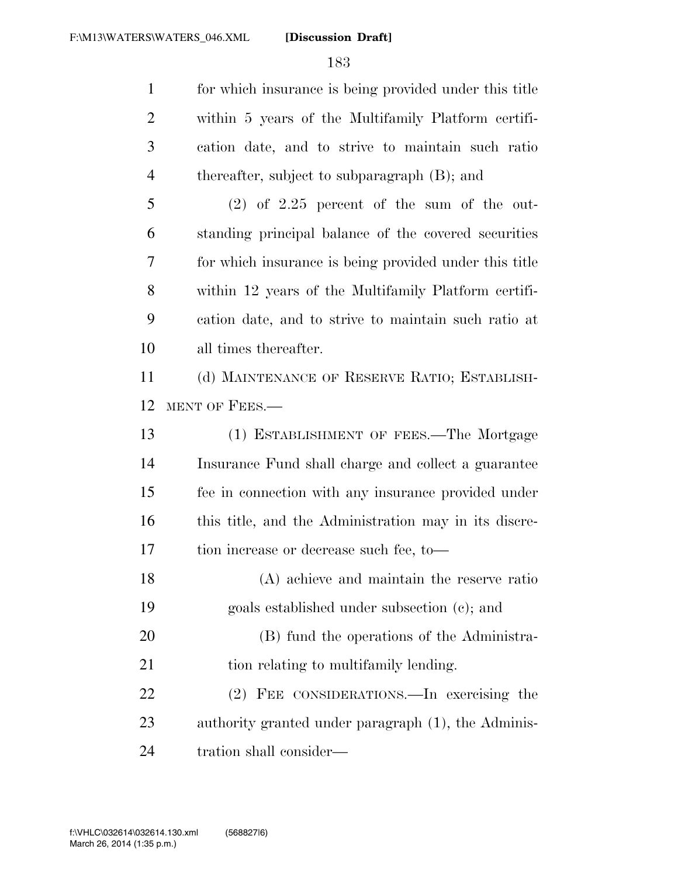for which insurance is being provided under this title within 5 years of the Multifamily Platform certifi- cation date, and to strive to maintain such ratio thereafter, subject to subparagraph (B); and

 (2) of 2.25 percent of the sum of the out- standing principal balance of the covered securities for which insurance is being provided under this title within 12 years of the Multifamily Platform certifi- cation date, and to strive to maintain such ratio at all times thereafter.

 (d) MAINTENANCE OF RESERVE RATIO; ESTABLISH-MENT OF FEES.—

 (1) ESTABLISHMENT OF FEES.—The Mortgage Insurance Fund shall charge and collect a guarantee fee in connection with any insurance provided under 16 this title, and the Administration may in its discre-tion increase or decrease such fee, to—

 (A) achieve and maintain the reserve ratio goals established under subsection (c); and (B) fund the operations of the Administra-21 tion relating to multifamily lending. (2) FEE CONSIDERATIONS.—In exercising the authority granted under paragraph (1), the Adminis-

tration shall consider—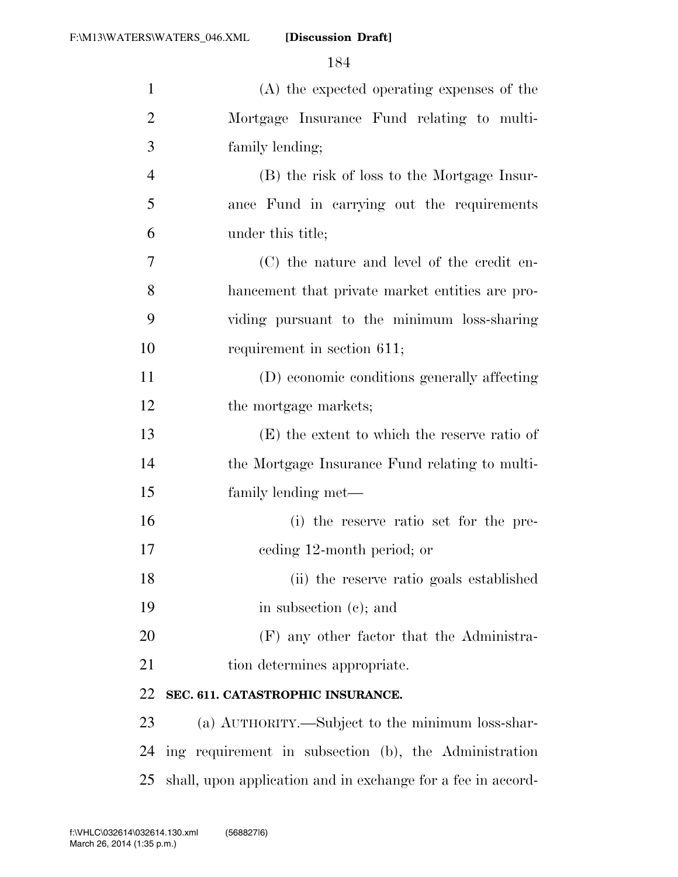| $\mathbf{1}$   | $(A)$ the expected operating expenses of the                 |
|----------------|--------------------------------------------------------------|
|                |                                                              |
| $\overline{2}$ | Mortgage Insurance Fund relating to multi-                   |
| 3              | family lending;                                              |
| $\overline{4}$ | (B) the risk of loss to the Mortgage Insur-                  |
| 5              | ance Fund in carrying out the requirements                   |
| 6              | under this title;                                            |
| $\overline{7}$ | (C) the nature and level of the credit en-                   |
| 8              | hancement that private market entities are pro-              |
| 9              | viding pursuant to the minimum loss-sharing                  |
| 10             | requirement in section 611;                                  |
| 11             | (D) economic conditions generally affecting                  |
| 12             | the mortgage markets;                                        |
| 13             | (E) the extent to which the reserve ratio of                 |
| 14             | the Mortgage Insurance Fund relating to multi-               |
| 15             | family lending met—                                          |
| 16             | (i) the reserve ratio set for the pre-                       |
| 17             | eeding 12-month period; or                                   |
| 18             | (ii) the reserve ratio goals established                     |
| 19             | in subsection (c); and                                       |
| 20             | (F) any other factor that the Administra-                    |
| 21             | tion determines appropriate.                                 |
| 22             | SEC. 611. CATASTROPHIC INSURANCE.                            |
| 23             | (a) AUTHORITY.—Subject to the minimum loss-shar-             |
| 24             | ing requirement in subsection (b), the Administration        |
| 25             | shall, upon application and in exchange for a fee in accord- |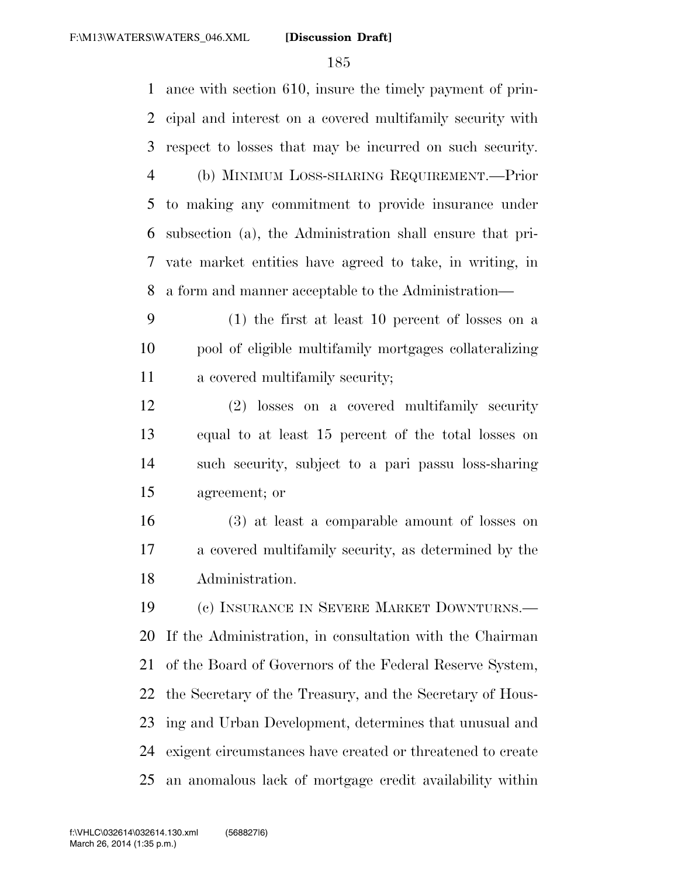ance with section 610, insure the timely payment of prin- cipal and interest on a covered multifamily security with respect to losses that may be incurred on such security. (b) MINIMUM LOSS-SHARING REQUIREMENT.—Prior to making any commitment to provide insurance under subsection (a), the Administration shall ensure that pri- vate market entities have agreed to take, in writing, in a form and manner acceptable to the Administration— (1) the first at least 10 percent of losses on a pool of eligible multifamily mortgages collateralizing a covered multifamily security; (2) losses on a covered multifamily security equal to at least 15 percent of the total losses on such security, subject to a pari passu loss-sharing agreement; or (3) at least a comparable amount of losses on a covered multifamily security, as determined by the Administration. (c) INSURANCE IN SEVERE MARKET DOWNTURNS.— If the Administration, in consultation with the Chairman of the Board of Governors of the Federal Reserve System, the Secretary of the Treasury, and the Secretary of Hous- ing and Urban Development, determines that unusual and exigent circumstances have created or threatened to create an anomalous lack of mortgage credit availability within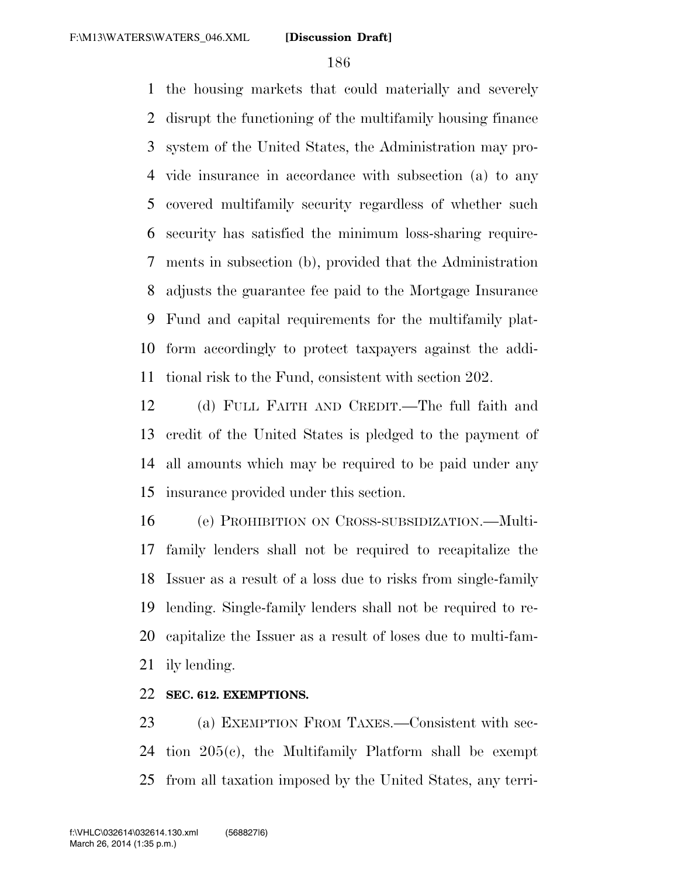the housing markets that could materially and severely disrupt the functioning of the multifamily housing finance system of the United States, the Administration may pro- vide insurance in accordance with subsection (a) to any covered multifamily security regardless of whether such security has satisfied the minimum loss-sharing require- ments in subsection (b), provided that the Administration adjusts the guarantee fee paid to the Mortgage Insurance Fund and capital requirements for the multifamily plat- form accordingly to protect taxpayers against the addi-tional risk to the Fund, consistent with section 202.

 (d) FULL FAITH AND CREDIT.—The full faith and credit of the United States is pledged to the payment of all amounts which may be required to be paid under any insurance provided under this section.

 (e) PROHIBITION ON CROSS-SUBSIDIZATION.—Multi- family lenders shall not be required to recapitalize the Issuer as a result of a loss due to risks from single-family lending. Single-family lenders shall not be required to re- capitalize the Issuer as a result of loses due to multi-fam-ily lending.

## **SEC. 612. EXEMPTIONS.**

 (a) EXEMPTION FROM TAXES.—Consistent with sec- tion 205(c), the Multifamily Platform shall be exempt from all taxation imposed by the United States, any terri-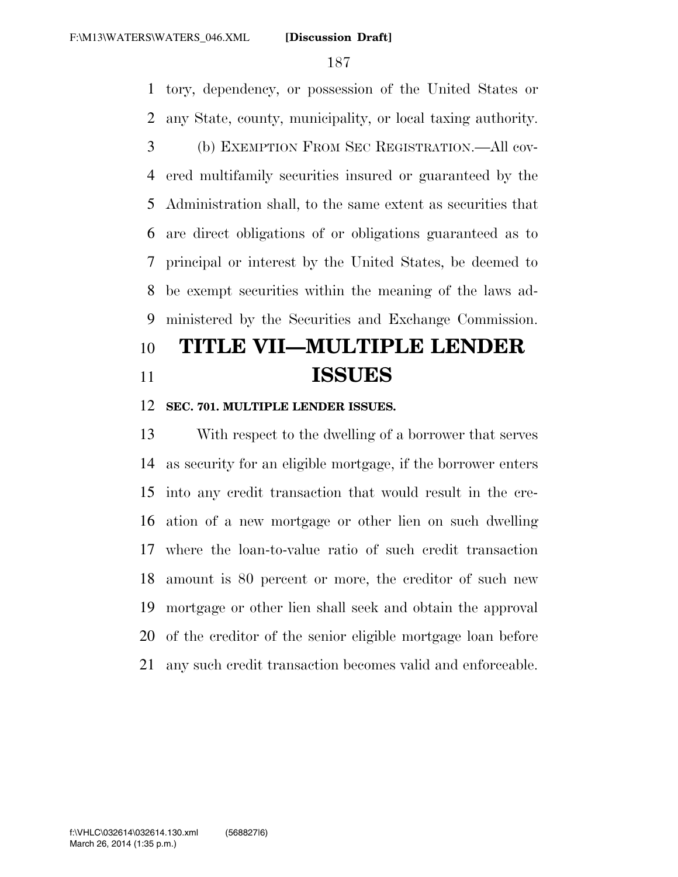tory, dependency, or possession of the United States or any State, county, municipality, or local taxing authority.

 (b) EXEMPTION FROM SEC REGISTRATION.—All cov- ered multifamily securities insured or guaranteed by the Administration shall, to the same extent as securities that are direct obligations of or obligations guaranteed as to principal or interest by the United States, be deemed to be exempt securities within the meaning of the laws ad-ministered by the Securities and Exchange Commission.

# **TITLE VII—MULTIPLE LENDER ISSUES**

### **SEC. 701. MULTIPLE LENDER ISSUES.**

 With respect to the dwelling of a borrower that serves as security for an eligible mortgage, if the borrower enters into any credit transaction that would result in the cre- ation of a new mortgage or other lien on such dwelling where the loan-to-value ratio of such credit transaction amount is 80 percent or more, the creditor of such new mortgage or other lien shall seek and obtain the approval of the creditor of the senior eligible mortgage loan before any such credit transaction becomes valid and enforceable.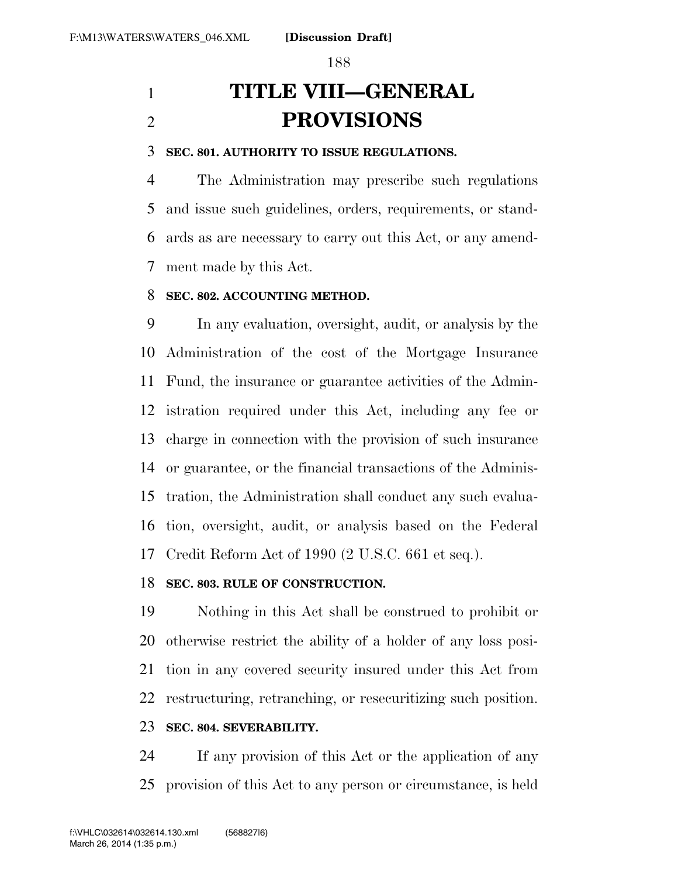# **TITLE VIII—GENERAL PROVISIONS**

### **SEC. 801. AUTHORITY TO ISSUE REGULATIONS.**

 The Administration may prescribe such regulations and issue such guidelines, orders, requirements, or stand- ards as are necessary to carry out this Act, or any amend-ment made by this Act.

### **SEC. 802. ACCOUNTING METHOD.**

 In any evaluation, oversight, audit, or analysis by the Administration of the cost of the Mortgage Insurance Fund, the insurance or guarantee activities of the Admin- istration required under this Act, including any fee or charge in connection with the provision of such insurance or guarantee, or the financial transactions of the Adminis- tration, the Administration shall conduct any such evalua- tion, oversight, audit, or analysis based on the Federal Credit Reform Act of 1990 (2 U.S.C. 661 et seq.).

### **SEC. 803. RULE OF CONSTRUCTION.**

 Nothing in this Act shall be construed to prohibit or otherwise restrict the ability of a holder of any loss posi- tion in any covered security insured under this Act from restructuring, retranching, or resecuritizing such position.

### **SEC. 804. SEVERABILITY.**

 If any provision of this Act or the application of any provision of this Act to any person or circumstance, is held